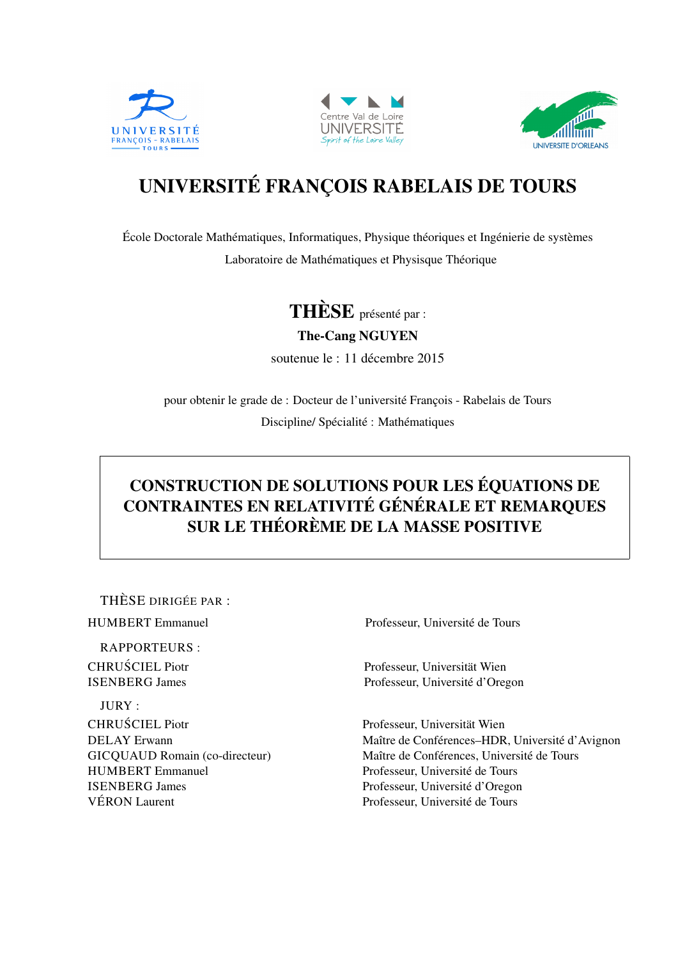





## UNIVERSITÉ FRANÇOIS RABELAIS DE TOURS

École Doctorale Mathématiques, Informatiques, Physique théoriques et Ingénierie de systèmes Laboratoire de Mathématiques et Physisque Théorique

## THÈSE présenté par :

The-Cang NGUYEN

soutenue le : 11 décembre 2015

pour obtenir le grade de : Docteur de l'université François - Rabelais de Tours

Discipline/ Spécialité : Mathématiques

### CONSTRUCTION DE SOLUTIONS POUR LES ÉQUATIONS DE CONTRAINTES EN RELATIVITÉ GÉNÉRALE ET REMARQUES SUR LE THÉORÈME DE LA MASSE POSITIVE

THÈSE DIRIGÉE PAR :

RAPPORTEURS :

JURY : CHRUSCIEL Piotr Professeur, Universität Wien ´ HUMBERT Emmanuel Professeur, Université de Tours ISENBERG James Professeur, Université d'Oregon VÉRON Laurent Professeur, Université de Tours

HUMBERT Emmanuel Professeur, Université de Tours

CHRUŚCIEL Piotr Professeur, Universität Wien ISENBERG James Professeur, Université d'Oregon

DELAY Erwann Maître de Conférences–HDR, Université d'Avignon GICQUAUD Romain (co-directeur) Maître de Conférences, Université de Tours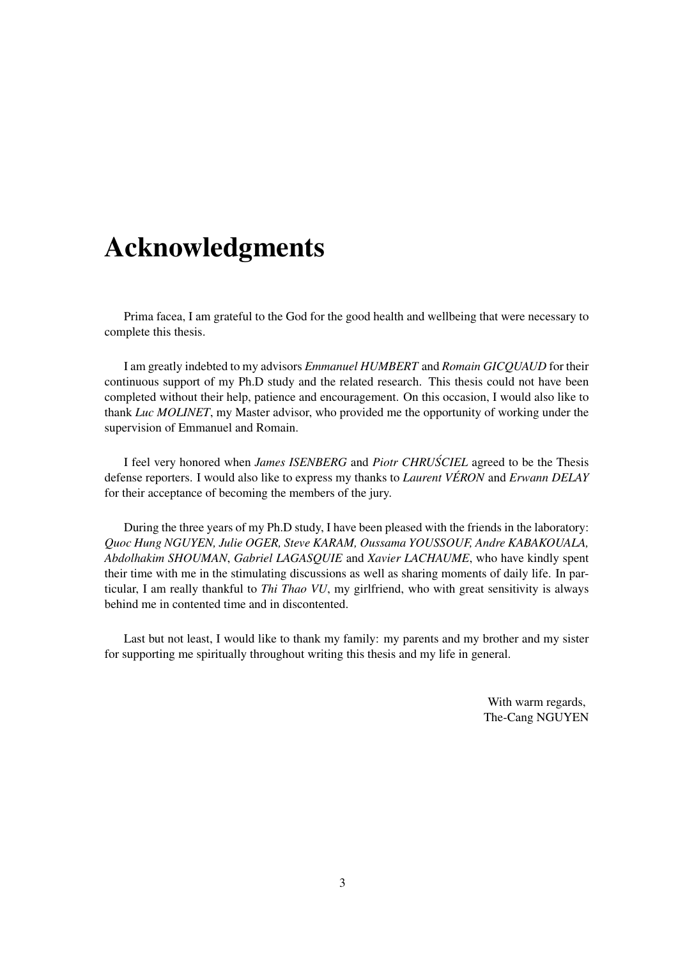# Acknowledgments

Prima facea, I am grateful to the God for the good health and wellbeing that were necessary to complete this thesis.

I am greatly indebted to my advisors *Emmanuel HUMBERT* and *Romain GICQUAUD* for their continuous support of my Ph.D study and the related research. This thesis could not have been completed without their help, patience and encouragement. On this occasion, I would also like to thank *Luc MOLINET*, my Master advisor, who provided me the opportunity of working under the supervision of Emmanuel and Romain.

I feel very honored when *James ISENBERG* and *Piotr CHRUŚCIEL* agreed to be the Thesis defense reporters. I would also like to express my thanks to *Laurent VÉRON* and *Erwann DELAY* for their acceptance of becoming the members of the jury.

During the three years of my Ph.D study, I have been pleased with the friends in the laboratory: *Quoc Hung NGUYEN, Julie OGER, Steve KARAM, Oussama YOUSSOUF, Andre KABAKOUALA, Abdolhakim SHOUMAN*, *Gabriel LAGASQUIE* and *Xavier LACHAUME*, who have kindly spent their time with me in the stimulating discussions as well as sharing moments of daily life. In particular, I am really thankful to *Thi Thao VU*, my girlfriend, who with great sensitivity is always behind me in contented time and in discontented.

Last but not least, I would like to thank my family: my parents and my brother and my sister for supporting me spiritually throughout writing this thesis and my life in general.

> With warm regards, The-Cang NGUYEN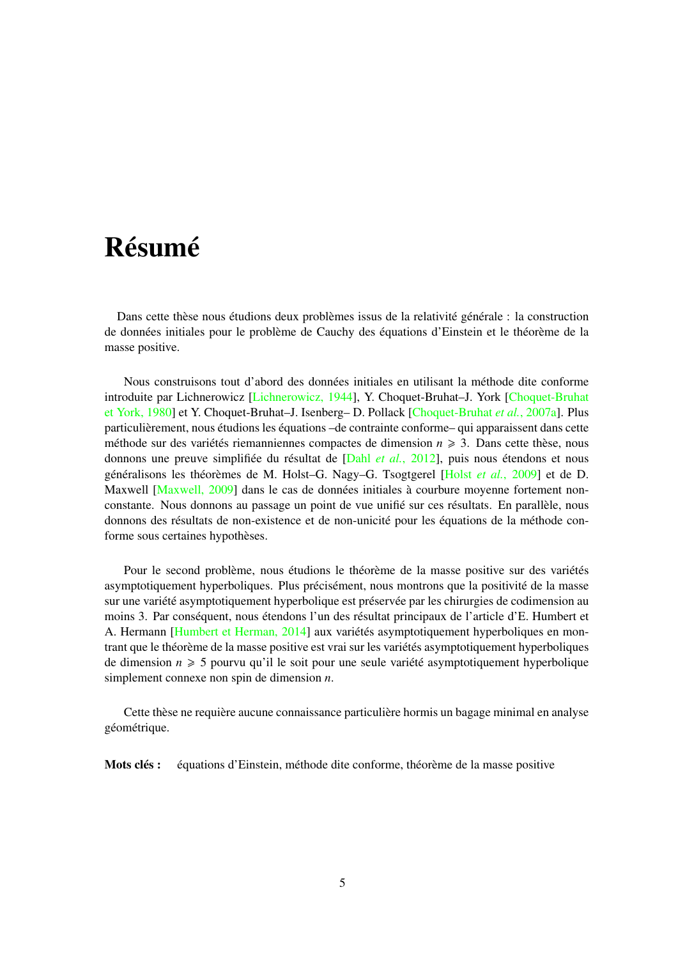# Résumé

Dans cette thèse nous étudions deux problèmes issus de la relativité générale : la construction de données initiales pour le problème de Cauchy des équations d'Einstein et le théorème de la masse positive.

Nous construisons tout d'abord des données initiales en utilisant la méthode dite conforme introduite par Lichnerowicz [\[Lichnerowicz, 1944\]](#page-102-0), Y. Choquet-Bruhat–J. York [\[Choquet-Bruhat](#page-100-0) [et York, 1980\]](#page-100-0) et Y. Choquet-Bruhat–J. Isenberg– D. Pollack [\[Choquet-Bruhat](#page-100-1) *et al.*, 2007a]. Plus particulièrement, nous étudions les équations –de contrainte conforme– qui apparaissent dans cette méthode sur des variétés riemanniennes compactes de dimension  $n \geqslant 3$ . Dans cette thèse, nous donnons une preuve simplifiée du résultat de [Dahl *et al.*[, 2012\]](#page-101-0), puis nous étendons et nous généralisons les théorèmes de M. Holst–G. Nagy–G. Tsogtgerel [Holst *et al.*[, 2009\]](#page-102-1) et de D. Maxwell [\[Maxwell, 2009\]](#page-103-0) dans le cas de données initiales à courbure moyenne fortement nonconstante. Nous donnons au passage un point de vue unifié sur ces résultats. En parallèle, nous donnons des résultats de non-existence et de non-unicité pour les équations de la méthode conforme sous certaines hypothèses.

Pour le second problème, nous étudions le théorème de la masse positive sur des variétés asymptotiquement hyperboliques. Plus précisément, nous montrons que la positivité de la masse sur une variété asymptotiquement hyperbolique est préservée par les chirurgies de codimension au moins 3. Par conséquent, nous étendons l'un des résultat principaux de l'article d'E. Humbert et A. Hermann [\[Humbert et Herman, 2014\]](#page-102-2) aux variétés asymptotiquement hyperboliques en montrant que le théorème de la masse positive est vrai sur les variétés asymptotiquement hyperboliques de dimension  $n \geq 5$  pourvu qu'il le soit pour une seule variété asymptotiquement hyperbolique simplement connexe non spin de dimension *n*.

Cette thèse ne requière aucune connaissance particulière hormis un bagage minimal en analyse géométrique.

Mots clés : équations d'Einstein, méthode dite conforme, théorème de la masse positive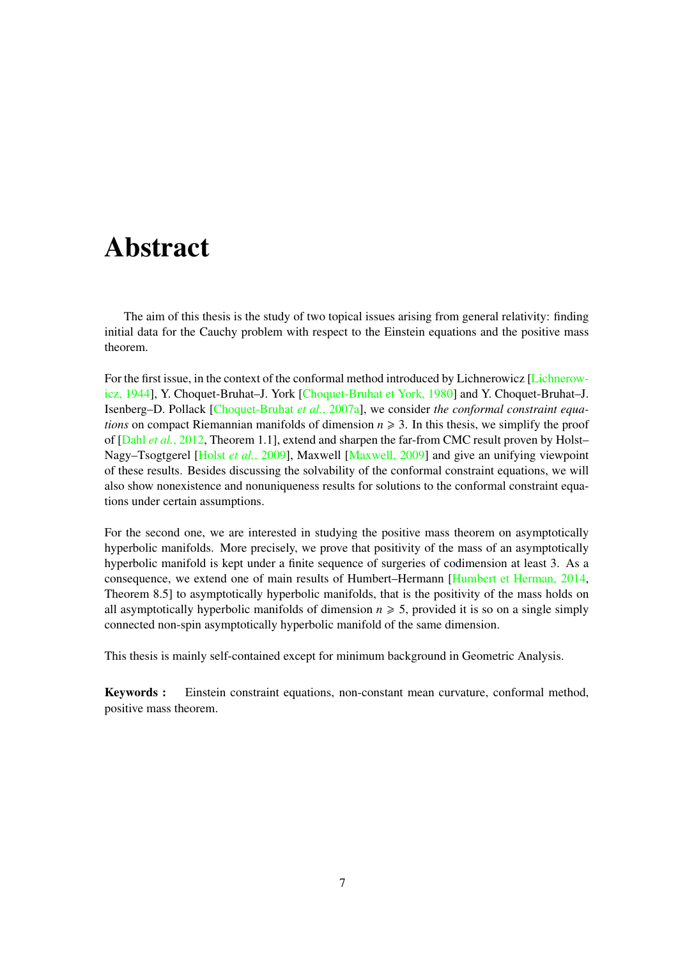## Abstract

The aim of this thesis is the study of two topical issues arising from general relativity: finding initial data for the Cauchy problem with respect to the Einstein equations and the positive mass theorem.

For the first issue, in the context of the conformal method introduced by Lichnerowicz [\[Lichnerow](#page-102-0)[icz, 1944\]](#page-102-0), Y. Choquet-Bruhat–J. York [\[Choquet-Bruhat et York, 1980\]](#page-100-0) and Y. Choquet-Bruhat–J. Isenberg–D. Pollack [\[Choquet-Bruhat](#page-100-1) *et al.*, 2007a], we consider *the conformal constraint equations* on compact Riemannian manifolds of dimension  $n \geq 3$ . In this thesis, we simplify the proof of [Dahl *et al.*[, 2012,](#page-101-0) Theorem 1.1], extend and sharpen the far-from CMC result proven by Holst– Nagy–Tsogtgerel [Holst *et al.*[, 2009\]](#page-102-1), Maxwell [\[Maxwell, 2009\]](#page-103-0) and give an unifying viewpoint of these results. Besides discussing the solvability of the conformal constraint equations, we will also show nonexistence and nonuniqueness results for solutions to the conformal constraint equations under certain assumptions.

For the second one, we are interested in studying the positive mass theorem on asymptotically hyperbolic manifolds. More precisely, we prove that positivity of the mass of an asymptotically hyperbolic manifold is kept under a finite sequence of surgeries of codimension at least 3. As a consequence, we extend one of main results of Humbert–Hermann [\[Humbert et Herman, 2014,](#page-102-2) Theorem 8.5] to asymptotically hyperbolic manifolds, that is the positivity of the mass holds on all asymptotically hyperbolic manifolds of dimension  $n \geq 5$ , provided it is so on a single simply connected non-spin asymptotically hyperbolic manifold of the same dimension.

This thesis is mainly self-contained except for minimum background in Geometric Analysis.

Keywords : Einstein constraint equations, non-constant mean curvature, conformal method, positive mass theorem.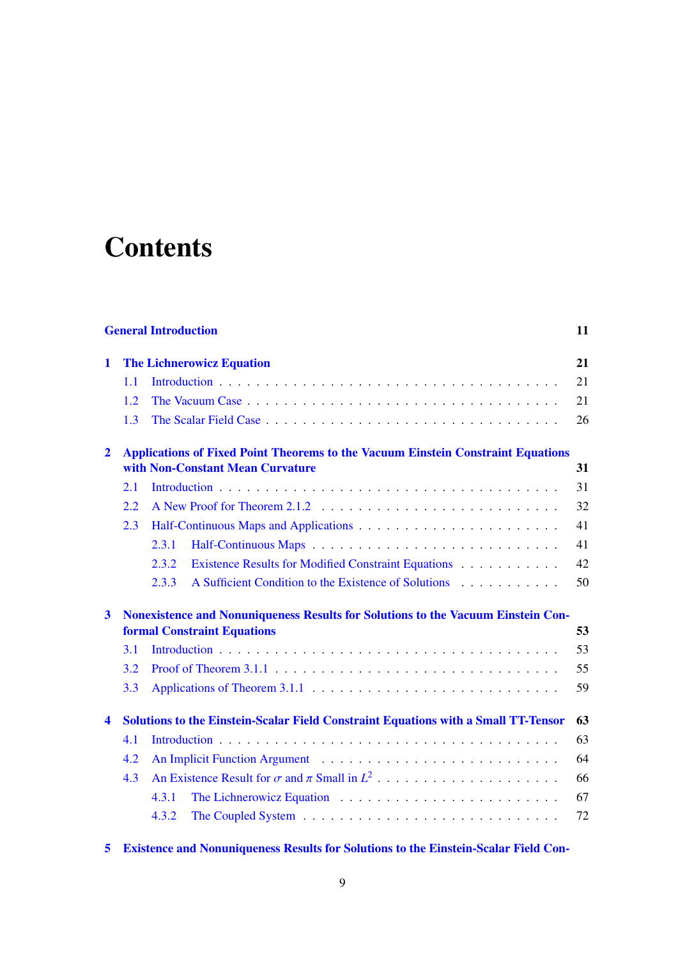# **Contents**

|                      | <b>General Introduction</b>                                                                     |                                                                                         |                                                                                                                           |    |  |  |  |
|----------------------|-------------------------------------------------------------------------------------------------|-----------------------------------------------------------------------------------------|---------------------------------------------------------------------------------------------------------------------------|----|--|--|--|
| 1                    |                                                                                                 |                                                                                         | <b>The Lichnerowicz Equation</b>                                                                                          | 21 |  |  |  |
|                      | 1.1                                                                                             |                                                                                         |                                                                                                                           | 21 |  |  |  |
|                      | 1.2                                                                                             |                                                                                         |                                                                                                                           | 21 |  |  |  |
|                      | 1.3                                                                                             |                                                                                         |                                                                                                                           | 26 |  |  |  |
| $\overline{2}$       | <b>Applications of Fixed Point Theorems to the Vacuum Einstein Constraint Equations</b>         |                                                                                         |                                                                                                                           |    |  |  |  |
|                      |                                                                                                 |                                                                                         | with Non-Constant Mean Curvature                                                                                          | 31 |  |  |  |
|                      | 2.1                                                                                             |                                                                                         |                                                                                                                           | 31 |  |  |  |
|                      | 2.2                                                                                             |                                                                                         |                                                                                                                           | 32 |  |  |  |
|                      | 2.3                                                                                             |                                                                                         |                                                                                                                           | 41 |  |  |  |
|                      |                                                                                                 | 2.3.1                                                                                   |                                                                                                                           | 41 |  |  |  |
|                      |                                                                                                 | 2.3.2                                                                                   | Existence Results for Modified Constraint Equations                                                                       | 42 |  |  |  |
|                      |                                                                                                 | 2.3.3                                                                                   | A Sufficient Condition to the Existence of Solutions And Sufficient Condition to the Existence of Solutions               | 50 |  |  |  |
| $\mathbf{3}$         |                                                                                                 | <b>Nonexistence and Nonuniqueness Results for Solutions to the Vacuum Einstein Con-</b> |                                                                                                                           |    |  |  |  |
|                      |                                                                                                 |                                                                                         | <b>formal Constraint Equations</b>                                                                                        | 53 |  |  |  |
|                      | 3.1                                                                                             |                                                                                         |                                                                                                                           | 53 |  |  |  |
|                      | 3.2                                                                                             |                                                                                         | Proof of Theorem 3.1.1 $\ldots$ $\ldots$ $\ldots$ $\ldots$ $\ldots$ $\ldots$ $\ldots$ $\ldots$ $\ldots$ $\ldots$ $\ldots$ | 55 |  |  |  |
|                      | 3.3                                                                                             |                                                                                         |                                                                                                                           | 59 |  |  |  |
| $\blacktriangleleft$ | <b>Solutions to the Einstein-Scalar Field Constraint Equations with a Small TT-Tensor</b><br>63 |                                                                                         |                                                                                                                           |    |  |  |  |
|                      | 4.1                                                                                             |                                                                                         |                                                                                                                           | 63 |  |  |  |
|                      | 4.2                                                                                             |                                                                                         |                                                                                                                           | 64 |  |  |  |
|                      | 4.3                                                                                             |                                                                                         |                                                                                                                           | 66 |  |  |  |
|                      |                                                                                                 | 4.3.1                                                                                   |                                                                                                                           | 67 |  |  |  |
|                      |                                                                                                 | 4.3.2                                                                                   |                                                                                                                           | 72 |  |  |  |
|                      |                                                                                                 |                                                                                         |                                                                                                                           |    |  |  |  |

[5 Existence and Nonuniqueness Results for Solutions to the Einstein-Scalar Field Con-](#page-80-0)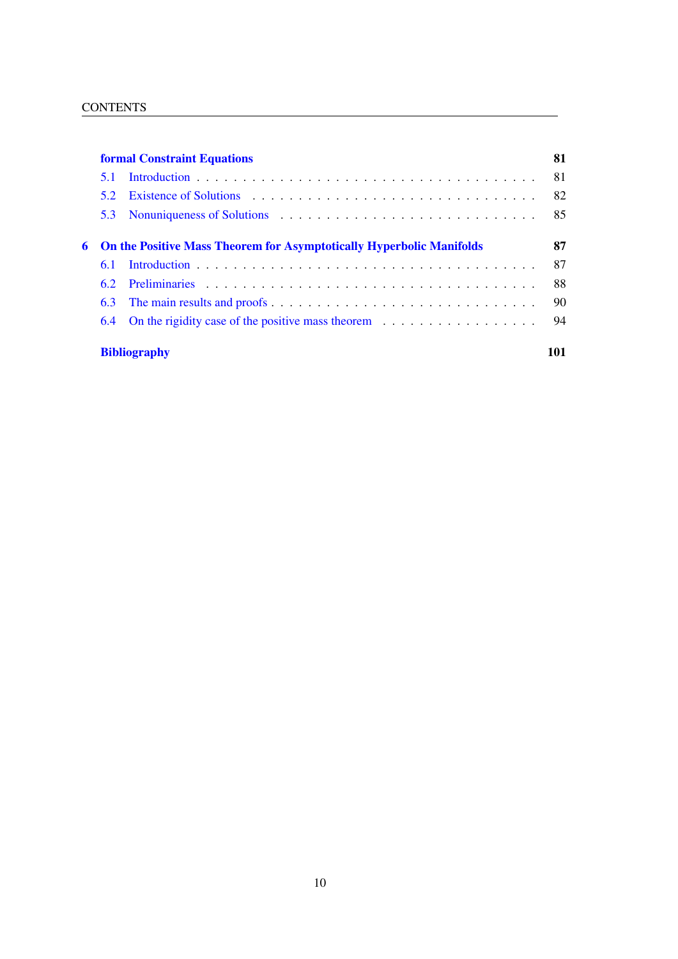|     | <b>formal Constraint Equations</b>                                                          | 81  |  |  |  |
|-----|---------------------------------------------------------------------------------------------|-----|--|--|--|
| 5.1 |                                                                                             | 81  |  |  |  |
| 52  |                                                                                             | 82  |  |  |  |
|     |                                                                                             | 85  |  |  |  |
|     | <b>6 On the Positive Mass Theorem for Asymptotically Hyperbolic Manifolds</b>               |     |  |  |  |
| 6.1 |                                                                                             | 87  |  |  |  |
|     |                                                                                             | 88  |  |  |  |
| 6.3 |                                                                                             | 90  |  |  |  |
|     | 6.4 On the rigidity case of the positive mass theorem $\dots \dots \dots \dots \dots \dots$ | 94  |  |  |  |
|     | <b>Bibliography</b>                                                                         | 101 |  |  |  |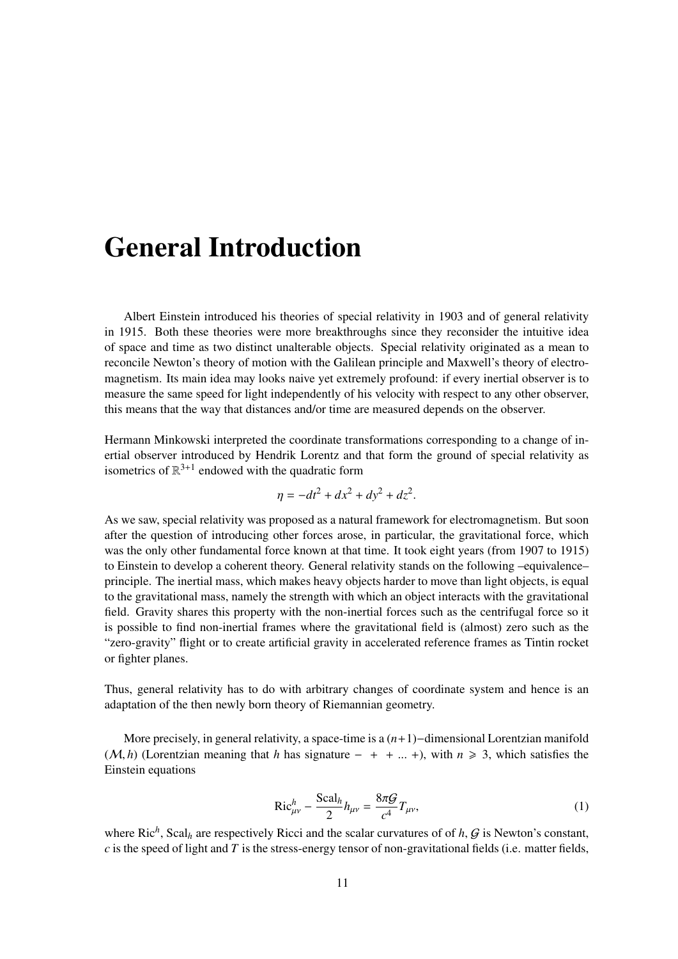# <span id="page-10-0"></span>General Introduction

Albert Einstein introduced his theories of special relativity in 1903 and of general relativity in 1915. Both these theories were more breakthroughs since they reconsider the intuitive idea of space and time as two distinct unalterable objects. Special relativity originated as a mean to reconcile Newton's theory of motion with the Galilean principle and Maxwell's theory of electromagnetism. Its main idea may looks naive yet extremely profound: if every inertial observer is to measure the same speed for light independently of his velocity with respect to any other observer, this means that the way that distances and/or time are measured depends on the observer.

Hermann Minkowski interpreted the coordinate transformations corresponding to a change of inertial observer introduced by Hendrik Lorentz and that form the ground of special relativity as isometrics of  $\mathbb{R}^{3+1}$  endowed with the quadratic form

$$
\eta = -dt^2 + dx^2 + dy^2 + dz^2.
$$

As we saw, special relativity was proposed as a natural framework for electromagnetism. But soon after the question of introducing other forces arose, in particular, the gravitational force, which was the only other fundamental force known at that time. It took eight years (from 1907 to 1915) to Einstein to develop a coherent theory. General relativity stands on the following –equivalence– principle. The inertial mass, which makes heavy objects harder to move than light objects, is equal to the gravitational mass, namely the strength with which an object interacts with the gravitational field. Gravity shares this property with the non-inertial forces such as the centrifugal force so it is possible to find non-inertial frames where the gravitational field is (almost) zero such as the "zero-gravity" flight or to create artificial gravity in accelerated reference frames as Tintin rocket or fighter planes.

Thus, general relativity has to do with arbitrary changes of coordinate system and hence is an adaptation of the then newly born theory of Riemannian geometry.

More precisely, in general relativity, a space-time is a (*n*+1)−dimensional Lorentzian manifold (M, *<sup>h</sup>*) (Lorentzian meaning that *<sup>h</sup>* has signature <sup>−</sup> + + ... <sup>+</sup>), with *<sup>n</sup>* <sup>&</sup>gt; <sup>3</sup>, which satisfies the Einstein equations

<span id="page-10-1"></span>
$$
\text{Ric}_{\mu\nu}^h - \frac{\text{Scal}_h}{2} h_{\mu\nu} = \frac{8\pi G}{c^4} T_{\mu\nu},\tag{1}
$$

where Ric<sup>h</sup>, Scal<sub>h</sub> are respectively Ricci and the scalar curvatures of of *h*, G is Newton's constant,  $c$  is the speed of light and  $T$  is the stress-energy tensor of non-gravitational fields (i.e. matter fields,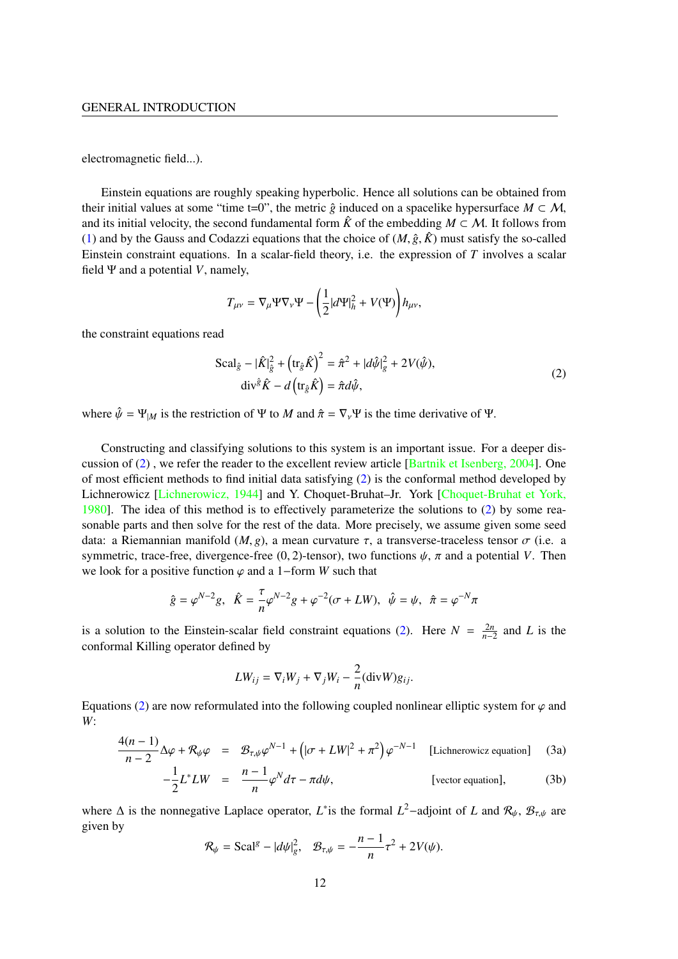electromagnetic field...).

Einstein equations are roughly speaking hyperbolic. Hence all solutions can be obtained from their initial values at some "time t=0", the metric  $\hat{g}$  induced on a spacelike hypersurface  $M \subset M$ , and its initial velocity, the second fundamental form  $\hat{K}$  of the embedding  $M \subset \mathcal{M}$ . It follows from [\(1\)](#page-10-1) and by the Gauss and Codazzi equations that the choice of  $(M, \hat{g}, \hat{K})$  must satisfy the so-called Einstein constraint equations. In a scalar-field theory, i.e. the expression of *T* involves a scalar field Ψ and a potential *V*, namely,

$$
T_{\mu\nu} = \nabla_{\mu} \Psi \nabla_{\nu} \Psi - \left(\frac{1}{2} |d\Psi|_{h}^{2} + V(\Psi)\right) h_{\mu\nu},
$$

the constraint equations read

<span id="page-11-0"></span>
$$
Scal_{\hat{g}} - |\hat{K}|_{\hat{g}}^2 + \left(\text{tr}_{\hat{g}}\hat{K}\right)^2 = \hat{\pi}^2 + |d\hat{\psi}|_{g}^2 + 2V(\hat{\psi}),
$$
  
\n
$$
\text{div}^{\hat{g}}\hat{K} - d\left(\text{tr}_{\hat{g}}\hat{K}\right) = \hat{\pi}d\hat{\psi},
$$
\n(2)

where  $\hat{\psi} = \Psi_{|M}$  is the restriction of  $\Psi$  to *M* and  $\hat{\pi} = \nabla_{\nu} \Psi$  is the time derivative of  $\Psi$ .

Constructing and classifying solutions to this system is an important issue. For a deeper discussion of [\(2\)](#page-11-0) , we refer the reader to the excellent review article [\[Bartnik et Isenberg, 2004\]](#page-100-2). One of most efficient methods to find initial data satisfying [\(2\)](#page-11-0) is the conformal method developed by Lichnerowicz [\[Lichnerowicz, 1944\]](#page-102-0) and Y. Choquet-Bruhat–Jr. York [\[Choquet-Bruhat et York,](#page-100-0) [1980\]](#page-100-0). The idea of this method is to effectively parameterize the solutions to [\(2\)](#page-11-0) by some reasonable parts and then solve for the rest of the data. More precisely, we assume given some seed data: a Riemannian manifold (*M*, *g*), a mean curvature  $\tau$ , a transverse-traceless tensor  $\sigma$  (i.e. a symmetric, trace-free, divergence-free  $(0, 2)$ -tensor), two functions  $\psi$ ,  $\pi$  and a potential *V*. Then we look for a positive function ϕ and a <sup>1</sup>−form *<sup>W</sup>* such that

$$
\hat{g} = \varphi^{N-2}g, \quad \hat{K} = \frac{\tau}{n}\varphi^{N-2}g + \varphi^{-2}(\sigma + LW), \quad \hat{\psi} = \psi, \quad \hat{\pi} = \varphi^{-N}\pi
$$

is a solution to the Einstein-scalar field constraint equations [\(2\)](#page-11-0). Here  $N = \frac{2n}{n-2}$  and *L* is the conformal Killing operator defined by

$$
LW_{ij} = \nabla_i W_j + \nabla_j W_i - \frac{2}{n} (\text{div} W) g_{ij}.
$$

<span id="page-11-1"></span>Equations [\(2\)](#page-11-0) are now reformulated into the following coupled nonlinear elliptic system for  $\varphi$  and *W*:

$$
\frac{4(n-1)}{n-2}\Delta\varphi + \mathcal{R}_{\psi}\varphi = \mathcal{B}_{\tau,\psi}\varphi^{N-1} + \left(|\sigma + LW|^2 + \pi^2\right)\varphi^{-N-1} \quad \text{[Lichnerowicz equation]} \tag{3a}
$$

$$
-\frac{1}{2}L^*LW = \frac{n-1}{n}\varphi^N d\tau - \pi d\psi, \qquad \text{[vector equation]}, \qquad (3b)
$$

where  $\Delta$  is the nonnegative Laplace operator, *L*<sup>\*</sup> is the formal *L*<sup>2</sup>-adjoint of *L* and  $\mathcal{R}_{\psi}$ ,  $\mathcal{B}_{\tau,\psi}$  are aiven by given by

$$
\mathcal{R}_{\psi} = \text{Scal}^{g} - |d\psi|_{g}^{2}, \quad \mathcal{B}_{\tau,\psi} = -\frac{n-1}{n}\tau^{2} + 2V(\psi).
$$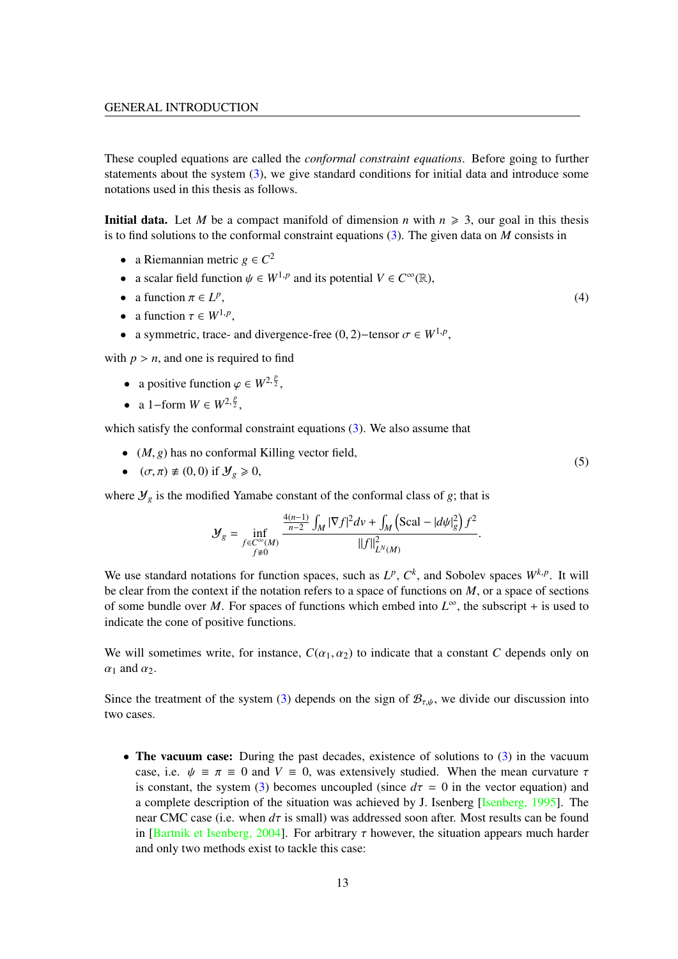These coupled equations are called the *conformal constraint equations*. Before going to further statements about the system [\(3\)](#page-11-1), we give standard conditions for initial data and introduce some notations used in this thesis as follows.

**Initial data.** Let *M* be a compact manifold of dimension *n* with  $n \geq 3$ , our goal in this thesis is to find solutions to the conformal constraint equations [\(3\)](#page-11-1). The given data on *M* consists in

- a Riemannian metric  $g \in C^2$
- a scalar field function  $\psi \in W^{1,p}$  and its potential  $V \in C^{\infty}(\mathbb{R})$ ,
- <span id="page-12-0"></span>• a function  $\pi \in L^p$ ,
- a function  $\tau \in W^{1,p}$ ,
- a symmetric, trace- and divergence-free  $(0, 2)$  –tensor  $\sigma \in W^{1, p}$ ,

with  $p > n$ , and one is required to find

- a positive function  $\varphi \in W^{2, \frac{p}{2}}$ ,
- a 1–form  $W \in W^{2, \frac{p}{2}}$ ,

which satisfy the conformal constraint equations [\(3\)](#page-11-1). We also assume that

- <span id="page-12-1"></span>• (*M*, *<sup>g</sup>*) has no conformal Killing vector field,
- $(\sigma, \pi) \neq (0, 0)$  if  $\mathcal{Y}_g \geq 0$ ,

where  $\mathcal{Y}_g$  is the modified Yamabe constant of the conformal class of *g*; that is

$$
\mathcal{Y}_g = \inf_{\substack{f \in C^\infty(M) \\ f \neq 0}} \frac{\frac{4(n-1)}{n-2} \int_M |\nabla f|^2 d\nu + \int_M (\text{Scal} - |d\psi|_g^2) f^2}{\|f\|_{L^N(M)}^2}.
$$

We use standard notations for function spaces, such as  $L^p$ ,  $C^k$ , and Sobolev spaces  $W^{k,p}$ . It will be clear from the context if the notation refers to a space of functions on *M*, or a space of sections of some bundle over *M*. For spaces of functions which embed into  $L^{\infty}$ , the subscript + is used to indicate the cone of positive functions.

We will sometimes write, for instance,  $C(\alpha_1, \alpha_2)$  to indicate that a constant *C* depends only on  $\alpha_1$  and  $\alpha_2$ .

Since the treatment of the system [\(3\)](#page-11-1) depends on the sign of  $\mathcal{B}_{\tau,\psi}$ , we divide our discussion into two cases.

• The vacuum case: During the past decades, existence of solutions to  $(3)$  in the vacuum case, i.e.  $\psi \equiv \pi \equiv 0$  and  $V \equiv 0$ , was extensively studied. When the mean curvature  $\tau$ is constant, the system [\(3\)](#page-11-1) becomes uncoupled (since  $d\tau = 0$  in the vector equation) and a complete description of the situation was achieved by J. Isenberg [\[Isenberg, 1995\]](#page-102-3). The near CMC case (i.e. when  $d\tau$  is small) was addressed soon after. Most results can be found in [\[Bartnik et Isenberg, 2004\]](#page-100-2). For arbitrary  $\tau$  however, the situation appears much harder and only two methods exist to tackle this case:

(4)

(5)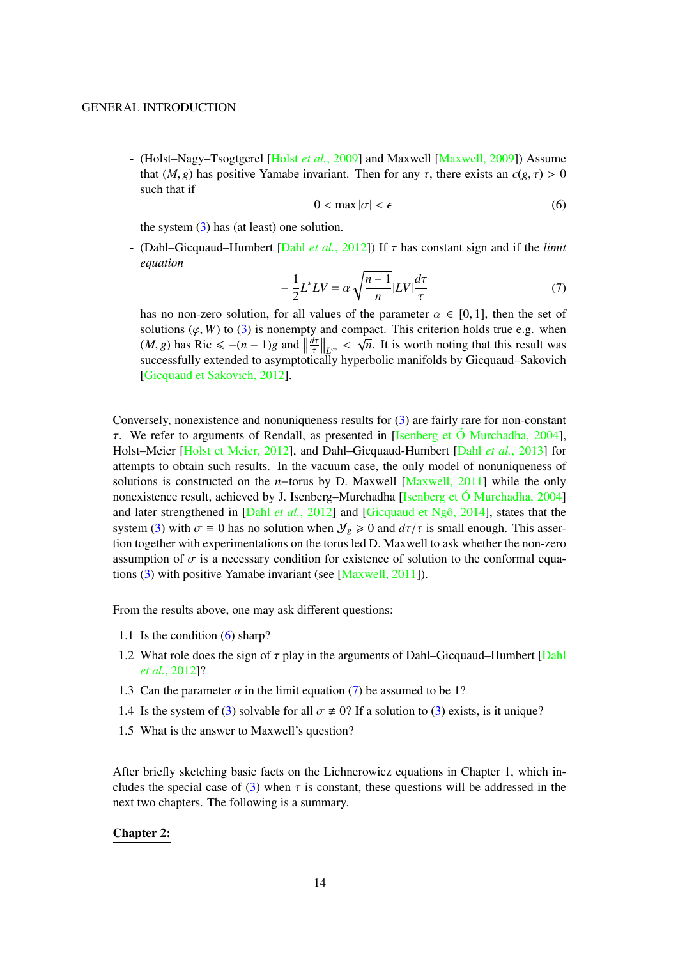- (Holst–Nagy–Tsogtgerel [Holst *et al.*[, 2009\]](#page-102-1) and Maxwell [\[Maxwell, 2009\]](#page-103-0)) Assume that (*M*, *g*) has positive Yamabe invariant. Then for any  $\tau$ , there exists an  $\epsilon(g, \tau) > 0$ such that if

<span id="page-13-0"></span>
$$
0 < \max |\sigma| < \epsilon \tag{6}
$$

the system  $(3)$  has (at least) one solution.

- (Dahl–Gicquaud–Humbert [Dahl *et al.*[, 2012\]](#page-101-0)) If τ has constant sign and if the *limit equation*

<span id="page-13-1"></span>
$$
-\frac{1}{2}L^*LV = \alpha \sqrt{\frac{n-1}{n}}|LV|\frac{d\tau}{\tau}
$$
 (7)

has no non-zero solution, for all values of the parameter  $\alpha \in [0, 1]$ , then the set of solutions ( $(\alpha, W)$  to (3) is nonempty and compact. This criterion holds true e.g. when solutions ( $\varphi$ , *W*) to [\(3\)](#page-11-1) is nonempty and compact. This criterion holds true e.g. when<br>(*M*, a) has Ric  $\leq -(n-1)a$  and  $\left\| \frac{dx}{dx} \right\|$   $\leq \sqrt{n}$ . It is worth noting that this result was  $(M, g)$  has Ric  $\leq - (n - 1)g$  and  $\left\| \frac{d\tau}{\tau} \right\|_{L^{\infty}} < \sqrt{n}$ . It is worth noting that this result was  $(n, g)$  has Kic  $\leq -n - 1/g$  and  $||\frac{1}{f}||_{L^{\infty}} \leq \sqrt{n}$ . It is worth hoting that this result was<br>successfully extended to asymptotically hyperbolic manifolds by Gicquaud–Sakovich [\[Gicquaud et Sakovich, 2012\]](#page-101-1).

Conversely, nonexistence and nonuniqueness results for [\(3\)](#page-11-1) are fairly rare for non-constant τ. We refer to arguments of Rendall, as presented in [\[Isenberg et Ó Murchadha, 2004\]](#page-102-4), Holst–Meier [\[Holst et Meier, 2012\]](#page-102-5), and Dahl–Gicquaud-Humbert [Dahl *et al.*[, 2013\]](#page-101-2) for attempts to obtain such results. In the vacuum case, the only model of nonuniqueness of solutions is constructed on the *n*−torus by D. Maxwell [\[Maxwell, 2011\]](#page-103-1) while the only nonexistence result, achieved by J. Isenberg–Murchadha [\[Isenberg et Ó Murchadha, 2004\]](#page-102-4) and later strengthened in [Dahl *et al.*[, 2012\]](#page-101-0) and [\[Gicquaud et Ngô, 2014\]](#page-101-3), states that the system [\(3\)](#page-11-1) with  $\sigma \equiv 0$  has no solution when  $\mathcal{Y}_g \ge 0$  and  $d\tau/\tau$  is small enough. This assertion together with experimentations on the torus led D. Maxwell to ask whether the non-zero assumption of  $\sigma$  is a necessary condition for existence of solution to the conformal equations [\(3\)](#page-11-1) with positive Yamabe invariant (see [\[Maxwell, 2011\]](#page-103-1)).

From the results above, one may ask different questions:

- 1.1 Is the condition [\(6\)](#page-13-0) sharp?
- 1.2 What role does the sign of  $\tau$  play in the arguments of Dahl–Gicquaud–Humbert [\[Dahl](#page-101-0) *et al.*[, 2012\]](#page-101-0)?
- 1.3 Can the parameter  $\alpha$  in the limit equation [\(7\)](#page-13-1) be assumed to be 1?
- 1.4 Is the system of [\(3\)](#page-11-1) solvable for all  $\sigma \neq 0$ ? If a solution to (3) exists, is it unique?
- 1.5 What is the answer to Maxwell's question?

After briefly sketching basic facts on the Lichnerowicz equations in Chapter 1, which in-cludes the special case of [\(3\)](#page-11-1) when  $\tau$  is constant, these questions will be addressed in the next two chapters. The following is a summary.

#### Chapter 2: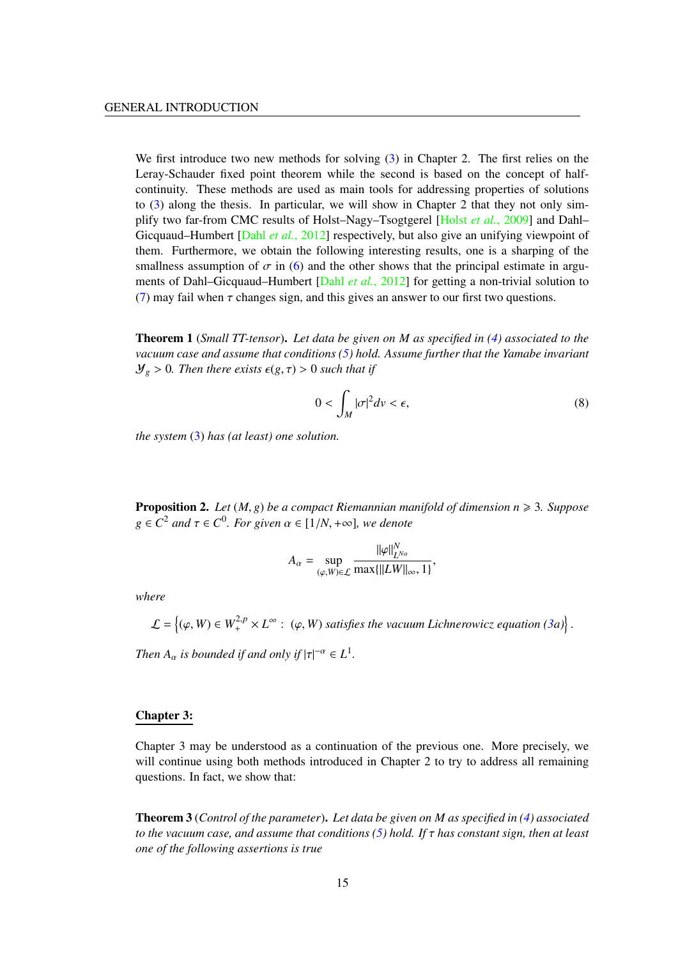We first introduce two new methods for solving  $(3)$  in Chapter 2. The first relies on the Leray-Schauder fixed point theorem while the second is based on the concept of halfcontinuity. These methods are used as main tools for addressing properties of solutions to [\(3\)](#page-11-1) along the thesis. In particular, we will show in Chapter 2 that they not only simplify two far-from CMC results of Holst–Nagy–Tsogtgerel [Holst *et al.*[, 2009\]](#page-102-1) and Dahl– Gicquaud–Humbert [Dahl *et al.*[, 2012\]](#page-101-0) respectively, but also give an unifying viewpoint of them. Furthermore, we obtain the following interesting results, one is a sharping of the smallness assumption of  $\sigma$  in [\(6\)](#page-13-0) and the other shows that the principal estimate in arguments of Dahl–Gicquaud–Humbert [Dahl *et al.*[, 2012\]](#page-101-0) for getting a non-trivial solution to [\(7\)](#page-13-1) may fail when  $\tau$  changes sign, and this gives an answer to our first two questions.

<span id="page-14-1"></span>Theorem 1 (*Small TT-tensor*). *Let data be given on M as specified in [\(4\)](#page-12-0) associated to the vacuum case and assume that conditions [\(5\)](#page-12-1) hold. Assume further that the Yamabe invariant*  $\mathcal{Y}_g > 0$ . Then there exists  $\epsilon(g, \tau) > 0$  such that if

$$
0 < \int_M |\sigma|^2 \, dv < \epsilon,\tag{8}
$$

*the system* [\(3\)](#page-11-1) *has (at least) one solution.*

**Proposition 2.** Let  $(M, g)$  be a compact Riemannian manifold of dimension  $n \geq 3$ . Suppose  $g \in C^2$  *and*  $\tau \in C^0$ *. For given*  $\alpha \in [1/N, +\infty]$ *, we denote* 

$$
A_{\alpha} = \sup_{(\varphi, W) \in \mathcal{L}} \frac{\|\varphi\|_{L^{N_{\alpha}}}^N}{\max\{\|LW\|_{\infty}, 1\}},
$$

*where*

$$
\mathcal{L} = \{ (\varphi, W) \in W_+^{2, p} \times L^{\infty} : (\varphi, W) \text{ satisfies the vacuum Lichnerowicz equation (3a)} \}
$$

*Then*  $A_{\alpha}$  *is bounded if and only if*  $|\tau|^{-\alpha} \in L^1$ *.* 

#### Chapter 3:

Chapter 3 may be understood as a continuation of the previous one. More precisely, we will continue using both methods introduced in Chapter 2 to try to address all remaining questions. In fact, we show that:

<span id="page-14-0"></span>Theorem 3 (*Control of the parameter*). *Let data be given on M as specified in [\(4\)](#page-12-0) associated to the vacuum case, and assume that conditions [\(5\)](#page-12-1) hold. If* τ *has constant sign, then at least one of the following assertions is true*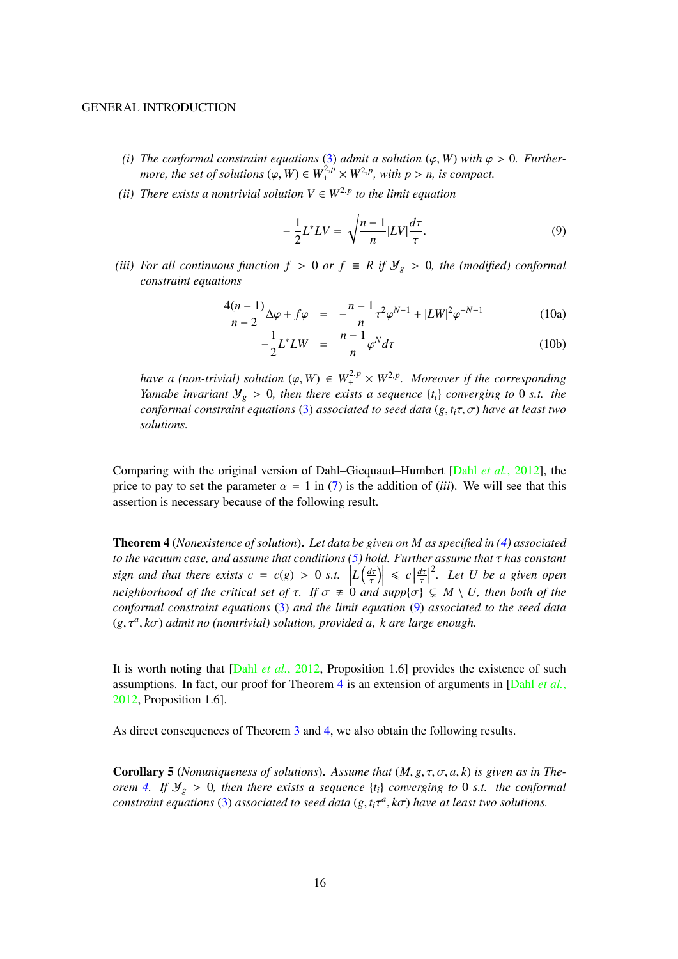- (*i*) *The conformal constraint equations* [\(3\)](#page-11-1) *admit a solution* ( $\varphi$ , *W*) *with*  $\varphi > 0$ *. Furthermore, the set of solutions*  $(\varphi, W) \in W_+^{2,p} \times W_-^{2,p}$ , with  $p > n$ , is compact.
- *(ii) There exists a nontrivial solution*  $V \in W^{2,p}$  to the limit equation

<span id="page-15-0"></span>
$$
-\frac{1}{2}L^*LV = \sqrt{\frac{n-1}{n}}|LV|\frac{d\tau}{\tau}.
$$
\n(9)

*(iii)* For all continuous function  $f > 0$  or  $f \equiv R$  if  $\mathcal{Y}_g > 0$ , the (modified) conformal *constraint equations*

$$
\frac{4(n-1)}{n-2}\Delta\varphi + f\varphi = -\frac{n-1}{n}\tau^2\varphi^{N-1} + |LW|^2\varphi^{-N-1}
$$
 (10a)

$$
-\frac{1}{2}L^*LW = \frac{n-1}{n}\varphi^N d\tau \tag{10b}
$$

*have a (non-trivial) solution*  $(\varphi, W) \in W_+^{2,p} \times W_+^{2,p}$ *. Moreover if the corresponding*<br>*Vamabe invariant*  $M > 0$ , then there exists a sequence [t] converging to 0 s.t., the *Yamabe invariant*  $\mathcal{Y}_g > 0$ *, then there exists a sequence*  $\{t_i\}$  *converging to* 0 *s.t.* the *conformal constraint equations* [\(3\)](#page-11-1) *associated to seed data* (*g*, *<sup>t</sup>i*τ, σ) *have at least two solutions.*

Comparing with the original version of Dahl–Gicquaud–Humbert [Dahl *et al.*[, 2012\]](#page-101-0), the price to pay to set the parameter  $\alpha = 1$  in [\(7\)](#page-13-1) is the addition of *(iii)*. We will see that this assertion is necessary because of the following result.

<span id="page-15-1"></span>Theorem 4 (*Nonexistence of solution*). *Let data be given on M as specified in [\(4\)](#page-12-0) associated to the vacuum case, and assume that conditions [\(5\)](#page-12-1) hold. Further assume that* τ *has constant* sign and that there exists  $c = c(g) > 0$  *s.t.*  $\left| L\left(\frac{d\tau}{\tau}\right) \right| \leq c \left| \frac{d\tau}{\tau} \right|$ <br>maishbarband of the quiting at of  $\tau$ , If  $\tau \neq 0$  and sum ( $\tau$ ) *neighborhood of the critical set of*  $\tau$ *. If*  $\sigma \neq 0$  *and supp*{ $\sigma$ }  $\subsetneq M \setminus U$ *, then both of the*<br>conformal constraint equations (3) and the limit equation (9) associated to the seed data 2 *. Let U be a given open conformal constraint equations* [\(3\)](#page-11-1) *and the limit equation* [\(9\)](#page-15-0) *associated to the seed data* (*g*, τ*<sup>a</sup>* , *<sup>k</sup>*σ) *admit no (nontrivial) solution, provided <sup>a</sup>*, *<sup>k</sup> are large enough.*

It is worth noting that [Dahl *et al.*[, 2012,](#page-101-0) Proposition 1.6] provides the existence of such assumptions. In fact, our proof for Theorem [4](#page-15-1) is an extension of arguments in [\[Dahl](#page-101-0) *et al.*, [2012,](#page-101-0) Proposition 1.6].

As direct consequences of Theorem [3](#page-14-0) and [4,](#page-15-1) we also obtain the following results.

Corollary 5 (*Nonuniqueness of solutions*). *Assume that* (*M*, *<sup>g</sup>*, τ, σ, *<sup>a</sup>*, *<sup>k</sup>*) *is given as in Theorem* [4.](#page-15-1) If  $\mathcal{Y}_g > 0$ , then there exists a sequence  $\{t_i\}$  converging to 0 s.t. the conformal *constraint equations* [\(3\)](#page-11-1) *associated to seed data* ( $g$ ,  $t_i\tau^a$ ,  $k\sigma$ ) *have at least two solutions.*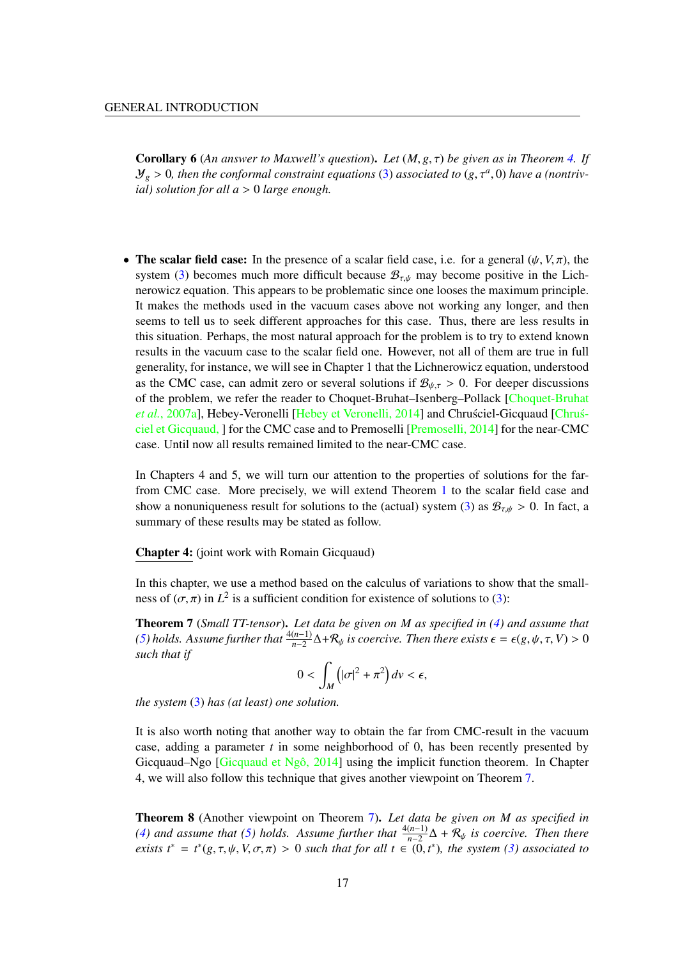Corollary 6 (*An answer to Maxwell's question*). *Let* (*M*, *<sup>g</sup>*, τ) *be given as in Theorem [4.](#page-15-1) If*  $\mathcal{Y}_g > 0$ , then the conformal constraint equations [\(3\)](#page-11-1) associated to  $(g, \tau^a, 0)$  have a (nontriv-<br>ial) solution for all  $a > 0$  large enough *ial) solution for all <sup>a</sup>* > <sup>0</sup> *large enough.*

• The scalar field case: In the presence of a scalar field case, i.e. for a general  $(\psi, V, \pi)$ , the system [\(3\)](#page-11-1) becomes much more difficult because  $\mathcal{B}_{\tau,\psi}$  may become positive in the Lichnerowicz equation. This appears to be problematic since one looses the maximum principle. It makes the methods used in the vacuum cases above not working any longer, and then seems to tell us to seek different approaches for this case. Thus, there are less results in this situation. Perhaps, the most natural approach for the problem is to try to extend known results in the vacuum case to the scalar field one. However, not all of them are true in full generality, for instance, we will see in Chapter 1 that the Lichnerowicz equation, understood as the CMC case, can admit zero or several solutions if  $\mathcal{B}_{\psi, \tau} > 0$ . For deeper discussions of the problem, we refer the reader to Choquet-Bruhat–Isenberg–Pollack [\[Choquet-Bruhat](#page-100-1) *et al.*[, 2007a\]](#page-100-1), Hebey-Veronelli [\[Hebey et Veronelli, 2014\]](#page-101-4) and Chrusciel-Gicquaud [Chrus[ciel et Gicquaud,](#page-100-3) ] for the CMC case and to Premoselli [\[Premoselli, 2014\]](#page-103-2) for the near-CMC case. Until now all results remained limited to the near-CMC case.

In Chapters 4 and 5, we will turn our attention to the properties of solutions for the farfrom CMC case. More precisely, we will extend Theorem [1](#page-14-1) to the scalar field case and show a nonuniqueness result for solutions to the (actual) system [\(3\)](#page-11-1) as  $\mathcal{B}_{\tau,\psi} > 0$ . In fact, a summary of these results may be stated as follow.

Chapter 4: (joint work with Romain Gicquaud)

In this chapter, we use a method based on the calculus of variations to show that the smallness of  $(\sigma, \pi)$  in  $L^2$  is a sufficient condition for existence of solutions to [\(3\)](#page-11-1):

<span id="page-16-0"></span>Theorem 7 (*Small TT-tensor*). *Let data be given on M as specified in [\(4\)](#page-12-0) and assume that* [\(5\)](#page-12-1) holds. Assume further that  $\frac{4(n-1)}{n-2}\Delta + R_{\psi}$  is coercive. Then there exists  $\epsilon = \epsilon(g, \psi, \tau, V) > 0$ <br>such that if *such that if*

$$
0<\int_M\big(|\sigma|^2+\pi^2\big)\,dv<\epsilon,
$$

*the system* [\(3\)](#page-11-1) *has (at least) one solution.*

It is also worth noting that another way to obtain the far from CMC-result in the vacuum case, adding a parameter *t* in some neighborhood of 0, has been recently presented by Gicquaud–Ngo  $\lceil$ Gicquaud et Ngô, 2014] using the implicit function theorem. In Chapter 4, we will also follow this technique that gives another viewpoint on Theorem [7.](#page-16-0)

<span id="page-16-1"></span>Theorem 8 (Another viewpoint on Theorem [7\)](#page-16-0). *Let data be given on M as specified in* [\(4\)](#page-12-0) and assume that [\(5\)](#page-12-1) holds. Assume further that  $\frac{4(n-1)}{n-2}\Delta + \mathcal{R}_{\psi}$  is coercive. Then there exists  $t^* = t^*(g, \tau, \psi, V, \sigma, \pi) > 0$  such that for all  $t \in (0, t^*)$ , the system [\(3\)](#page-11-1) associated to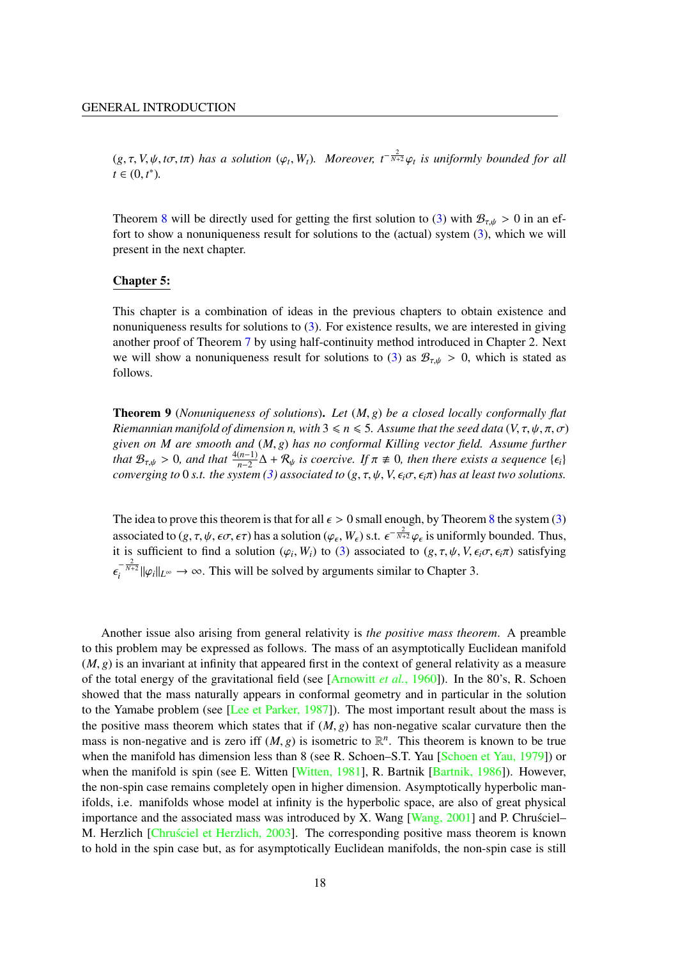$(g, \tau, V, \psi, t\sigma, t\pi)$  *has a solution*  $(\varphi_t, W_t)$ *. Moreover,*  $t^{-\frac{2}{N+2}}\varphi_t$  *is uniformly bounded for all*  $t \in (0, t^*)$  $t \in (0, t^*)$ .

Theorem [8](#page-16-1) will be directly used for getting the first solution to [\(3\)](#page-11-1) with  $\mathcal{B}_{\tau,\psi} > 0$  in an effort to show a nonuniqueness result for solutions to the (actual) system [\(3\)](#page-11-1), which we will present in the next chapter.

#### Chapter 5:

This chapter is a combination of ideas in the previous chapters to obtain existence and nonuniqueness results for solutions to [\(3\)](#page-11-1). For existence results, we are interested in giving another proof of Theorem [7](#page-16-0) by using half-continuity method introduced in Chapter 2. Next we will show a nonuniqueness result for solutions to [\(3\)](#page-11-1) as  $\mathcal{B}_{\tau,\psi} > 0$ , which is stated as follows.

Theorem 9 (*Nonuniqueness of solutions*). *Let* (*M*, *<sup>g</sup>*) *be a closed locally conformally flat Riemannian manifold of dimension n, with*  $3 \le n \le 5$ *. Assume that the seed data*  $(V, \tau, \psi, \pi, \sigma)$ *given on <sup>M</sup> are smooth and* (*M*, *<sup>g</sup>*) *has no conformal Killing vector field. Assume further that*  $\mathcal{B}_{\tau,\psi} > 0$ , and that  $\frac{4(n-1)}{n-2}\Delta + \mathcal{R}_{\psi}$  is coercive. If  $\pi \neq 0$ , then there exists a sequence  $\{\epsilon_i\}$ <br>converging to 0 s t, the system (3) associated to ( $\alpha \neq \psi$ ,  $V \in \mathcal{F} \in \mathcal{F}$ ) has at least *converging to* 0 *s.t. the system* [\(3\)](#page-11-1) associated to  $(g, \tau, \psi, V, \epsilon_i \sigma, \epsilon_i \pi)$  has at least two solutions.

The idea to prove this theorem is that for all  $\epsilon > 0$  small enough, by Theorem [8](#page-16-1) the system [\(3\)](#page-11-1) associated to  $(g, \tau, \psi, \epsilon \sigma, \epsilon \tau)$  has a solution  $(\varphi_{\epsilon}, W_{\epsilon})$  s.t.  $\epsilon^{-\frac{2}{N+2}} \varphi_{\epsilon}$  is uniformly bounded. Thus,  $N+2$   $\varphi_{\epsilon}$ <br>*N* to it is sufficient to find a solution ( $\varphi_i$ ,  $W_i$ ) to [\(3\)](#page-11-1) associated to ( $g, \tau, \psi, V, \epsilon_i \sigma, \epsilon_i \pi$ ) satisfying  $\frac{1}{\sqrt{2\pi}}$  $\int_{i}^{-\frac{2}{N+2}} ||\varphi_i||_{L^{\infty}} \to \infty$ . This will be solved by arguments similar to Chapter 3.

Another issue also arising from general relativity is *the positive mass theorem*. A preamble to this problem may be expressed as follows. The mass of an asymptotically Euclidean manifold  $(M, g)$  is an invariant at infinity that appeared first in the context of general relativity as a measure of the total energy of the gravitational field (see [\[Arnowitt](#page-100-4) *et al.*, 1960]). In the 80's, R. Schoen showed that the mass naturally appears in conformal geometry and in particular in the solution to the Yamabe problem (see [\[Lee et Parker, 1987\]](#page-102-6)). The most important result about the mass is the positive mass theorem which states that if  $(M, g)$  has non-negative scalar curvature then the mass is non-negative and is zero iff  $(M, g)$  is isometric to  $\mathbb{R}^n$ . This theorem is known to be true<br>when the manifold has dimension less than 8 (see B. Schoen–S.T. Yau [Schoen et Yau 1979]) or when the manifold has dimension less than 8 (see R. Schoen–S.T. Yau [\[Schoen et Yau, 1979\]](#page-103-3)) or when the manifold is spin (see E. Witten [\[Witten, 1981\]](#page-103-4), R. Bartnik [\[Bartnik, 1986\]](#page-100-5)). However, the non-spin case remains completely open in higher dimension. Asymptotically hyperbolic manifolds, i.e. manifolds whose model at infinity is the hyperbolic space, are also of great physical importance and the associated mass was introduced by X. Wang [\[Wang, 2001\]](#page-103-5) and P. Chrusciel– M. Herzlich [\[Chrusciel et Herzlich, 2003](#page-100-6)]. The corresponding positive mass theorem is known to hold in the spin case but, as for asymptotically Euclidean manifolds, the non-spin case is still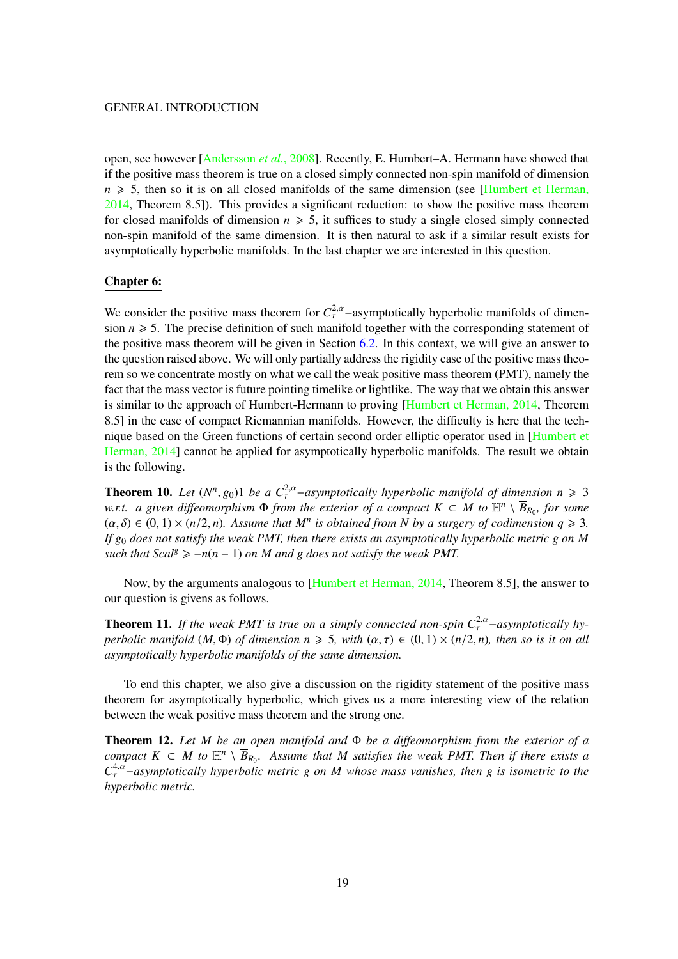open, see however [\[Andersson](#page-100-7) *et al.*, 2008]. Recently, E. Humbert–A. Hermann have showed that if the positive mass theorem is true on a closed simply connected non-spin manifold of dimension  $n \geq 5$ , then so it is on all closed manifolds of the same dimension (see [\[Humbert et Herman,](#page-102-2) [2014,](#page-102-2) Theorem 8.5]). This provides a significant reduction: to show the positive mass theorem for closed manifolds of dimension  $n \geq 5$ , it suffices to study a single closed simply connected non-spin manifold of the same dimension. It is then natural to ask if a similar result exists for asymptotically hyperbolic manifolds. In the last chapter we are interested in this question.

#### Chapter 6:

We consider the positive mass theorem for  $C_{\tau}^{2,\alpha}$  –asymptotically hyperbolic manifolds of dimen-<br>sign  $n > 5$ . The procise definition of such manifold together with the corresponding statement of sion  $n \geq 5$ . The precise definition of such manifold together with the corresponding statement of the positive mass theorem will be given in Section [6.2.](#page-87-0) In this context, we will give an answer to the question raised above. We will only partially address the rigidity case of the positive mass theorem so we concentrate mostly on what we call the weak positive mass theorem (PMT), namely the fact that the mass vector is future pointing timelike or lightlike. The way that we obtain this answer is similar to the approach of Humbert-Hermann to proving [\[Humbert et Herman, 2014,](#page-102-2) Theorem 8.5] in the case of compact Riemannian manifolds. However, the difficulty is here that the technique based on the Green functions of certain second order elliptic operator used in [\[Humbert et](#page-102-2) [Herman, 2014\]](#page-102-2) cannot be applied for asymptotically hyperbolic manifolds. The result we obtain is the following.

**Theorem 10.** *Let*  $(N^n, g_0)1$  *be a*  $C_{\tau}^{2,\alpha}$ -asymptotically hyperbolic manifold of dimension  $n \geq 3$ <br>w.r.t. *a given diffeomorphism*  $\Phi$  from the exterior of a compact  $K \subset M$  to  $\mathbb{H}^n \setminus \overline{B}_{\mathbb{R}}$  for some w.r.t. a given diffeomorphism  $\Phi$  *from the exterior of a compact*  $K \subset M$  to  $\mathbb{H}^n \setminus \overline{B}_{R_0}$ , for some  $(\alpha, \delta) \in (0, 1) \times (n/2, n)$ . Assume that  $M^n$  is obtained from N by a surgery of codimension  $q \geq 3$ .<br>If go does not satisfy the weak PMT then there exists an asymptotically hyperbolic metric a on M *If g*<sup>0</sup> *does not satisfy the weak PMT, then there exists an asymptotically hyperbolic metric g on M such that Scal<sup><i>g*</sup>  $\ge -n(n-1)$  *on M and g does not satisfy the weak PMT.* 

Now, by the arguments analogous to [\[Humbert et Herman, 2014,](#page-102-2) Theorem 8.5], the answer to our question is givens as follows.

**Theorem 11.** *If the weak PMT is true on a simply connected non-spin*  $C_{\tau}^{2,\alpha}$  –*asymptotically hy-*<br>parkelia manifold (M, D) of dimansion  $n > 5$ , with  $(a, \sigma) \in (0, 1) \times (n/2, n)$ , then so is it an all *perbolic manifold*  $(M, \Phi)$  *of dimension*  $n \ge 5$ *, with*  $(\alpha, \tau) \in (0, 1) \times (n/2, n)$ *, then so is it on all asymptotically hyperbolic manifolds of the same dimension.*

To end this chapter, we also give a discussion on the rigidity statement of the positive mass theorem for asymptotically hyperbolic, which gives us a more interesting view of the relation between the weak positive mass theorem and the strong one.

Theorem 12. *Let M be an open manifold and* Φ *be a diffeomorphism from the exterior of a*  $\emph{compact } K \subset M \emph{ to } \mathbb{H}^n \setminus \overline{B}_{R_0}.$  Assume that  $M$  satisfies the weak PMT. Then if there exists a *C*<sup>+</sup><sub>τ</sub>α–*asymptotically hyperbolic metric g on M whose mass vanishes, then g is isometric to the*<br>*hyperbolic metric hyperbolic metric.*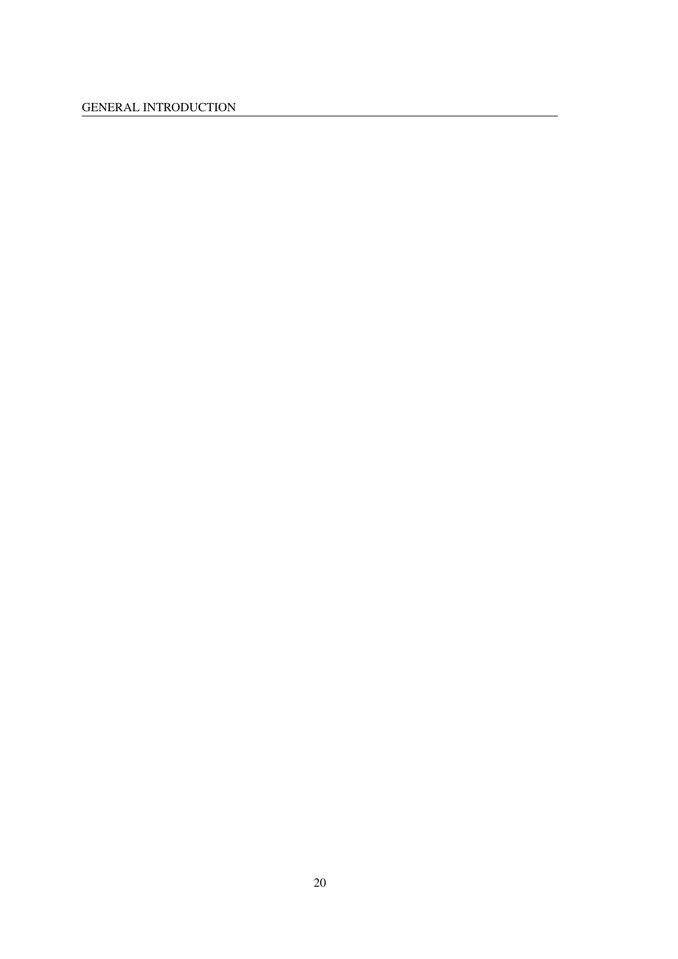#### GENERAL INTRODUCTION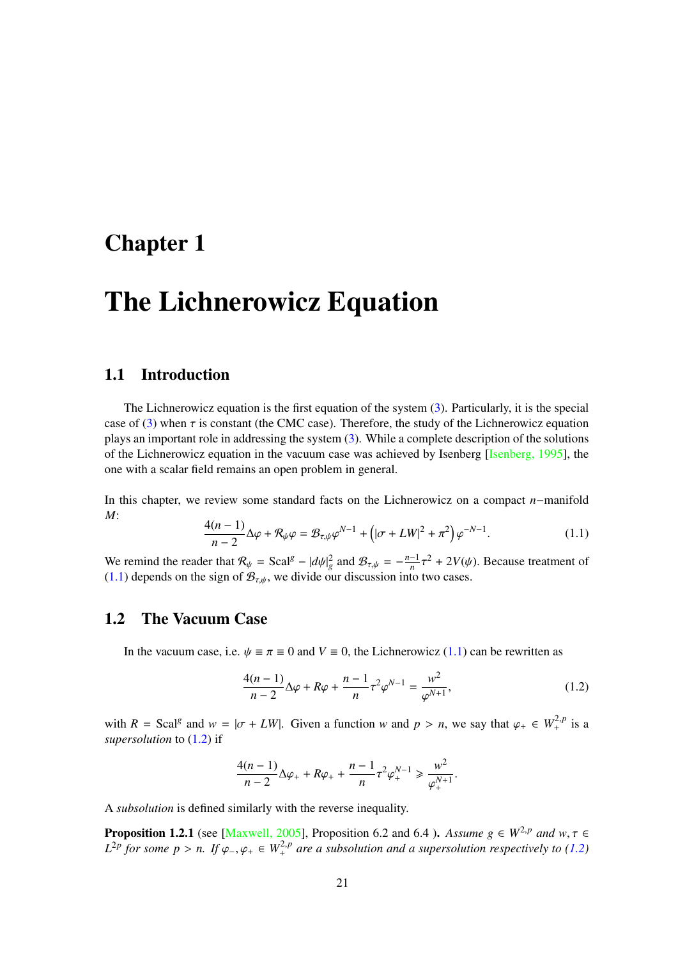### <span id="page-20-0"></span>Chapter 1

# The Lichnerowicz Equation

### <span id="page-20-1"></span>1.1 Introduction

The Lichnerowicz equation is the first equation of the system [\(3\)](#page-11-1). Particularly, it is the special case of [\(3\)](#page-11-1) when  $\tau$  is constant (the CMC case). Therefore, the study of the Lichnerowicz equation plays an important role in addressing the system [\(3\)](#page-11-1). While a complete description of the solutions of the Lichnerowicz equation in the vacuum case was achieved by Isenberg [\[Isenberg, 1995\]](#page-102-3), the one with a scalar field remains an open problem in general.

In this chapter, we review some standard facts on the Lichnerowicz on a compact *n*−manifold *M*:

<span id="page-20-3"></span>
$$
\frac{4(n-1)}{n-2}\Delta\varphi + \mathcal{R}_{\psi}\varphi = \mathcal{B}_{\tau,\psi}\varphi^{N-1} + \left(|\sigma + LW|^2 + \pi^2\right)\varphi^{-N-1}.\tag{1.1}
$$

We remind the reader that  $\mathcal{R}_{\psi} = \text{Scal}^g - |d\psi|^2_g$  and  $\mathcal{B}_{\tau,\psi} = -\frac{n-1}{n}\tau^2 + 2V(\psi)$ . Because treatment of [\(1.1\)](#page-20-3) depends on the sign of  $\mathcal{B}_{\tau,\psi}$ , we divide our discussion into two cases.

### <span id="page-20-2"></span>1.2 The Vacuum Case

In the vacuum case, i.e.  $\psi \equiv \pi \equiv 0$  and  $V \equiv 0$ , the Lichnerowicz [\(1.1\)](#page-20-3) can be rewritten as

<span id="page-20-4"></span>
$$
\frac{4(n-1)}{n-2}\Delta\varphi + R\varphi + \frac{n-1}{n}\tau^2\varphi^{N-1} = \frac{w^2}{\varphi^{N+1}},
$$
\n(1.2)

with  $R = \text{Scal}^g$  and  $w = |\sigma + LW|$ . Given a function *w* and  $p > n$ , we say that  $\varphi_+ \in W_+^{2,p}$  is a supersolution to  $(1, 2)$  if *supersolution* to [\(1.2\)](#page-20-4) if

$$
\frac{4(n-1)}{n-2}\Delta\varphi_{+} + R\varphi_{+} + \frac{n-1}{n}\tau^{2}\varphi_{+}^{N-1} \geq \frac{w^{2}}{\varphi_{+}^{N+1}}.
$$

<span id="page-20-5"></span>A *subsolution* is defined similarly with the reverse inequality.

**Proposition 1.2.1** (see [\[Maxwell, 2005\]](#page-102-7), Proposition 6.2 and 6.4). Assume  $g \in W^{2,p}$  and  $w, \tau \in L^{2p}$  for some  $p > n$ . If  $\varphi_-, \varphi_+ \in W^{2,p}_+$  are a subsolution and a supersolution respectively to [\(1.2\)](#page-20-4)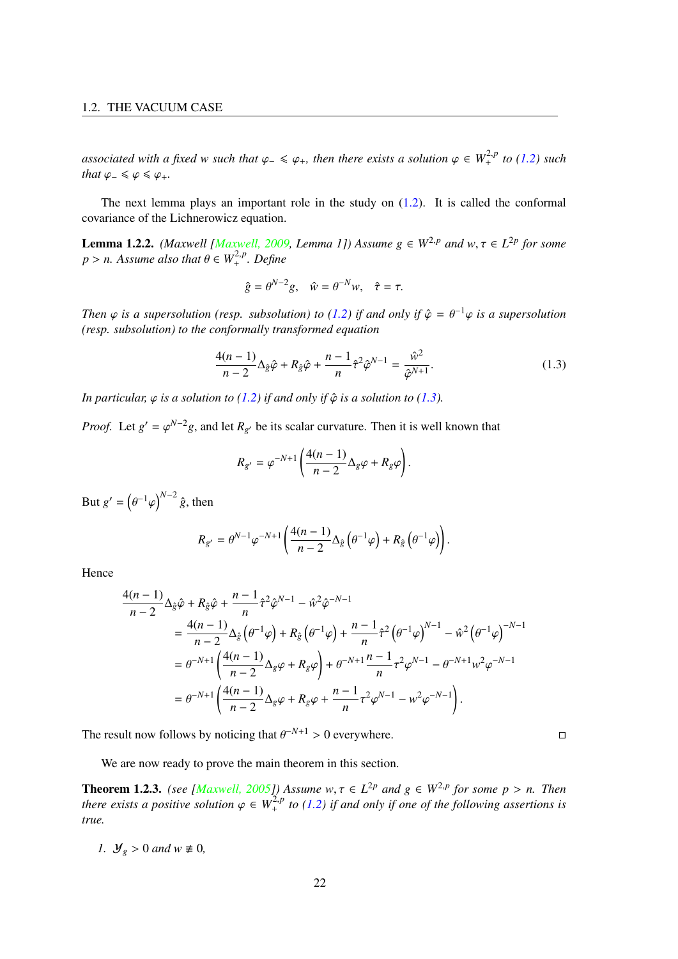*associated with a fixed w such that*  $\varphi$ <sup>−</sup>  $\leq \varphi$ <sup>+</sup>*, then there exists a solution*  $\varphi$  ∈  $W_+^{2,p}$  *to* [\(1.2\)](#page-20-4) *such* that  $\varphi$  ≤  $\varphi$  ≤  $\varphi$ *that*  $\varphi$ <sup>*-*</sup>  $\leq \varphi \leq \varphi$ <sup>+</sup>*.* 

The next lemma plays an important role in the study on  $(1.2)$ . It is called the conformal covariance of the Lichnerowicz equation.

<span id="page-21-1"></span>**Lemma 1.2.2.** *(Maxwell [\[Maxwell, 2009,](#page-103-0) Lemma 1]) Assume*  $g \in W^{2,p}$  *and*  $w, \tau \in L^{2p}$  for some  $p > n$ . Assume also that  $\theta \in W^{2,p}$  Define  $p > n$ . Assume also that  $\theta \in W^{2,p}_+$ . Define

$$
\hat{g} = \theta^{N-2}g, \quad \hat{w} = \theta^{-N}w, \quad \hat{\tau} = \tau.
$$

*Then*  $\varphi$  *is a supersolution (resp. subsolution) to [\(1.2\)](#page-20-4) if and only if*  $\hat{\varphi} = \theta^{-1} \varphi$  *is a supersolution*<br>(resp. subsolution) to the conformally transformed equation *(resp. subsolution) to the conformally transformed equation*

<span id="page-21-0"></span>
$$
\frac{4(n-1)}{n-2}\Delta_{\hat{g}}\hat{\varphi} + R_{\hat{g}}\hat{\varphi} + \frac{n-1}{n}\hat{\tau}^2\hat{\varphi}^{N-1} = \frac{\hat{w}^2}{\hat{\varphi}^{N+1}}.
$$
\n(1.3)

*In particular,*  $\varphi$  *is a solution to [\(1.2\)](#page-20-4) if and only if*  $\hat{\varphi}$  *is a solution to [\(1.3\)](#page-21-0).* 

*Proof.* Let  $g' = \varphi^{N-2}g$ , and let  $R_{g'}$  be its scalar curvature. Then it is well known that

$$
R_{g'} = \varphi^{-N+1} \left( \frac{4(n-1)}{n-2} \Delta_g \varphi + R_g \varphi \right)
$$

But  $g' =$ −1ϕ  $\int^{N-2} \hat{g}$ , then

$$
R_{g'} = \theta^{N-1} \varphi^{-N+1} \left( \frac{4(n-1)}{n-2} \Delta_{\hat{g}} \left( \theta^{-1} \varphi \right) + R_{\hat{g}} \left( \theta^{-1} \varphi \right) \right)
$$

Hence

$$
\frac{4(n-1)}{n-2}\Delta_{\hat{g}}\hat{\varphi} + R_{\hat{g}}\hat{\varphi} + \frac{n-1}{n}\hat{\tau}^{2}\hat{\varphi}^{N-1} - \hat{w}^{2}\hat{\varphi}^{-N-1}
$$
\n
$$
= \frac{4(n-1)}{n-2}\Delta_{\hat{g}}\left(\theta^{-1}\varphi\right) + R_{\hat{g}}\left(\theta^{-1}\varphi\right) + \frac{n-1}{n}\hat{\tau}^{2}\left(\theta^{-1}\varphi\right)^{N-1} - \hat{w}^{2}\left(\theta^{-1}\varphi\right)^{-N-1}
$$
\n
$$
= \theta^{-N+1}\left(\frac{4(n-1)}{n-2}\Delta_{g}\varphi + R_{g}\varphi\right) + \theta^{-N+1}\frac{n-1}{n}\tau^{2}\varphi^{N-1} - \theta^{-N+1}w^{2}\varphi^{-N-1}
$$
\n
$$
= \theta^{-N+1}\left(\frac{4(n-1)}{n-2}\Delta_{g}\varphi + R_{g}\varphi + \frac{n-1}{n}\tau^{2}\varphi^{N-1} - w^{2}\varphi^{-N-1}\right).
$$

The result now follows by noticing that  $\theta^{-N+1} > 0$  everywhere.

We are now ready to prove the main theorem in this section.

<span id="page-21-2"></span>**Theorem 1.2.3.** *(see [\[Maxwell, 2005\]](#page-102-7))* Assume  $w, \tau \in L^{2p}$  and  $g \in W^{2,p}$  for some  $p > n$ . Then there exists a positive solution  $g \in W^{2,p}$  to (1.2) if and only if one of the following assertions is *there exists a positive solution*  $\varphi \in W^{2,p}_+$  *to [\(1.2\)](#page-20-4) if and only if one of the following assertions is*<br>*true true.*

*1.*  $\mathcal{Y}_g > 0$  *and*  $w \neq 0$ *,*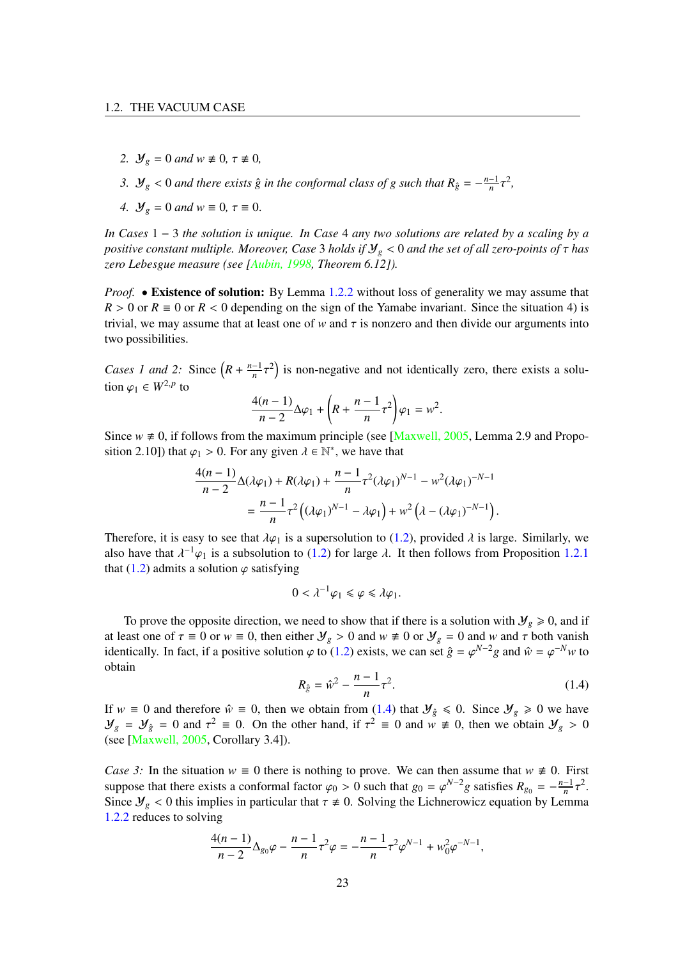- *2.*  $\mathcal{Y}_g = 0$  *and*  $w \neq 0, \tau \neq 0$ ,
- *3.*  $\mathcal{Y}_g < 0$  *and there exists*  $\hat{g}$  *in the conformal class of*  $g$  *such that*  $R_{\hat{g}} = -\frac{n-1}{n}\tau$ 2 *,*
- *4.*  $\mathcal{Y}_g = 0$  *and*  $w \equiv 0$ ,  $\tau \equiv 0$ .

*In Cases* 1 − 3 *the solution is unique. In Case* 4 *any two solutions are related by a scaling by a positive constant multiple. Moreover, Case* <sup>3</sup> *holds if* <sup>Y</sup>*<sup>g</sup>* <sup>&</sup>lt; <sup>0</sup> *and the set of all zero-points of* <sup>τ</sup> *has zero Lebesgue measure (see [\[Aubin, 1998,](#page-100-8) Theorem 6.12]).*

*Proof.* • Existence of solution: By Lemma [1.2.2](#page-21-1) without loss of generality we may assume that  $R > 0$  or  $R \equiv 0$  or  $R < 0$  depending on the sign of the Yamabe invariant. Since the situation 4) is trivial, we may assume that at least one of *w* and  $\tau$  is nonzero and then divide our arguments into two possibilities.

*Cases 1 and 2:* Since  $\left(R + \frac{n-1}{n}\tau\right)$  $^2$ ) is non-negative and not identically zero, there exists a solution  $\varphi_1 \in W^{2,p}$  to

$$
\frac{4(n-1)}{n-2}\Delta\varphi_1+\left(R+\frac{n-1}{n}\tau^2\right)\varphi_1=w^2.
$$

Since  $w \neq 0$ , if follows from the maximum principle (see [\[Maxwell, 2005,](#page-102-7) Lemma 2.9 and Proposition 2.10]) that  $\varphi_1 > 0$ . For any given  $\lambda \in \mathbb{N}^*$ , we have that

$$
\frac{4(n-1)}{n-2}\Delta(\lambda\varphi_1) + R(\lambda\varphi_1) + \frac{n-1}{n}\tau^2(\lambda\varphi_1)^{N-1} - w^2(\lambda\varphi_1)^{-N-1}
$$

$$
= \frac{n-1}{n}\tau^2\left((\lambda\varphi_1)^{N-1} - \lambda\varphi_1\right) + w^2\left(\lambda - (\lambda\varphi_1)^{-N-1}\right).
$$

Therefore, it is easy to see that  $\lambda \varphi_1$  is a supersolution to [\(1.2\)](#page-20-4), provided  $\lambda$  is large. Similarly, we also have that  $\lambda^{-1}\varphi_1$  is a subsolution to [\(1.2\)](#page-20-4) for large  $\lambda$ . It then follows from Proposition [1.2.1](#page-20-5) that (1.2) admits a solution  $\varphi$  satisfying that [\(1.2\)](#page-20-4) admits a solution  $\varphi$  satisfying

$$
0 < \lambda^{-1} \varphi_1 \leqslant \varphi \leqslant \lambda \varphi_1.
$$

To prove the opposite direction, we need to show that if there is a solution with  $\mathcal{Y}_g \ge 0$ , and if at least one of  $\tau \equiv 0$  or  $w \equiv 0$ , then either  $\mathcal{Y}_g > 0$  and  $w \not\equiv 0$  or  $\mathcal{Y}_g = 0$  and w and  $\tau$  both vanish identically. In fact, if a positive solution  $\varphi$  to [\(1.2\)](#page-20-4) exists, we can set  $\hat{g} = \varphi^{N-2}g$  and  $\hat{w} = \varphi^{-N}w$  to obtain obtain

<span id="page-22-0"></span>
$$
R_{\hat{g}} = \hat{w}^2 - \frac{n-1}{n}\tau^2.
$$
 (1.4)

If  $w \equiv 0$  and therefore  $\hat{w} \equiv 0$ , then we obtain from [\(1.4\)](#page-22-0) that  $\mathcal{Y}_{\hat{g}} \le 0$ . Since  $\mathcal{Y}_{g} \ge 0$  we have  $\mathcal{Y}_g = \mathcal{Y}_{\hat{g}} = 0$  and  $\tau^2 \equiv 0$ . On the other hand, if  $\tau^2 \equiv 0$  and  $w \not\equiv 0$ , then we obtain  $\mathcal{Y}_g > 0$ (see [\[Maxwell, 2005,](#page-102-7) Corollary 3.4]).

*Case 3:* In the situation  $w \equiv 0$  there is nothing to prove. We can then assume that  $w \not\equiv 0$ . First suppose that there exists a conformal factor  $\varphi_0 > 0$  such that  $g_0 = \varphi^{N-2}g$  satisfies  $R_{g_0} = -\frac{n-1}{n}\tau^2$ .<br>Since  $M > 0$  this implies in particular that  $\tau \neq 0$ . Solving the Lichnerovicz equation by Lamma Since  $\mathcal{Y}_g < 0$  this implies in particular that  $\tau \neq 0$ . Solving the Lichnerowicz equation by Lemma [1.2.2](#page-21-1) reduces to solving

$$
\frac{4(n-1)}{n-2}\Delta_{g_0}\varphi-\frac{n-1}{n}\tau^2\varphi=-\frac{n-1}{n}\tau^2\varphi^{N-1}+w_0^2\varphi^{-N-1},
$$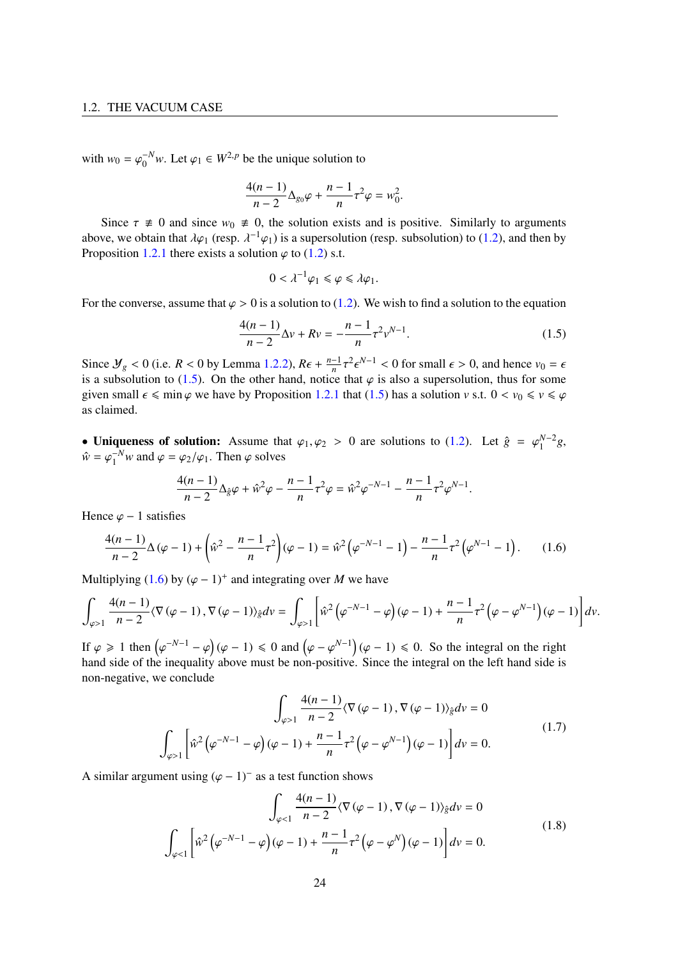with  $w_0 = \varphi_0^{-N} w$ . Let  $\varphi_1 \in W^{2,p}$  be the unique solution to

$$
\frac{4(n-1)}{n-2}\Delta_{g_0}\varphi + \frac{n-1}{n}\tau^2\varphi = w_0^2.
$$

Since  $\tau \neq 0$  and since  $w_0 \neq 0$ , the solution exists and is positive. Similarly to arguments above, we obtain that  $\lambda \varphi_1$  (resp.  $\lambda^{-1} \varphi_1$ ) is a supersolution (resp. subsolution) to [\(1.2\)](#page-20-4), and then by<br>Proposition 1.2.1 there exists a solution  $\varphi$  to (1.2) s t Proposition [1.2.1](#page-20-5) there exists a solution  $\varphi$  to [\(1.2\)](#page-20-4) s.t.

$$
0 < \lambda^{-1} \varphi_1 \leqslant \varphi \leqslant \lambda \varphi_1.
$$

For the converse, assume that  $\varphi > 0$  is a solution to [\(1.2\)](#page-20-4). We wish to find a solution to the equation

<span id="page-23-0"></span>
$$
\frac{4(n-1)}{n-2}\Delta v + R v = -\frac{n-1}{n}\tau^2 v^{N-1}.
$$
\n(1.5)

Since  $\mathcal{Y}_g < 0$  (i.e.  $R < 0$  by Lemma [1.2.2\)](#page-21-1),  $R\epsilon + \frac{n-1}{n}\tau^2\epsilon^{N-1} < 0$  for small  $\epsilon > 0$ , and hence  $v_0 = \epsilon$ <br>is a subsolution to (1.5). On the other hand, notice that (a is also a supersolution, thus for some is a subsolution to [\(1.5\)](#page-23-0). On the other hand, notice that  $\varphi$  is also a supersolution, thus for some<br>given small  $\epsilon \leq \min \varphi$  we have by Proposition 1.2.1 that (1.5) has a solution v s t. 0  $\epsilon$  vs  $\leq$  vs given small  $\epsilon \leq \min \varphi$  we have by Proposition [1.2.1](#page-20-5) that [\(1.5\)](#page-23-0) has a solution *v* s.t.  $0 < v_0 \leq v \leq \varphi$ as claimed.

• Uniqueness of solution: Assume that  $\varphi_1, \varphi_2 > 0$  are solutions to [\(1.2\)](#page-20-4). Let  $\hat{g} = \varphi_1^{N-2}g$ ,  $\hat{g} = \varphi_1^{N-2}g$  $\hat{w} = \varphi_1^{-N} w$  and  $\varphi = \varphi_2/\varphi_1$ . Then  $\varphi$  solves

$$
\frac{4(n-1)}{n-2}\Delta_{\hat{g}}\varphi + \hat{w}^2\varphi - \frac{n-1}{n}\tau^2\varphi = \hat{w}^2\varphi^{-N-1} - \frac{n-1}{n}\tau^2\varphi^{N-1}.
$$

Hence  $\varphi$  – 1 satisfies

<span id="page-23-1"></span>
$$
\frac{4(n-1)}{n-2}\Delta(\varphi-1) + \left(\hat{w}^2 - \frac{n-1}{n}\tau^2\right)(\varphi-1) = \hat{w}^2\left(\varphi^{-N-1} - 1\right) - \frac{n-1}{n}\tau^2\left(\varphi^{N-1} - 1\right). \tag{1.6}
$$

Multiplying  $(1.6)$  by  $(\varphi - 1)^+$  and integrating over *M* we have

$$
\int_{\varphi>1}\frac{4(n-1)}{n-2}\langle\nabla(\varphi-1),\nabla(\varphi-1)\rangle_{\hat{g}}dv=\int_{\varphi>1}\left[\hat{w}^{2}\left(\varphi^{-N-1}-\varphi\right)(\varphi-1)+\frac{n-1}{n}\tau^{2}\left(\varphi-\varphi^{N-1}\right)(\varphi-1)\right]dv.
$$

If  $\varphi \ge 1$  then  $(\varphi^{-N-1} - \varphi)(\varphi - 1) \le 0$  and  $(\varphi - \varphi^{N-1})(\varphi - 1) \le 0$ . So the integral on the right hand side of the integrality above must be non-positive. Since the integral on the left hand side is hand side of the inequality above must be non-positive. Since the integral on the left hand side is non-negative, we conclude

<span id="page-23-2"></span>
$$
\int_{\varphi>1} \frac{4(n-1)}{n-2} \langle \nabla (\varphi - 1), \nabla (\varphi - 1) \rangle_{\hat{g}} dv = 0
$$
\n
$$
\int_{\varphi>1} \left[ \hat{w}^2 \left( \varphi^{-N-1} - \varphi \right) (\varphi - 1) + \frac{n-1}{n} \tau^2 \left( \varphi - \varphi^{N-1} \right) (\varphi - 1) \right] dv = 0.
$$
\n(1.7)

A similar argument using  $(\varphi - 1)^{-}$  as a test function shows

<span id="page-23-3"></span>
$$
\int_{\varphi < 1} \frac{4(n-1)}{n-2} \langle \nabla (\varphi - 1), \nabla (\varphi - 1) \rangle_{\hat{g}} dv = 0
$$
\n
$$
\int_{\varphi < 1} \left[ \hat{w}^2 \left( \varphi^{-N-1} - \varphi \right) (\varphi - 1) + \frac{n-1}{n} \tau^2 \left( \varphi - \varphi^N \right) (\varphi - 1) \right] dv = 0.
$$
\n(1.8)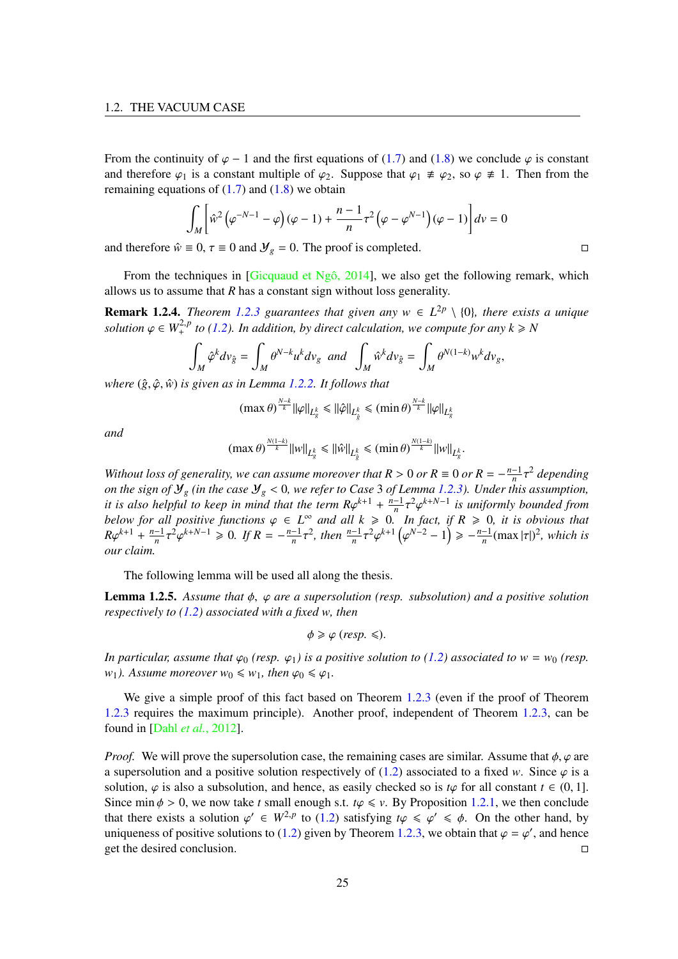From the continuity of  $\varphi$  – 1 and the first equations of [\(1.7\)](#page-23-2) and [\(1.8\)](#page-23-3) we conclude  $\varphi$  is constant and therefore  $\varphi_1$  is a constant multiple of  $\varphi_2$ . Suppose that  $\varphi_1 \neq \varphi_2$ , so  $\varphi \neq 1$ . Then from the remaining equations of  $(1.7)$  and  $(1.8)$  we obtain

$$
\int_M \left[ \hat{w}^2 \left( \varphi^{-N-1} - \varphi \right) (\varphi - 1) + \frac{n-1}{n} \tau^2 \left( \varphi - \varphi^{N-1} \right) (\varphi - 1) \right] dv = 0
$$

and therefore  $\hat{w} \equiv 0$ ,  $\tau \equiv 0$  and  $\mathcal{Y}_g = 0$ . The proof is completed.

From the techniques in [\[Gicquaud et Ngô, 2014\]](#page-101-3), we also get the following remark, which allows us to assume that  $R$  has a constant sign without loss generality.

**Remark 1.2.4.** *Theorem [1.2.3](#page-21-2)* guarantees that given any  $w \in L^{2p} \setminus \{0\}$ , there exists a unique *solution*  $\varphi \in W_+^{2,p}$  *to [\(1.2\)](#page-20-4). In addition, by direct calculation, we compute for any*  $k \ge N$ 

$$
\int_M \hat{\varphi}^k dv_{\hat{g}} = \int_M \theta^{N-k} u^k dv_g \text{ and } \int_M \hat{w}^k dv_{\hat{g}} = \int_M \theta^{N(1-k)} w^k dv_g,
$$

*where*  $(\hat{g}, \hat{\varphi}, \hat{w})$  *is given as in Lemma [1.2.2.](#page-21-1) It follows that* 

$$
(\max \theta)^{\frac{N-k}{k}} \|\varphi\|_{L_g^k} \le \|\hat{\varphi}\|_{L_{\hat{g}}^k} \le (\min \theta)^{\frac{N-k}{k}} \|\varphi\|_{L_g^k}
$$

*and*

$$
(\max \theta)^{\frac{N(1-k)}{k}} \|w\|_{L_g^k} \leq \|\hat{w}\|_{L_{\hat{g}}^k} \leq (\min \theta)^{\frac{N(1-k)}{k}} \|w\|_{L_g^k}
$$

*Without loss of generality, we can assume moreover that*  $R > 0$  *or*  $R \equiv 0$  *or*  $R = -\frac{n-1}{n}\tau^2$  depending on the sign of *M* (in the case *M*  $\lt 0$  we refer to Case 3 of Lemma 1.2.3). Under this assumption. *on the sign of*  $\mathcal{Y}_g$  *(in the case*  $\mathcal{Y}_g$  < 0*, we refer to Case* 3 *of Lemma [1.2.3\)](#page-21-2). Under this assumption,*<br>it is also helpful to keep in mind that the term  $Re^{k+1} + \frac{n-1}{2} \zeta^{k+N-1}$  is uniformly bounded fr *it is also helpful to keep in mind that the term*  $R\varphi^{k+1} + \frac{n-1}{n}\tau$ *<br>below for all positive functions*  $\varphi \in L^{\infty}$  *and all*  $k > 0$ *. In* 2 $\frac{1}{t}$ *k*+*N*−1 *is uniformly bounded from below for all positive functions*  $\varphi \in L^{\infty}$  *and all*  $k \ge 0$ . *In fact, if*  $R \ge 0$ *, it is obvious that*  $R e^{k+1} + \frac{n-1}{2} \tau^2 e^{k+N-1} > 0$  *If*  $R = -\frac{n-1}{2} \tau^2$  *then*  $\frac{n-1}{2} \tau^2 e^{k+1} (\sqrt{n-2} - 1) > -\frac{n-1}{2} (\text{max } |\tau$  $R\varphi^{k+1} + \frac{n-1}{n}\tau$ <br>*n* 2 $\overline{a}$  $k+N-1 \geq 0$ *. If*  $R = -\frac{n-1}{n}\tau$ <sup>2</sup>, then  $\frac{n-1}{n}\tau$ 2 $\overline{a}$ *k*+1  $\overline{a}$  $N-2-1$ )  $\geq -\frac{n-1}{n}$  (max | $\tau$ |)<sup>2</sup>, which is *our claim.*

The following lemma will be used all along the thesis.

<span id="page-24-0"></span>**Lemma 1.2.5.** Assume that  $φ$ ,  $φ$  are a supersolution (resp. subsolution) and a positive solution *respectively to [\(1.2\)](#page-20-4) associated with a fixed w, then*

$$
\phi \geqslant \varphi \ (resp. \ \leqslant ).
$$

*In particular, assume that*  $\varphi_0$  *(resp.*  $\varphi_1$ *) is a positive solution to [\(1.2\)](#page-20-4) associated to*  $w = w_0$  *(resp. w*<sub>1</sub>*).* Assume moreover  $w_0 \leq w_1$ , then  $\varphi_0 \leq \varphi_1$ .

We give a simple proof of this fact based on Theorem [1.2.3](#page-21-2) (even if the proof of Theorem [1.2.3](#page-21-2) requires the maximum principle). Another proof, independent of Theorem [1.2.3,](#page-21-2) can be found in [Dahl *et al.*[, 2012\]](#page-101-0).

*Proof.* We will prove the supersolution case, the remaining cases are similar. Assume that  $\phi$ ,  $\varphi$  are a supersolution and a positive solution respectively of  $(1.2)$  associated to a fixed *w*. Since  $\varphi$  is a solution,  $\varphi$  is also a subsolution, and hence, as easily checked so is  $t\varphi$  for all constant  $t \in (0, 1]$ . Since min  $\phi > 0$ , we now take *t* small enough s.t.  $t\varphi \leq v$ . By Proposition [1.2.1,](#page-20-5) we then conclude that there exists a solution  $\varphi' \in W^{2,p}$  to (1.[2\)](#page-20-4) satisfying  $t\varphi \leq \varphi' \leq \varphi$ . On the other hand, by uniqueness of positive solutions to (1.2) given by Theorem 1.2.3 we obtain that  $\varphi = \varphi'$  and hence uniqueness of positive solutions to [\(1.2\)](#page-20-4) given by Theorem [1.2.3,](#page-21-2) we obtain that  $\varphi = \varphi'$ , and hence get the desired conclusion.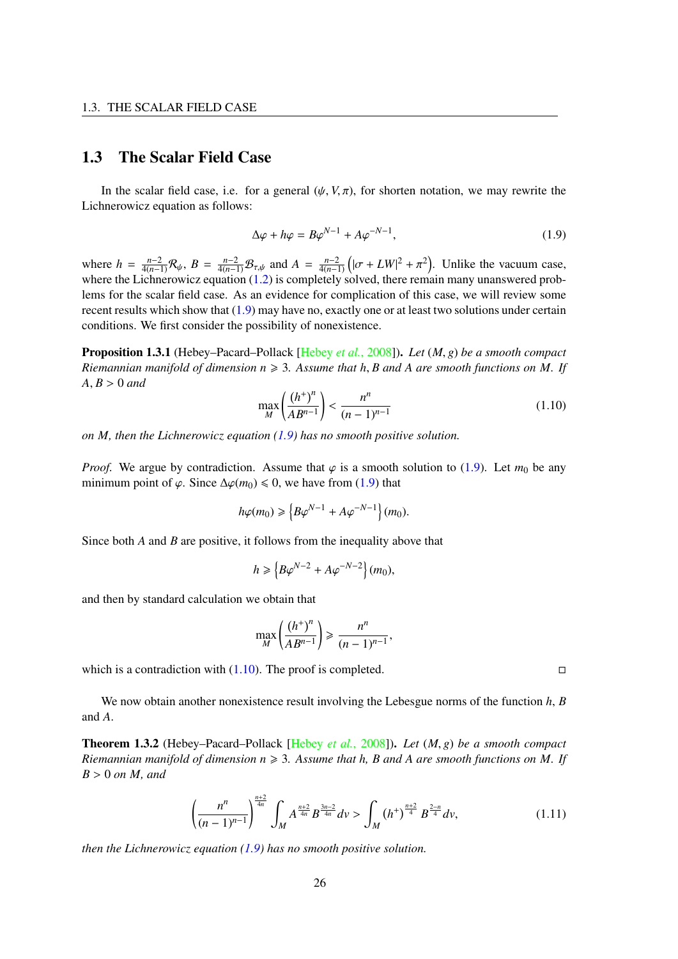### <span id="page-25-0"></span>1.3 The Scalar Field Case

In the scalar field case, i.e. for a general  $(\psi, V, \pi)$ , for shorten notation, we may rewrite the Lichnerowicz equation as follows:

<span id="page-25-1"></span>
$$
\Delta \varphi + h\varphi = B\varphi^{N-1} + A\varphi^{-N-1},\tag{1.9}
$$

where  $h = \frac{n-2}{4(n-1)}R_{\psi}$ ,  $B = \frac{n-2}{4(n-1)}B_{\tau,\psi}$  and  $A = \frac{n-2}{4(n-1)}\left(|\sigma + LW|^2 + \pi^2\right)$ . Unlike the vacuum case, where the Lichnerowicz equation [\(1.2\)](#page-20-4) is completely solved, there remain many unanswered problems for the scalar field case. As an evidence for complication of this case, we will review some recent results which show that [\(1.9\)](#page-25-1) may have no, exactly one or at least two solutions under certain conditions. We first consider the possibility of nonexistence.

Proposition 1.3.1 (Hebey–Pacard–Pollack [\[Hebey](#page-101-5) *et al.*, 2008]). *Let* (*M*, *<sup>g</sup>*) *be a smooth compact Riemannian manifold of dimension*  $n \geq 3$ . Assume that h, B and A are smooth functions on M. If  $A, B > 0$  *and* 

<span id="page-25-2"></span>
$$
\max_{M} \left( \frac{(h^+)^n}{AB^{n-1}} \right) < \frac{n^n}{(n-1)^{n-1}} \tag{1.10}
$$

*on M, then the Lichnerowicz equation [\(1.9\)](#page-25-1) has no smooth positive solution.*

*Proof.* We argue by contradiction. Assume that  $\varphi$  is a smooth solution to [\(1.9\)](#page-25-1). Let  $m_0$  be any minimum point of  $\varphi$ . Since  $\Delta \varphi(m_0) \leq 0$ , we have from [\(1.9\)](#page-25-1) that

$$
h\varphi(m_0) \geq \left\{ B\varphi^{N-1} + A\varphi^{-N-1} \right\}(m_0).
$$

Since both *A* and *B* are positive, it follows from the inequality above that

$$
h \geq \left\{ B\varphi^{N-2} + A\varphi^{-N-2} \right\}(m_0),
$$

and then by standard calculation we obtain that

$$
\max_{M} \left( \frac{(h^+)^n}{AB^{n-1}} \right) \geqslant \frac{n^n}{(n-1)^{n-1}},
$$

which is a contradiction with  $(1.10)$ . The proof is completed.

We now obtain another nonexistence result involving the Lebesgue norms of the function *h*, *B* and *A*.

Theorem 1.3.2 (Hebey–Pacard–Pollack [Hebey *et al.*[, 2008\]](#page-101-5)). *Let* (*M*, *<sup>g</sup>*) *be a smooth compact Riemannian manifold of dimension*  $n \geq 3$ . Assume that h, B and A are smooth functions on M. If *<sup>B</sup>* > <sup>0</sup> *on M, and*

$$
\left(\frac{n^n}{(n-1)^{n-1}}\right)^{\frac{n+2}{4n}} \int_M A^{\frac{n+2}{4n}} B^{\frac{3n-2}{4n}} dv > \int_M (h^+)^{\frac{n+2}{4}} B^{\frac{2-n}{4}} dv,
$$
\n(1.11)

*then the Lichnerowicz equation [\(1.9\)](#page-25-1) has no smooth positive solution.*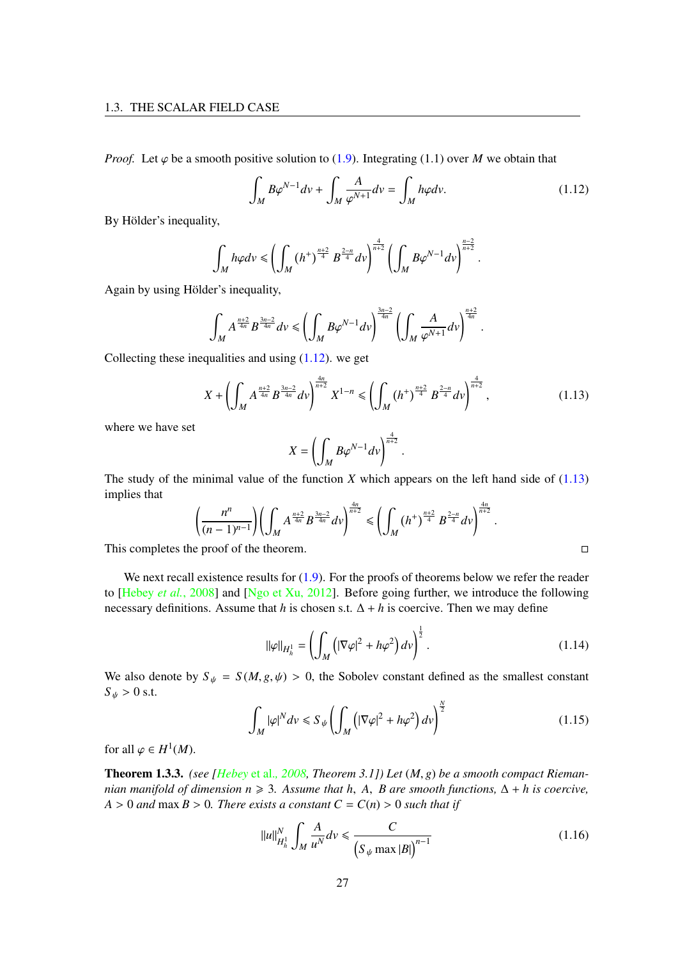*Proof.* Let  $\varphi$  be a smooth positive solution to [\(1.9\)](#page-25-1). Integrating (1.1) over *M* we obtain that

<span id="page-26-0"></span>
$$
\int_{M} B\varphi^{N-1} dv + \int_{M} \frac{A}{\varphi^{N+1}} dv = \int_{M} h\varphi dv.
$$
\n(1.12)

By Hölder's inequality,

$$
\int_M h\varphi dv \leq \left(\int_M (h^+)^{\frac{n+2}{4}} B^{\frac{2-n}{4}} dv\right)^{\frac{4}{n+2}} \left(\int_M B\varphi^{N-1} dv\right)^{\frac{n-2}{n+2}}
$$

Again by using Hölder's inequality,

$$
\int_M A^{\frac{n+2}{4n}} B^{\frac{3n-2}{4n}} dv \leq \left( \int_M B\varphi^{N-1} dv \right)^{\frac{3n-2}{4n}} \left( \int_M \frac{A}{\varphi^{N+1}} dv \right)^{\frac{n+2}{4n}}
$$

Collecting these inequalities and using  $(1.12)$ . we get

<span id="page-26-1"></span>
$$
X + \left(\int_M A^{\frac{n+2}{4n}} B^{\frac{3n-2}{4n}} dv\right)^{\frac{4n}{n+2}} X^{1-n} \leq \left(\int_M (h^+)^{\frac{n+2}{4}} B^{\frac{2-n}{4}} dv\right)^{\frac{4}{n+2}}, \tag{1.13}
$$

where we have set

$$
X = \left(\int_M B\varphi^{N-1} d\nu\right)^{\frac{4}{n+2}}.
$$

The study of the minimal value of the function  $X$  which appears on the left hand side of  $(1.13)$ implies that

$$
\left(\frac{n^n}{(n-1)^{n-1}}\right)\left(\int_M A^{\frac{n+2}{4n}}B^{\frac{3n-2}{4n}}dv\right)^{\frac{4n}{n+2}} \leq \left(\int_M (h^+)^{\frac{n+2}{4}}B^{\frac{2-n}{4}}dv\right)^{\frac{4n}{n+2}}.
$$

This completes the proof of the theorem.

We next recall existence results for  $(1.9)$ . For the proofs of theorems below we refer the reader to [\[Hebey](#page-101-5) *et al.*, 2008] and [\[Ngo et Xu, 2012\]](#page-103-6). Before going further, we introduce the following necessary definitions. Assume that *h* is chosen s.t.  $\Delta + h$  is coercive. Then we may define

<span id="page-26-2"></span>
$$
\|\varphi\|_{H_h^1} = \left(\int_M \left(|\nabla \varphi|^2 + h\varphi^2\right) dv\right)^{\frac{1}{2}}.
$$
\n(1.14)

We also denote by  $S_{\psi} = S(M, g, \psi) > 0$ , the Sobolev constant defined as the smallest constant  $S_{\psi} > 0$  s.t.

<span id="page-26-3"></span>
$$
\int_{M} |\varphi|^{N} dv \leqslant S_{\psi} \left( \int_{M} \left( |\nabla \varphi|^{2} + h\varphi^{2} \right) dv \right)^{\frac{N}{2}}
$$
\n(1.15)

for all  $\varphi \in H^1(M)$ .

<span id="page-26-5"></span>**Theorem 1.3.3.** *(see [\[Hebey](#page-101-5) et al., 2008, Theorem 3.1]) Let*  $(M, g)$  *be a smooth compact Riemannian manifold of dimension*  $n \geq 3$ . Assume that  $h$ ,  $A$ ,  $B$  are smooth functions,  $\Delta + h$  is coercive,  $A > 0$  *and* max  $B > 0$ *. There exists a constant*  $C = C(n) > 0$  *such that if* 

<span id="page-26-4"></span>
$$
||u||_{H_{h}^{1}}^{N} \int_{M} \frac{A}{u^{N}} dv \leq C \frac{C}{(S_{\psi} \max |B|)^{n-1}}
$$
 (1.16)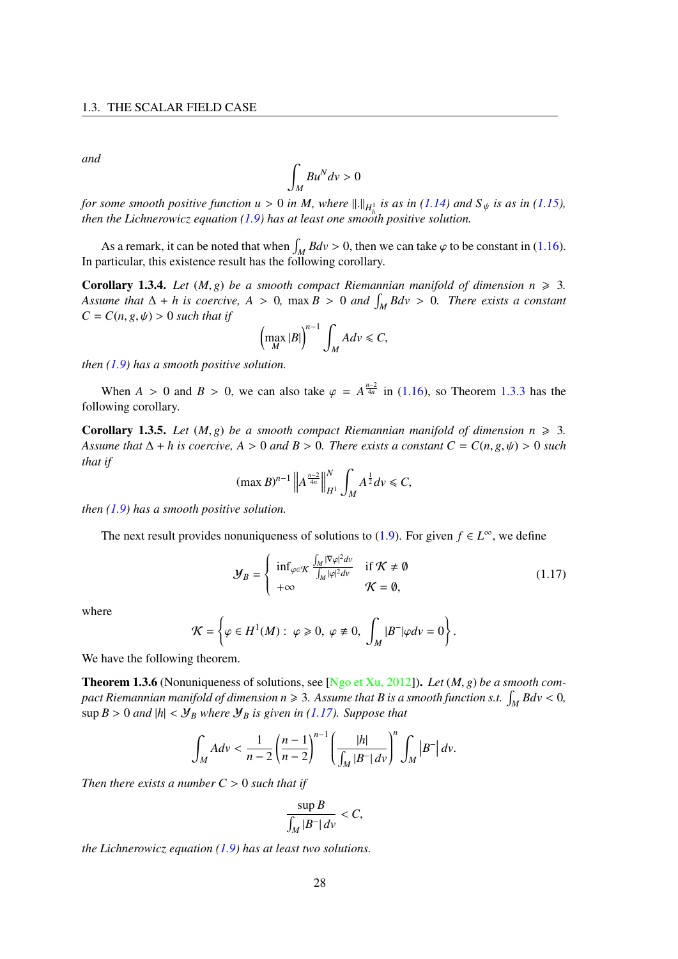*and*

$$
\int_M Bu^N dv > 0
$$

*for some smooth positive function*  $u > 0$  *in M, where*  $\|.\|_{H^1_h}$  *is as in [\(1.14\)](#page-26-2)* and  $S_{\psi}$  *is as in [\(1.15\)](#page-26-3),* then the Lichnerowicz equation (1.9) has at least one smooth positive solution. *h then the Lichnerowicz equation [\(1.9\)](#page-25-1) has at least one smooth positive solution.*

As a remark, it can be noted that when  $\int_M Bdv > 0$ , then we can take  $\varphi$  to be constant in [\(1.16\)](#page-26-4). In particular, this existence result has the following corollary.

**Corollary 1.3.4.** *Let*  $(M, g)$  *be a smooth compact Riemannian manifold of dimension*  $n \ge 3$ *. Assume that*  $\Delta + h$  *is coercive,*  $A > 0$ ,  $\max B > 0$  *and*  $\int_M Bdv > 0$ . There exists a constant  $C = C(n, a, \nu) > 0$  such that if  $C = C(n, g, \psi) > 0$  *such that if* 

$$
\left(\max_{M}|B|\right)^{n-1}\int_{M}Adv\leq C,
$$

*then [\(1.9\)](#page-25-1) has a smooth positive solution.*

When *A* > 0 and *B* > 0, we can also take  $\varphi = A^{\frac{n-2}{4n}}$  in [\(1.16\)](#page-26-4), so Theorem [1.3.3](#page-26-5) has the paying corollary following corollary.

**Corollary 1.3.5.** Let  $(M, g)$  be a smooth compact Riemannian manifold of dimension  $n \ge 3$ . *Assume that*  $\Delta$  + *h is coercive,*  $A > 0$  *and*  $B > 0$ *. There exists a constant*  $C = C(n, g, \psi) > 0$  *such that if*

$$
(\max B)^{n-1}\left\|A^{\frac{n-2}{4n}}\right\|_{H^1}^N \int_M A^{\frac{1}{2}} dv \leq C,
$$

*then [\(1.9\)](#page-25-1) has a smooth positive solution.*

The next result provides nonuniqueness of solutions to [\(1.9\)](#page-25-1). For given  $f \in L^{\infty}$ , we define

<span id="page-27-0"></span>
$$
\mathcal{Y}_B = \begin{cases} \inf_{\varphi \in \mathcal{K}} \frac{\int_M |\nabla \varphi|^2 dv}{\int_M |\varphi|^2 dv} & \text{if } \mathcal{K} \neq \emptyset \\ +\infty & \mathcal{K} = \emptyset, \end{cases}
$$
(1.17)

where

$$
\mathcal{K} = \left\{ \varphi \in H^1(M) : \ \varphi \geq 0, \ \varphi \not\equiv 0, \ \int_M |B^-| \varphi dv = 0 \right\}.
$$

We have the following theorem.

Theorem 1.3.6 (Nonuniqueness of solutions, see [\[Ngo et Xu, 2012\]](#page-103-6)). *Let* (*M*, *<sup>g</sup>*) *be a smooth compact Riemannian manifold of dimension*  $n \ge 3$ . Assume that *B* is a smooth function s.t.  $\int_M Bdv < 0$ ,  $\sup_R R > 0$  and  $|h| < N_2$  where  $M_2$  is given in (1.17). Suppose that sup  $B > 0$  *and*  $|h| < \mathcal{Y}_B$  *where*  $\mathcal{Y}_B$  *is given in [\(1.17\)](#page-27-0). Suppose that* 

$$
\int_M A dv < \frac{1}{n-2} \left(\frac{n-1}{n-2}\right)^{n-1} \left(\frac{|h|}{\int_M |B^-| dv}\right)^n \int_M |B^-| dv.
$$

*Then there exists a number*  $C > 0$  *such that if* 

$$
\frac{\sup B}{\int_M |B^-| \, dv} < C,
$$

*the Lichnerowicz equation [\(1.9\)](#page-25-1) has at least two solutions.*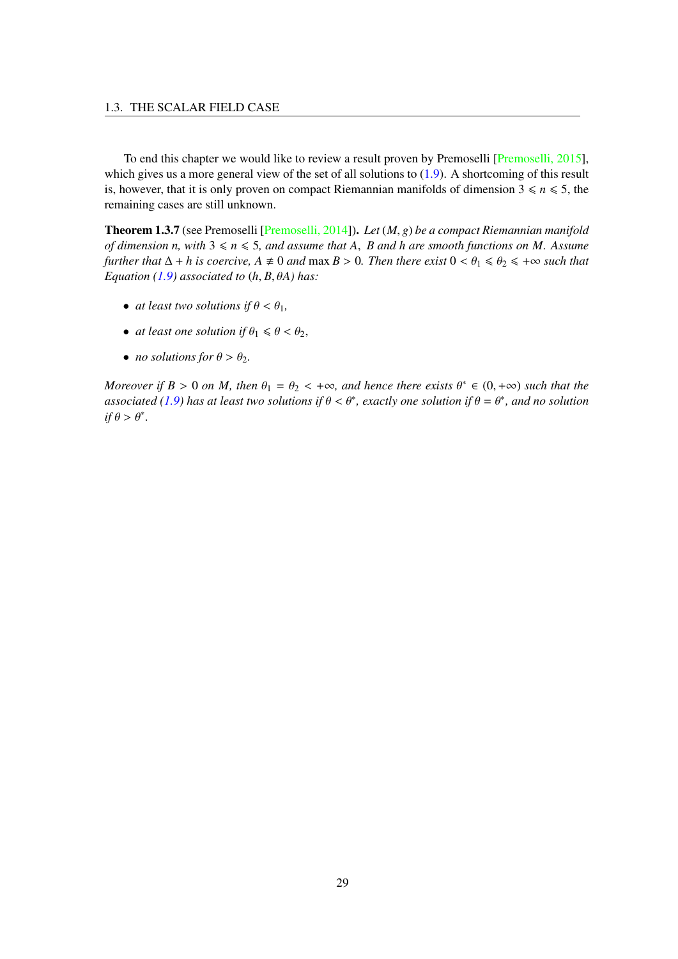To end this chapter we would like to review a result proven by Premoselli [\[Premoselli, 2015\]](#page-103-7), which gives us a more general view of the set of all solutions to  $(1.9)$ . A shortcoming of this result is, however, that it is only proven on compact Riemannian manifolds of dimension  $3 \le n \le 5$ , the remaining cases are still unknown.

Theorem 1.3.7 (see Premoselli [\[Premoselli, 2014\]](#page-103-2)). *Let* (*M*, *<sup>g</sup>*) *be a compact Riemannian manifold of dimension n, with*  $3 \le n \le 5$ *, and assume that* A, *B and h* are smooth functions on M. Assume *further that*  $\Delta$  + *h is coercive,*  $A \neq 0$  *and* max  $B > 0$ *. Then there exist*  $0 < \theta_1 \le \theta_2 \le +\infty$  *such that Equation [\(1.9\)](#page-25-1) associated to* (*h*, *<sup>B</sup>*, θ*A) has:*

- *at least two solutions if*  $\theta < \theta_1$ ,
- *at least one solution if*  $\theta_1 \le \theta < \theta_2$ ,
- *no solutions for*  $\theta > \theta_2$ .

*Moreover if*  $B > 0$  *on*  $M$ , then  $\theta_1 = \theta_2 < +\infty$ , and hence there exists  $\theta^* \in (0, +\infty)$  such that the associated (1.0) has at least two solutions if  $A < \theta^*$  exactly one solution if  $A - \theta^*$  and no solution  $\hat{\theta}$  *associated [\(1.9\)](#page-25-1)* has at least two solutions if  $\theta < \theta^*$ , exactly one solution if  $\theta = \theta^*$ , and no solution  $if \theta > \theta^*$ .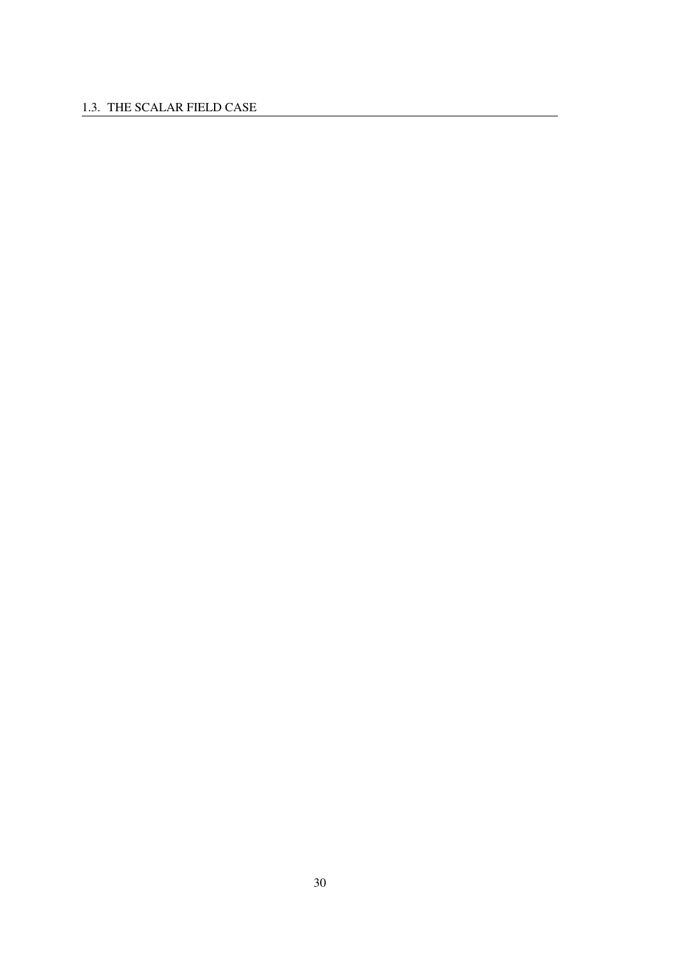### 1.3. THE SCALAR FIELD CASE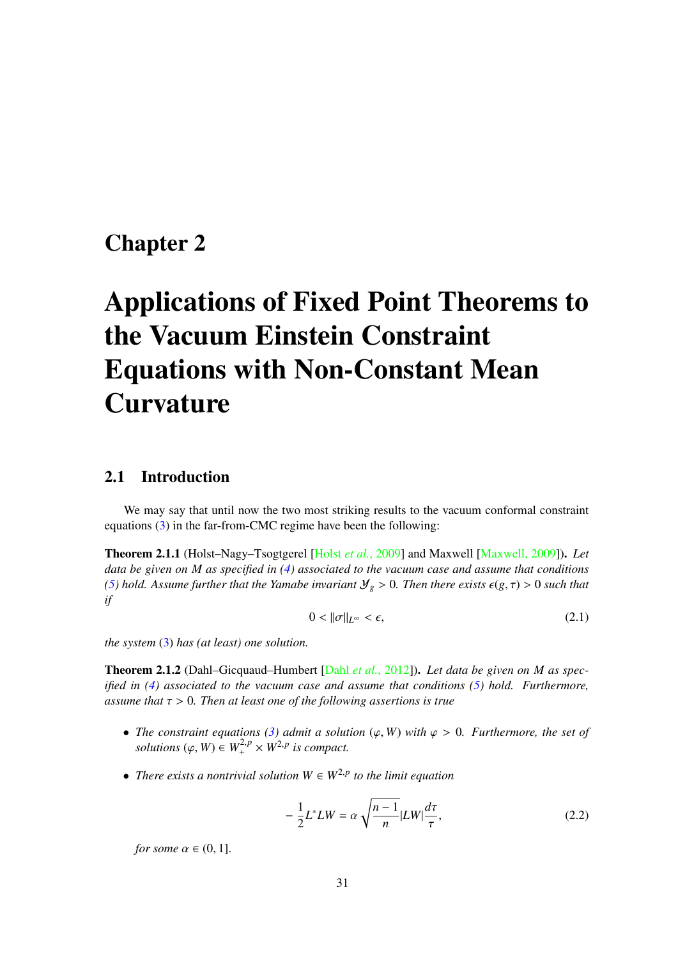### <span id="page-30-0"></span>Chapter 2

# Applications of Fixed Point Theorems to the Vacuum Einstein Constraint Equations with Non-Constant Mean **Curvature**

### <span id="page-30-1"></span>2.1 Introduction

We may say that until now the two most striking results to the vacuum conformal constraint equations [\(3\)](#page-11-1) in the far-from-CMC regime have been the following:

<span id="page-30-4"></span>Theorem 2.1.1 (Holst–Nagy–Tsogtgerel [Holst *et al.*[, 2009\]](#page-102-1) and Maxwell [\[Maxwell, 2009\]](#page-103-0)). *Let data be given on M as specified in [\(4\)](#page-12-0) associated to the vacuum case and assume that conditions [\(5\)](#page-12-1) hold. Assume further that the Yamabe invariant*  $\mathcal{Y}_g > 0$ *. Then there exists*  $\epsilon(g, \tau) > 0$  *such that if*

<span id="page-30-3"></span>
$$
0 < ||\sigma||_{L^{\infty}} < \epsilon,\tag{2.1}
$$

*the system* [\(3\)](#page-11-1) *has (at least) one solution.*

<span id="page-30-2"></span>Theorem 2.1.2 (Dahl–Gicquaud–Humbert [Dahl *et al.*[, 2012\]](#page-101-0)). *Let data be given on M as specified in [\(4\)](#page-12-0) associated to the vacuum case and assume that conditions [\(5\)](#page-12-1) hold. Furthermore, assume that* τ > <sup>0</sup>*. Then at least one of the following assertions is true*

- *The constraint equations* [\(3\)](#page-11-1) admit a solution  $(\varphi, W)$  with  $\varphi > 0$ . Furthermore, the set of *solutions*  $(\varphi, W) \in W^{2,p}_+ \times W^{2,p}_+$  *is compact.*
- *There exists a nontrivial solution*  $W \in W^{2,p}$  to the limit equation

<span id="page-30-5"></span>
$$
-\frac{1}{2}L^*LW = \alpha \sqrt{\frac{n-1}{n}}|LW|\frac{d\tau}{\tau},\tag{2.2}
$$

*for some*  $\alpha \in (0, 1]$ *.*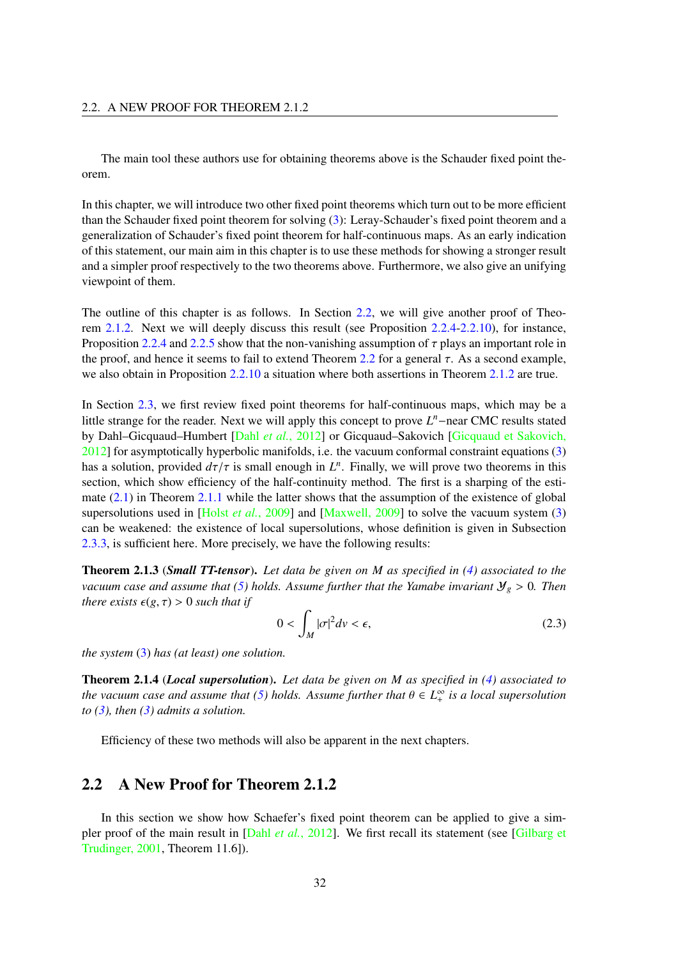The main tool these authors use for obtaining theorems above is the Schauder fixed point theorem.

In this chapter, we will introduce two other fixed point theorems which turn out to be more efficient than the Schauder fixed point theorem for solving [\(3\)](#page-11-1): Leray-Schauder's fixed point theorem and a generalization of Schauder's fixed point theorem for half-continuous maps. As an early indication of this statement, our main aim in this chapter is to use these methods for showing a stronger result and a simpler proof respectively to the two theorems above. Furthermore, we also give an unifying viewpoint of them.

The outline of this chapter is as follows. In Section [2.2,](#page-31-0) we will give another proof of Theorem [2.1.2.](#page-30-2) Next we will deeply discuss this result (see Proposition [2.2.4-](#page-34-0)[2.2.10\)](#page-39-0), for instance, Proposition [2.2.4](#page-34-0) and [2.2.5](#page-36-0) show that the non-vanishing assumption of  $\tau$  plays an important role in the proof, and hence it seems to fail to extend Theorem [2.2](#page-31-0) for a general  $\tau$ . As a second example, we also obtain in Proposition [2.2.10](#page-39-0) a situation where both assertions in Theorem [2.1.2](#page-30-2) are true.

In Section [2.3,](#page-40-0) we first review fixed point theorems for half-continuous maps, which may be a little strange for the reader. Next we will apply this concept to prove *L <sup>n</sup>*−near CMC results stated by Dahl–Gicquaud–Humbert [Dahl *et al.*[, 2012\]](#page-101-0) or Gicquaud–Sakovich [\[Gicquaud et Sakovich,](#page-101-1) [2012\]](#page-101-1) for asymptotically hyperbolic manifolds, i.e. the vacuum conformal constraint equations [\(3\)](#page-11-1) has a solution, provided  $d\tau/\tau$  is small enough in  $L^n$ . Finally, we will prove two theorems in this section which show efficiency of the half-continuity method. The first is a sharping of the estisection, which show efficiency of the half-continuity method. The first is a sharping of the estimate  $(2.1)$  in Theorem [2.1.1](#page-30-4) while the latter shows that the assumption of the existence of global supersolutions used in [Holst *et al.*[, 2009\]](#page-102-1) and [\[Maxwell, 2009\]](#page-103-0) to solve the vacuum system [\(3\)](#page-11-1) can be weakened: the existence of local supersolutions, whose definition is given in Subsection [2.3.3,](#page-49-0) is sufficient here. More precisely, we have the following results:

Theorem 2.1.3 (*Small TT-tensor*). *Let data be given on M as specified in [\(4\)](#page-12-0) associated to the vacuum case and assume that [\(5\)](#page-12-1) holds. Assume further that the Yamabe invariant*  $\mathcal{Y}_g > 0$ . Then *there exists*  $\epsilon(g, \tau) > 0$  *such that if* 

$$
0 < \int_M |\sigma|^2 \, dv < \epsilon,\tag{2.3}
$$

*the system* [\(3\)](#page-11-1) *has (at least) one solution.*

Theorem 2.1.4 (*Local supersolution*). *Let data be given on M as specified in [\(4\)](#page-12-0) associated to the vacuum case and assume that* [\(5\)](#page-12-1) *holds. Assume further that*  $\theta \in L_+^{\infty}$  *is a local supersolution*<br>*to* (3), *then* (3) *admits a solution to [\(3\)](#page-11-1), then [\(3\)](#page-11-1) admits a solution.*

Efficiency of these two methods will also be apparent in the next chapters.

### <span id="page-31-0"></span>2.2 A New Proof for Theorem 2.1.2

In this section we show how Schaefer's fixed point theorem can be applied to give a simpler proof of the main result in [Dahl *et al.*[, 2012\]](#page-101-0). We first recall its statement (see [\[Gilbarg et](#page-101-6) [Trudinger, 2001,](#page-101-6) Theorem 11.6]).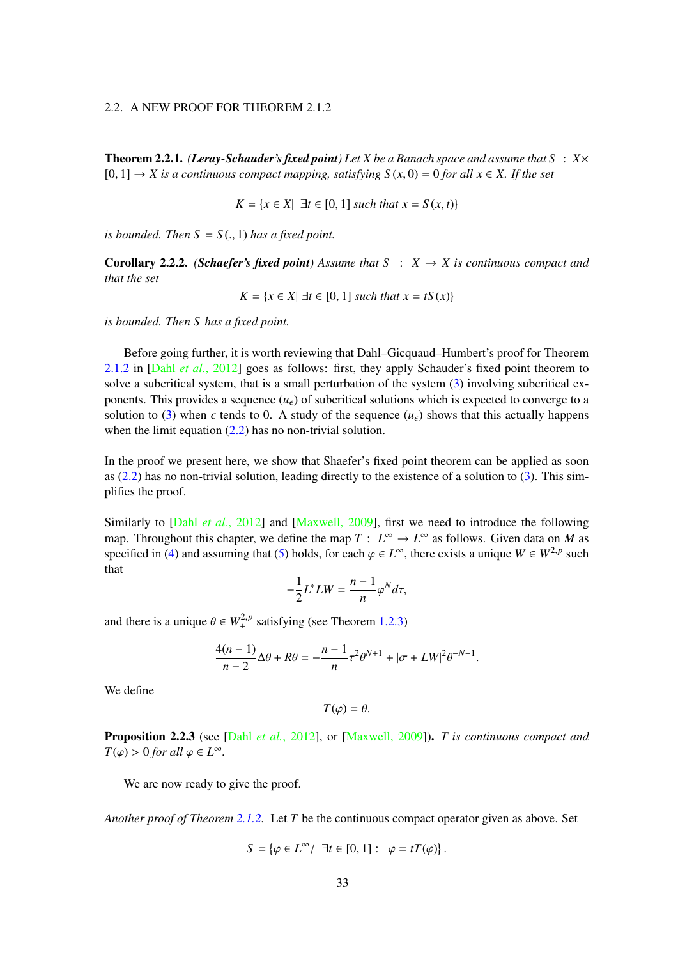Theorem 2.2.1. *(Leray-Schauder's fixed point) Let X be a Banach space and assume that S* : *X*×  $[0, 1] \rightarrow X$  *is a continuous compact mapping, satisfying*  $S(x, 0) = 0$  *for all*  $x \in X$ *. If the set* 

$$
K = \{x \in X | \exists t \in [0, 1] \text{ such that } x = S(x, t)\}
$$

*is bounded. Then*  $S = S(.1)$  *has a fixed point.* 

<span id="page-32-0"></span>**Corollary 2.2.2.** *(Schaefer's fixed point)* Assume that  $S : X \rightarrow X$  *is continuous compact and that the set*

*K* = {*x* ∈ *X*| ∃*t* ∈ [0, 1] *such that x* = *tS* (*x*)}

*is bounded. Then S has a fixed point.*

Before going further, it is worth reviewing that Dahl–Gicquaud–Humbert's proof for Theorem [2.1.2](#page-30-2) in [Dahl *et al.*[, 2012\]](#page-101-0) goes as follows: first, they apply Schauder's fixed point theorem to solve a subcritical system, that is a small perturbation of the system [\(3\)](#page-11-1) involving subcritical exponents. This provides a sequence  $(u_{\epsilon})$  of subcritical solutions which is expected to converge to a solution to [\(3\)](#page-11-1) when  $\epsilon$  tends to 0. A study of the sequence ( $u_{\epsilon}$ ) shows that this actually happens when the limit equation  $(2.2)$  has no non-trivial solution.

In the proof we present here, we show that Shaefer's fixed point theorem can be applied as soon as  $(2.2)$  has no non-trivial solution, leading directly to the existence of a solution to  $(3)$ . This simplifies the proof.

Similarly to [Dahl *et al.*[, 2012\]](#page-101-0) and [\[Maxwell, 2009\]](#page-103-0), first we need to introduce the following map. Throughout this chapter, we define the map  $T: L^{\infty} \to L^{\infty}$  as follows. Given data on *M* as specified in [\(4\)](#page-12-0) and assuming that [\(5\)](#page-12-1) holds, for each  $\varphi \in L^{\infty}$ , there exists a unique  $W \in W^{2,p}$  such that that

$$
-\frac{1}{2}L^*LW = \frac{n-1}{n}\varphi^N d\tau,
$$

and there is a unique  $\theta \in W^{2,p}_+$  satisfying (see Theorem [1.2.3\)](#page-21-2)

$$
\frac{4(n-1)}{n-2}\Delta\theta + R\theta = -\frac{n-1}{n}\tau^2\theta^{N+1} + |\sigma + LW|^2\theta^{-N-1}.
$$

We define

 $T(\varphi) = \theta$ .

Proposition 2.2.3 (see [Dahl *et al.*[, 2012\]](#page-101-0), or [\[Maxwell, 2009\]](#page-103-0)). *T is continuous compact and*  $T(\varphi) > 0$  *for all*  $\varphi \in L^{\infty}$ *.* 

We are now ready to give the proof.

*Another proof of Theorem [2.1.2.](#page-30-2)* Let *T* be the continuous compact operator given as above. Set

$$
S = {\varphi \in L^{\infty}/ \ \exists t \in [0,1]: \ \varphi = tT(\varphi)}.
$$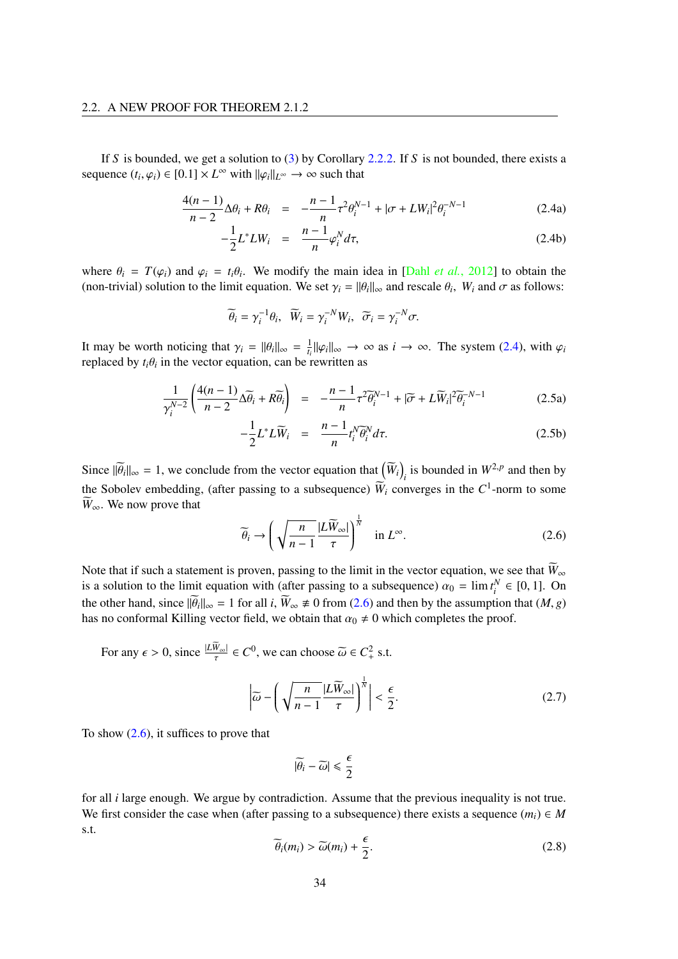If *S* is bounded, we get a solution to [\(3\)](#page-11-1) by Corollary [2.2.2.](#page-32-0) If *S* is not bounded, there exists a sequence  $(t_i, \varphi_i) \in [0.1] \times L^{\infty}$  with  $\|\varphi_i\|_{L^{\infty}} \to \infty$  such that

$$
\frac{4(n-1)}{n-2}\Delta\theta_i + R\theta_i = -\frac{n-1}{n}\tau^2\theta_i^{N-1} + |\sigma + LW_i|^2\theta_i^{-N-1}
$$
\n(2.4a)

<span id="page-33-0"></span>
$$
-\frac{1}{2}L^*LW_i = \frac{n-1}{n}\varphi_i^N d\tau, \qquad (2.4b)
$$

where  $\theta_i = T(\varphi_i)$  and  $\varphi_i = t_i \theta_i$ . We modify the main idea in [Dahl *et al.*[, 2012\]](#page-101-0) to obtain the non-trivial solution to the limit equation. We set  $\chi_i = ||\theta_i||$  and rescale  $\theta_i$ . We and  $\sigma$  as follows: (non-trivial) solution to the limit equation. We set  $\gamma_i = ||\theta_i||_{\infty}$  and rescale  $\theta_i$ ,  $W_i$  and  $\sigma$  as follows:

$$
\widetilde{\theta}_i = \gamma_i^{-1} \theta_i, \quad \widetilde{W}_i = \gamma_i^{-N} W_i, \quad \widetilde{\sigma}_i = \gamma_i^{-N} \sigma.
$$

It may be worth noticing that  $\gamma_i = ||\theta_i||_{\infty} = \frac{1}{t_i} ||\varphi_i||_{\infty} \to \infty$  as  $i \to \infty$ . The system [\(2.4\)](#page-33-0), with  $\varphi_i$ <br>replaced by t. $\theta_i$  in the vector equation, can be rewritten as replaced by  $t_i \theta_i$  in the vector equation, can be rewritten as

$$
\frac{1}{\gamma_i^{N-2}} \left( \frac{4(n-1)}{n-2} \Delta \tilde{\theta}_i + R \tilde{\theta}_i \right) = -\frac{n-1}{n} \tau^2 \tilde{\theta}_i^{N-1} + |\tilde{\sigma} + L \tilde{W}_i|^2 \tilde{\theta}_i^{-N-1}
$$
(2.5a)

$$
-\frac{1}{2}L^*L\widetilde{W}_i = \frac{n-1}{n}t_i^N\widetilde{\theta}_i^N d\tau.
$$
 (2.5b)

Since  $\|\widetilde{\theta}_i\|_{\infty} = 1$ , we conclude from the vector equation that  $(\widetilde{W}_i)_i$  is bounded in  $W^{2,p}$  and then by the Sobolev embedding, (after passing to a subsequence)  $\widetilde{W}_i$  converges in the  $C^1$ -norm to some  $W_{\infty}$ . We now prove that

<span id="page-33-1"></span>
$$
\widetilde{\theta}_i \to \left(\sqrt{\frac{n}{n-1}} \frac{|L\widetilde{W}_{\infty}|}{\tau}\right)^{\frac{1}{N}} \quad \text{in } L^{\infty}.
$$
\n(2.6)

Note that if such a statement is proven, passing to the limit in the vector equation, we see that  $\widetilde{W}_{\infty}$ is a solution to the limit equation with (after passing to a subsequence)  $\alpha_0 = \lim t_i^N \in [0, 1]$ . On<br>the other hand, since  $\|\tilde{u}\|_{\mathcal{H}} = 1$  for all  $i$ ,  $\tilde{u}$  and  $\tilde{v}$  and the hypother by the assumption that  $(M,$ the other hand, since  $\|\widetilde{\theta}_i\|_{\infty} = 1$  for all *i*,  $\widetilde{W}_{\infty} \neq 0$  from [\(2.6\)](#page-33-1) and then by the assumption that  $(M, g)$ has no conformal Killing vector field, we obtain that  $\alpha_0 \neq 0$  which completes the proof.

For any  $\epsilon > 0$ , since  $\frac{|LW_{\infty}|}{\tau} \in C^0$ , we can choose  $\widetilde{\omega} \in C^2_+$  s.t.

<span id="page-33-3"></span>
$$
\left|\widetilde{\omega} - \left(\sqrt{\frac{n}{n-1}} \frac{|L\widetilde{W}_{\infty}|}{\tau}\right)^{\frac{1}{N}}\right| < \frac{\epsilon}{2}.\tag{2.7}
$$

To show  $(2.6)$ , it suffices to prove that

$$
|\widetilde{\theta}_i-\widetilde{\omega}|\leq \frac{\epsilon}{2}
$$

for all *i* large enough. We argue by contradiction. Assume that the previous inequality is not true. We first consider the case when (after passing to a subsequence) there exists a sequence  $(m_i) \in M$ s.t.

<span id="page-33-2"></span>
$$
\widetilde{\theta}_i(m_i) > \widetilde{\omega}(m_i) + \frac{\epsilon}{2}.
$$
\n(2.8)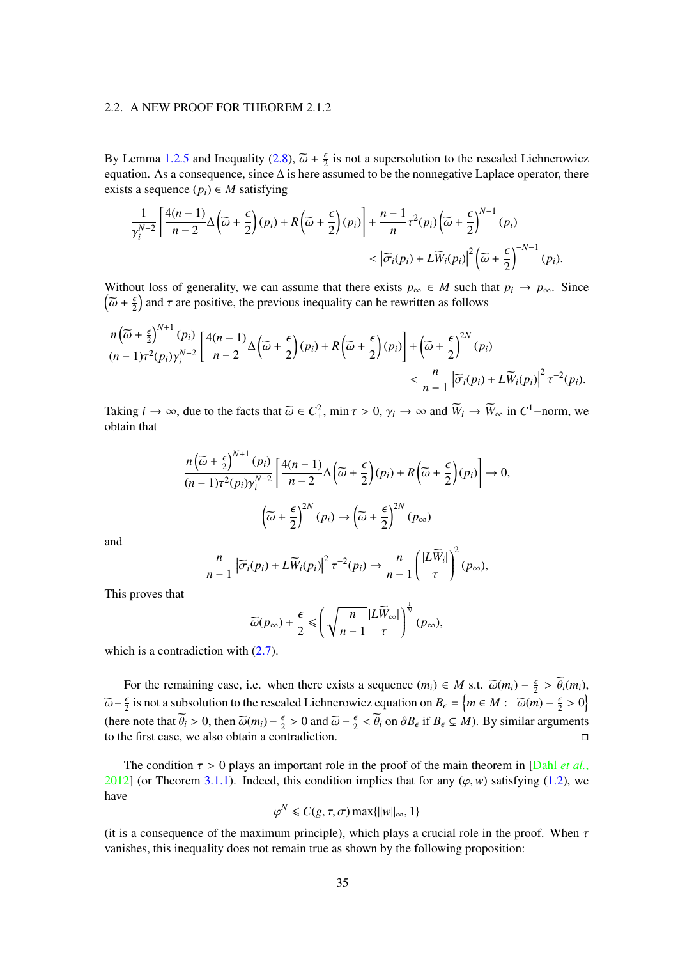By Lemma [1.2.5](#page-24-0) and Inequality [\(2.8\)](#page-33-2),  $\tilde{\omega} + \frac{\epsilon}{2}$  is not a supersolution to the rescaled Lichnerowicz equation. As a consequence, since  $\Lambda$  is here assumed to be the nonpeasive Lanlace operator, there equation. As a consequence, since  $\Delta$  is here assumed to be the nonnegative Laplace operator, there exists a sequence  $(p_i) \in M$  satisfying

$$
\frac{1}{\gamma_i^{N-2}} \left[ \frac{4(n-1)}{n-2} \Delta \left( \overline{\omega} + \frac{\epsilon}{2} \right) (p_i) + R \left( \overline{\omega} + \frac{\epsilon}{2} \right) (p_i) \right] + \frac{n-1}{n} \tau^2 (p_i) \left( \overline{\omega} + \frac{\epsilon}{2} \right)^{N-1} (p_i) \n< \left| \overline{\sigma}_i (p_i) + L \overline{W}_i (p_i) \right|^2 \left( \overline{\omega} + \frac{\epsilon}{2} \right)^{-N-1} (p_i).
$$

Without loss of generality, we can assume that there exists  $p_{\infty} \in M$  such that  $p_i \to p_{\infty}$ . Since  $(\tilde{\omega} + \frac{\epsilon}{2})$  and  $\tau$  are positive, the previous inequality can be rewritten as follows

$$
\frac{n\left(\widetilde{\omega}+\frac{\epsilon}{2}\right)^{N+1}(p_i)}{(n-1)\tau^2(p_i)\gamma_i^{N-2}}\left[\frac{4(n-1)}{n-2}\Delta\left(\widetilde{\omega}+\frac{\epsilon}{2}\right)(p_i)+R\left(\widetilde{\omega}+\frac{\epsilon}{2}\right)(p_i)\right]+\left(\widetilde{\omega}+\frac{\epsilon}{2}\right)^{2N}(p_i)\\\times\frac{n}{n-1}\left|\widetilde{\sigma}_i(p_i)+L\widetilde{W}_i(p_i)\right|^2\tau^{-2}(p_i).
$$

Taking  $i \to \infty$ , due to the facts that  $\widetilde{\omega} \in C^2_+$ ,  $\min \tau > 0$ ,  $\gamma_i \to \infty$  and  $\widetilde{W}_i \to \widetilde{W}_\infty$  in  $C^1$ -norm, we obtain that obtain that

$$
\frac{n\left(\widetilde{\omega}+\frac{\epsilon}{2}\right)^{N+1}(p_i)}{(n-1)\tau^2(p_i)\gamma_i^{N-2}}\left[\frac{4(n-1)}{n-2}\Delta\left(\widetilde{\omega}+\frac{\epsilon}{2}\right)(p_i)+R\left(\widetilde{\omega}+\frac{\epsilon}{2}\right)(p_i)\right]\to 0,
$$

$$
\left(\widetilde{\omega}+\frac{\epsilon}{2}\right)^{2N}(p_i)\to \left(\widetilde{\omega}+\frac{\epsilon}{2}\right)^{2N}(p_{\infty})
$$

and

$$
\frac{n}{n-1} \left| \widetilde{\sigma}_i(p_i) + L \widetilde{W}_i(p_i) \right|^2 \tau^{-2}(p_i) \to \frac{n}{n-1} \left( \frac{|L \widetilde{W}_i|}{\tau} \right)^2 (p_\infty),
$$

This proves that

$$
\widetilde{\omega}(p_{\infty}) + \frac{\epsilon}{2} \leq \left(\sqrt{\frac{n}{n-1}} \frac{|L\widetilde{W}_{\infty}|}{\tau}\right)^{\frac{1}{N}}(p_{\infty}),
$$

which is a contradiction with  $(2.7)$ .

For the remaining case, i.e. when there exists a sequence  $(m_i) \in M$  s.t.  $\tilde{\omega}(m_i) - \frac{\epsilon}{2} > \theta_i(m_i)$ ,  $\widetilde{\omega} - \frac{\epsilon}{2}$  is not a subsolution to the rescaled Lichnerowicz equation on  $B_{\epsilon} = \{ m \in M : \widetilde{\omega}(m) - \frac{\epsilon}{2} > 0 \}$ (here note that  $\widetilde{\theta}_i > 0$ , then  $\widetilde{\omega}(m_i) - \frac{\epsilon}{2} > 0$  and  $\widetilde{\omega} - \frac{\epsilon}{2} < \widetilde{\theta}_i$  on  $\partial B_{\epsilon}$  if  $B_{\epsilon} \subsetneq M$ ). By similar arguments to the first case, we also obtain a contradiction to the first case, we also obtain a contradiction.

The condition  $\tau > 0$  plays an important role in the proof of the main theorem in [Dahl *[et al.](#page-101-0)*, [2012\]](#page-101-0) (or Theorem [3.1.1\)](#page-52-2). Indeed, this condition implies that for any  $(\varphi, w)$  satisfying [\(1.2\)](#page-20-4), we have

$$
\varphi^N \leq C(g, \tau, \sigma) \max\{\|w\|_{\infty}, 1\}
$$

<span id="page-34-0"></span>(it is a consequence of the maximum principle), which plays a crucial role in the proof. When  $\tau$ vanishes, this inequality does not remain true as shown by the following proposition: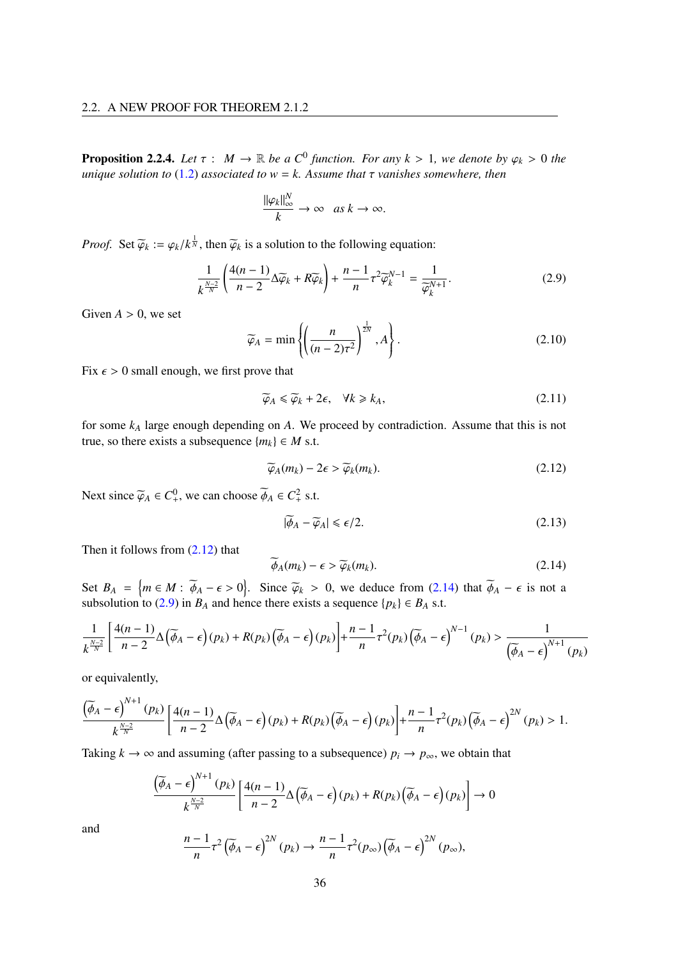**Proposition 2.2.4.** *Let*  $\tau$  :  $M \to \mathbb{R}$  *be a*  $C^0$  *function. For any*  $k > 1$ *, we denote by*  $\varphi_k > 0$  *the y migue* solution to (1.2) associated to  $w = k$ . Assume that  $\tau$  vanishes somewhere, then *unique solution to* [\(1.2\)](#page-20-4) *associated to*  $w = k$ . Assume that  $\tau$  *vanishes somewhere, then* 

$$
\frac{\|\varphi_k\|_{\infty}^N}{k} \to \infty \quad as \ k \to \infty.
$$

*Proof.* Set  $\widetilde{\varphi}_k := \varphi_k / k^{\frac{1}{N}}$ , then  $\widetilde{\varphi}_k$  is a solution to the following equation:

<span id="page-35-2"></span>
$$
\frac{1}{k^{\frac{N-2}{N}}} \left( \frac{4(n-1)}{n-2} \Delta \widetilde{\varphi}_k + R \widetilde{\varphi}_k \right) + \frac{n-1}{n} \tau^2 \widetilde{\varphi}_k^{N-1} = \frac{1}{\widetilde{\varphi}_k^{N+1}}.
$$
\n(2.9)

Given  $A > 0$ , we set

$$
\widetilde{\varphi}_A = \min \left\{ \left( \frac{n}{(n-2)\tau^2} \right)^{\frac{1}{2N}}, A \right\}.
$$
\n(2.10)

Fix  $\epsilon > 0$  small enough, we first prove that

$$
\widetilde{\varphi}_A \leq \widetilde{\varphi}_k + 2\epsilon, \quad \forall k \geq k_A,
$$
\n(2.11)

for some *k<sup>A</sup>* large enough depending on *A*. We proceed by contradiction. Assume that this is not true, so there exists a subsequence  $\{m_k\} \in M$  s.t.

<span id="page-35-0"></span>
$$
\widetilde{\varphi}_A(m_k) - 2\epsilon > \widetilde{\varphi}_k(m_k). \tag{2.12}
$$

Next since  $\widetilde{\varphi}_A \in C^0_+$ , we can choose  $\widetilde{\varphi}_A \in C^2_+$  s.t.

$$
|\widetilde{\phi}_A - \widetilde{\varphi}_A| \le \epsilon/2. \tag{2.13}
$$

Then it follows from [\(2.12\)](#page-35-0) that

<span id="page-35-1"></span>
$$
\widetilde{\phi}_A(m_k) - \epsilon > \widetilde{\varphi}_k(m_k). \tag{2.14}
$$

Set  $B_A = \{m \in M : \widetilde{\phi}_A - \epsilon > 0\}$ . Since  $\widetilde{\varphi}_k > 0$ , we deduce from [\(2.14\)](#page-35-1) that  $\widetilde{\phi}_A - \epsilon$  is not a subsolution to (2.0) in  $B_1$  and hence there exists a sequence  $\{n_k\} \in B_1$  s t subsolution to [\(2.9\)](#page-35-2) in  $B_A$  and hence there exists a sequence { $p_k$ }  $\in B_A$  s.t.

$$
\frac{1}{k^{\frac{N-2}{N}}}\left[\frac{4(n-1)}{n-2}\Delta\left(\widetilde{\phi}_A-\epsilon\right)(p_k)+R(p_k)\left(\widetilde{\phi}_A-\epsilon\right)(p_k)\right]+\frac{n-1}{n}\tau^2(p_k)\left(\widetilde{\phi}_A-\epsilon\right)^{N-1}(p_k)>\frac{1}{\left(\widetilde{\phi}_A-\epsilon\right)^{N+1}(p_k)}
$$

or equivalently,

$$
\frac{(\widetilde{\phi}_A - \epsilon)^{N+1} (p_k)}{k^{\frac{N-2}{N}}} \left[ \frac{4(n-1)}{n-2} \Delta \left( \widetilde{\phi}_A - \epsilon \right) (p_k) + R(p_k) \left( \widetilde{\phi}_A - \epsilon \right) (p_k) \right] + \frac{n-1}{n} \tau^2 (p_k) \left( \widetilde{\phi}_A - \epsilon \right)^{2N} (p_k) > 1.
$$

Taking  $k \to \infty$  and assuming (after passing to a subsequence)  $p_i \to p_\infty$ , we obtain that

$$
\frac{\left(\widetilde{\phi}_A - \epsilon\right)^{N+1} (p_k)}{k^{\frac{N-2}{N}}} \left[ \frac{4(n-1)}{n-2} \Delta \left(\widetilde{\phi}_A - \epsilon\right) (p_k) + R(p_k) \left(\widetilde{\phi}_A - \epsilon\right) (p_k) \right] \to 0
$$

and

$$
\frac{n-1}{n}\tau^2\left(\widetilde{\phi}_A-\epsilon\right)^{2N}(p_k)\to\frac{n-1}{n}\tau^2(p_\infty)\left(\widetilde{\phi}_A-\epsilon\right)^{2N}(p_\infty),
$$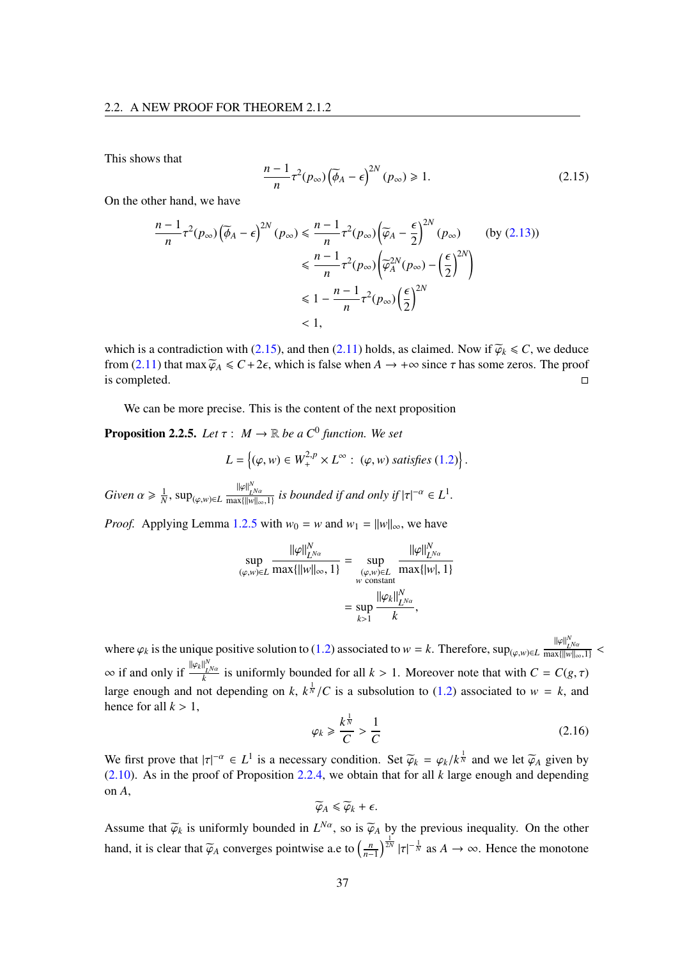This shows that

<span id="page-36-0"></span>
$$
\frac{n-1}{n}\tau^2(p_\infty)\left(\widetilde{\phi}_A - \epsilon\right)^{2N}(p_\infty) \ge 1.
$$
\n(2.15)

On the other hand, we have

$$
\frac{n-1}{n}\tau^{2}(p_{\infty})\left(\widetilde{\phi}_{A}-\epsilon\right)^{2N}(p_{\infty}) \le \frac{n-1}{n}\tau^{2}(p_{\infty})\left(\widetilde{\phi}_{A}-\frac{\epsilon}{2}\right)^{2N}(p_{\infty}) \qquad \text{(by (2.13))}
$$
\n
$$
\le \frac{n-1}{n}\tau^{2}(p_{\infty})\left(\widetilde{\phi}_{A}^{2N}(p_{\infty})-\left(\frac{\epsilon}{2}\right)^{2N}\right)
$$
\n
$$
\le 1 - \frac{n-1}{n}\tau^{2}(p_{\infty})\left(\frac{\epsilon}{2}\right)^{2N}
$$
\n
$$
< 1,
$$

which is a contradiction with [\(2.15\)](#page-36-0), and then [\(2.11\)](#page-35-1) holds, as claimed. Now if  $\widetilde{\varphi}_k \leq C$ , we deduce from [\(2.11\)](#page-35-1) that max  $\widetilde{\varphi}_A \leq C + 2\epsilon$ , which is false when  $A \to +\infty$  since  $\tau$  has some zeros. The proof is completed. is completed.  $\Box$ 

We can be more precise. This is the content of the next proposition

**Proposition 2.2.5.** *Let*  $\tau$  :  $M \to \mathbb{R}$  *be a*  $C^0$  *function. We set* 

$$
L = \left\{ (\varphi, w) \in W_+^{2, p} \times L^{\infty} : (\varphi, w) \text{ satisfies (1.2)} \right\}.
$$

*Given*  $\alpha \ge \frac{1}{N}$ ,  $\sup_{(\varphi,w)\in L} \frac{\|\varphi\|_{L^{N\alpha}}^N}{\max\{\|w\|_{\infty},1\}}$  *is bounded if and only if*  $|\tau|^{-\alpha} \in L^1$ .

*Proof.* Applying Lemma [1.2.5](#page-24-0) with  $w_0 = w$  and  $w_1 = ||w||_{\infty}$ , we have

$$
\sup_{(\varphi, w) \in L} \frac{\|\varphi\|_{L^{N\alpha}}^N}{\max\{\|w\|_{\infty}, 1\}} = \sup_{\substack{(\varphi, w) \in L \\ w \text{ constant}}} \frac{\|\varphi\|_{L^{N\alpha}}^N}{\max\{\|w\|, 1\}}
$$

$$
= \sup_{k > 1} \frac{\|\varphi_k\|_{L^{N\alpha}}^N}{k},
$$

where  $\varphi_k$  is the unique positive solution to [\(1.2\)](#page-20-0) associated to  $w = k$ . Therefore,  $\sup_{(\varphi, w) \in L} \frac{\|\varphi\|_{L^{N\alpha}}^N}{\max_{w \in \mathbb{R}} |\psi|_{\infty}^N}$  $max{||w||_{\infty},1}$  $\infty$  if and only if  $\frac{\|\varphi_k\|_{L^{N\alpha}}^N}{k}$  is uniformly bounded for all  $k > 1$ . Moreover note that with  $C = C(g, \tau)$ large enough and not depending on *k*,  $k^{\frac{1}{N}}/C$  is a subsolution to [\(1.2\)](#page-20-0) associated to  $w = k$ , and hance for all  $k > 1$ hence for all  $k > 1$ ,

<span id="page-36-1"></span>
$$
\varphi_k \geqslant \frac{k^{\frac{1}{N}}}{C} > \frac{1}{C} \tag{2.16}
$$

We first prove that  $|\tau|^{-\alpha} \in L^1$  is a necessary condition. Set  $\widetilde{\varphi}_k = \varphi_k / k^{\frac{1}{N}}$  and we let  $\widetilde{\varphi}_A$  given by  $(2.10)$ . As in the proof of Proposition 2.2.4, we obtain that for all k large epough and dependi [\(2.10\)](#page-35-2). As in the proof of Proposition [2.2.4,](#page-34-0) we obtain that for all *k* large enough and depending on *A*,

$$
\widetilde{\varphi}_A\leqslant \widetilde{\varphi}_k+\epsilon.
$$

Assume that  $\widetilde{\varphi}_k$  is uniformly bounded in  $L^{N\alpha}$ , so is  $\widetilde{\varphi}_A$  by the previous inequality. On the other hand, it is clear that  $\widetilde{\varphi}_A$  converges pointwise a.e to  $\left(\frac{n}{n-1}\right)^{\frac{1}{2N}} |\tau|^{-\frac{1}{N}}$  as  $A \to \infty$ . Hence the monotone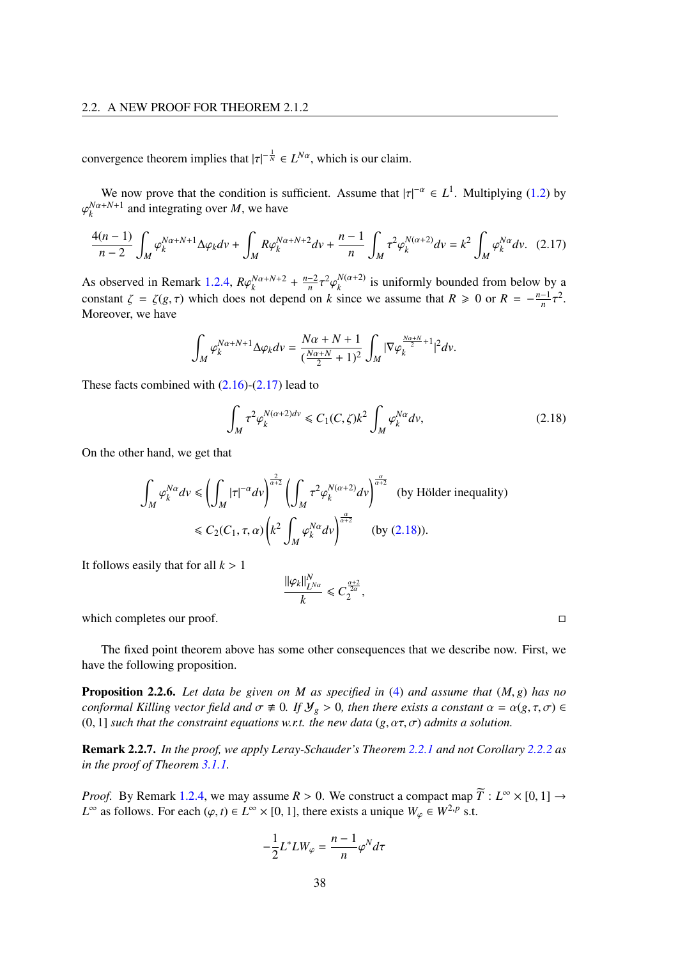convergence theorem implies that  $|\tau|^{-\frac{1}{N}} \in L^{N\alpha}$ , which is our claim.

We now prove that the condition is sufficient. Assume that  $|\tau|^{-\alpha} \in L^1$ . Multiplying [\(1.2\)](#page-20-0) by  $\tau^{N+1}$  and integrating over M, we have  $\varphi_k^{N\alpha+N+1}$  and integrating over *M*, we have

<span id="page-37-0"></span>
$$
\frac{4(n-1)}{n-2} \int_M \varphi_k^{N\alpha+N+1} \Delta \varphi_k dv + \int_M R \varphi_k^{N\alpha+N+2} dv + \frac{n-1}{n} \int_M \tau^2 \varphi_k^{N(\alpha+2)} dv = k^2 \int_M \varphi_k^{N\alpha} dv. \tag{2.17}
$$

As observed in Remark [1.2.4,](#page-24-1)  $R\varphi_k^{N\alpha+N+2} + \frac{n-2}{n}\tau^2\varphi_k^{N(\alpha+2)}$  is uniformly bounded from below by a constant  $\zeta = \zeta(\alpha,\tau)$  which does not donend on k since we assume that  $R > 0$  or  $R = \frac{n-1}{2}\tau^2$ constant  $\zeta = \zeta(g, \tau)$  which does not depend on *k* since we assume that  $R \ge 0$  or  $R = -\frac{n-1}{n}\tau$ <br>Moreover we have 2 . Moreover, we have

$$
\int_M \varphi_k^{N\alpha+N+1} \Delta \varphi_k dv = \frac{N\alpha+N+1}{(\frac{N\alpha+N}{2}+1)^2} \int_M |\nabla \varphi_k^{\frac{N\alpha+N}{2}+1}|^2 dv.
$$

These facts combined with  $(2.16)-(2.17)$  $(2.16)-(2.17)$  $(2.16)-(2.17)$  lead to

<span id="page-37-1"></span>
$$
\int_M \tau^2 \varphi_k^{N(\alpha+2)dv} \leq C_1(C,\zeta)k^2 \int_M \varphi_k^{N\alpha} dv,\tag{2.18}
$$

On the other hand, we get that

$$
\int_M \varphi_k^{N\alpha} dv \le \left(\int_M |\tau|^{-\alpha} dv\right)^{\frac{2}{\alpha+2}} \left(\int_M \tau^2 \varphi_k^{N(\alpha+2)} dv\right)^{\frac{\alpha}{\alpha+2}} \text{ (by Hölder inequality)}
$$
  

$$
\le C_2(C_1, \tau, \alpha) \left(k^2 \int_M \varphi_k^{N\alpha} dv\right)^{\frac{\alpha}{\alpha+2}} \text{ (by (2.18)).}
$$

It follows easily that for all  $k > 1$ 

$$
\frac{\|\varphi_k\|_{L^{N\alpha}}^N}{k}\leq C_2^{\frac{\alpha+2}{2\alpha}},
$$

which completes our proof.

The fixed point theorem above has some other consequences that we describe now. First, we have the following proposition.

<span id="page-37-2"></span>Proposition 2.2.6. *Let data be given on <sup>M</sup> as specified in* [\(4\)](#page-12-0) *and assume that* (*M*, *<sup>g</sup>*) *has no conformal Killing vector field and*  $\sigma \neq 0$ *. If*  $\mathcal{Y}_g > 0$ *, then there exists a constant*  $\alpha = \alpha(g, \tau, \sigma) \in$  $(0, 1]$  *such that the constraint equations w.r.t. the new data*  $(g, \alpha \tau, \sigma)$  *admits a solution.* 

Remark 2.2.7. *In the proof, we apply Leray-Schauder's Theorem [2.2.1](#page-31-0) and not Corollary [2.2.2](#page-32-0) as in the proof of Theorem [3.1.1.](#page-52-0)*

*Proof.* By Remark [1.2.4,](#page-24-1) we may assume  $R > 0$ . We construct a compact map  $\widetilde{T} : L^{\infty} \times [0, 1] \rightarrow$ <br> $L^{\infty}$  as follows. For each  $(\varphi, t) \in L^{\infty} \times [0, 1]$  there exists a unique  $W \in W^{2, p}$  s t *L*<sup>∞</sup> as follows. For each  $(\varphi, t) \in L^{\infty} \times [0, 1]$ , there exists a unique  $W_{\varphi} \in W^{2, p}$  s.t.

$$
-\frac{1}{2}L^*LW_{\varphi} = \frac{n-1}{n}\varphi^N d\tau
$$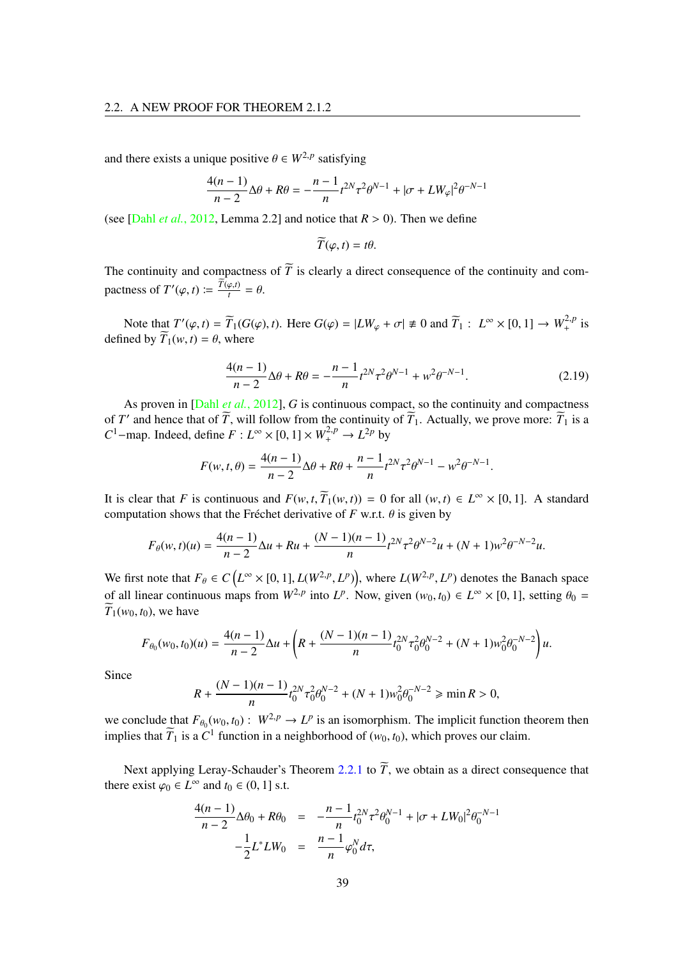#### 2.2. A NEW PROOF FOR THEOREM 2.1.2

and there exists a unique positive  $\theta \in W^{2,p}$  satisfying

$$
\frac{4(n-1)}{n-2}\Delta\theta + R\theta = -\frac{n-1}{n}t^{2N}\tau^2\theta^{N-1} + |\sigma + LW_{\varphi}|^2\theta^{-N-1}
$$

(see [Dahl *et al.*[, 2012,](#page-101-0) Lemma 2.2] and notice that  $R > 0$ ). Then we define

$$
T(\varphi,t)=t\theta.
$$

The continuity and compactness of  $\tilde{T}$  is clearly a direct consequence of the continuity and compactness of  $T'(\varphi, t) \coloneqq \frac{T(\varphi, t)}{t} = \theta$ .

Note that  $T'(\varphi, t) = \overline{T}_1(G(\varphi), t)$ . Here  $G(\varphi) = |LW_{\varphi} + \sigma| \neq 0$  and  $\overline{T}_1 : L^{\infty} \times [0, 1] \rightarrow W_+^{2, p}$  is ned by  $\overline{T}_1(\psi, t) = \theta$  where defined by  $\widetilde{T}_1(w, t) = \theta$ , where

$$
\frac{4(n-1)}{n-2}\Delta\theta + R\theta = -\frac{n-1}{n}t^{2N}\tau^2\theta^{N-1} + w^2\theta^{-N-1}.
$$
 (2.19)

As proven in [Dahl *et al.*[, 2012\]](#page-101-0), *G* is continuous compact, so the continuity and compactness of *T'* and hence that of  $\widetilde{T}$ , will follow from the continuity of  $\widetilde{T}_1$ . Actually, we prove more:  $\widetilde{T}_1$  is a  $C^1$  – map. Indeed, define  $F: L^\infty \times [0, 1] \times W_+^{2, p} \to L^{2p}$  by

$$
F(w, t, \theta) = \frac{4(n-1)}{n-2} \Delta \theta + R\theta + \frac{n-1}{n} t^{2N} \tau^2 \theta^{N-1} - w^2 \theta^{-N-1}.
$$

It is clear that *F* is continuous and  $F(w, t, \overline{T}_1(w, t)) = 0$  for all  $(w, t) \in L^{\infty} \times [0, 1]$ . A standard computation shows that the Fréchet derivative of *F* w.r.t. *A* is given by computation shows that the Fréchet derivative of  $F$  w.r.t.  $\theta$  is given by

$$
F_{\theta}(w,t)(u) = \frac{4(n-1)}{n-2}\Delta u + Ru + \frac{(N-1)(n-1)}{n}t^{2N}\tau^2\theta^{N-2}u + (N+1)w^2\theta^{-N-2}u.
$$

We first note that  $F_{\theta} \in C\left(L^{\infty} \times [0, 1], L(W^{2, p}, L^{p})\right)$ , where  $L(W^{2, p}, L^{p})$  denotes the Banach space of all linear continuous maps from  $W^{2,p}$  into  $L^p$ . Now, given  $(w_0, t_0) \in L^\infty \times [0, 1]$ , setting  $\theta_0 = \tilde{T}_1(w_0, t_0)$  we have  $\widetilde{T}_1(w_0, t_0)$ , we have

$$
F_{\theta_0}(w_0, t_0)(u) = \frac{4(n-1)}{n-2}\Delta u + \left(R + \frac{(N-1)(n-1)}{n}t_0^{2N}\tau_0^2\theta_0^{N-2} + (N+1)w_0^2\theta_0^{-N-2}\right)u.
$$

Since

$$
R + \frac{(N-1)(n-1)}{n}t_0^{2N}\tau_0^2\theta_0^{N-2} + (N+1)w_0^2\theta_0^{-N-2} \ge \min R > 0,
$$

we conclude that  $F_{\theta_0}(w_0, t_0)$ :  $W^{2,p} \to L^p$  is an isomorphism. The implicit function theorem then<br>implies that  $\widetilde{T}_1$  is a  $C^1$  function in a neighborhood of  $(w_0, t_0)$  which proves our claim implies that  $\widetilde{T}_1$  is a  $C^1$  function in a neighborhood of  $(w_0, t_0)$ , which proves our claim.

Next applying Leray-Schauder's Theorem [2.2.1](#page-31-0) to  $\widetilde{T}$ , we obtain as a direct consequence that there exist  $\varphi_0 \in L^{\infty}$  and  $t_0 \in (0, 1]$  s.t.

$$
\frac{4(n-1)}{n-2}\Delta\theta_0 + R\theta_0 = -\frac{n-1}{n}t_0^{2N}\tau^2\theta_0^{N-1} + |\sigma + LW_0|^2\theta_0^{-N-1} - \frac{1}{2}L^*LW_0 = \frac{n-1}{n}\varphi_0^N d\tau,
$$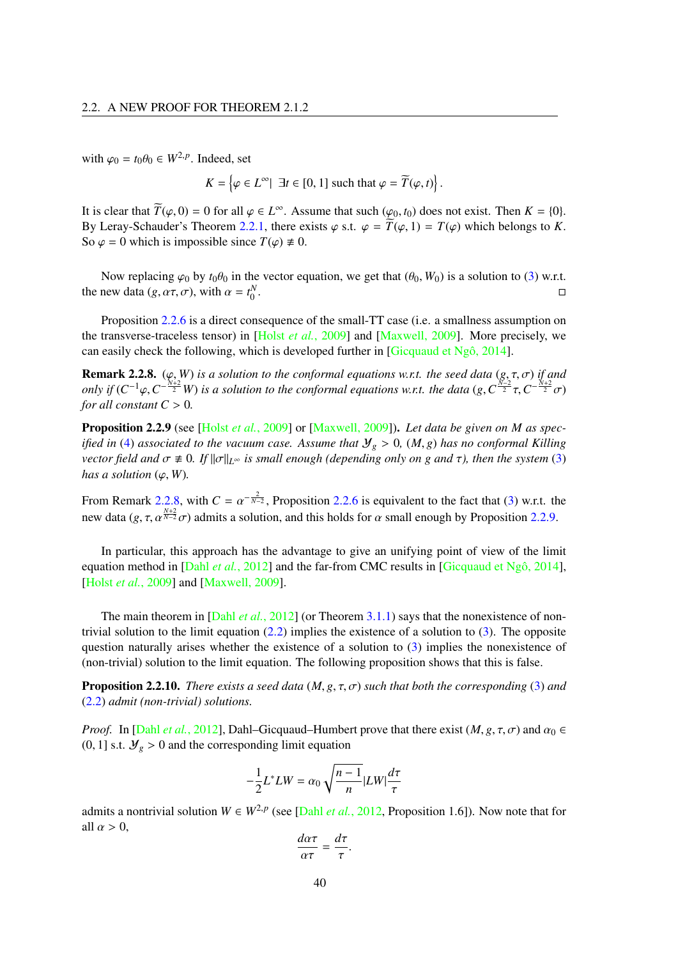with  $\varphi_0 = t_0 \theta_0 \in W^{2,p}$ . Indeed, set

$$
K = \left\{ \varphi \in L^{\infty} \middle| \exists t \in [0, 1] \text{ such that } \varphi = \widetilde{T}(\varphi, t) \right\}.
$$

It is clear that  $\widetilde{T}(\varphi, 0) = 0$  for all  $\varphi \in L^{\infty}$ . Assume that such  $(\varphi_0, t_0)$  does not exist. Then  $K = \{0\}$ .<br>By Leray-Schauder's Theorem 2.2.1, there exists  $\varphi \circ f(\varphi_0, 1) = T(\varphi)$  which belongs to K By Leray-Schauder's Theorem [2.2.1,](#page-31-0) there exists  $\varphi$  s.t.  $\varphi = \widetilde{T}(\varphi, 1) = T(\varphi)$  which belongs to *K*. So  $\varphi = 0$  which is impossible since  $T(\varphi) \neq 0$ .

Now replacing  $\varphi_0$  by  $t_0\theta_0$  in the vector equation, we get that  $(\theta_0, W_0)$  is a solution to [\(3\)](#page-11-0) w.r.t. new data  $(g, \alpha \tau, \sigma)$ , with  $\alpha = t_0^N$ . the new data  $(g, \alpha \tau, \sigma)$ , with  $\alpha = t_0^N$ .<br>1980 - Johann Stein, Amerikaansk politiker († 1905)<br>1980 - Johann Stein, Amerikaansk politiker († 1906)

Proposition [2.2.6](#page-37-2) is a direct consequence of the small-TT case (i.e. a smallness assumption on the transverse-traceless tensor) in [Holst *et al.*[, 2009\]](#page-102-0) and [\[Maxwell, 2009\]](#page-103-0). More precisely, we can easily check the following, which is developed further in  $[Gicquaud]$  et Ngô, 2014].

<span id="page-39-0"></span>**Remark 2.2.8.** ( $\varphi$ , *W*) *is a solution to the conformal equations w.r.t. the seed data* ( $g$ ,  $\tau$ ,  $\sigma$ ) *if and only if*  $(C^{-1}\varphi, C^{-\frac{N+2}{2}}W)$  *is a solution to the conformal equations w.r.t. the data*  $(g, C^{\frac{N-2}{2}}\tau, C^{-\frac{N+2}{2}}\sigma)$ *for all constant*  $C > 0$ *.* 

<span id="page-39-1"></span>Proposition 2.2.9 (see [Holst *et al.*[, 2009\]](#page-102-0) or [\[Maxwell, 2009\]](#page-103-0)). *Let data be given on M as specified in* [\(4\)](#page-12-0) *associated to the vacuum case. Assume that*  $\mathcal{Y}_g > 0$ ,  $(M, g)$  *has no conformal Killing vector field and*  $\sigma \neq 0$ *. If*  $\|\sigma\|_{L^{\infty}}$  *is small enough (depending only on g and*  $\tau$ *), then the system* [\(3\)](#page-11-0) *has a solution*  $(\varphi, W)$ *.* 

From Remark [2.2.8,](#page-39-0) with  $C = \alpha^{-\frac{2}{N-2}}$ , Proposition [2.2.6](#page-37-2) is equivalent to the fact that [\(3\)](#page-11-0) w.r.t. the new data  $(g, \tau, \alpha^{\frac{N+2}{N-2}}\sigma)$  admits a solution, and this holds for  $\alpha$  small enough by Proposition [2.2.9.](#page-39-1)

In particular, this approach has the advantage to give an unifying point of view of the limit equation method in [Dahl *et al.*[, 2012\]](#page-101-0) and the far-from CMC results in [\[Gicquaud et Ngô, 2014\]](#page-101-1), [Holst *et al.*[, 2009\]](#page-102-0) and [\[Maxwell, 2009\]](#page-103-0).

The main theorem in [Dahl *et al.*[, 2012\]](#page-101-0) (or Theorem [3.1.1\)](#page-52-0) says that the nonexistence of nontrivial solution to the limit equation  $(2.2)$  implies the existence of a solution to  $(3)$ . The opposite question naturally arises whether the existence of a solution to  $(3)$  implies the nonexistence of (non-trivial) solution to the limit equation. The following proposition shows that this is false.

Proposition 2.2.10. *There exists a seed data* (*M*, *<sup>g</sup>*, τ, σ) *such that both the corresponding* [\(3\)](#page-11-0) *and* [\(2.2\)](#page-30-0) *admit (non-trivial) solutions.*

*Proof.* In [Dahl *et al.*[, 2012\]](#page-101-0), Dahl–Gicquaud–Humbert prove that there exist  $(M, g, \tau, \sigma)$  and  $\alpha_0 \in$  $(0, 1]$  s.t.  $\mathcal{Y}_g > 0$  and the corresponding limit equation

$$
-\frac{1}{2}L^*LW = \alpha_0 \sqrt{\frac{n-1}{n}}|LW|\frac{d\tau}{\tau}
$$

admits a nontrivial solution  $W \in W^{2,p}$  (see [Dahl *et al.*[, 2012,](#page-101-0) Proposition 1.6]). Now note that for all  $\alpha > 0$ ,

$$
\frac{d\alpha\tau}{\alpha\tau}=\frac{d\tau}{\tau}.
$$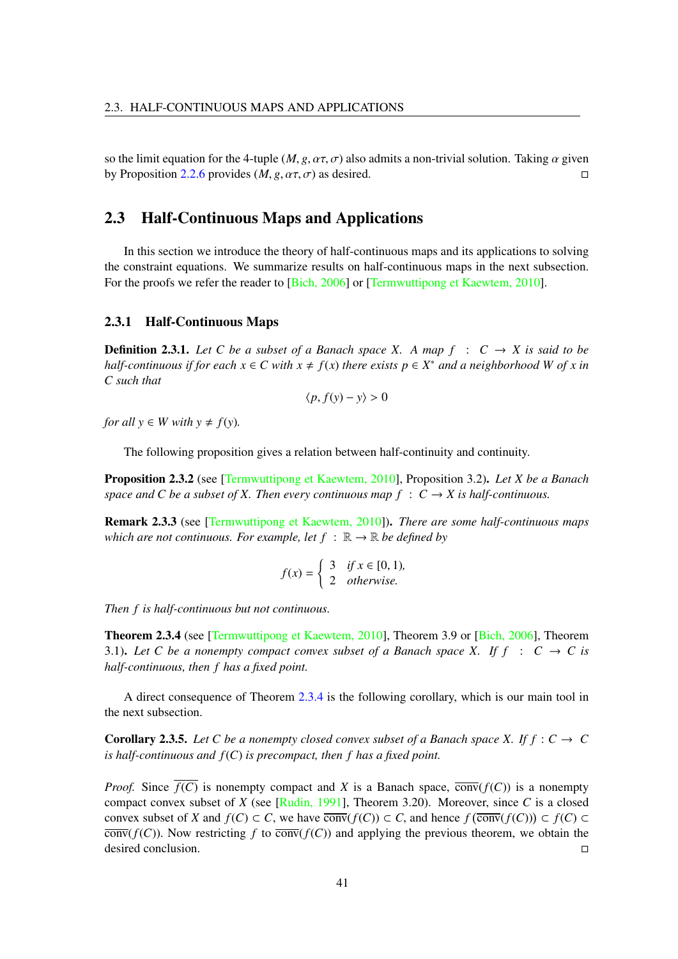so the limit equation for the 4-tuple  $(M, g, \alpha \tau, \sigma)$  also admits a non-trivial solution. Taking  $\alpha$  given<br>by Proposition 2.2.6 provides  $(M, g, \alpha \tau, \sigma)$  as desired by Proposition [2.2.6](#page-37-2) provides  $(M, g, \alpha\tau, \sigma)$  as desired.

### 2.3 Half-Continuous Maps and Applications

In this section we introduce the theory of half-continuous maps and its applications to solving the constraint equations. We summarize results on half-continuous maps in the next subsection. For the proofs we refer the reader to [\[Bich, 2006\]](#page-100-0) or [\[Termwuttipong et Kaewtem, 2010\]](#page-103-1).

#### 2.3.1 Half-Continuous Maps

**Definition 2.3.1.** Let C be a subset of a Banach space *X*. A map  $f : C \rightarrow X$  is said to be *half-continuous if for each*  $x \in C$  *with*  $x \neq f(x)$  *there exists*  $p \in X^*$  *and a neighborhood W of x in C such that*

$$
\langle p, f(y) - y \rangle > 0
$$

*for all*  $y \in W$  *with*  $y \neq f(y)$ *.* 

The following proposition gives a relation between half-continuity and continuity.

Proposition 2.3.2 (see [\[Termwuttipong et Kaewtem, 2010\]](#page-103-1), Proposition 3.2). *Let X be a Banach space and C be a subset of X. Then every continuous map*  $f : C \rightarrow X$  *is half-continuous.* 

Remark 2.3.3 (see [\[Termwuttipong et Kaewtem, 2010\]](#page-103-1)). *There are some half-continuous maps which are not continuous. For example, let*  $f : \mathbb{R} \to \mathbb{R}$  *be defined by* 

$$
f(x) = \begin{cases} 3 & \text{if } x \in [0, 1), \\ 2 & \text{otherwise.} \end{cases}
$$

*Then f is half-continuous but not continuous.*

<span id="page-40-0"></span>Theorem 2.3.4 (see [\[Termwuttipong et Kaewtem, 2010\]](#page-103-1), Theorem 3.9 or [\[Bich, 2006\]](#page-100-0), Theorem 3.1). Let C be a nonempty compact convex subset of a Banach space X. If  $f : C \to C$  is *half-continuous, then f has a fixed point.*

A direct consequence of Theorem [2.3.4](#page-40-0) is the following corollary, which is our main tool in the next subsection.

<span id="page-40-1"></span>**Corollary 2.3.5.** Let C be a nonempty closed convex subset of a Banach space X. If  $f: C \to C$ *is half-continuous and f*(*C*) *is precompact, then f has a fixed point.*

*Proof.* Since  $f(C)$  is nonempty compact and *X* is a Banach space,  $\overline{conv}(f(C))$  is a nonempty compact convex subset of *X* (see [\[Rudin, 1991\]](#page-103-2), Theorem 3.20). Moreover, since *C* is a closed convex subset of *X* and  $f(C) \subset C$ , we have  $\overline{conv}(f(C)) \subset C$ , and hence  $f(\overline{conv}(f(C))) \subset f(C) \subset \overline{conv}(f(C))$ . Now restricting *f* to  $\overline{conv}(f(C))$  and applying the previous theorem, we obtain the  $\overline{\text{conv}}(f(C))$ . Now restricting *f* to  $\overline{\text{conv}}(f(C))$  and applying the previous theorem, we obtain the desired conclusion. desired conclusion.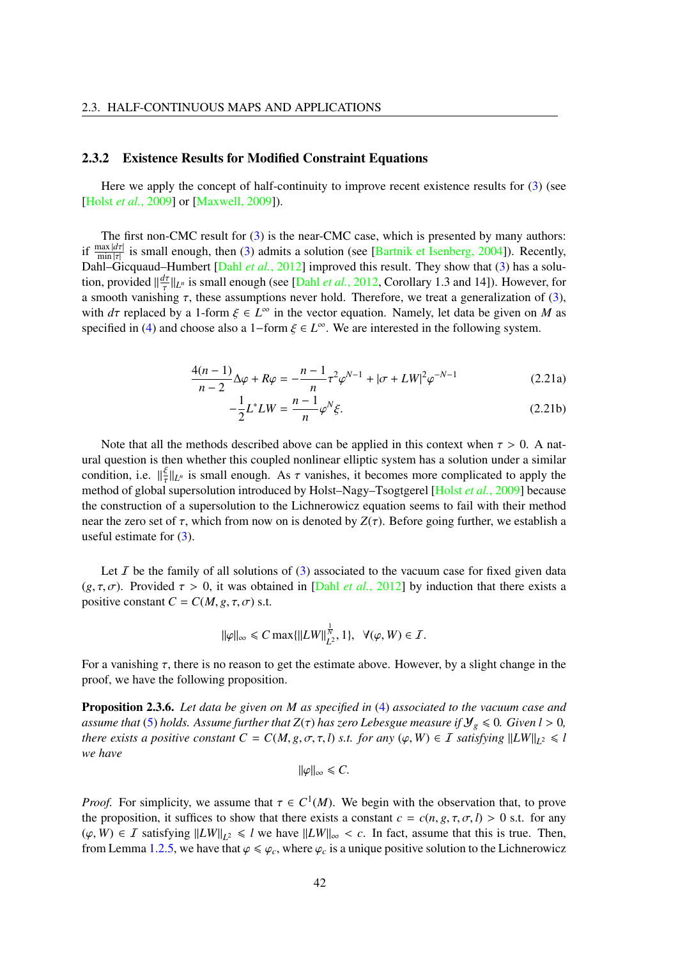### 2.3.2 Existence Results for Modified Constraint Equations

Here we apply the concept of half-continuity to improve recent existence results for [\(3\)](#page-11-0) (see [Holst *et al.*[, 2009\]](#page-102-0) or [\[Maxwell, 2009\]](#page-103-0)).

The first non-CMC result for  $(3)$  is the near-CMC case, which is presented by many authors: if  $\frac{\text{max} |d\tau|}{\text{min} |\tau|}$  is small enough, then [\(3\)](#page-11-0) admits a solution (see [\[Bartnik et Isenberg, 2004\]](#page-100-1)). Recently,  $\lim_{\text{min} |\tau|}$  is small chough, then [\(3\)](#page-11-0) admits a solution (see partitive of ischoolg, 2004)). Recently, Dahl–Gicquaud–Humbert [Dahl *et al.*[, 2012\]](#page-101-0) improved this result. They show that (3) has a solution, provided  $\|\frac{d\tau}{\tau}\|_{L^n}$  is small enough (see [Dahl *et al.*[, 2012,](#page-101-0) Corollary 1.3 and 14]). However, for a smooth vanishing  $\tau$ , these assumptions never hold. Therefore, we treat a generalization of [\(3\)](#page-11-0),<br>with  $d\tau$  replaced by a 1-form  $\xi \in I^{\infty}$  in the vector equation. Namely, let data be given on M as with *d* $\tau$  replaced by a 1-form  $\xi \in L^{\infty}$  in the vector equation. Namely, let data be given on *M* as<br>specified in (*A*) and choose also a 1–form  $\xi \in L^{\infty}$ . We are interested in the following system specified in [\(4\)](#page-12-0) and choose also a 1–form  $\xi \in L^{\infty}$ . We are interested in the following system.

$$
\frac{4(n-1)}{n-2}\Delta\varphi + R\varphi = -\frac{n-1}{n}\tau^2\varphi^{N-1} + |\sigma + LW|^2\varphi^{-N-1}
$$
 (2.21a)

$$
-\frac{1}{2}L^*LW = \frac{n-1}{n}\varphi^N\xi.
$$
 (2.21b)

<span id="page-41-0"></span>Note that all the methods described above can be applied in this context when  $\tau > 0$ . A natural question is then whether this coupled nonlinear elliptic system has a solution under a similar condition, i.e.  $\|\xi\|_{L^n}$  is small enough. As  $\tau$  vanishes, it becomes more complicated to apply the method of global supercolution introduced by Holst-Nagy-Tsostgerel [Holst *et al.*, 2009] because method of global supersolution introduced by Holst-Nagy-Tsogtgerel [Holst *et al.*[, 2009\]](#page-102-0) because the construction of a supersolution to the Lichnerowicz equation seems to fail with their method near the zero set of  $\tau$ , which from now on is denoted by  $Z(\tau)$ . Before going further, we establish a useful estimate for  $(3)$ .

Let  $I$  be the family of all solutions of [\(3\)](#page-11-0) associated to the vacuum case for fixed given data ( $g, \tau, \sigma$ ). Provided  $\tau > 0$ , it was obtained in [Dahl *et al.*[, 2012\]](#page-101-0) by induction that there exists a positive constant  $C = C(M, g, \tau, \sigma)$  s.t.

$$
\|\varphi\|_{\infty} \leq C \max\{\|LW\|_{L^2}^{\frac{1}{N}}, 1\}, \ \ \forall (\varphi, W) \in \mathcal{I}.
$$

For a vanishing  $\tau$ , there is no reason to get the estimate above. However, by a slight change in the proof, we have the following proposition.

<span id="page-41-1"></span>Proposition 2.3.6. *Let data be given on M as specified in* [\(4\)](#page-12-0) *associated to the vacuum case and assume that* [\(5\)](#page-12-1) *holds. Assume further that*  $Z(\tau)$  *has zero Lebesgue measure if*  $\mathcal{Y}_g \le 0$ *. Given*  $l > 0$ *, there exists a positive constant*  $C = C(M, g, \sigma, \tau, l)$  *s.t. for any*  $(\varphi, W) \in I$  *satisfying*  $||LW||_{L^2} \le l$ <br>*we have we have*

 $\|\varphi\|_{\infty} \leq C.$ 

*Proof.* For simplicity, we assume that  $\tau \in C^1(M)$ . We begin with the observation that, to prove the proposition, it suffices to show that there exists a constant  $c = c(n, a \tau, \tau) > 0$  s t, for any the proposition, it suffices to show that there exists a constant  $c = c(n, g, \tau, \sigma, l) > 0$  s.t. for any  $(\varphi, W) \in \mathcal{I}$  satisfying  $||LW||_{L^2} \le l$  we have  $||LW||_{\infty} < c$ . In fact, assume that this is true. Then, from Lemma 1.2.5 we have that  $\alpha \le \alpha$ , where  $\alpha$  is a unique positive solution to the Lichnerowicz from Lemma [1.2.5,](#page-24-0) we have that  $\varphi \leq \varphi_c$ , where  $\varphi_c$  is a unique positive solution to the Lichnerowicz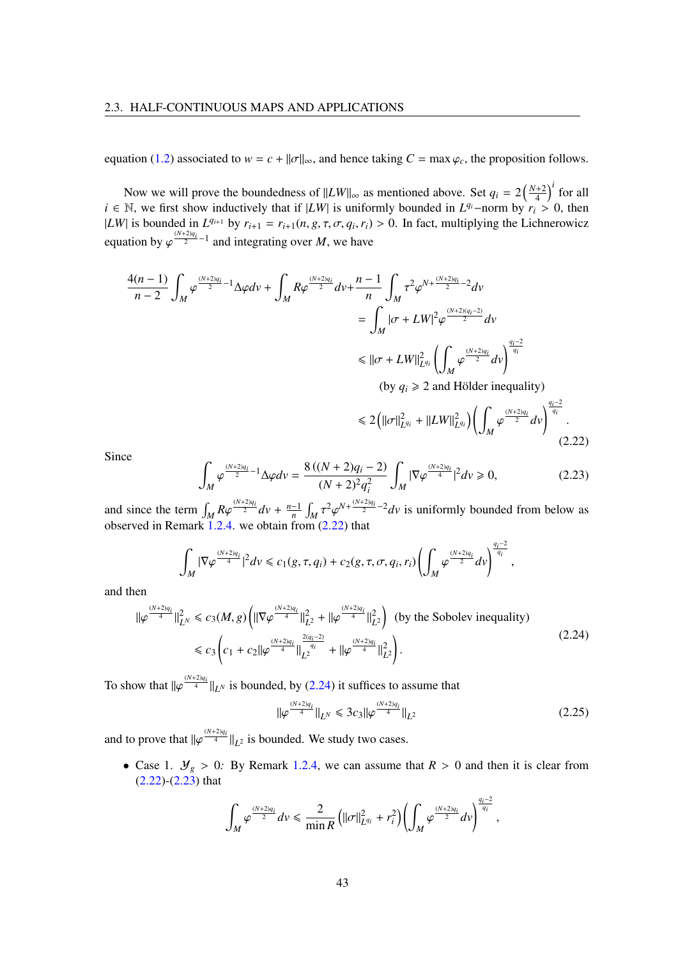equation [\(1.2\)](#page-20-0) associated to  $w = c + ||\sigma||_{\infty}$ , and hence taking  $C = \max \varphi_c$ , the proposition follows.

Now we will prove the boundedness of  $||LW||_{\infty}$  as mentioned above. Set  $q_i = 2\left(\frac{N+2}{4}\right)$  $\left(\frac{+2}{4}\right)^i$  for all *i* ∈ N, we first show inductively that if  $|LW|$  is uniformly bounded in  $L^{q_i}$ –norm by  $r_i > 0$ , then<br>*II* Wl is bounded in *I*<sup>q<sub>i+1</sub></sup> by  $r_i \le r_i$  (*n*, *a*, *x*, *z*, *a*, *x*) > 0. In fact, multiplying the Lichnerow  $|LW|$  is bounded in  $L^{q_{i+1}}$  by  $r_{i+1} = r_{i+1}(n, g, \tau, \sigma, q_i, r_i) > 0$ . In fact, multiplying the Lichnerowicz equation by  $\varphi \frac{(N+2)q_i}{2}$  and integrating over *M*, we have

<span id="page-42-0"></span>
$$
\frac{4(n-1)}{n-2} \int_M \varphi^{\frac{(N+2)q_i}{2}-1} \Delta \varphi dv + \int_M R \varphi^{\frac{(N+2)q_i}{2}} dv + \frac{n-1}{n} \int_M \tau^2 \varphi^{N+\frac{(N+2)q_i}{2}-2} dv
$$
  

$$
= \int_M |\sigma + LW|^2 \varphi^{\frac{(N+2)q_i-2)}{2}} dv
$$
  

$$
\leq ||\sigma + LW||_{L^{q_i}}^2 \left(\int_M \varphi^{\frac{(N+2)q_i}{2}} dv\right)^{\frac{q_i-2}{q_i}}
$$
  
(by  $q_i \geq 2$  and Hölder inequality)

$$
\leq 2\left(\|\sigma\|^{2}_{L^{q_i}}+\|LW\|^{2}_{L^{q_i}}\right)\left(\int_{M}\varphi^{\frac{(N+2)q_i}{2}}d\nu\right)^{\frac{q_i-2}{q_i}}.\tag{2.22}
$$

Since

<span id="page-42-2"></span>
$$
\int_{M} \varphi^{\frac{(N+2)q_{i}}{2}-1} \Delta \varphi dv = \frac{8((N+2)q_{i}-2)}{(N+2)^{2}q_{i}^{2}} \int_{M} |\nabla \varphi^{\frac{(N+2)q_{i}}{4}}|^{2} dv \ge 0, \qquad (2.23)
$$

and since the term  $\int_M R\varphi \frac{(N+2)q_i}{2} dv + \frac{n-1}{n} \int_M \tau$ 2 $\frac{1}{2}$  $N + \frac{(N+2)q_i}{2} - 2dV$  is uniformly bounded from below as observed in Remark [1.2.4.](#page-24-1) we obtain from [\(2.22\)](#page-42-0) that

$$
\int_M |\nabla \varphi^{\frac{(N+2)q_i}{4}}|^2 dv \leq c_1(g,\tau,q_i)+c_2(g,\tau,\sigma,q_i,r_i)\left(\int_M \varphi^{\frac{(N+2)q_i}{2}} dv\right)^{\frac{q_i-2}{q_i}},
$$

and then

<span id="page-42-1"></span>
$$
\|\varphi^{\frac{(N+2)q_i}{4}}\|_{L^N}^2 \le c_3(M, g) \left( \|\nabla \varphi^{\frac{(N+2)q_i}{4}}\|_{L^2}^2 + \|\varphi^{\frac{(N+2)q_i}{4}}\|_{L^2}^2 \right) \text{ (by the Sobolev inequality)}\n
$$
\le c_3 \left(c_1 + c_2 \|\varphi^{\frac{(N+2)q_i}{4}}\|_{L^2}^{\frac{2(q_i - 2)}{q_i}} + \|\varphi^{\frac{(N+2)q_i}{4}}\|_{L^2}^2 \right).
$$
\n(2.24)
$$

To show that  $\|\varphi^{\frac{(N+2)q_i}{4}}\|_{L^N}$  is bounded, by [\(2.24\)](#page-42-1) it suffices to assume that

<span id="page-42-3"></span>
$$
\|\varphi^{\frac{(N+2)q_i}{4}}\|_{L^N} \leq 3c_3 \|\varphi^{\frac{(N+2)q_i}{4}}\|_{L^2}
$$
\n(2.25)

and to prove that  $\|\varphi^{\frac{(N+2)q_i}{4}}\|_{L^2}$  is bounded. We study two cases.

• Case 1.  $\mathcal{Y}_g > 0$ : By Remark [1.2.4,](#page-24-1) we can assume that  $R > 0$  and then it is clear from [\(2.22\)](#page-42-0)-[\(2.23\)](#page-42-2) that

$$
\int_M \varphi^{\frac{(N+2)q_i}{2}} dv \leq \frac{2}{\min R} \left( ||\sigma||^2_{L^{q_i}} + r_i^2 \right) \left( \int_M \varphi^{\frac{(N+2)q_i}{2}} dv \right)^{\frac{q_i-2}{q_i}},
$$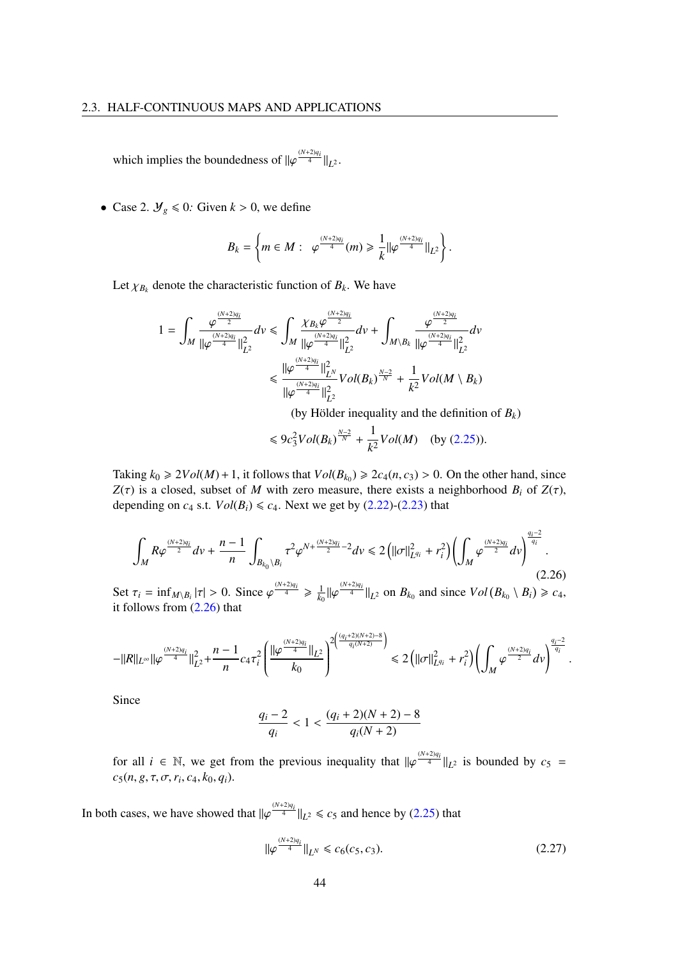which implies the boundedness of  $\|\varphi^{\frac{(N+2)q_i}{4}}\|_{L^2}$ .

• Case 2.  $\mathcal{Y}_g \leq 0$ : Given  $k > 0$ , we define

$$
B_k = \left\{m \in M: \ \varphi^{\frac{(N+2)q_i}{4}}(m) \geq \frac{1}{k} ||\varphi^{\frac{(N+2)q_i}{4}}||_{L^2}\right\}.
$$

Let  $\chi_{B_k}$  denote the characteristic function of  $B_k$ . We have

$$
\begin{aligned} 1 = \int_{M} \frac{\varphi^{\frac{(N+2)q_{i}}{2}}}{\|\varphi^{\frac{(N+2)q_{i}}{4}}\|_{L^{2}}^{2}} dv \leqslant \int_{M} \frac{\chi_{B_{k}} \varphi^{\frac{(N+2)q_{i}}{2}}}{\|\varphi^{\frac{(N+2)q_{i}}{4}}\|_{L^{2}}^{2}} dv + \int_{M \setminus B_{k}} \frac{\varphi^{\frac{(N+2)q_{i}}{2}}}{\|\varphi^{\frac{(N+2)q_{i}}{4}}\|_{L^{2}}^{2}} dv \\ \leqslant \frac{\|\varphi^{\frac{(N+2)q_{i}}{4}}\|_{L^{N}}^{2}}{\|\varphi^{\frac{(N+2)q_{i}}{4}}\|_{L^{2}}^{2}} Vol(B_{k})^{\frac{N-2}{N}} + \frac{1}{k^{2}} Vol(M \setminus B_{k}) \end{aligned}
$$

(by Hölder inequality and the definition of *Bk*)

$$
\leq 9c_3^2 Vol(B_k)^{\frac{N-2}{N}} + \frac{1}{k^2} Vol(M)
$$
 (by (2.25)).

Taking  $k_0 \ge 2Vol(M) + 1$ , it follows that  $Vol(B_{k_0}) \ge 2c_4(n, c_3) > 0$ . On the other hand, since  $Z(\tau)$  is a closed, subset of M with zero measure, there exists a neighborhood  $R_1$  of  $Z(\tau)$ .  $Z(\tau)$  is a closed, subset of *M* with zero measure, there exists a neighborhood  $B_i$  of  $Z(\tau)$ , depending on  $c_4$  s.t.  $Vol(B_i) \leq c_4$ . Next we get by [\(2.22\)](#page-42-0)-[\(2.23\)](#page-42-2) that

<span id="page-43-0"></span>
$$
\int_{M} R\varphi^{\frac{(N+2)q_{i}}{2}} d\boldsymbol{v} + \frac{n-1}{n} \int_{B_{k_{0}}\backslash B_{i}} \tau^{2} \varphi^{N+\frac{(N+2)q_{i}}{2}-2} d\boldsymbol{v} \leq 2\left(\|\sigma\|_{L^{q_{i}}}^{2} + r_{i}^{2}\right) \left(\int_{M} \varphi^{\frac{(N+2)q_{i}}{2}} d\boldsymbol{v}\right)^{\frac{q_{i}-2}{q_{i}}}.
$$
\n(2.26)

Set  $\tau_i = \inf_{M \setminus B_i} |\tau| > 0$ . Since  $\varphi^{\frac{(N+2)q_i}{4}} \ge \frac{1}{k_0} ||\varphi^{\frac{(N+2)q_i}{4}}||_{L^2}$  on  $B_{k_0}$  and since  $Vol(B_{k_0} \setminus B_i) \ge c_4$ , it follows from [\(2.26\)](#page-43-0) that

$$
-||R||_{L^{\infty}}||\varphi^{\frac{(N+2)q_i}{4}}||_{L^2}^2 + \frac{n-1}{n}c_4\tau_i^2\left(\frac{||\varphi^{\frac{(N+2)q_i}{4}}||_{L^2}}{k_0}\right)^{2\left(\frac{(q_i+2)(N+2)-8}{q_i(N+2)}\right)} \leq 2\left(||\sigma||^2_{L^{q_i}} + r_i^2\right)\left(\int_M\varphi^{\frac{(N+2)q_i}{2}}d\nu\right)^{\frac{q_i-2}{q_i}}
$$

Since

$$
\frac{q_i-2}{q_i}<1<\frac{(q_i+2)(N+2)-8}{q_i(N+2)}
$$

for all  $i \in \mathbb{N}$ , we get from the previous inequality that  $\|\varphi^{\frac{(N+2)q_i}{4}}\|_{L^2}$  is bounded by  $c_5 = c_5(n, q, \tau, r; c_1, k_2, d_1)$  $c_5(n, g, \tau, \sigma, r_i, c_4, k_0, q_i).$ 

In both cases, we have showed that  $\|\varphi^{\frac{(N+2)q_i}{4}}\|_{L^2} \le c_5$  and hence by [\(2.25\)](#page-42-3) that

<span id="page-43-1"></span>
$$
\|\varphi^{\frac{(N+2)q_i}{4}}\|_{L^N} \le c_6(c_5, c_3). \tag{2.27}
$$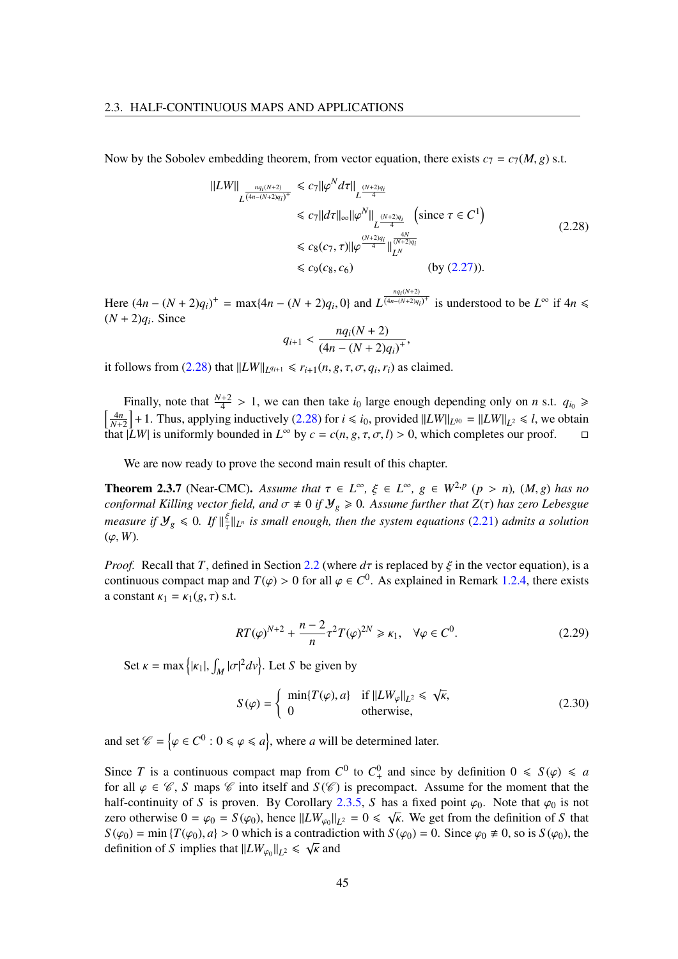Now by the Sobolev embedding theorem, from vector equation, there exists  $c_7 = c_7(M, g)$  s.t.

<span id="page-44-0"></span>
$$
||LW||_{L^{\frac{nq_i(N+2)}{(4n-(N+2)q_i)^+}}} \leq c_7 ||\varphi^N d\tau||_{L^{\frac{(N+2)q_i}{4}}}
$$
  
\n
$$
\leq c_7 ||d\tau||_{\infty} ||\varphi^N||_{L^{\frac{(N+2)q_i}{4}}}
$$
 (since  $\tau \in C^1$ )  
\n
$$
\leq c_8(c_7, \tau) ||\varphi^{\frac{(N+2)q_i}{4}}||_{L^N}^{\frac{4N}{(N+2)q_i}}
$$
  
\n
$$
\leq c_9(c_8, c_6)
$$
 (by (2.27)).

Here  $(4n - (N + 2)q_i)^+$  = max $\{4n - (N + 2)q_i, 0\}$  and  $L^{\frac{nq_i(N+2)}{(4n - (N+2)q_i)^+}}$  is understood to be  $L^{\infty}$  if  $4n \leq N + 2q_i$ .  $(N+2)q_i$ . Since

$$
q_{i+1} < \frac{nq_i(N+2)}{(4n - (N+2)q_i)^+},
$$

it follows from [\(2.28\)](#page-44-0) that  $||LW||_{L^{q_{i+1}}} \le r_{i+1}(n, g, \tau, \sigma, q_i, r_i)$  as claimed.

Finally, note that  $\frac{N+2}{4} > 1$ , we can then take  $i_0$  large enough depending only on *n* s.t.  $q_{i_0} \ge$  $\frac{4n}{2}$  $\frac{4n}{N+2}$  + 1. Thus, applying inductively [\(2.28\)](#page-44-0) for  $i \le i_0$ , provided  $||LW||_{L^{q_0}} = ||LW||_{L^2} \le l$ , we obtain that  $|LW|$  is uniformly bounded in  $L^{\infty}$  by  $c = c(n, g, \tau, \sigma, l) > 0$ , which completes our proof.  $\square$ 

We are now ready to prove the second main result of this chapter.

<span id="page-44-2"></span>**Theorem 2.3.7** (Near-CMC). Assume that  $\tau \in L^{\infty}$ ,  $\xi \in L^{\infty}$ ,  $g \in W^{2,p}$   $(p > n)$ ,  $(M, g)$  has no<br>conformal Killing vector field, and  $\tau \neq 0$  if  $M > 0$ . Assume further that  $Z(\tau)$  has zero Lehesgue *conformal Killing vector field, and*  $\sigma \neq 0$  *if*  $\mathcal{Y}_g \geq 0$ *. Assume further that*  $Z(\tau)$  *has zero Lebesgue measure if*  $\mathcal{Y}_g \le 0$ . If  $\|\frac{\xi}{\tau}\|_{L^n}$  is small enough, then the system equations [\(2.21\)](#page-41-0) admits a solution  $(\varphi, W)$ .

*Proof.* Recall that *T*, defined in Section [2.2](#page-31-1) (where  $d\tau$  is replaced by  $\xi$  in the vector equation), is a continuous compact map and  $T(a) > 0$  for all  $a \in C^0$ . As explained in Remark 1.2.4, there exists continuous compact map and  $T(\varphi) > 0$  for all  $\varphi \in C^0$ . As explained in Remark [1.2.4,](#page-24-1) there exists a constant  $\kappa_1 = \kappa_2 (g, \tau)$  s t a constant  $\kappa_1 = \kappa_1(g, \tau)$  s.t.

<span id="page-44-1"></span>
$$
RT(\varphi)^{N+2} + \frac{n-2}{n} \tau^2 T(\varphi)^{2N} \ge \kappa_1, \quad \forall \varphi \in C^0.
$$
 (2.29)

Set  $\kappa = \max\left\{ |\kappa_1|, \int_M |\sigma|^2 dv \right\}$ . Let *S* be given by

$$
S(\varphi) = \begin{cases} \min\{T(\varphi), a\} & \text{if } ||L W_{\varphi}||_{L^{2}} \leq \sqrt{\kappa}, \\ 0 & \text{otherwise}, \end{cases}
$$
 (2.30)

and set  $\mathcal{C} = \{ \varphi \in C^0 : 0 \le \varphi \le a \}$ , where *a* will be determined later.

Since *T* is a continuous compact map from  $C^0$  to  $C^0_+$  and since by definition  $0 \le S(\varphi) \le a$ <br>for all  $\varphi \in \mathscr{C}$ . S maps  $\mathscr{C}$  into itself and  $S(\mathscr{C})$  is precompact. Assume for the moment that the for all  $\varphi \in \mathcal{C}$ , *S* maps  $\mathcal{C}$  into itself and *S*( $\mathcal{C}$ ) is precompact. Assume for the moment that the half-continuity of *S* is proven. By Corollary [2.3.5,](#page-40-1) *S* has a fixed point  $\varphi_0$ . Note that  $\varphi_0$  is not zero otherwise  $0 = (\cos x - S(\cos x))$  hance  $||J|| = 0 \le \sqrt{x}$ . We get from the definition of *S* that zero otherwise  $0 = \varphi_0 = S(\varphi_0)$ , hence  $||LW_{\varphi_0}||_{L^2} = 0 \le \sqrt{\kappa}$ . We get from the definition of *S* that  $S(\varphi_0) = \min_{\mathbf{x}} \mathcal{F}(\varphi_0)$  at  $\ge 0$  which is a contradiction with  $S(\varphi_0) = 0$ . Since  $\varphi_0 \ne 0$  so is  $S$  $S(\varphi_0) = \min \{ T(\varphi_0), a \} > 0$  which is a contradiction with  $S(\varphi_0) = 0$ . Since  $\varphi_0 \neq 0$ , so is  $S(\varphi_0)$ , the definition of *S* implies that  $||I|| \le |I|| \le |I||$ definition of *S* implies that  $||LW_{\varphi_0}||_{L^2} \le \sqrt{k}$  and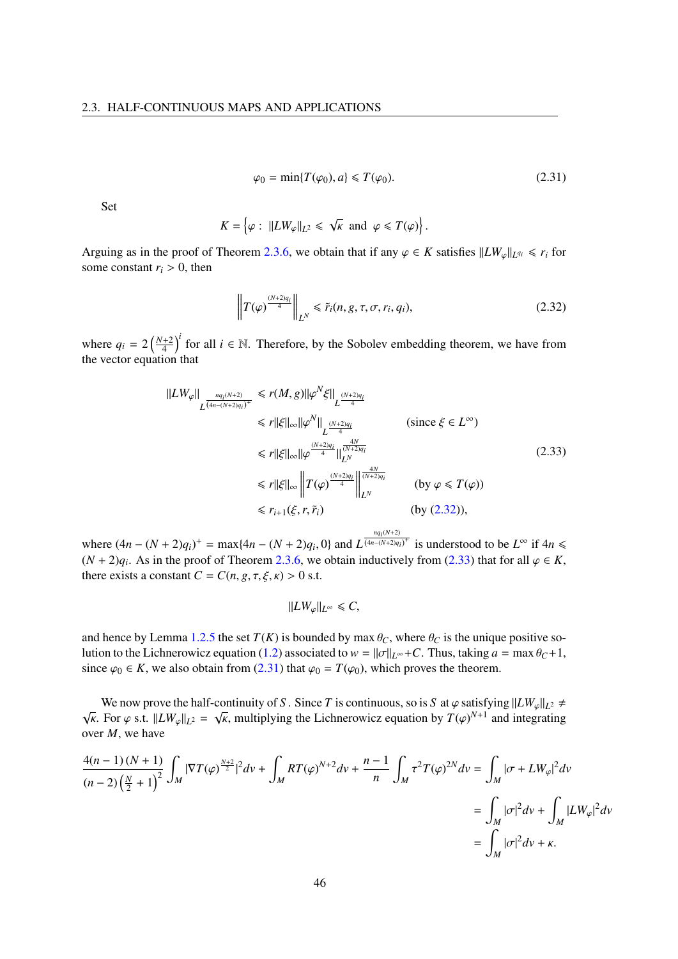<span id="page-45-2"></span>
$$
\varphi_0 = \min\{T(\varphi_0), a\} \le T(\varphi_0). \tag{2.31}
$$

Set

$$
K = \left\{ \varphi : \ \left\| LW_{\varphi} \right\|_{L^2} \leq \sqrt{\kappa} \ \text{and} \ \varphi \leq T(\varphi) \right\}.
$$

Arguing as in the proof of Theorem [2.3.6,](#page-41-1) we obtain that if any  $\varphi \in K$  satisfies  $||LW_{\varphi}||_{L^{q_i}} \le r_i$  for some constant  $r_i > 0$ , then some constant  $r_i > 0$ , then

<span id="page-45-0"></span>
$$
\left\| T(\varphi)^{\frac{(N+2)q_i}{4}} \right\|_{L^N} \leq \tilde{r}_i(n, g, \tau, \sigma, r_i, q_i), \tag{2.32}
$$

where  $q_i = 2\left(\frac{N+2}{4}\right)$  $\left(\frac{+2}{4}\right)^i$  for all  $i \in \mathbb{N}$ . Therefore, by the Sobolev embedding theorem, we have from the vector equation that

<span id="page-45-1"></span>
$$
||L W_{\varphi}||_{L^{\frac{nq_i(N+2)}{(4n-(N+2)q_i)^+}}} \le r(M, g)||\varphi^N \xi||_{L^{\frac{(N+2)q_i}{4}}}
$$
  
\n
$$
\le r||\xi||_{\infty} ||\varphi^N||_{L^{\frac{(N+2)q_i}{4}}}
$$
  
\n
$$
\le r||\xi||_{\infty} ||\varphi^{\frac{(N+2)q_i}{4}}||_{L^N}^{\frac{4N}{(N+2)q_i}}
$$
  
\n
$$
\le r||\xi||_{\infty} ||T(\varphi)^{\frac{(N+2)q_i}{4}}||_{L^N}^{\frac{4N}{(N+2)q_i}}
$$
  
\n
$$
\le r_{i+1}(\xi, r, \tilde{r}_i)
$$
  
\n
$$
(by \varphi \le T(\varphi))
$$
  
\n
$$
(by (2.32)),
$$

where  $(4n - (N + 2)q_i)^+ = \max\{4n - (N + 2)q_i, 0\}$  and  $L^{\frac{4n - (N + 2)q_i}{2}}$  is understood to be  $L^{\infty}$  if  $4n \leq N + 2q_i$ . As in the proof of Theorem 2.3.6, we obtain inductively from (2.33) that for all  $\varphi \in K$ *nqi* (*N*+2)  $(N + 2)q_i$ . As in the proof of Theorem [2.3.6,](#page-41-1) we obtain inductively from [\(2.33\)](#page-45-1) that for all  $\varphi \in K$ , there exists a constant  $C = C(n, a, \tau, \xi, \kappa) > 0$  s t there exists a constant  $C = C(n, g, \tau, \xi, \kappa) > 0$  s.t.

$$
||LW_{\varphi}||_{L^{\infty}} \leq C,
$$

and hence by Lemma [1.2.5](#page-24-0) the set  $T(K)$  is bounded by max  $\theta_C$ , where  $\theta_C$  is the unique positive so-lution to the Lichnerowicz equation [\(1.2\)](#page-20-0) associated to  $w = ||\sigma||_{L^{\infty}} + C$ . Thus, taking  $a = \max \theta_C + 1$ , since  $\varphi_0 \in K$ , we also obtain from [\(2.31\)](#page-45-2) that  $\varphi_0 = T(\varphi_0)$ , which proves the theorem.

We now prove the half-continuity of *S*. Since *T* is continuous, so is *S* at  $\varphi$  satisfying  $||LW_{\varphi}||_{L^2} \neq$ <br>For  $\varphi$  s t,  $||JW||_{\varphi} = \sqrt{k}$  multiplying the Lichnerowicz equation by  $T(\varphi)^{N+1}$  and integrating we now prove the han<br>  $\sqrt{k}$ . For  $\varphi$  s.t.  $||LW_{\varphi}||_{L^2}$  = √  $\overline{k}$ , multiplying the Lichnerowicz equation by  $T(\varphi)^{N+1}$  and integrating over *M*, we have

$$
\frac{4(n-1)(N+1)}{(n-2)\left(\frac{N}{2}+1\right)^2} \int_M |\nabla T(\varphi)^{\frac{N+2}{2}}|^2 dv + \int_M RT(\varphi)^{N+2} dv + \frac{n-1}{n} \int_M \tau^2 T(\varphi)^{2N} dv = \int_M |\sigma + LW_\varphi|^2 dv
$$
  

$$
= \int_M |\sigma|^2 dv + \int_M |LW_\varphi|^2 dv
$$
  

$$
= \int_M |\sigma|^2 dv + \int_M |UW_\varphi|^2 dv
$$
  

$$
= \int_M |\sigma|^2 dv + \kappa.
$$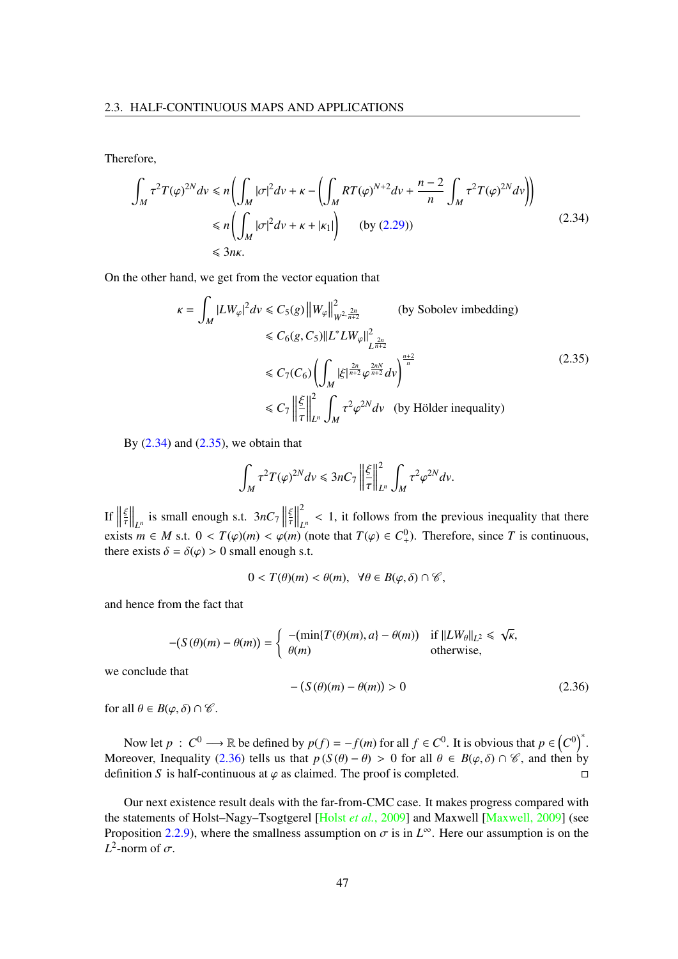Therefore,

<span id="page-46-0"></span>
$$
\int_{M} \tau^{2} T(\varphi)^{2N} d\nu \leq n \left( \int_{M} |\sigma|^{2} d\nu + \kappa - \left( \int_{M} RT(\varphi)^{N+2} d\nu + \frac{n-2}{n} \int_{M} \tau^{2} T(\varphi)^{2N} d\nu \right) \right)
$$
\n
$$
\leq n \left( \int_{M} |\sigma|^{2} d\nu + \kappa + |\kappa_{1}| \right) \qquad \text{(by (2.29))}
$$
\n
$$
\leq 3n\kappa. \tag{2.34}
$$

On the other hand, we get from the vector equation that

<span id="page-46-1"></span>
$$
\kappa = \int_M |L W_\varphi|^2 dv \le C_5(g) \|W_\varphi\|_{W^{2, \frac{2n}{n+2}}}^2 \qquad \text{(by Sobolev imbedding)}
$$
  
\n
$$
\le C_6(g, C_5) \|L^* L W_\varphi\|_{L^{\frac{2n}{n+2}}}^2
$$
  
\n
$$
\le C_7(C_6) \left(\int_M |\xi|^{\frac{2n}{n+2}} \varphi^{\frac{2nN}{n+2}} dv\right)^{\frac{n+2}{n}}
$$
  
\n
$$
\le C_7 \left\|\frac{\xi}{\tau}\right\|_{L^n}^2 \int_M \tau^2 \varphi^{2N} dv \quad \text{(by Hölder inequality)}
$$
\n(2.35)

By  $(2.34)$  and  $(2.35)$ , we obtain that

$$
\int_M \tau^2 T(\varphi)^{2N} dv \leq 3nC_7 \left\| \frac{\xi}{\tau} \right\|_{L^n}^2 \int_M \tau^2 \varphi^{2N} dv.
$$

If  $\left\| \frac{\xi}{\tau} \right\|_{L^n}$  is small enough s.t.  $3nC_7 \left\| \frac{\xi}{\tau} \right\|$ exists  $m \in M$  s.t.  $0 < T(\varphi)(m) < \varphi(m)$  (note that  $T(\varphi) \in C^0_+$ ). Therefore, since *T* is continuous, there exists  $\delta = \delta(\varphi) > 0$  small enough s t 2  $L_{\mu}^n$  < 1, it follows from the previous inequality that there there exists  $\delta = \delta(\varphi) > 0$  small enough s.t.

 $0 < T(\theta)(m) < \theta(m), \ \ \forall \theta \in B(\varphi, \delta) \cap \mathscr{C},$ 

and hence from the fact that

$$
-(S(\theta)(m) - \theta(m)) = \begin{cases} -(min\{T(\theta)(m), a\} - \theta(m)) & \text{if } ||LW_{\theta}||_{L^{2}} \le \sqrt{\kappa}, \\ \theta(m) & \text{otherwise}, \end{cases}
$$

we conclude that

<span id="page-46-2"></span>
$$
-(S(\theta)(m) - \theta(m)) > 0 \tag{2.36}
$$

for all  $\theta \in B(\varphi, \delta) \cap \mathscr{C}$ .

Now let  $p : C^0 \longrightarrow \mathbb{R}$  be defined by  $p(f) = -f(m)$  for all  $f \in C^0$ . It is obvious that  $p \in (C^0)^*$ . Moreover, Inequality [\(2.36\)](#page-46-2) tells us that  $p(S(\theta) - \theta) > 0$  for all  $\theta \in B(\varphi, \delta) \cap \mathcal{C}$ , and then by definition *S* is half-continuous at  $\varphi$  as claimed. The proof is completed. definition *S* is half-continuous at  $\varphi$  as claimed. The proof is completed.

<span id="page-46-3"></span>Our next existence result deals with the far-from-CMC case. It makes progress compared with the statements of Holst–Nagy–Tsogtgerel [Holst *et al.*[, 2009\]](#page-102-0) and Maxwell [\[Maxwell, 2009\]](#page-103-0) (see Proposition [2.2.9\)](#page-39-1), where the smallness assumption on  $\sigma$  is in  $L^{\infty}$ . Here our assumption is on the  $L^2$ -norm of  $\sigma$  $L^2$ -norm of  $\sigma$ .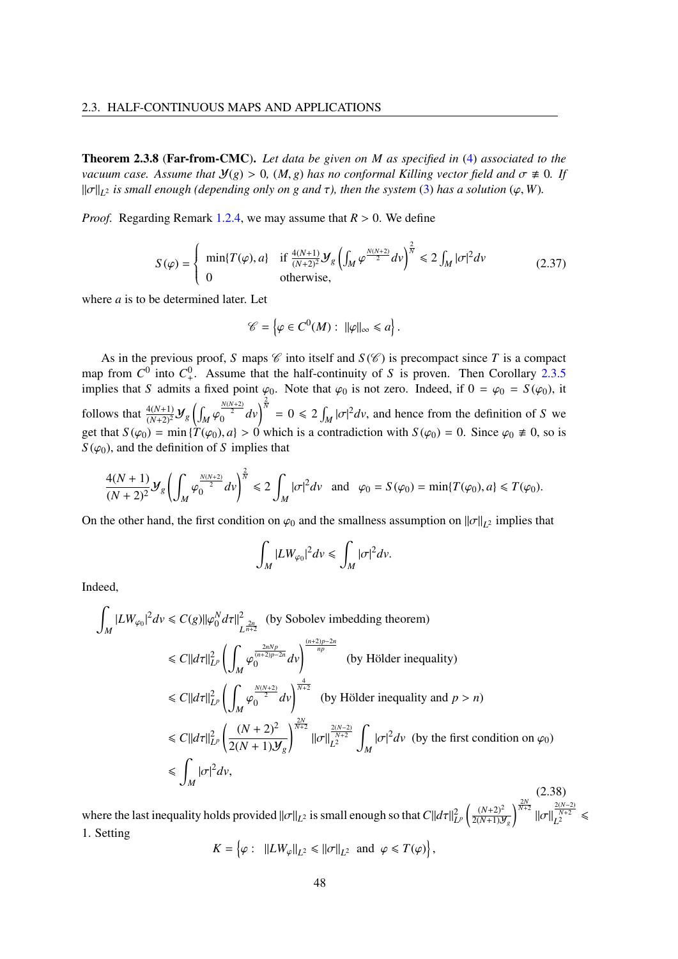Theorem 2.3.8 (Far-from-CMC). *Let data be given on M as specified in* [\(4\)](#page-12-0) *associated to the vacuum case. Assume that*  $\mathcal{Y}(g) > 0$ ,  $(M, g)$  *has no conformal Killing vector field and*  $\sigma \neq 0$ . If  $||\sigma||_{L^2}$  *is small enough (depending only on g and*  $\tau$ ), *then the system* [\(3\)](#page-11-0) *has a solution* ( $\varphi$ , *W*).

*Proof.* Regarding Remark [1.2.4,](#page-24-1) we may assume that  $R > 0$ . We define

$$
S(\varphi) = \begin{cases} \min\{T(\varphi), a\} & \text{if } \frac{4(N+1)}{(N+2)^2} \mathcal{Y}_g \left(\int_M \varphi^{\frac{N(N+2)}{2}} d\nu\right)^{\frac{2}{N}} \le 2 \int_M |\sigma|^2 d\nu\\ 0 & \text{otherwise,} \end{cases} \tag{2.37}
$$

where *a* is to be determined later. Let

$$
\mathscr{C} = \left\{ \varphi \in C^0(M) : \ \|\varphi\|_{\infty} \leq a \right\}.
$$

As in the previous proof, *S* maps  $\mathscr C$  into itself and  $S(\mathscr C)$  is precompact since *T* is a compact map from  $C^0$  into  $C^0_+$ . Assume that the half-continuity of *S* is proven. Then Corollary [2.3.5](#page-40-1) implies that *S* admits a fixed point  $\varphi_0$ . Note that  $\varphi_0$  is not zero. Indeed, if  $0 = \varphi_0 = S(\varphi_0)$ , it follows that  $\frac{4(N+1)}{(N+2)^2}$   $\mathcal{Y}_g$   $\left(\int_M \varphi\right)$  $\int_0^{\frac{N(N+2)}{2}} dv$   $\int_0^{\frac{2}{N}} = 0 \le 2 \int_M |\sigma|^2 dv$ , and hence from the definition of *S* we get that  $S(\varphi_0) = \min{\{T(\varphi_0), a\}} > 0$  which is a contradiction with  $S(\varphi_0) = 0$ . Since  $\varphi_0 \neq 0$ , so is  $S(\varphi_0)$ , and the definition of *S* implies that

$$
\frac{4(N+1)}{(N+2)^2} \mathcal{Y}_{g} \left( \int_M \varphi_0^{\frac{N(N+2)}{2}} d\nu \right)^{\frac{2}{N}} \leq 2 \int_M |\sigma|^2 d\nu \text{ and } \varphi_0 = S(\varphi_0) = \min\{T(\varphi_0), a\} \leq T(\varphi_0).
$$

On the other hand, the first condition on  $\varphi_0$  and the smallness assumption on  $||\sigma||_{L^2}$  implies that

$$
\int_M |L W_{\varphi_0}|^2 dv \le \int_M |\sigma|^2 dv.
$$

Indeed,

<span id="page-47-0"></span>
$$
\int_{M} |L W_{\varphi_0}|^2 dv \leq C(g) ||\varphi_0^N d\tau||_{L^{\frac{2n}{n+2}}}^2 \text{ (by Sobolev imbedding theorem)}
$$
\n
$$
\leq C ||d\tau||_{L^p}^2 \left( \int_M \varphi_0^{\frac{2nNp}{(n+2)p-2n}} dv \right)^{\frac{(n+2)p-2n}{np}} \text{ (by Hölder inequality)}
$$
\n
$$
\leq C ||d\tau||_{L^p}^2 \left( \int_M \varphi_0^{\frac{N(N+2)}{2}} dv \right)^{\frac{4}{N+2}} \text{ (by Hölder inequality and } p > n)
$$
\n
$$
\leq C ||d\tau||_{L^p}^2 \left( \frac{(N+2)^2}{2(N+1) y_g} \right)^{\frac{2N}{N+2}} ||\sigma||_{L^2}^{\frac{2(N-2)}{N+2}} \int_M |\sigma|^2 dv \text{ (by the first condition on } \varphi_0)
$$
\n
$$
\leq \int_M |\sigma|^2 dv, \qquad (2.38)
$$

where the last inequality holds provided  $||\sigma||_{L^2}$  is small enough so that  $C||d\tau||_{L^p}^2\left(\frac{(N+2)^2}{2(N+1)3}\right)$  $\overline{2(N+1)\mathcal{Y}_g}$  $\int_{N+2}^{\frac{2N}{N+2}} ||\sigma||_{L^2}^{\frac{2(N-2)}{N+2}} \leq$ 1. Setting

$$
K = \left\{ \varphi : \quad \|L W_{\varphi}\|_{L^2} \leq \| \sigma \|_{L^2} \text{ and } \varphi \leq T(\varphi) \right\},
$$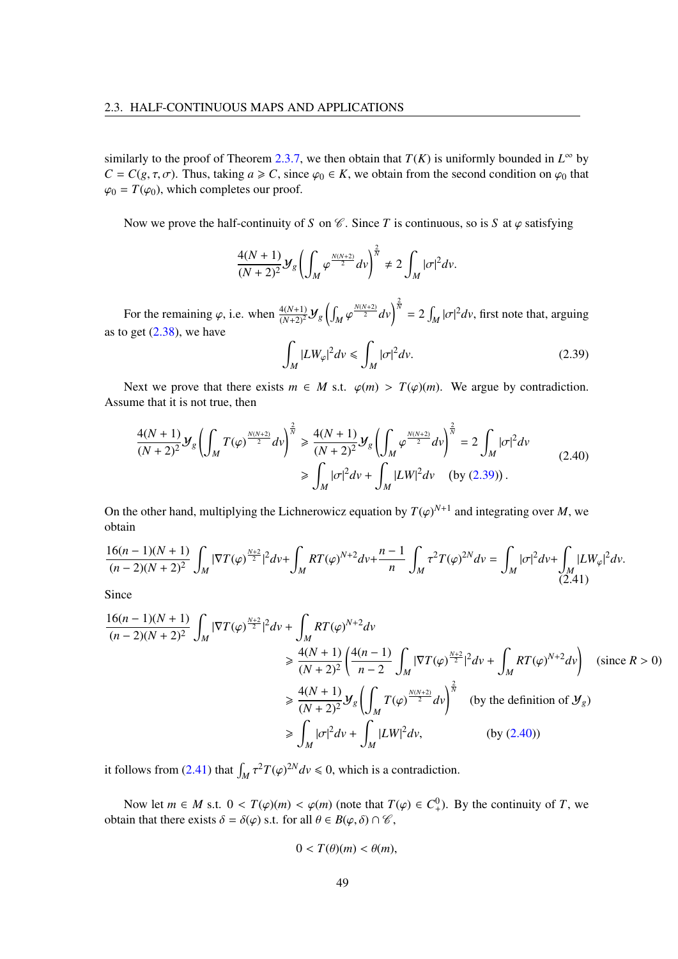similarly to the proof of Theorem [2.3.7,](#page-44-2) we then obtain that  $T(K)$  is uniformly bounded in  $L^{\infty}$  by  $C = C(g, \tau, \sigma)$ . Thus, taking  $a \geq C$ , since  $\varphi_0 \in K$ , we obtain from the second condition on  $\varphi_0$  that  $\varphi_0 = T(\varphi_0)$ , which completes our proof.

Now we prove the half-continuity of *S* on  $\mathcal C$ . Since *T* is continuous, so is *S* at  $\varphi$  satisfying

$$
\frac{4(N+1)}{(N+2)^2} \mathcal{Y}_{g} \left( \int_M \varphi^{\frac{N(N+2)}{2}} dv \right)^{\frac{2}{N}} \neq 2 \int_M |\sigma|^2 dv.
$$

For the remaining  $\varphi$ , i.e. when  $\frac{4(N+1)}{(N+2)^2}$   $\mathcal{Y}_g\left(\int_M \varphi\right)$  $\int_{0}^{\frac{N(N+2)}{2}} dv \bigg)^{\frac{2}{N}} = 2 \int_{M} |\sigma|^2 dv$ , first note that, arguing as to get  $(2.38)$ , we have

<span id="page-48-0"></span>
$$
\int_{M} |L W_{\varphi}|^{2} dv \le \int_{M} |\sigma|^{2} dv.
$$
\n(2.39)

Next we prove that there exists  $m \in M$  s.t.  $\varphi(m) > T(\varphi)(m)$ . We argue by contradiction. Assume that it is not true, then

<span id="page-48-1"></span>
$$
\frac{4(N+1)}{(N+2)^2} \mathcal{Y}_{g} \left( \int_{M} T(\varphi) \frac{N(N+2)}{2} d\nu \right)^{\frac{2}{N}} \geq \frac{4(N+1)}{(N+2)^2} \mathcal{Y}_{g} \left( \int_{M} \varphi \frac{N(N+2)}{2} d\nu \right)^{\frac{2}{N}} = 2 \int_{M} |\sigma|^{2} d\nu
$$
\n
$$
\geq \int_{M} |\sigma|^{2} d\nu + \int_{M} |LW|^{2} d\nu \quad \text{(by (2.39))}.
$$
\n(2.40)

On the other hand, multiplying the Lichnerowicz equation by  $T(\varphi)^{N+1}$  and integrating over *M*, we obtain obtain

<span id="page-48-2"></span>
$$
\frac{16(n-1)(N+1)}{(n-2)(N+2)^2} \int_M |\nabla T(\varphi)^{\frac{N+2}{2}}|^2 d\boldsymbol{v} + \int_M RT(\varphi)^{N+2} d\boldsymbol{v} + \frac{n-1}{n} \int_M \tau^2 T(\varphi)^{2N} d\boldsymbol{v} = \int_M |\sigma|^2 d\boldsymbol{v} + \int_M |LW_\varphi|^2 d\boldsymbol{v}.
$$
\n(2.41)

Since

$$
\frac{16(n-1)(N+1)}{(n-2)(N+2)^2} \int_M |\nabla T(\varphi)^{\frac{N+2}{2}}|^2 dv + \int_M RT(\varphi)^{N+2} dv
$$
  
\n
$$
\geq \frac{4(N+1)}{(N+2)^2} \left(\frac{4(n-1)}{n-2} \int_M |\nabla T(\varphi)^{\frac{N+2}{2}}|^2 dv + \int_M RT(\varphi)^{N+2} dv\right) \text{ (since } R > 0)
$$
  
\n
$$
\geq \frac{4(N+1)}{(N+2)^2} \mathcal{Y}_g \left(\int_M T(\varphi)^{\frac{N(N+2)}{2}} dv\right)^{\frac{2}{N}} \text{ (by the definition of } \mathcal{Y}_g)
$$
  
\n
$$
\geq \int_M |\sigma|^2 dv + \int_M |LW|^2 dv, \qquad \text{ (by (2.40))}
$$

it follows from [\(2.41\)](#page-48-2) that  $\int_M \tau^2 T(\varphi)^{2N} d\nu \leq 0$ , which is a contradiction.

Now let *m* ∈ *M* s.t.  $0 < T(\varphi)(m) < \varphi(m)$  (note that  $T(\varphi) \in C^0_+$ ). By the continuity of *T*, we win that there exists  $\delta = \delta(\varphi)$  s t, for all  $\theta \in B(\varphi, \delta) \cap \mathscr{C}$ obtain that there exists  $\delta = \delta(\varphi)$  s.t. for all  $\theta \in B(\varphi, \delta) \cap \mathcal{C}$ ,

$$
0
$$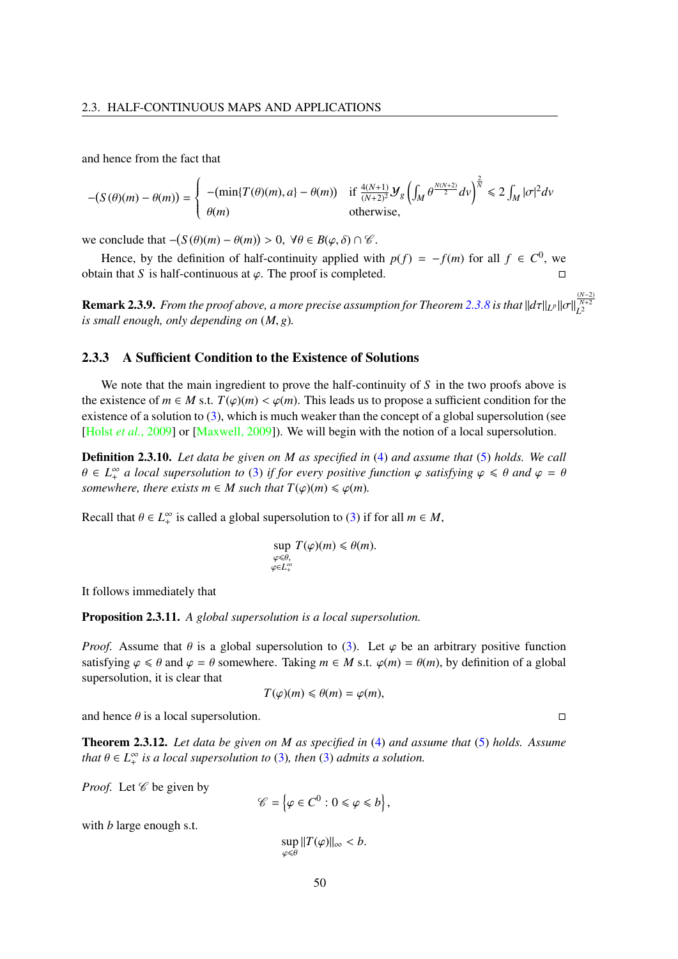and hence from the fact that

$$
-(S(\theta)(m) - \theta(m)) = \begin{cases} -(\min\{T(\theta)(m), a\} - \theta(m)) & \text{if } \frac{4(N+1)}{(N+2)^2} \mathcal{Y}_g \left(\int_M \theta^{\frac{N(N+2)}{2}} dv\right)^{\frac{2}{N}} \le 2 \int_M |\sigma|^2 dv \\ \theta(m) & \text{otherwise,} \end{cases}
$$

we conclude that  $-(S(\theta)(m) - \theta(m)) > 0$ ,  $\forall \theta \in B(\varphi, \delta) \cap \mathcal{C}$ .

Hence, by the definition of half-continuity applied with  $p(f) = -f(m)$  for all  $f \in C^0$ , we obtain that *S* is half-continuous at  $\varphi$ . The proof is completed.

<span id="page-49-1"></span>**Remark 2.3.9.** *From the proof above, a more precise assumption for Theorem [2.3.8](#page-46-3) is that*  $||d\tau||_{L^p}||\sigma||_{L^2}^{\frac{(N-2)}{N+2}}$ <br>*is small enough, only depending on* (*M, a*) *is small enough, only depending on* (*M*, *<sup>g</sup>*)*.*

#### 2.3.3 A Sufficient Condition to the Existence of Solutions

We note that the main ingredient to prove the half-continuity of *S* in the two proofs above is the existence of  $m \in M$  s.t.  $T(\varphi)(m) < \varphi(m)$ . This leads us to propose a sufficient condition for the existence of a solution to [\(3\)](#page-11-0), which is much weaker than the concept of a global supersolution (see [Holst *et al.*[, 2009\]](#page-102-0) or [\[Maxwell, 2009\]](#page-103-0)). We will begin with the notion of a local supersolution.

Definition 2.3.10. *Let data be given on M as specified in* [\(4\)](#page-12-0) *and assume that* [\(5\)](#page-12-1) *holds. We call*  $\theta \in L_+^{\infty}$  *a local supersolution to* [\(3\)](#page-11-0) *if for every positive function*  $\varphi$  *satisfying*  $\varphi \le \theta$  *and*  $\varphi = \theta$  *somewhere, there exists*  $m \in M$  *such that*  $T(\varphi)(m) \le \varphi(m)$ *somewhere, there exists*  $m \in M$  *such that*  $T(\varphi)(m) \leq \varphi(m)$ *.* 

Recall that  $\theta \in L_+^{\infty}$  is called a global supersolution to [\(3\)](#page-11-0) if for all  $m \in M$ ,

$$
\sup_{\substack{\varphi \leq \theta, \\ \varphi \in L_+^{\infty}}} T(\varphi)(m) \leq \theta(m).
$$

It follows immediately that

Proposition 2.3.11. *A global supersolution is a local supersolution.*

*Proof.* Assume that  $\theta$  is a global supersolution to [\(3\)](#page-11-0). Let  $\varphi$  be an arbitrary positive function satisfying  $\varphi \le \theta$  and  $\varphi = \theta$  somewhere. Taking  $m \in M$  s.t.  $\varphi(m) = \theta(m)$ , by definition of a global supersolution, it is clear that

$$
T(\varphi)(m) \leq \theta(m) = \varphi(m),
$$

and hence  $\theta$  is a local supersolution.

<span id="page-49-0"></span>Theorem 2.3.12. *Let data be given on M as specified in* [\(4\)](#page-12-0) *and assume that* [\(5\)](#page-12-1) *holds. Assume that*  $\theta \in L_+^{\infty}$  *is a local supersolution to* [\(3\)](#page-11-0)*, then* (3) *admits a solution.* 

*Proof.* Let  $\mathscr C$  be given by

$$
\mathscr{C} = \left\{ \varphi \in C^0 : 0 \leq \varphi \leq b \right\},\
$$

with *b* large enough s.t.

$$
\sup_{\varphi \leq \theta} ||T(\varphi)||_{\infty} < b.
$$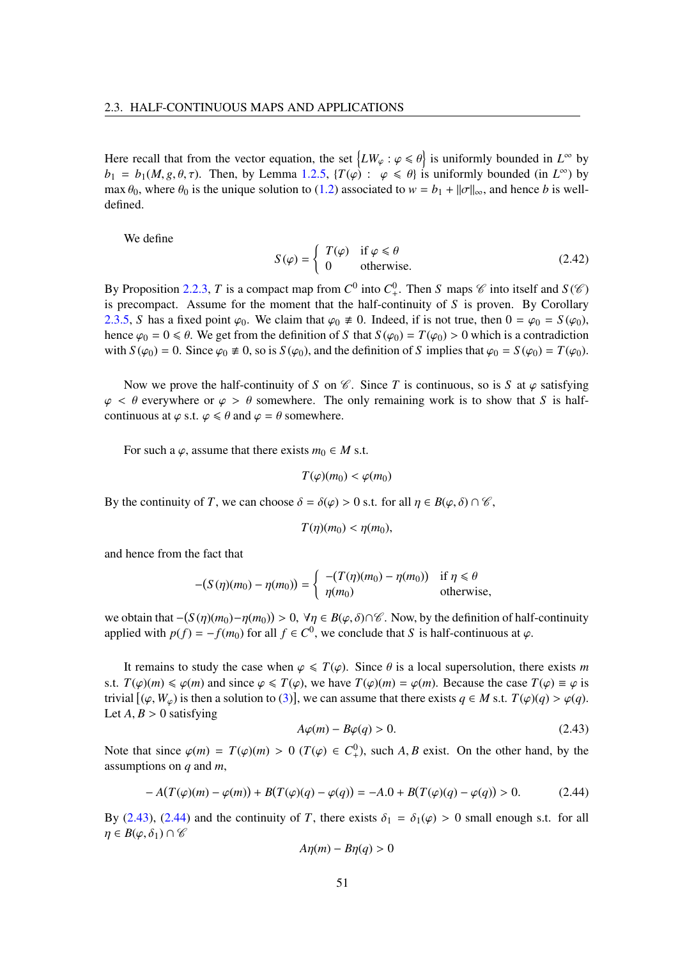Here recall that from the vector equation, the set  $\{LW_\varphi : \varphi \leq \theta\}$  is uniformly bounded in  $L^\infty$  by  $h_1 = h_1(M, \theta, \theta, \tau)$ . Then, by Lemma 1.2.5,  $\{T(\varphi) : \varphi \leq \theta\}$  is uniformly bounded (in  $L^\infty$ ) by  $b_1 = b_1(M, g, \theta, \tau)$ . Then, by Lemma [1.2.5,](#page-24-0)  $\{T(\varphi) : \varphi \leq \theta\}$  is uniformly bounded (in  $L^{\infty}$ ) by may  $\theta_0$ , where  $\theta_0$  is the unique solution to (1.2) associated to  $w = b_1 + ||\sigma||$ , and hence h is well. max  $\theta_0$ , where  $\theta_0$  is the unique solution to [\(1.2\)](#page-20-0) associated to  $w = b_1 + ||\sigma||_{\infty}$ , and hence *b* is welldefined.

We define

$$
S(\varphi) = \begin{cases} T(\varphi) & \text{if } \varphi \le \theta \\ 0 & \text{otherwise.} \end{cases}
$$
 (2.42)

By Proposition [2.2.3,](#page-32-1) *T* is a compact map from  $C^0$  into  $C^0_+$ . Then *S* maps  $\mathscr C$  into itself and  $S(\mathscr C)$ is precompact. Assume for the moment that the half-continuity of *S* is proven. By Corollary [2.3.5,](#page-40-1) *S* has a fixed point  $\varphi_0$ . We claim that  $\varphi_0 \neq 0$ . Indeed, if is not true, then  $0 = \varphi_0 = S(\varphi_0)$ , hence  $\varphi_0 = 0 \le \theta$ . We get from the definition of *S* that  $S(\varphi_0) = T(\varphi_0) > 0$  which is a contradiction with  $S(\varphi_0) = 0$ . Since  $\varphi_0 \neq 0$ , so is  $S(\varphi_0)$ , and the definition of *S* implies that  $\varphi_0 = S(\varphi_0) = T(\varphi_0)$ .

Now we prove the half-continuity of *S* on  $\mathscr C$ . Since *T* is continuous, so is *S* at  $\varphi$  satisfying  $\varphi < \theta$  everywhere or  $\varphi > \theta$  somewhere. The only remaining work is to show that *S* is halfcontinuous at  $\varphi$  s.t.  $\varphi \le \theta$  and  $\varphi = \theta$  somewhere.

For such a  $\varphi$ , assume that there exists  $m_0 \in M$  s.t.

$$
T(\varphi)(m_0) < \varphi(m_0)
$$

By the continuity of *T*, we can choose  $\delta = \delta(\varphi) > 0$  s.t. for all  $\eta \in B(\varphi, \delta) \cap \mathscr{C}$ ,

$$
T(\eta)(m_0) < \eta(m_0),
$$

and hence from the fact that

$$
-(S(\eta)(m_0) - \eta(m_0)) = \begin{cases} -(T(\eta)(m_0) - \eta(m_0)) & \text{if } \eta \le \theta \\ \eta(m_0) & \text{otherwise,} \end{cases}
$$

we obtain that  $-(S(\eta)(m_0)-\eta(m_0)) > 0$ ,  $\forall \eta \in B(\varphi, \delta) \cap \mathscr{C}$ . Now, by the definition of half-continuity<br>applied with  $p(f) = -f(m_0)$  for all  $f \in C^0$  we conclude that S is half-continuous at  $\varphi$ . applied with  $p(f) = -f(m_0)$  for all  $f \in C^0$ , we conclude that *S* is half-continuous at  $\varphi$ .

It remains to study the case when  $\varphi \leq T(\varphi)$ . Since  $\theta$  is a local supersolution, there exists *m* s.t.  $T(\varphi)(m) \le \varphi(m)$  and since  $\varphi \le T(\varphi)$ , we have  $T(\varphi)(m) = \varphi(m)$ . Because the case  $T(\varphi) \equiv \varphi$  is trivial  $[(\varphi, W_{\varphi})$  is then a solution to [\(3\)](#page-11-0)], we can assume that there exists  $q \in M$  s.t.  $T(\varphi)(q) > \varphi(q)$ .<br>Let  $A, B > 0$  satisfying Let  $A, B > 0$  satisfying

<span id="page-50-0"></span>
$$
A\varphi(m) - B\varphi(q) > 0. \tag{2.43}
$$

Note that since  $\varphi(m) = T(\varphi)(m) > 0$  ( $T(\varphi) \in C^0_+$ ), such *A*, *B* exist. On the other hand, by the assumptions on *a* and *m* assumptions on *q* and *m*,

<span id="page-50-1"></span>
$$
-A(T(\varphi)(m) - \varphi(m)) + B(T(\varphi)(q) - \varphi(q)) = -A \cdot 0 + B(T(\varphi)(q) - \varphi(q)) > 0. \tag{2.44}
$$

By [\(2.43\)](#page-50-0), [\(2.44\)](#page-50-1) and the continuity of *T*, there exists  $\delta_1 = \delta_1(\varphi) > 0$  small enough s.t. for all  $\eta \in B(\varphi, \delta_1) \cap \mathscr{C}$ 

$$
A\eta(m) - B\eta(q) > 0
$$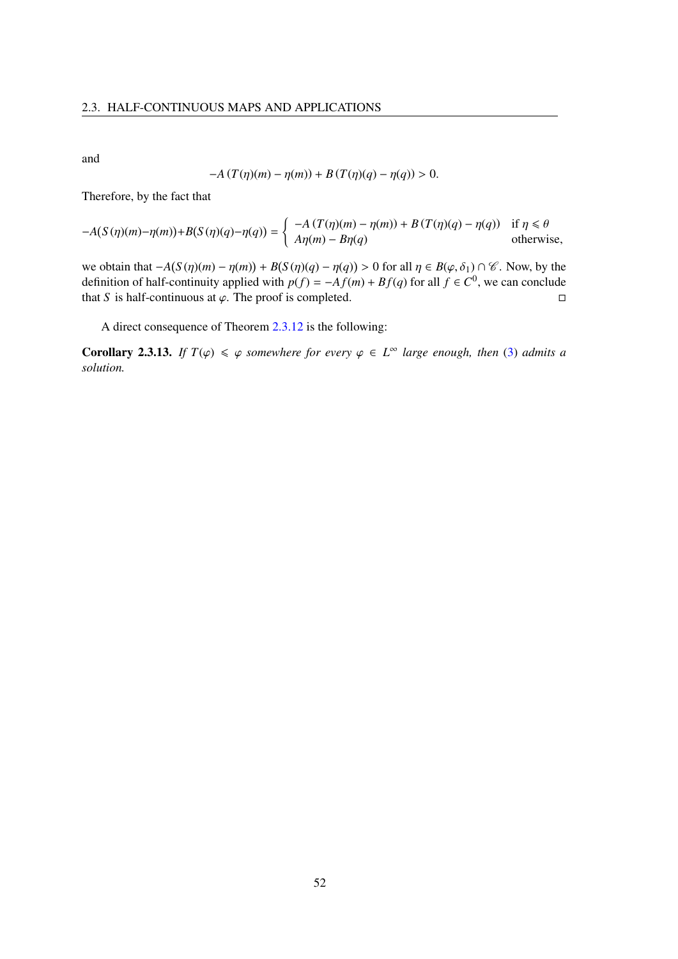and

$$
-A(T(\eta)(m) - \eta(m)) + B(T(\eta)(q) - \eta(q)) > 0.
$$

Therefore, by the fact that

$$
-A(S(\eta)(m) - \eta(m)) + B(S(\eta)(q) - \eta(q)) = \begin{cases} -A(T(\eta)(m) - \eta(m)) + B(T(\eta)(q) - \eta(q)) & \text{if } \eta \le \theta \\ A\eta(m) - B\eta(q) & \text{otherwise,} \end{cases}
$$

we obtain that  $-A(S(\eta)(m) - \eta(m)) + B(S(\eta)(q) - \eta(q)) > 0$  for all  $\eta \in B(\varphi, \delta_1) \cap \mathcal{C}$ . Now, by the definition of half-continuity annied with  $p(f) = -A f(m) + B f(a)$  for all  $f \in C^0$ , we can conclude definition of half-continuity applied with  $p(f) = −Af(m) + Bf(q)$  for all  $f \in C^0$ , we can conclude that *S* is half-continuous at  $\varphi$ . The proof is completed.  $\square$ 

A direct consequence of Theorem [2.3.12](#page-49-0) is the following:

**Corollary 2.3.13.** *If*  $T(\varphi) \leq \varphi$  *somewhere for every*  $\varphi \in L^{\infty}$  *large enough, then* [\(3\)](#page-11-0) *admits a solution solution.*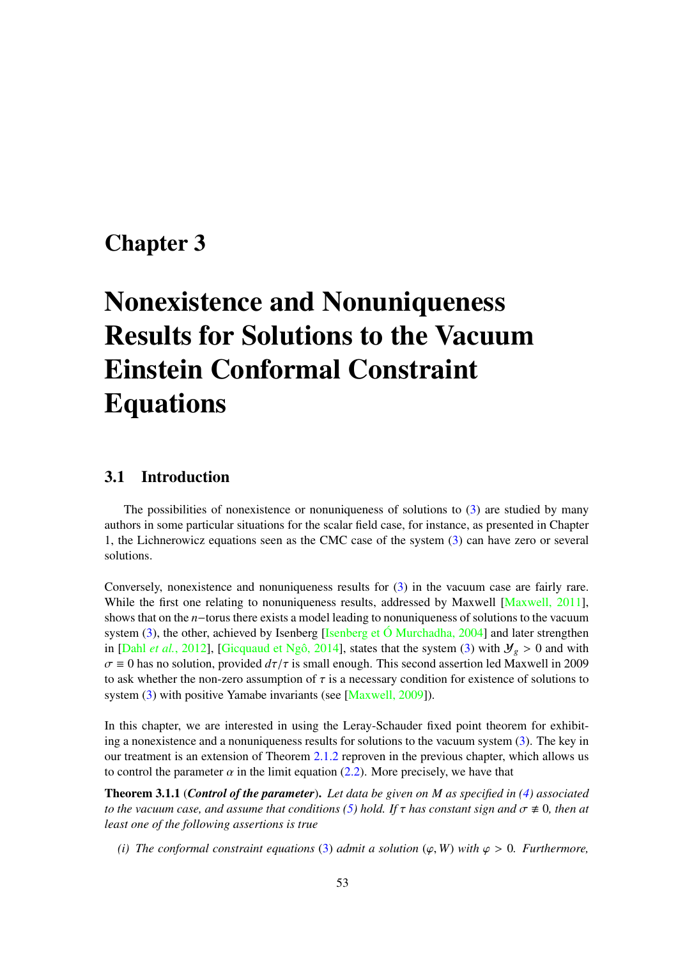# Chapter 3

# Nonexistence and Nonuniqueness Results for Solutions to the Vacuum Einstein Conformal Constraint Equations

# 3.1 Introduction

The possibilities of nonexistence or nonuniqueness of solutions to [\(3\)](#page-11-0) are studied by many authors in some particular situations for the scalar field case, for instance, as presented in Chapter 1, the Lichnerowicz equations seen as the CMC case of the system [\(3\)](#page-11-0) can have zero or several solutions.

Conversely, nonexistence and nonuniqueness results for [\(3\)](#page-11-0) in the vacuum case are fairly rare. While the first one relating to nonuniqueness results, addressed by Maxwell [\[Maxwell, 2011\]](#page-103-3), shows that on the *n*−torus there exists a model leading to nonuniqueness of solutions to the vacuum system  $(3)$ , the other, achieved by Isenberg [\[Isenberg et Ó Murchadha, 2004\]](#page-102-1) and later strengthen in [Dahl *et al.*[, 2012\]](#page-101-0), [\[Gicquaud et Ngô, 2014\]](#page-101-1), states that the system [\(3\)](#page-11-0) with  $\mathcal{Y}_g > 0$  and with  $\sigma \equiv 0$  has no solution, provided  $d\tau/\tau$  is small enough. This second assertion led Maxwell in 2009 to ask whether the non-zero assumption of  $\tau$  is a necessary condition for existence of solutions to system [\(3\)](#page-11-0) with positive Yamabe invariants (see [\[Maxwell, 2009\]](#page-103-0)).

In this chapter, we are interested in using the Leray-Schauder fixed point theorem for exhibiting a nonexistence and a nonuniqueness results for solutions to the vacuum system [\(3\)](#page-11-0). The key in our treatment is an extension of Theorem [2.1.2](#page-30-1) reproven in the previous chapter, which allows us to control the parameter  $\alpha$  in the limit equation [\(2.2\)](#page-30-0). More precisely, we have that

<span id="page-52-0"></span>Theorem 3.1.1 (*Control of the parameter*). *Let data be given on M as specified in [\(4\)](#page-12-0) associated to the vacuum case, and assume that conditions [\(5\)](#page-12-1) hold. If*  $\tau$  *has constant sign and*  $\sigma \neq 0$ *, then at least one of the following assertions is true*

*(i) The conformal constraint equations* [\(3\)](#page-11-0) *admit a solution* ( $\varphi$ , *W*) *with*  $\varphi > 0$ *. Furthermore,*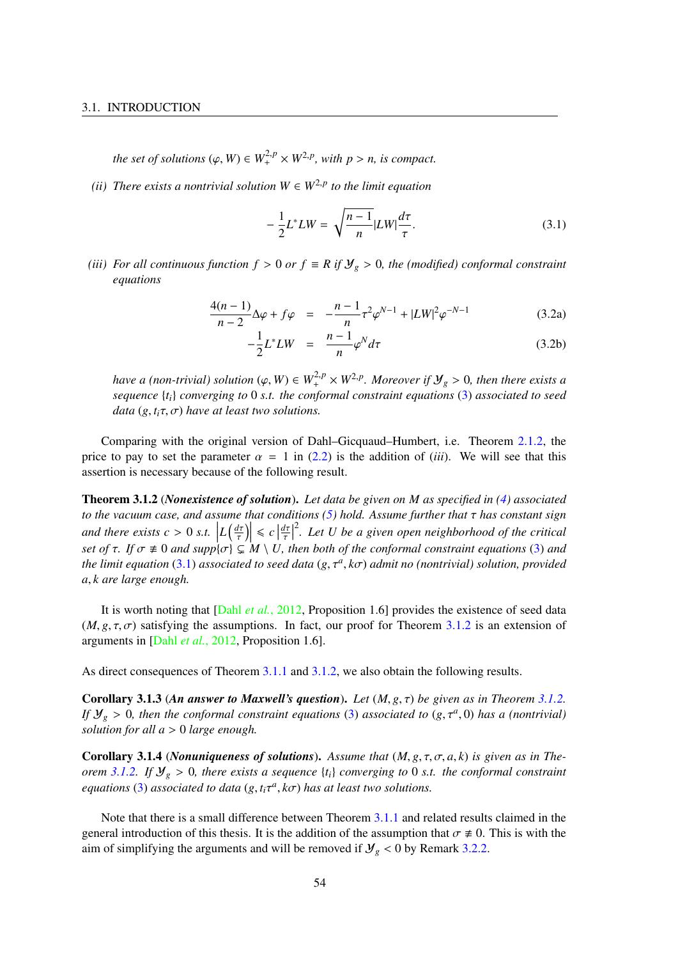#### 3.1. INTRODUCTION

*the set of solutions*  $(\varphi, W) \in W_+^{2,p} \times W_-^{2,p}$ , with  $p > n$ , is compact.

*(ii) There exists a nontrivial solution*  $W \in W^{2,p}$  to the limit equation

<span id="page-53-0"></span>
$$
-\frac{1}{2}L^*LW = \sqrt{\frac{n-1}{n}}|LW|\frac{d\tau}{\tau}.
$$
\n(3.1)

*(iii) For all continuous function*  $f > 0$  *or*  $f \equiv R$  *if*  $\mathcal{Y}_g > 0$ *, the (modified) conformal constraint equations*

<span id="page-53-2"></span>
$$
\frac{4(n-1)}{n-2}\Delta\varphi + f\varphi = -\frac{n-1}{n}\tau^2\varphi^{N-1} + |LW|^2\varphi^{-N-1}
$$
 (3.2a)

$$
-\frac{1}{2}L^*LW = \frac{n-1}{n}\varphi^N d\tau \tag{3.2b}
$$

*have a (non-trivial) solution*  $(\varphi, W) \in W_+^{2,p} \times W_-^{2,p}$ *. Moreover if*  $\mathcal{Y}_g > 0$ *, then there exists a* sequence *lt.l* converging to 0 st, the conformal constraint equations (3) associated to seed *sequence* {*ti*} *converging to* 0 *s.t. the conformal constraint equations* [\(3\)](#page-11-0) *associated to seed data*  $(g, t_i \tau, \sigma)$  *have at least two solutions.* 

Comparing with the original version of Dahl–Gicquaud–Humbert, i.e. Theorem [2.1.2,](#page-30-1) the price to pay to set the parameter  $\alpha = 1$  in [\(2.2\)](#page-30-0) is the addition of *(iii)*. We will see that this assertion is necessary because of the following result.

<span id="page-53-1"></span>Theorem 3.1.2 (*Nonexistence of solution*). *Let data be given on M as specified in [\(4\)](#page-12-0) associated to the vacuum case, and assume that conditions [\(5\)](#page-12-1) hold. Assume further that* τ *has constant sign and there exists*  $c > 0$  *s.t.*  $\left| L\left(\frac{d\tau}{\tau}\right) \right| \leq c \left| \frac{d\tau}{\tau} \right|$ set of  $\tau$ . If  $\sigma \neq 0$  and supp{ $\sigma$ }  $\subseteq M \setminus U$ , then both of the conformal constraint equations [\(3\)](#page-11-0) and<br>the limit equation (3.1) associated to seed data (a. $\tau^a$ , kg) admit no (nontrivial) solution, provided 2 *. Let U be a given open neighborhood of the critical the limit equation* [\(3.1\)](#page-53-0) *associated to seed data* (*g*, τ<sup>*a*</sup>, *kσ*) *admit no (nontrivial) solution, provided*<br>*a* k are large enough *<sup>a</sup>*, *<sup>k</sup> are large enough.*

It is worth noting that [Dahl *et al.*[, 2012,](#page-101-0) Proposition 1.6] provides the existence of seed data  $(M, g, \tau, \sigma)$  satisfying the assumptions. In fact, our proof for Theorem [3.1.2](#page-53-1) is an extension of arguments in [Dahl *et al.*[, 2012,](#page-101-0) Proposition 1.6].

As direct consequences of Theorem [3.1.1](#page-52-0) and [3.1.2,](#page-53-1) we also obtain the following results.

Corollary 3.1.3 (*An answer to Maxwell's question*). *Let* (*M*, *<sup>g</sup>*, τ) *be given as in Theorem [3.1.2.](#page-53-1) If*  $\mathcal{Y}_g > 0$ , then the conformal constraint equations [\(3\)](#page-11-0) associated to  $(g, \tau^a, 0)$  has a (nontrivial)<br>solution for all  $a > 0$  large enough *solution for all <sup>a</sup>* > <sup>0</sup> *large enough.*

Corollary 3.1.4 (*Nonuniqueness of solutions*). *Assume that* (*M*, *<sup>g</sup>*, τ, σ, *<sup>a</sup>*, *<sup>k</sup>*) *is given as in Theorem* [3.1.2.](#page-53-1) If  $\mathcal{Y}_g > 0$ , there exists a sequence  $\{t_i\}$  *converging to* 0 *s.t. the conformal constraint equations* [\(3\)](#page-11-0) *associated to data*  $(g, t_i \tau^a, k\sigma)$  *has at least two solutions.* 

Note that there is a small difference between Theorem [3.1.1](#page-52-0) and related results claimed in the general introduction of this thesis. It is the addition of the assumption that  $\sigma \neq 0$ . This is with the aim of simplifying the arguments and will be removed if  $\mathcal{Y}_g < 0$  by Remark [3.2.2.](#page-58-0)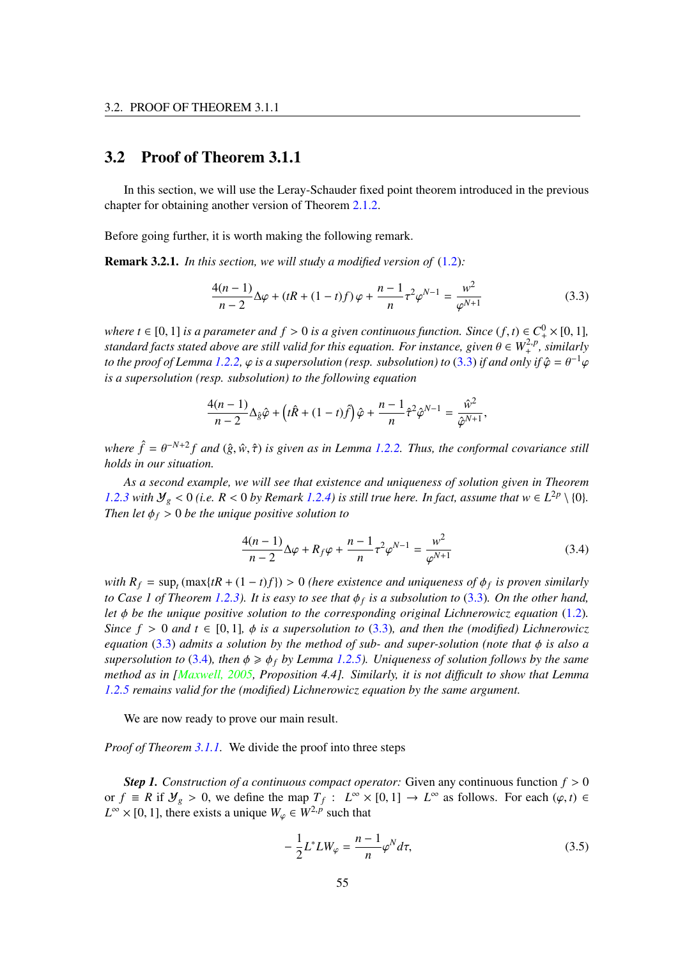# 3.2 Proof of Theorem 3.1.1

In this section, we will use the Leray-Schauder fixed point theorem introduced in the previous chapter for obtaining another version of Theorem [2.1.2.](#page-30-1)

<span id="page-54-2"></span>Before going further, it is worth making the following remark.

Remark 3.2.1. *In this section, we will study a modified version of* [\(1.2\)](#page-20-0)*:*

<span id="page-54-0"></span>
$$
\frac{4(n-1)}{n-2}\Delta\varphi + (tR + (1-t)f)\varphi + \frac{n-1}{n}\tau^2\varphi^{N-1} = \frac{w^2}{\varphi^{N+1}}
$$
(3.3)

*where*  $t \in [0, 1]$  *is a parameter and*  $f > 0$  *is a given continuous function. Since*  $(f, t) \in C^0_+ \times [0, 1]$ *, standard facts stated above are still valid for this equation. For instance, given*  $\theta \in W^{2,p}$  *similarly standard facts stated above are still valid for this equation. For instance, given*  $\theta \in W^{2,p}_+$ *, similarly*<br>*to the proof of Lemma 1.2.2, so is a supersolution (resp. subsolution) to (3.3) if and only if \hat{\alpha} = \theta^{-1} \hat{\alpha to the proof of Lemma [1.2.2,](#page-21-0)*  $\varphi$  *is a supersolution (resp. subsolution) to* [\(3.3\)](#page-54-0) *if and only if*  $\hat{\varphi} = \theta^{-1}$ <br>*is a supersolution (resp. subsolution) to the following equation*  $\overline{a}$ *is a supersolution (resp. subsolution) to the following equation*

$$
\frac{4(n-1)}{n-2}\Delta_{\hat{g}}\hat{\varphi}+\left(t\hat{R}+(1-t)\hat{f}\right)\hat{\varphi}+\frac{n-1}{n}\hat{\tau}^2\hat{\varphi}^{N-1}=\frac{\hat{w}^2}{\hat{\varphi}^{N+1}},
$$

*where*  $\hat{f} = \theta^{-N+2} f$  and  $(\hat{g}, \hat{w}, \hat{\tau})$  is given as in Lemma [1.2.2.](#page-21-0) Thus, the conformal covariance still holds in our situation *holds in our situation.*

*As a second example, we will see that existence and uniqueness of solution given in Theorem [1.2.3](#page-21-1)* with  $\mathcal{Y}_g < 0$  (i.e.  $R < 0$  by Remark *[1.2.4\)](#page-24-1)* is still true here. In fact, assume that  $w \in L^{2p} \setminus \{0\}$ .<br>Then let  $\phi_s > 0$  be the unique positive solution to *Then let*  $\phi_f > 0$  *be the unique positive solution to* 

<span id="page-54-1"></span>
$$
\frac{4(n-1)}{n-2}\Delta\varphi + R_f\varphi + \frac{n-1}{n}\tau^2\varphi^{N-1} = \frac{w^2}{\varphi^{N+1}}
$$
(3.4)

*with*  $R_f = \sup_t \left( \max\{tR + (1-t)f\} \right) > 0$  *(here existence and uniqueness of*  $\phi_f$  *is proven similarly*<br>*to Case 1 of Theorem 1.2.3) It is easy to see that*  $\phi_f$  *is a subsolution to* (3.3). On the other hand *to Case 1 of Theorem [1.2.3\)](#page-21-1). It is easy to see that*  $\phi_f$  *is a subsolution to* [\(3.3\)](#page-54-0). On the other hand,<br>let  $\phi$  be the unique positive solution to the corresponding original Lichnerovicz equation (1.2). *let*  $\phi$  *be the unique positive solution to the corresponding original Lichnerowicz equation* [\(1.2\)](#page-20-0)*. Since*  $f > 0$  *and*  $t \in [0, 1]$ *,*  $\phi$  *is a supersolution to* [\(3.3\)](#page-54-0)*, and then the (modified) Lichnerowicz equation* [\(3.3\)](#page-54-0) *admits a solution by the method of sub- and super-solution (note that* φ *is also a supersolution to* [\(3.4\)](#page-54-1)*, then*  $\phi \geq \phi_f$  *by Lemma [1.2.5\)](#page-24-0). Uniqueness of solution follows by the same method as in [\[Maxwell, 2005,](#page-102-2) Proposition 4.4]. Similarly, it is not difficult to show that Lemma [1.2.5](#page-24-0) remains valid for the (modified) Lichnerowicz equation by the same argument.*

We are now ready to prove our main result.

*Proof of Theorem [3.1.1.](#page-52-0)* We divide the proof into three steps

*Step 1. Construction of a continuous compact operator:* Given any continuous function *<sup>f</sup>* > <sup>0</sup> or *f*  $\equiv$  *R* if  $\mathcal{Y}_g > 0$ , we define the map  $T_f : L^{\infty} \times [0, 1] \rightarrow L^{\infty}$  as follows. For each  $(\varphi, t) \in L^{\infty} \times [0, 1]$  there exists a unique  $W \in W^{2, p}$  such that  $L^{\infty}$  × [0, 1], there exists a unique  $W_{\varphi} \in W^{2,p}$  such that

<span id="page-54-3"></span>
$$
-\frac{1}{2}L^*LW_\varphi = \frac{n-1}{n}\varphi^N d\tau,\tag{3.5}
$$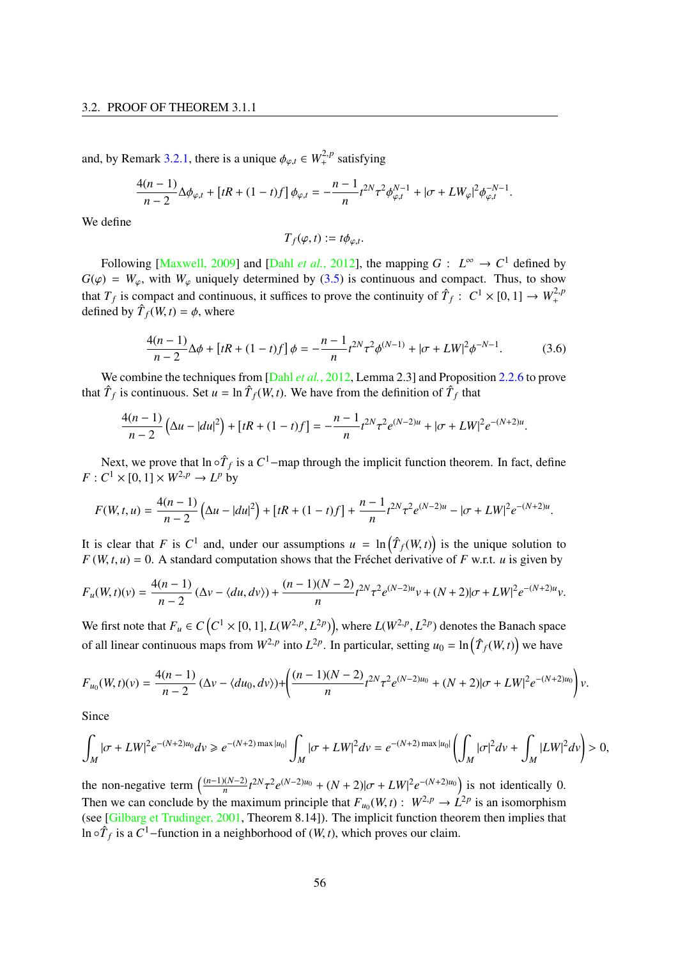and, by Remark [3.2.1,](#page-54-2) there is a unique  $\phi_{\varphi,t} \in W^{2,p}_+$  satisfying

$$
\frac{4(n-1)}{n-2}\Delta\phi_{\varphi,t} + \left[tR + (1-t)f\right]\phi_{\varphi,t} = -\frac{n-1}{n}t^{2N}\tau^2\phi_{\varphi,t}^{N-1} + |\sigma + LW_{\varphi}|^2\phi_{\varphi,t}^{-N-1}.
$$

We define

$$
T_f(\varphi,t):=t\phi_{\varphi,t}.
$$

Following [\[Maxwell, 2009\]](#page-103-0) and [Dahl *et al.*[, 2012\]](#page-101-0), the mapping  $G: L^{\infty} \to C^{1}$  defined by  $G(\varphi) = W_{\varphi}$ , with  $W_{\varphi}$  uniquely determined by [\(3.5\)](#page-54-3) is continuous and compact. Thus, to show that  $T_f$  is compact and continuous, it suffices to prove the continuity of  $\hat{T}_f: C^1 \times [0,1] \to W^{2,p}_+$ <br>defined by  $\hat{T}_f(W_t) = \phi$ , where defined by  $\hat{T}_f(W, t) = \phi$ , where

$$
\frac{4(n-1)}{n-2}\Delta\phi + \left[tR + (1-t)f\right]\phi = -\frac{n-1}{n}t^{2N}\tau^2\phi^{(N-1)} + |\sigma + LW|^2\phi^{-N-1}.\tag{3.6}
$$

We combine the techniques from [Dahl *et al.*[, 2012,](#page-101-0) Lemma 2.3] and Proposition [2.2.6](#page-37-2) to prove that  $\hat{T}_f$  is continuous. Set  $u = \ln \hat{T}_f(W, t)$ . We have from the definition of  $\hat{T}_f$  that

$$
\frac{4(n-1)}{n-2}\left(\Delta u-|du|^2\right)+\left[tR+(1-t)f\right]=-\frac{n-1}{n}t^{2N}\tau^2e^{(N-2)u}+|\sigma+LW|^2e^{-(N+2)u}.
$$

Next, we prove that  $\ln \circ \hat{T}_f$  is a  $C^1$ -map through the implicit function theorem. In fact, define  $F: C^1 \times [0, 1] \times W^{2,p} \to L^p$  by

$$
F(W, t, u) = \frac{4(n-1)}{n-2} \left( \Delta u - |du|^2 \right) + \left[ tR + (1-t)f \right] + \frac{n-1}{n} t^{2N} \tau^2 e^{(N-2)u} - |\sigma + LW|^2 e^{-(N+2)u}
$$

It is clear that *F* is  $C^1$  and, under our assumptions  $u = \ln(\hat{T}_f(W, t))$  is the unique solution to  $F(W, t, u) = 0$ . A standard computation shows that the Fréchet derivative of *F* w.r.t. *u* is given by  $F(W, t, u) = 0$ . A standard computation shows that the Fréchet derivative of *F* w.r.t. *u* is given by

$$
F_u(W,t)(v) = \frac{4(n-1)}{n-2} \left(\Delta v - \langle du, dv \rangle\right) + \frac{(n-1)(N-2)}{n} t^{2N} \tau^2 e^{(N-2)u} v + (N+2) |\sigma + LW|^2 e^{-(N+2)u} v.
$$

We first note that  $F_u \in C\left(C^1 \times [0, 1], L(W^{2,p}, L^{2p})\right)$ , where  $L(W^{2,p}, L^{2p})$  denotes the Banach space of all linear continuous maps from  $W^{2,p}$  into  $L^{2p}$ . In particular, setting  $u_0 = \ln(\hat{T}_f(W, t))$  we have

$$
F_{u_0}(W,t)(v) = \frac{4(n-1)}{n-2}(\Delta v - \langle du_0, dv \rangle) + \left(\frac{(n-1)(N-2)}{n}t^{2N}\tau^2e^{(N-2)u_0} + (N+2)|\sigma + LW|^2e^{-(N+2)u_0}\right)v.
$$

Since

$$
\int_M |\sigma + LW|^2 e^{-(N+2)u_0} dv \ge e^{-(N+2)\max|u_0|} \int_M |\sigma + LW|^2 dv = e^{-(N+2)\max|u_0|} \left( \int_M |\sigma|^2 dv + \int_M |LW|^2 dv \right) > 0,
$$

the non-negative term  $\left(\frac{(n-1)(N-2)}{n}\right)$  $\frac{N(N-2)}{n}t^{2N}\tau^2e^{(N-2)u_0} + (N+2)|\sigma + LW|^2e^{-(N+2)u_0}$  is not identically 0. Then we can conclude by the maximum principle that  $F_{u_0}(W,t)$ :  $W^{2,p} \to L^{2p}$  is an isomorphism (see [Gilbarg et Trudings: 2001, Theorem 8.141). The implicit function theorem then implies that (see [\[Gilbarg et Trudinger, 2001,](#page-101-2) Theorem 8.14]). The implicit function theorem then implies that ln ∘ $\hat{T}_f$  is a *C*<sup>1</sup> − function in a neighborhood of (*W*, *t*), which proves our claim.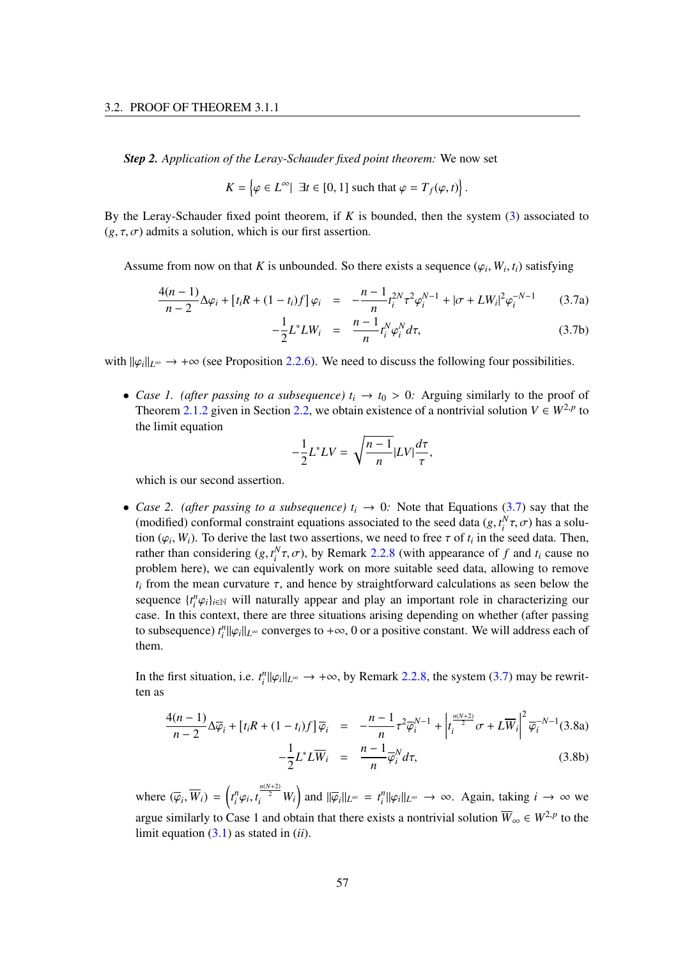*Step 2. Application of the Leray-Schauder fixed point theorem:* We now set

$$
K = \left\{ \varphi \in L^{\infty} \middle| \exists t \in [0, 1] \text{ such that } \varphi = T_f(\varphi, t) \right\}.
$$

By the Leray-Schauder fixed point theorem, if *K* is bounded, then the system [\(3\)](#page-11-0) associated to  $(g, \tau, \sigma)$  admits a solution, which is our first assertion.

Assume from now on that *K* is unbounded. So there exists a sequence  $(\varphi_i, W_i, t_i)$  satisfying

$$
\frac{4(n-1)}{n-2}\Delta\varphi_i + [t_i R + (1-t_i)f]\varphi_i = -\frac{n-1}{n}t_i^{2N}\tau^2\varphi_i^{N-1} + |\sigma + L W_i|^2\varphi_i^{-N-1}
$$
(3.7a)

<span id="page-56-0"></span>
$$
-\frac{1}{2}L^*LW_i = \frac{n-1}{n}t_i^N \varphi_i^N d\tau, \qquad (3.7b)
$$

with  $\|\varphi_i\|_{L^\infty} \to +\infty$  (see Proposition [2.2.6\)](#page-37-2). We need to discuss the following four possibilities.

• *Case 1. (after passing to a subsequence)*  $t_i \rightarrow t_0 > 0$ : Arguing similarly to the proof of Theorem [2.1.2](#page-30-1) given in Section [2.2,](#page-31-1) we obtain existence of a nontrivial solution  $V \in W^{2,p}$  to the limit equation

$$
-\frac{1}{2}L^*LV = \sqrt{\frac{n-1}{n}}|LV|\frac{d\tau}{\tau},
$$

which is our second assertion.

• *Case 2. (after passing to a subsequence)*  $t_i \rightarrow 0$ : Note that Equations [\(3.7\)](#page-56-0) say that the (modified) conformal constraint equations associated to the seed data  $(g, t_i^N \tau, \sigma)$  has a solution  $(g, W_i)$ . To derive the last two assertions, we need to free  $\tau$  of t, in the seed data. Then tion ( $\varphi_i$ ,  $W_i$ ). To derive the last two assertions, we need to free  $\tau$  of  $t_i$  in the seed data. Then, rather than considering ( $\alpha t^N \tau$ ,  $\tau$ ) by Remark 2.2.8 (with appearance of f and t, cause no rather than considering  $(g, t_i^N \tau, \sigma)$ , by Remark [2.2.8](#page-39-0) (with appearance of *f* and  $t_i$  cause no<br>problem here), we can equivalently work on more suitable seed data allowing to remove problem here), we can equivalently work on more suitable seed data, allowing to remove  $t_i$  from the mean curvature  $\tau$ , and hence by straightforward calculations as seen below the sequence  $\{t_i^n \varphi_i\}_{i \in \mathbb{N}}$  will naturally appear and play an important role in characterizing our case. In this context, there are three situations arising depending on whether (after passing case. In this context, there are three situations arising depending on whether (after passing to subsequence)  $t_i^n ||\varphi_i||_{L^\infty}$  converges to  $+\infty$ , 0 or a positive constant. We will address each of them.

In the first situation, i.e.  $t_i^n ||\varphi_i||_{L^\infty} \to +\infty$ , by Remark [2.2.8,](#page-39-0) the system [\(3.7\)](#page-56-0) may be rewritten as

<span id="page-56-2"></span><span id="page-56-1"></span>
$$
\frac{4(n-1)}{n-2}\Delta\overline{\varphi}_i + \left[t_iR + (1-t_i)f\right]\overline{\varphi}_i = -\frac{n-1}{n}\tau^2\overline{\varphi}_i^{N-1} + \left|t_i^{\frac{n(N+2)}{2}}\sigma + L\overline{W}_i\right|^2\overline{\varphi}_i^{-N-1}(3.8a) -\frac{1}{2}L^*L\overline{W}_i = \frac{n-1}{n}\overline{\varphi}_i^N d\tau,
$$
\n(3.8b)

where  $(\overline{\varphi}_i, \overline{W}_i) = \left(t_i^n \varphi_i, t_i^{\frac{n(N+2)}{2}} W_i\right)$  and  $\|\overline{\varphi}_i\|_{L^\infty} = t_i^n \|\varphi_i\|_{L^\infty} \to \infty$ . Again, taking  $i \to \infty$  we argue similarly to Case 1 and obtain that there exists a nontrivial solution  $\overline{W}_{\infty} \in W^{2,p}$  to the limit equation [\(3.1\)](#page-53-0) as stated in (*ii*).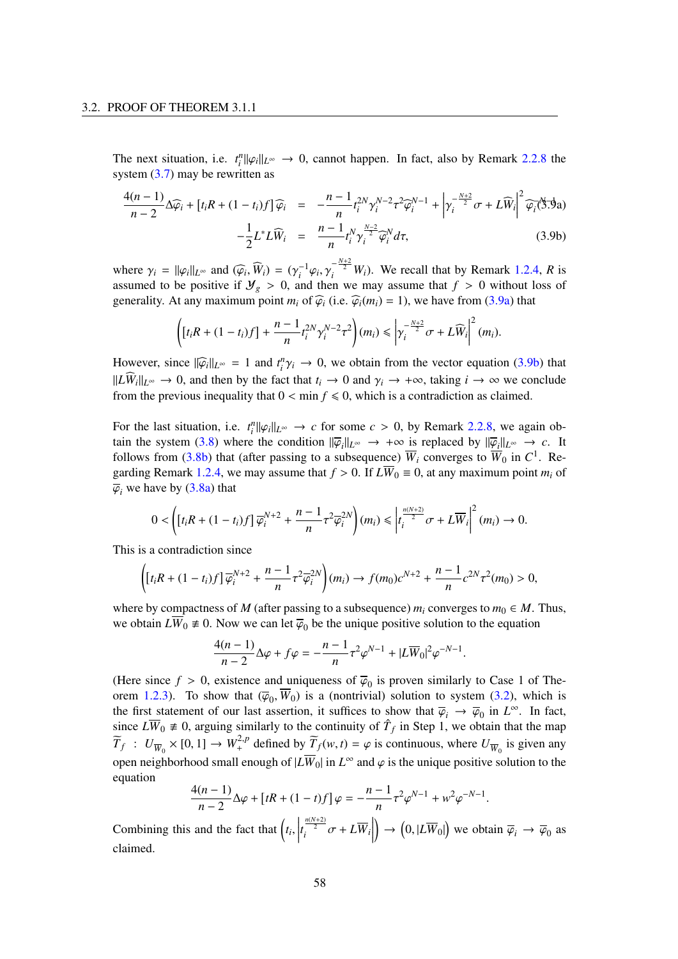The next situation, i.e.  $t_i^n ||\varphi_i||_{L^\infty} \to 0$ , cannot happen. In fact, also by Remark [2.2.8](#page-39-0) the system (3.7) may be rewritten as system  $(3.7)$  may be rewritten as

<span id="page-57-0"></span>
$$
\frac{4(n-1)}{n-2}\Delta\widehat{\varphi}_i + \left[t_iR + (1-t_i)f\right]\widehat{\varphi}_i = -\frac{n-1}{n}t_i^{2N}\gamma_i^{N-2}\tau^2\widehat{\varphi}_i^{N-1} + \left|\gamma_i^{-\frac{N+2}{2}}\sigma + L\widehat{W}_i\right|^2\widehat{\varphi}_i(\mathbf{3.9a}) - \frac{1}{2}L^*L\widehat{W}_i = \frac{n-1}{n}t_i^N\gamma_i^{\frac{N-2}{2}}\widehat{\varphi}_i^N d\tau,
$$
\n(3.9b)

where  $\gamma_i = ||\varphi_i||_{L^\infty}$  and  $(\widehat{\varphi}_i, \widehat{W}_i) = (\gamma_i^{-1} \varphi_i)$ <br>assumed to be positive if  $M > 0$  and the assumed to be positive if  $\mathcal{Y}_g > 0$ , and then we may assume that  $f > 0$  without loss of  $\int_{i}^{-\frac{N+2}{2}} W_i$ ). We recall that by Remark [1.2.4,](#page-24-1) *R* is generality. At any maximum point  $m_i$  of  $\widehat{\varphi}_i$  (i.e.  $\widehat{\varphi}_i(m_i) = 1$ ), we have from [\(3.9a\)](#page-57-0) that

$$
\left(\left[t_iR+(1-t_i)f\right]+\frac{n-1}{n}t_i^{2N}\gamma_i^{N-2}\tau^2\right)(m_i)\leq \left|\gamma_i^{-\frac{N+2}{2}}\sigma+L\widehat{W}_i\right|^2(m_i).
$$

However, since  $\|\widehat{\varphi_i}\|_{L^\infty} = 1$  and  $t_i^n \gamma_i \to 0$ , we obtain from the vector equation [\(3.9b\)](#page-57-0) that  $\widehat{\mathbf{w}}$  is a second that  $\widehat{\mathbf{w}}$  is a second that  $\widehat{\mathbf{w}}$  is a second that  $\widehat{\mathbf{w}}$  is a second that  $\wide$  $||LW_i||_{L^{\infty}} \to 0$ , and then by the fact that  $t_i \to 0$  and  $\gamma_i \to +\infty$ , taking  $i \to \infty$  we conclude from the previous inequality that  $0 < \min f \le 0$ , which is a contradiction as claimed.

For the last situation, i.e.  $t_i^n ||\varphi_i||_{L^\infty} \to c$  for some  $c > 0$ , by Remark [2.2.8,](#page-39-0) we again obtain the system (3.8) where the condition  $||\overline{\phi}||_{L^\infty} \to +\infty$  is replaced by  $||\overline{\phi}||_{L^\infty} \to c$ . It tain the system [\(3.8\)](#page-56-1) where the condition  $\|\overline{\varphi_i}\|_{L^{\infty}} \to +\infty$  is replaced by  $\|\overline{\varphi_i}\|_{L^{\infty}} \to c$ . It follows from (3.8b) that (after passing to a subsequence)  $\overline{W}_c$  converges to  $\overline{W}_c$  in  $C^1$ . Be-follows from [\(3.8b\)](#page-56-2) that (after passing to a subsequence)  $\overline{W}_i$  converges to  $\overline{W}_0$  in  $C^1$ . Re-garding Remark [1.2.4,](#page-24-1) we may assume that  $f > 0$ . If  $L\overline{W}_0 \equiv 0$ , at any maximum point  $m_i$  of  $\overline{\varphi}_i$  we have by [\(3.8a\)](#page-56-2) that

$$
0<\left([t_iR+(1-t_i)f]\overline{\varphi}_i^{N+2}+\frac{n-1}{n}\tau^2\overline{\varphi}_i^{2N}\right)(m_i)\leq \left|t_i^{\frac{n(N+2)}{2}}\sigma+L\overline{W}_i\right|^2(m_i)\to 0.
$$

This is a contradiction since

$$
\left( \left[ t_i R + (1 - t_i) f \right] \overline{\varphi}_i^{N+2} + \frac{n-1}{n} \tau^2 \overline{\varphi}_i^{2N} \right) (m_i) \to f(m_0) c^{N+2} + \frac{n-1}{n} c^{2N} \tau^2 (m_0) > 0,
$$

where by compactness of *M* (after passing to a subsequence)  $m_i$  converges to  $m_0 \in M$ . Thus, we obtain  $L\overline{W}_0 \neq 0$ . Now we can let  $\overline{\varphi}_0$  be the unique positive solution to the equation

$$
\frac{4(n-1)}{n-2}\Delta\varphi + f\varphi = -\frac{n-1}{n}\tau^2\varphi^{N-1} + |L\overline{W}_0|^2\varphi^{-N-1}
$$

(Here since  $f > 0$ , existence and uniqueness of  $\overline{\varphi}_0$  is proven similarly to Case 1 of The-<br>organ 1.2.3). To show that  $(\overline{\varphi}_0, \overline{W}_0)$  is a (pontrivial) solution to system (3.2), which is orem [1.2.3\)](#page-21-1). To show that  $(\overline{\varphi}_0, W_0)$  is a (nontrivial) solution to system [\(3.2\)](#page-53-2), which is the first statement of our last assertion, it suffices to show that  $\overline{\varphi} \to \overline{\varphi}$  in  $I^{\infty}$ . In fact the first statement of our last assertion, it suffices to show that  $\overline{\varphi}_i \to \overline{\varphi}_0$  in  $L^{\infty}$ . In fact, since  $I\overline{W}_0 \neq 0$  arguing similarly to the continuity of  $\hat{T}_\text{c}$  in Step 1, we obtain that the map since  $L\overline{W}_0 \neq 0$ , arguing similarly to the continuity of  $\hat{T}_f$  in Step 1, we obtain that the map  $\widetilde{T}_f$  :  $U_{\overline{W}_0} \times [0, 1] \to W_+^{2, p}$  defined by  $\widetilde{T}_f(w, t) = \varphi$  is continuous, where  $U_{\overline{W}_0}$  is given any open neighborhood small enough of  $|L\overline{W}_0|$  in  $L^\infty$  and  $\varphi$  is the unique positive solution to the equation equation

$$
\frac{4(n-1)}{n-2}\Delta\varphi + [tR + (1-t)f]\varphi = -\frac{n-1}{n}\tau^2\varphi^{N-1} + w^2\varphi^{-N-1}
$$

Combining this and the fact that  $\left(t_i, t_{i+1}\right)$  $\begin{array}{c} \hline \end{array}$  $t_i^{\frac{n(N+2)}{2}}\sigma + L\overline{W}_i$  $(0, |L\overline{W}_0|)$  we obtain  $\overline{\varphi}_i \to \overline{\varphi}_0$  as claimed.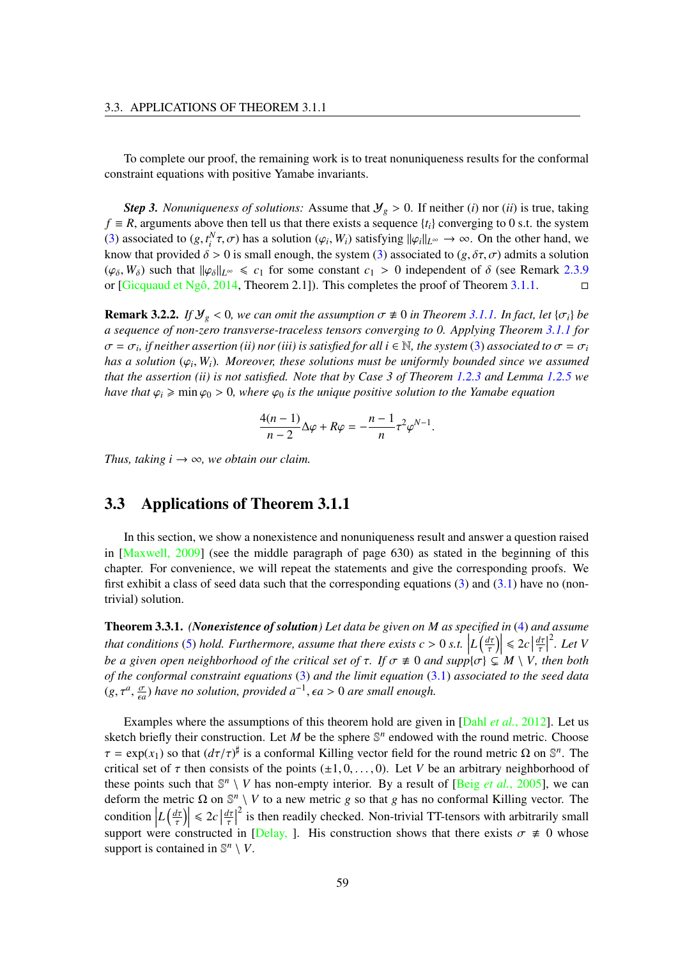To complete our proof, the remaining work is to treat nonuniqueness results for the conformal constraint equations with positive Yamabe invariants.

*Step 3. Nonuniqueness of solutions:* Assume that  $\mathcal{Y}_g > 0$ . If neither (*i*) nor (*ii*) is true, taking  $f \equiv R$ , arguments above then tell us that there exists a sequence  $\{t_i\}$  converging to 0 s.t. the system [\(3\)](#page-11-0) associated to  $(g, t_i^N \tau, \sigma)$  has a solution  $(\varphi_i, W_i)$  satisfying  $||\varphi_i||_{L^\infty} \to \infty$ . On the other hand, we know that provided  $\delta > 0$  is small enough the system (3) associated to  $(g, \delta \tau, \sigma)$  admits a solution know that provided  $\vec{\delta} > 0$  is small enough, the system [\(3\)](#page-11-0) associated to  $(g, \delta\tau, \sigma)$  admits a solution  $(\varphi_{\delta}, W_{\delta})$  such that  $\|\varphi_{\delta}\|_{L^{\infty}} \leq c_1$  for some constant  $c_1 > 0$  independent of  $\delta$  (see Remark [2.3.9](#page-49-1) or [Gicquaud et Ngô, 2014, Theorem 2.11). This completes the proof of Theorem 3.1.1. or [\[Gicquaud et Ngô, 2014,](#page-101-1) Theorem 2.1]). This completes the proof of Theorem [3.1.1.](#page-52-0)

<span id="page-58-0"></span>**Remark 3.2.2.** *If*  $\mathcal{Y}_g$  < 0, we can omit the assumption  $\sigma \neq 0$  in Theorem [3.1.1.](#page-52-0) In fact, let { $\sigma_i$ } be *a sequence of non-zero transverse-traceless tensors converging to 0. Applying Theorem [3.1.1](#page-52-0) for*  $\sigma = \sigma_i$ , if neither assertion (ii) nor (iii) is satisfied for all  $i \in \mathbb{N}$ , the system [\(3\)](#page-11-0) associated to  $\sigma = \sigma_i$ <br>has a solution ( $\alpha$ , W.). Moreover, these solutions must be uniformly bounded since we assumed *has a solution* ( $\varphi_i$ , *W*<sub>*i*</sub>)*. Moreover, these solutions must be uniformly bounded since we assumed*<br>that the assertion (*ii*) is not satisfied. Note that by Case 3 of Theorem 1.2.3 and Lemma 1.2.5 we *that the assertion (ii) is not satisfied. Note that by Case 3 of Theorem [1.2.3](#page-21-1) and Lemma [1.2.5](#page-24-0) we have that*  $\varphi_i \geqslant \min \varphi_0 > 0$ , where  $\varphi_0$  *is the unique positive solution to the Yamabe equation* 

$$
\frac{4(n-1)}{n-2}\Delta\varphi + R\varphi = -\frac{n-1}{n}\tau^2\varphi^{N-1}.
$$

*Thus, taking*  $i \rightarrow \infty$ *, we obtain our claim.* 

## 3.3 Applications of Theorem 3.1.1

In this section, we show a nonexistence and nonuniqueness result and answer a question raised in [\[Maxwell, 2009\]](#page-103-0) (see the middle paragraph of page 630) as stated in the beginning of this chapter. For convenience, we will repeat the statements and give the corresponding proofs. We first exhibit a class of seed data such that the corresponding equations  $(3)$  and  $(3.1)$  have no (nontrivial) solution.

<span id="page-58-1"></span>Theorem 3.3.1. *(Nonexistence of solution) Let data be given on M as specified in* [\(4\)](#page-12-0) *and assume that conditions* [\(5\)](#page-12-1) *hold. Furthermore, assume that there exists*  $c > 0$  *s.t.*  $\left| L\left(\frac{d\tau}{\tau}\right) \right| \leq 2c \left| \frac{d\tau}{\tau} \right|$ *be a given open neighborhood of the critical set of* τ. If  $\sigma \neq 0$  and supp{ $\sigma$ }  $\subsetneq M \setminus V$ , then both of the conformal constraint equations (3) and the limit equation (3.1) associated to the seed data 2 *. Let V of the conformal constraint equations* [\(3\)](#page-11-0) *and the limit equation* [\(3.1\)](#page-53-0) *associated to the seed data*  $(g, \tau^a, \frac{\sigma}{\epsilon a})$  *have no solution, provided*  $a^{-1}$ ,  $\epsilon a > 0$  *are small enough.* 

Examples where the assumptions of this theorem hold are given in [Dahl *et al.*[, 2012\]](#page-101-0). Let us sketch briefly their construction. Let  $M$  be the sphere  $\mathbb{S}^n$  endowed with the round metric. Choose  $\tau = \exp(x_1)$  so that  $(d\tau/\tau)^{\sharp}$  is a conformal Killing vector field for the round metric  $\Omega$  on  $\mathbb{S}^n$ . The critical set of  $\tau$  then consists of the points (+1, 0, 0). Let *V* be an arbitrary neighborhood of critical set of  $\tau$  then consists of the points  $(\pm 1, 0, \ldots, 0)$ . Let *V* be an arbitrary neighborhood of these points such that  $\mathbb{S}^n \setminus V$  has non-empty interior. By a result of [Beig *et al.*[, 2005\]](#page-100-2), we can deform the metric Ω on  $\mathbb{S}^n \setminus V$  to a new metric *g* so that *g* has no conformal Killing vector. The condition  $\left| L\left(\frac{d\tau}{\tau}\right) \right| \leq 2c \left| \frac{d\tau}{\tau} \right|$ support were constructed in [\[Delay,](#page-101-3) ]. His construction shows that there exists  $\sigma \neq 0$  whose<br>support is contained in  $\mathbb{S}^n \setminus V$  $2$  is then readily checked. Non-trivial TT-tensors with arbitrarily small support is contained in  $\mathbb{S}^n \setminus V$ .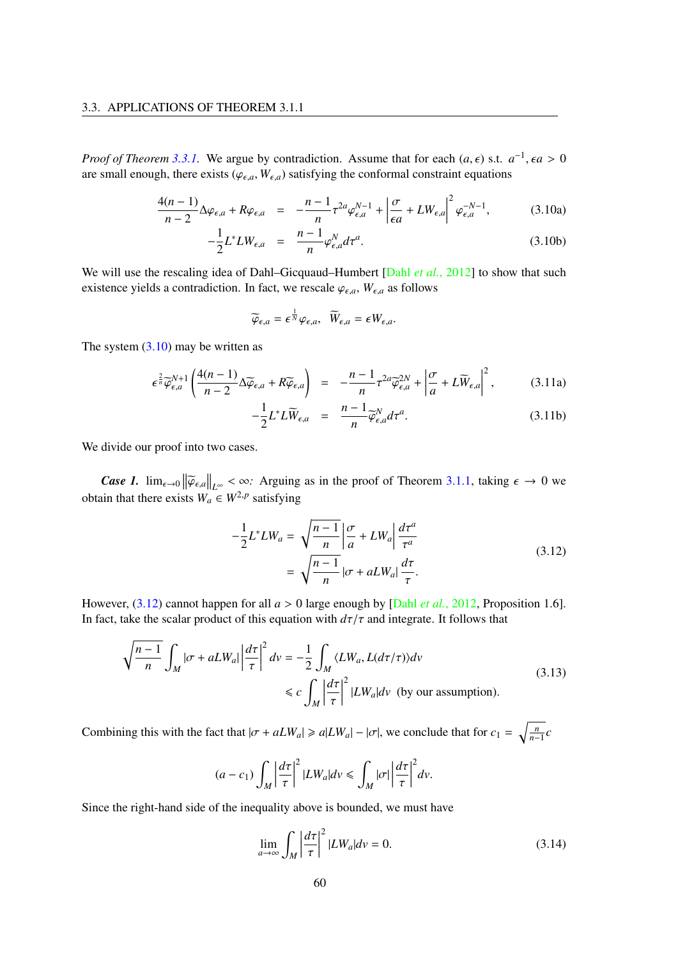*Proof of Theorem [3.3.1.](#page-58-1)* We argue by contradiction. Assume that for each  $(a, \epsilon)$  s.t.  $a^{-1}$ ,  $\epsilon a > 0$ <br>are small enough, there exists  $(a, W)$  satisfying the conformal constraint equations are small enough, there exists ( $\varphi_{\epsilon,a}$ ,  $W_{\epsilon,a}$ ) satisfying the conformal constraint equations

$$
\frac{4(n-1)}{n-2}\Delta\varphi_{\epsilon,a} + R\varphi_{\epsilon,a} = -\frac{n-1}{n}\tau^{2a}\varphi_{\epsilon,a}^{N-1} + \left|\frac{\sigma}{\epsilon a} + LW_{\epsilon,a}\right|^2\varphi_{\epsilon,a}^{-N-1},\tag{3.10a}
$$

$$
-\frac{1}{2}L^*LW_{\epsilon,a} = \frac{n-1}{n}\varphi_{\epsilon,a}^N d\tau^a.
$$
 (3.10b)

We will use the rescaling idea of Dahl–Gicquaud–Humbert [Dahl *et al.*[, 2012\]](#page-101-0) to show that such existence yields a contradiction. In fact, we rescale  $\varphi_{\epsilon,a}$ ,  $W_{\epsilon,a}$  as follows

<span id="page-59-3"></span><span id="page-59-0"></span>
$$
\widetilde{\varphi}_{\epsilon,a}=\epsilon^{\frac{1}{N}}\varphi_{\epsilon,a},\ \ \widetilde{W}_{\epsilon,a}=\epsilon W_{\epsilon,a}.
$$

The system  $(3.10)$  may be written as

$$
\epsilon^{\frac{2}{n}} \widetilde{\varphi}_{\epsilon,a}^{N+1} \left( \frac{4(n-1)}{n-2} \Delta \widetilde{\varphi}_{\epsilon,a} + R \widetilde{\varphi}_{\epsilon,a} \right) = -\frac{n-1}{n} \tau^{2a} \widetilde{\varphi}_{\epsilon,a}^{2N} + \left| \frac{\sigma}{a} + L \widetilde{W}_{\epsilon,a} \right|^2, \tag{3.11a}
$$

$$
-\frac{1}{2}L^*L\widetilde{W}_{\epsilon,a} = \frac{n-1}{n}\widetilde{\varphi}_{\epsilon,a}^N d\tau^a.
$$
 (3.11b)

We divide our proof into two cases.

*Case 1.*  $\lim_{\epsilon \to 0} \left\| \widetilde{\varphi}_{\epsilon,a} \right\|_{L^{\infty}} < \infty$ : Arguing as in the proof of Theorem [3.1.1,](#page-52-0) taking  $\epsilon \to 0$  we obtain that there exists  $W_a \in W^{2,p}$  satisfying

<span id="page-59-1"></span>
$$
-\frac{1}{2}L^*LW_a = \sqrt{\frac{n-1}{n}} \left| \frac{\sigma}{a} + LW_a \right| \frac{d\tau^a}{\tau^a}
$$
  
=  $\sqrt{\frac{n-1}{n}} |\sigma + aLW_a| \frac{d\tau}{\tau}.$  (3.12)

However,  $(3.12)$  cannot happen for all  $a > 0$  large enough by [Dahl *et al.*[, 2012,](#page-101-0) Proposition 1.6]. In fact, take the scalar product of this equation with  $d\tau/\tau$  and integrate. It follows that

<span id="page-59-2"></span>
$$
\sqrt{\frac{n-1}{n}} \int_M |\sigma + aL W_a| \left| \frac{d\tau}{\tau} \right|^2 dv = -\frac{1}{2} \int_M \langle L W_a, L(d\tau/\tau) \rangle dv
$$
\n
$$
\leq c \int_M \left| \frac{d\tau}{\tau} \right|^2 |L W_a| dv \text{ (by our assumption)}.
$$
\n(3.13)

Combining this with the fact that  $|\sigma + aLW_a| \ge a|LW_a| - |\sigma|$ , we conclude that for  $c_1 = \sqrt{\frac{n}{n-1}}c$ 

$$
(a-c_1)\int_M \left|\frac{d\tau}{\tau}\right|^2 |LW_a|dv \leq \int_M |\sigma| \left|\frac{d\tau}{\tau}\right|^2 dv.
$$

Since the right-hand side of the inequality above is bounded, we must have

$$
\lim_{a \to \infty} \int_M \left| \frac{d\tau}{\tau} \right|^2 |LW_a| dv = 0.
$$
\n(3.14)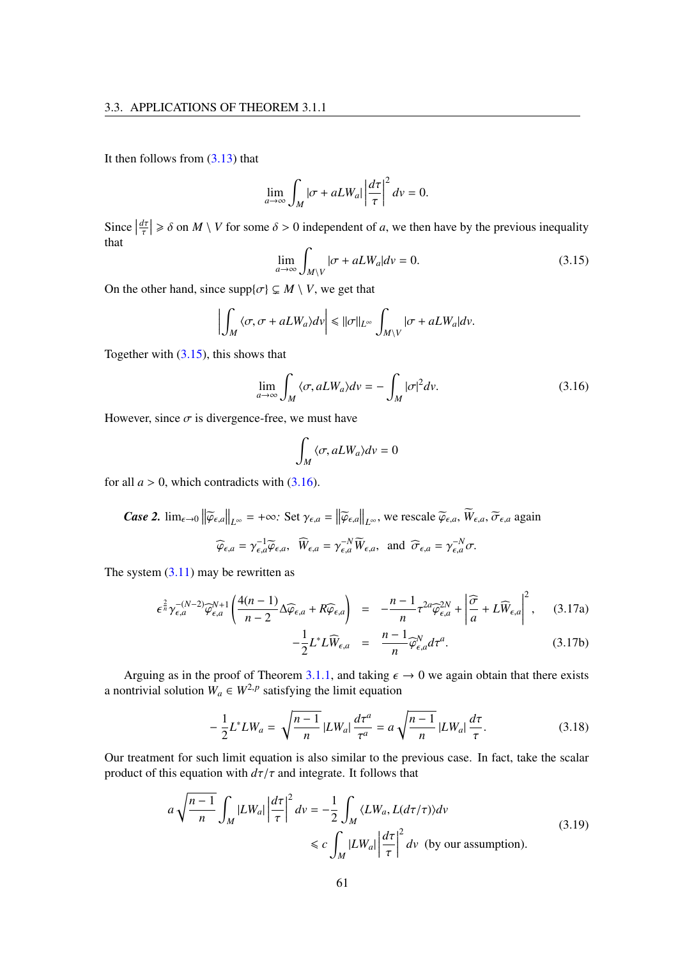It then follows from  $(3.13)$  that

$$
\lim_{a \to \infty} \int_M |\sigma + aL W_a| \left| \frac{d\tau}{\tau} \right|^2 dv = 0.
$$

Since  $\left|\frac{d\tau}{\tau}\right|$  $\geq \delta$  on *M* \ *V* for some  $\delta > 0$  independent of *a*, we then have by the previous inequality that

<span id="page-60-0"></span>
$$
\lim_{a \to \infty} \int_{M \setminus V} |\sigma + aL W_a| dv = 0.
$$
\n(3.15)

On the other hand, since  $supp{\lbrace \sigma \rbrace} \subsetneq M \setminus V$ , we get that

$$
\left| \int_M \langle \sigma, \sigma + aL W_a \rangle dv \right| \leq ||\sigma||_{L^{\infty}} \int_{M \setminus V} |\sigma + aL W_a| dv.
$$

Together with  $(3.15)$ , this shows that

<span id="page-60-1"></span>
$$
\lim_{a \to \infty} \int_M \langle \sigma, aL W_a \rangle dv = - \int_M |\sigma|^2 dv. \tag{3.16}
$$

However, since  $\sigma$  is divergence-free, we must have

$$
\int_M \langle \sigma, aL W_a \rangle dv = 0
$$

for all  $a > 0$ , which contradicts with  $(3.16)$ .

*Case 2.*  $\lim_{\epsilon \to 0} \left\| \widetilde{\varphi}_{\epsilon,a} \right\|_{L^{\infty}} = +\infty$ : Set  $\gamma_{\epsilon,a} = \left\| \widetilde{\varphi}_{\epsilon,a} \right\|_{L^{\infty}}$ , we rescale  $\widetilde{\varphi}_{\epsilon,a}, \widetilde{W}_{\epsilon,a}, \widetilde{\sigma}_{\epsilon,a}$  again  $\widehat{\varphi}_{\epsilon,a} = \gamma_{\epsilon,a}^{-1} \widetilde{\varphi}_{\epsilon,a}, \quad \widehat{W}_{\epsilon,a} = \gamma_{\epsilon,a}^{-N} \widetilde{W}_{\epsilon,a}, \text{ and } \widehat{\sigma}_{\epsilon,a} = \gamma_{\epsilon,a}^{-N} \sigma.$ 

The system  $(3.11)$  may be rewritten as

$$
\epsilon^{\frac{2}{n}} \gamma_{\epsilon,a}^{-(N-2)} \widehat{\varphi}_{\epsilon,a}^{N+1} \left( \frac{4(n-1)}{n-2} \Delta \widehat{\varphi}_{\epsilon,a} + R \widehat{\varphi}_{\epsilon,a} \right) = -\frac{n-1}{n} \tau^{2a} \widehat{\varphi}_{\epsilon,a}^{2N} + \left| \frac{\widehat{\sigma}}{a} + L \widehat{W}_{\epsilon,a} \right|^{2}, \quad (3.17a)
$$

$$
-\frac{1}{2}L^*L\widehat{W}_{\epsilon,a} = \frac{n-1}{n}\widehat{\varphi}_{\epsilon,a}^N d\tau^a.
$$
 (3.17b)

Arguing as in the proof of Theorem [3.1.1,](#page-52-0) and taking  $\epsilon \to 0$  we again obtain that there exists a nontrivial solution  $W_a \in W^{2,p}$  satisfying the limit equation

<span id="page-60-2"></span>
$$
-\frac{1}{2}L^*LW_a = \sqrt{\frac{n-1}{n}}|LW_a|\frac{d\tau^a}{\tau^a} = a\sqrt{\frac{n-1}{n}}|LW_a|\frac{d\tau}{\tau}.
$$
 (3.18)

Our treatment for such limit equation is also similar to the previous case. In fact, take the scalar product of this equation with  $d\tau/\tau$  and integrate. It follows that

$$
a\sqrt{\frac{n-1}{n}}\int_{M}|LW_{a}|\left|\frac{d\tau}{\tau}\right|^{2}dv = -\frac{1}{2}\int_{M}\langle LW_{a}, L(d\tau/\tau)\rangle dv
$$
\n
$$
\leq c\int_{M}|LW_{a}|\left|\frac{d\tau}{\tau}\right|^{2}dv \text{ (by our assumption).}
$$
\n(3.19)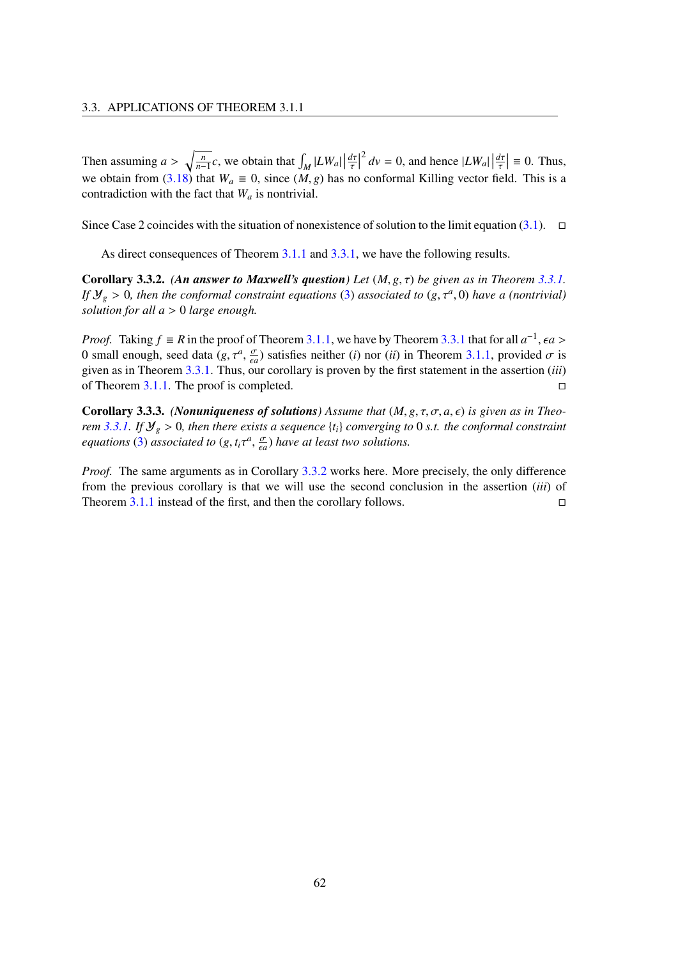Then assuming  $a > \sqrt{\frac{n}{n-1}}c$ , we obtain that  $\int_M |LW_a| \left| \frac{d\tau}{\tau} \right|$ we obtain from [\(3.18\)](#page-60-2) that  $W_a \equiv 0$ , since  $(M, g)$  has no conformal Killing vector field. This is a contradiction with the fact that *W* is pontrivial  $\int_{0}^{2} dv = 0$ , and hence  $|LW_a| \left| \frac{d\tau}{\tau} \right| \equiv 0$ . Thus, contradiction with the fact that *W<sup>a</sup>* is nontrivial.

Since Case 2 coincides with the situation of nonexistence of solution to the limit equation [\(3.1\)](#page-53-0).  $\Box$ 

As direct consequences of Theorem [3.1.1](#page-52-0) and [3.3.1,](#page-58-1) we have the following results.

<span id="page-61-0"></span>Corollary 3.3.2. *(An answer to Maxwell's question) Let* (*M*, *<sup>g</sup>*, τ) *be given as in Theorem [3.3.1.](#page-58-1) If*  $\mathcal{Y}_g > 0$ , then the conformal constraint equations [\(3\)](#page-11-0) associated to  $(g, \tau^a, 0)$  have a (nontrivial)<br>solution for all  $a > 0$  large enough *solution for all <sup>a</sup>* > <sup>0</sup> *large enough.*

*Proof.* Taking *f* ≡ *R* in the proof of Theorem [3.1.1,](#page-52-0) we have by Theorem [3.3.1](#page-58-1) that for all  $a^{-1}$ ,  $\epsilon a > 0$  small enough, seed data  $(a \tau^a \leq b)$  satisfies neither *(i)* nor *(ii)* in Theorem 3.1.1, provided  $\sigma$  is 0 small enough, seed data (*g*,  $\tau^a$ ,  $\frac{\sigma}{\epsilon a}$ ) satisfies neither (*i*) nor (*ii*) in Theorem [3.1.1,](#page-52-0) provided *σ* is<br>given as in Theorem 3.3.1. Thus our corollary is proven by the first statement in the assertion ( given as in Theorem [3.3.1.](#page-58-1) Thus, our corollary is proven by the first statement in the assertion *(iii)* given as in Theorem 3.3.1. Thus, our corollary is proven by the first statement in the assertion *(iii)* of Theorem [3.1.1.](#page-52-0) The proof is completed.

**Corollary 3.3.3.** *(Nonuniqueness of solutions)* Assume that  $(M, g, \tau, \sigma, a, \epsilon)$  is given as in Theo*rem* [3.3.1.](#page-58-1) If  $\mathcal{Y}_g > 0$ , then there exists a sequence  $\{t_i\}$  converging to 0 s.t. the conformal constraint *equations* [\(3\)](#page-11-0) *associated to* (*g*, *<sup>t</sup>i*τ *a*  $\frac{\sigma}{\epsilon a}$ ) have at least two solutions.

*Proof.* The same arguments as in Corollary [3.3.2](#page-61-0) works here. More precisely, the only difference from the previous corollary is that we will use the second conclusion in the assertion (*iii*) of Theorem [3.1.1](#page-52-0) instead of the first, and then the corollary follows.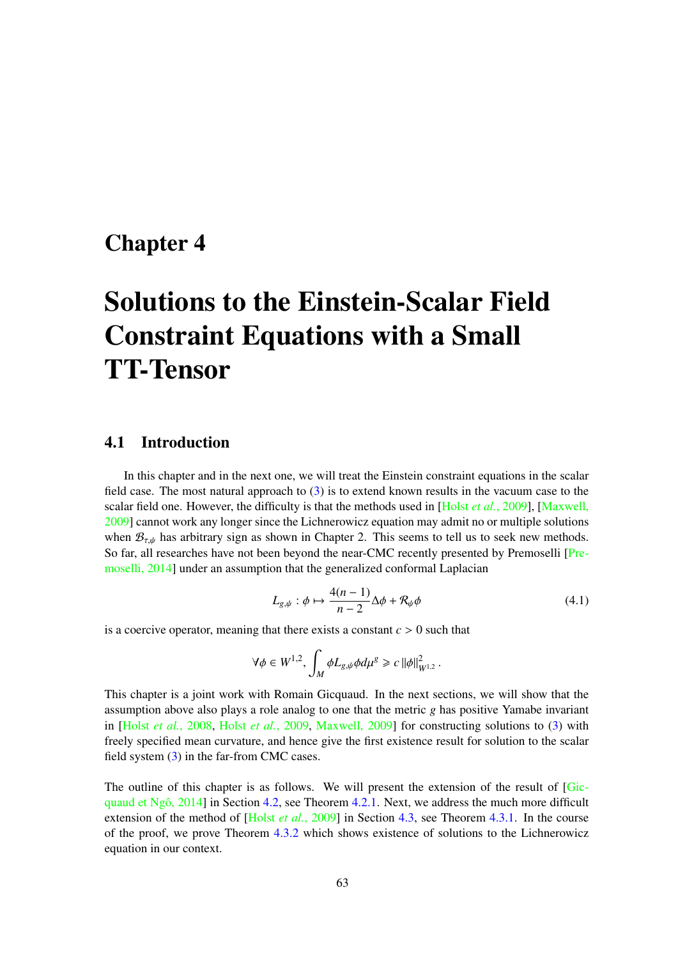# Chapter 4

# Solutions to the Einstein-Scalar Field Constraint Equations with a Small TT-Tensor

# 4.1 Introduction

In this chapter and in the next one, we will treat the Einstein constraint equations in the scalar field case. The most natural approach to [\(3\)](#page-11-0) is to extend known results in the vacuum case to the scalar field one. However, the difficulty is that the methods used in [Holst *et al.*[, 2009\]](#page-102-0), [\[Maxwell,](#page-103-0) [2009\]](#page-103-0) cannot work any longer since the Lichnerowicz equation may admit no or multiple solutions when  $\mathcal{B}_{\tau,\psi}$  has arbitrary sign as shown in Chapter 2. This seems to tell us to seek new methods. So far, all researches have not been beyond the near-CMC recently presented by Premoselli [\[Pre](#page-103-4)[moselli, 2014\]](#page-103-4) under an assumption that the generalized conformal Laplacian

<span id="page-62-0"></span>
$$
L_{g,\psi}: \phi \mapsto \frac{4(n-1)}{n-2} \Delta \phi + \mathcal{R}_{\psi} \phi \tag{4.1}
$$

is a coercive operator, meaning that there exists a constant  $c > 0$  such that

$$
\forall \phi \in W^{1,2}, \int_M \phi L_{g,\psi} \phi d\mu^g \geq c \, ||\phi||^2_{W^{1,2}}
$$

This chapter is a joint work with Romain Gicquaud. In the next sections, we will show that the assumption above also plays a role analog to one that the metric *g* has positive Yamabe invariant in [Holst *et al.*[, 2008,](#page-102-3) Holst *et al.*[, 2009,](#page-102-0) [Maxwell, 2009\]](#page-103-0) for constructing solutions to [\(3\)](#page-11-0) with freely specified mean curvature, and hence give the first existence result for solution to the scalar field system [\(3\)](#page-11-0) in the far-from CMC cases.

The outline of this chapter is as follows. We will present the extension of the result of [\[Gic](#page-101-1)[quaud et Ngô, 2014\]](#page-101-1) in Section [4.2,](#page-63-0) see Theorem [4.2.1.](#page-63-1) Next, we address the much more difficult extension of the method of [Holst *et al.*[, 2009\]](#page-102-0) in Section [4.3,](#page-65-0) see Theorem [4.3.1.](#page-65-1) In the course of the proof, we prove Theorem [4.3.2](#page-66-0) which shows existence of solutions to the Lichnerowicz equation in our context.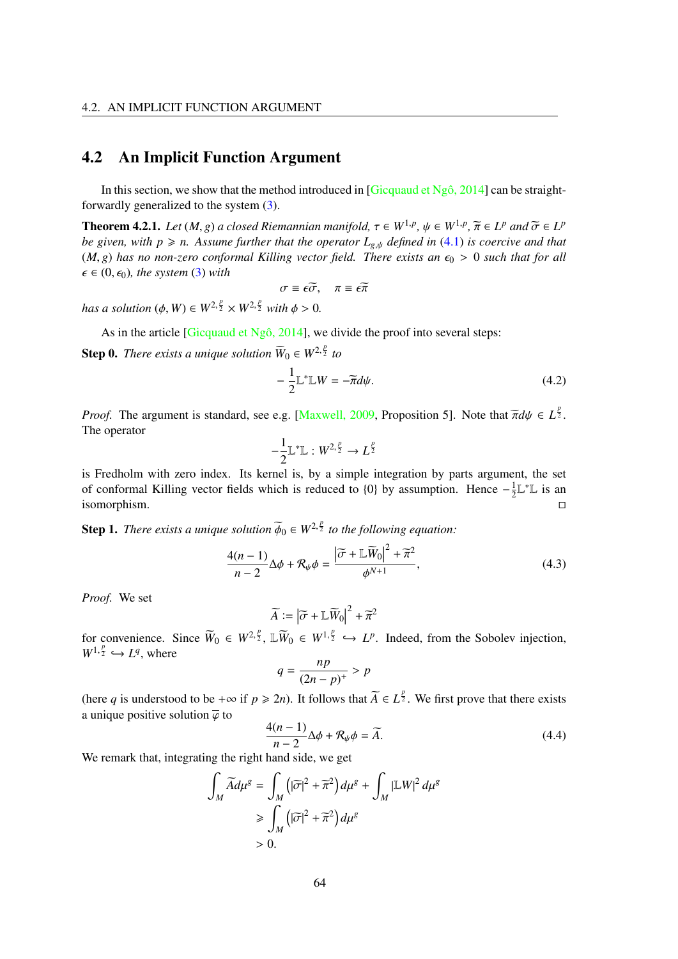### <span id="page-63-0"></span>4.2 An Implicit Function Argument

In this section, we show that the method introduced in  $[Gicquaud et Ngô, 2014]$  can be straightforwardly generalized to the system [\(3\)](#page-11-0).

<span id="page-63-1"></span>**Theorem 4.2.1.** *Let*  $(M, g)$  *a* closed Riemannian manifold,  $\tau \in W^{1,p}$ ,  $\psi \in W^{1,p}$ ,  $\widetilde{\pi} \in L^p$  and  $\widetilde{\sigma} \in L^p$ <br>be given with  $n > n$ , Assume further that the operator  $I_{n,p}$  defined in (4.1) is coercive and that *be given, with*  $p \ge n$ . Assume further that the operator  $L_{g,y}$  defined in [\(4.1\)](#page-62-0) is coercive and that  $(M, g)$  has no non-zero conformal Killing vector field. There exists an  $\epsilon_0 > 0$  such that for all  $\epsilon \in (0, \epsilon_0)$ *, the system* [\(3\)](#page-11-0) *with* 

$$
\sigma \equiv \epsilon \widetilde{\sigma}, \quad \pi \equiv \epsilon \widetilde{\pi}
$$

*has a solution*  $(\phi, W) \in W^{2, \frac{p}{2}} \times W^{2, \frac{p}{2}}$  *with*  $\phi > 0$ *.* 

As in the article [\[Gicquaud et Ngô, 2014\]](#page-101-1), we divide the proof into several steps:

<span id="page-63-4"></span>**Step 0.** *There exists a unique solution*  $\widetilde{W}_0 \in W^{2,\frac{p}{2}}$  *to* 

<span id="page-63-6"></span>
$$
-\frac{1}{2}\mathbb{L}^*\mathbb{L}W = -\widetilde{\pi}d\psi.
$$
 (4.2)

*Proof.* The argument is standard, see e.g. [\[Maxwell, 2009,](#page-103-0) Proposition 5]. Note that  $\overline{\pi}d\psi \in L^{\frac{p}{2}}$ .<br>The operator The operator

$$
-\frac{1}{2}\mathbb{L}^*\mathbb{L}:W^{2,\frac{p}{2}}\to L^{\frac{p}{2}}
$$

is Fredholm with zero index. Its kernel is, by a simple integration by parts argument, the set of conformal Killing vector fields which is reduced to {0} by assumption. Hence  $-\frac{1}{2}$  $\frac{1}{2}\mathbb{L}^*\mathbb{L}$  is an isomorphism.

<span id="page-63-5"></span>**Step 1.** *There exists a unique solution*  $\widetilde{\phi}_0 \in W^{2, \frac{p}{2}}$  *to the following equation:* 

<span id="page-63-3"></span>
$$
\frac{4(n-1)}{n-2}\Delta\phi + \mathcal{R}_{\psi}\phi = \frac{|\overline{\sigma} + \mathbb{L}\widetilde{W}_0|^2 + \overline{\pi}^2}{\phi^{N+1}},
$$
(4.3)

*Proof.* We set

$$
\widetilde{A} := |\widetilde{\sigma} + \mathbb{L}\widetilde{W}_0|^2 + \widetilde{\pi}^2
$$

for convenience. Since  $\widetilde{W}_0 \in W^{2, \frac{p}{2}}$ ,  $\mathbb{L} \widetilde{W}_0 \in W^{1, \frac{p}{2}} \hookrightarrow L^p$ . Indeed, from the Sobolev injection,  $W^{1, \frac{p}{2}} \hookrightarrow L^q$  where  $W^{1,\frac{p}{2}} \hookrightarrow L^q$ , where

$$
q = \frac{np}{(2n - p)^{+}} > p
$$

(here *q* is understood to be +∞ if  $p \ge 2n$ ). It follows that  $\overline{A} \in L^{\frac{p}{2}}$ . We first prove that there exists a unique positive solution  $\bar{\varphi}$  to

<span id="page-63-2"></span>
$$
\frac{4(n-1)}{n-2}\Delta\phi + \mathcal{R}_{\psi}\phi = \widetilde{A}.\tag{4.4}
$$

We remark that, integrating the right hand side, we get

$$
\int_{M} \widetilde{A} d\mu^{g} = \int_{M} \left( |\widetilde{\sigma}|^{2} + \widetilde{\pi}^{2} \right) d\mu^{g} + \int_{M} |\mathbb{L}W|^{2} d\mu^{g}
$$

$$
\geq \int_{M} \left( |\widetilde{\sigma}|^{2} + \widetilde{\pi}^{2} \right) d\mu^{g}
$$

$$
> 0.
$$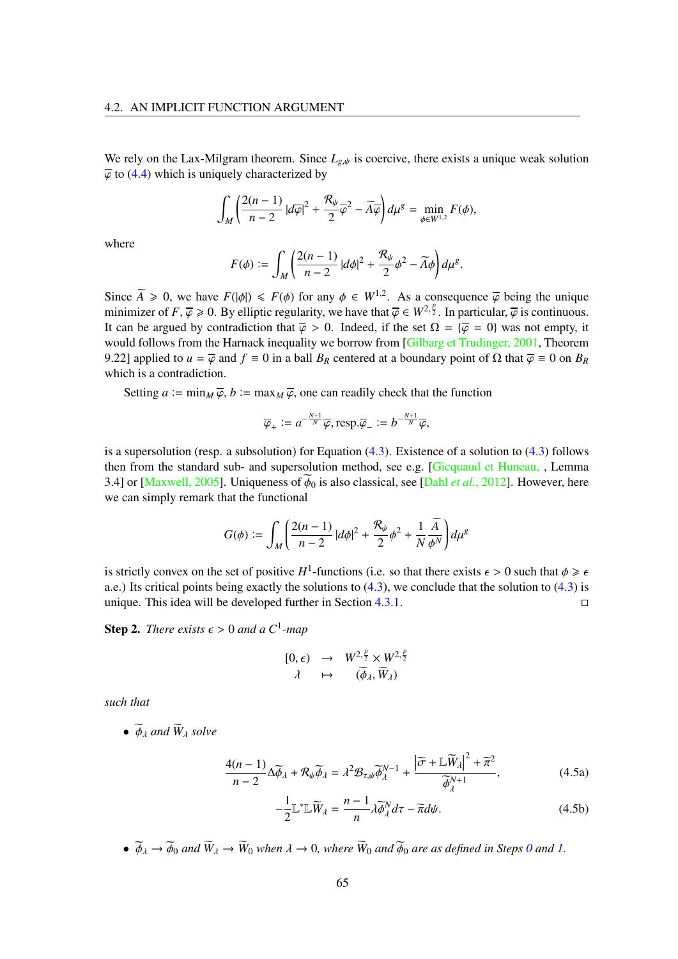We rely on the Lax-Milgram theorem. Since  $L_{g,\psi}$  is coercive, there exists a unique weak solution  $\overline{\varphi}$  to [\(4.4\)](#page-63-2) which is uniquely characterized by

$$
\int_M \left( \frac{2(n-1)}{n-2} \, |d\overline{\varphi}|^2 + \frac{\mathcal{R}_\psi}{2} \overline{\varphi}^2 - \widetilde{A}\overline{\varphi} \right) d\mu^g = \min_{\phi \in W^{1,2}} F(\phi),
$$

where

$$
F(\phi):=\int_M\left(\frac{2(n-1)}{n-2}\,|d\phi|^2+\frac{{\mathcal R}_\psi}{2}\phi^2-\widetilde{A}\phi\right)d\mu^g.
$$

Since  $\widetilde{A} \ge 0$ , we have  $F(|\phi|) \le F(\phi)$  for any  $\phi \in W^{1,2}$ . As a consequence  $\overline{\varphi}$  being the unique minimizer of  $F \ge 0$ . By elliptic requirity, we have that  $\overline{\varphi} \in W^{2,\frac{p}{2}}$ . In particular,  $\overline{\varphi}$  is co minimizer of *F*,  $\overline{\varphi} \ge 0$ . By elliptic regularity, we have that  $\overline{\varphi} \in W^{2, \frac{p}{2}}$ . In particular,  $\overline{\varphi}$  is continuous. It can be argued by contradiction that  $\overline{\varphi} > 0$ . Indeed, if the set  $\Omega = {\overline{\varphi}} = 0$  was not empty, it would follows from the Harnack inequality we borrow from [\[Gilbarg et Trudinger, 2001,](#page-101-2) Theorem 9.22] applied to  $u = \overline{\varphi}$  and  $f \equiv 0$  in a ball  $B_R$  centered at a boundary point of Ω that  $\overline{\varphi} \equiv 0$  on  $B_R$ which is a contradiction.

Setting  $a := \min_M \overline{\varphi}$ ,  $b := \max_M \overline{\varphi}$ , one can readily check that the function

$$
\overline{\varphi}_{+} := a^{-\frac{N+1}{N}} \overline{\varphi}, \text{resp.} \overline{\varphi}_{-} := b^{-\frac{N+1}{N}} \overline{\varphi},
$$

is a supersolution (resp. a subsolution) for Equation [\(4.3\)](#page-63-3). Existence of a solution to [\(4.3\)](#page-63-3) follows then from the standard sub- and supersolution method, see e.g. [\[Gicquaud et Huneau,](#page-101-4) , Lemma 3.4] or [\[Maxwell, 2005\]](#page-102-2). Uniqueness of  $\phi_0$  is also classical, see [Dahl *et al.*[, 2012\]](#page-101-0). However, here we can simply remark that the functional

$$
G(\phi) := \int_M \left( \frac{2(n-1)}{n-2} |d\phi|^2 + \frac{\mathcal{R}_{\psi}}{2} \phi^2 + \frac{1}{N} \frac{\widetilde{A}}{\phi^N} \right) d\mu^g
$$

is strictly convex on the set of positive *H*<sup>1</sup>-functions (i.e. so that there exists  $\epsilon > 0$  such that  $\phi \ge \epsilon$ a.e.) Its critical points being exactly the solutions to  $(4.3)$ , we conclude that the solution to  $(4.3)$  is unique. This idea will be developed further in Section [4.3.1.](#page-66-1)

<span id="page-64-1"></span>**Step 2.** *There exists*  $\epsilon > 0$  *and a*  $C^1$ *-map* 

$$
\begin{array}{rcl}\n[0, \epsilon) & \to & W^{2, \frac{p}{2}} \times W^{2, \frac{p}{2}} \\
\lambda & \mapsto & (\widetilde{\phi}_{\lambda}, \widetilde{W}_{\lambda})\n\end{array}
$$

*such that*

•  $\widetilde{\phi}_\lambda$  *and*  $\widetilde{W}_\lambda$  *solve* 

<span id="page-64-0"></span>
$$
\frac{4(n-1)}{n-2}\Delta\widetilde{\phi}_{\lambda} + \mathcal{R}_{\psi}\widetilde{\phi}_{\lambda} = \lambda^2 \mathcal{B}_{\tau,\psi}\widetilde{\phi}_{\lambda}^{N-1} + \frac{|\widetilde{\sigma} + \mathbb{L}\widetilde{W}_{\lambda}|^2 + \widetilde{\pi}^2}{\widetilde{\phi}_{\lambda}^{N+1}},
$$
(4.5a)

$$
-\frac{1}{2}\mathbb{L}^*\mathbb{L}\widetilde{W}_\lambda = \frac{n-1}{n}\lambda \widetilde{\phi}_\lambda^N d\tau - \widetilde{\pi}d\psi.
$$
 (4.5b)

•  $\widetilde{\phi}_\lambda \to \widetilde{\phi}_0$  $\widetilde{\phi}_\lambda \to \widetilde{\phi}_0$  *and*  $\widetilde{W}_\lambda \to \widetilde{W}_0$  *when*  $\lambda \to 0$ *, where*  $\widetilde{W}_0$  *and*  $\widetilde{\phi}_0$  *are as defined in Steps 0 and 1*.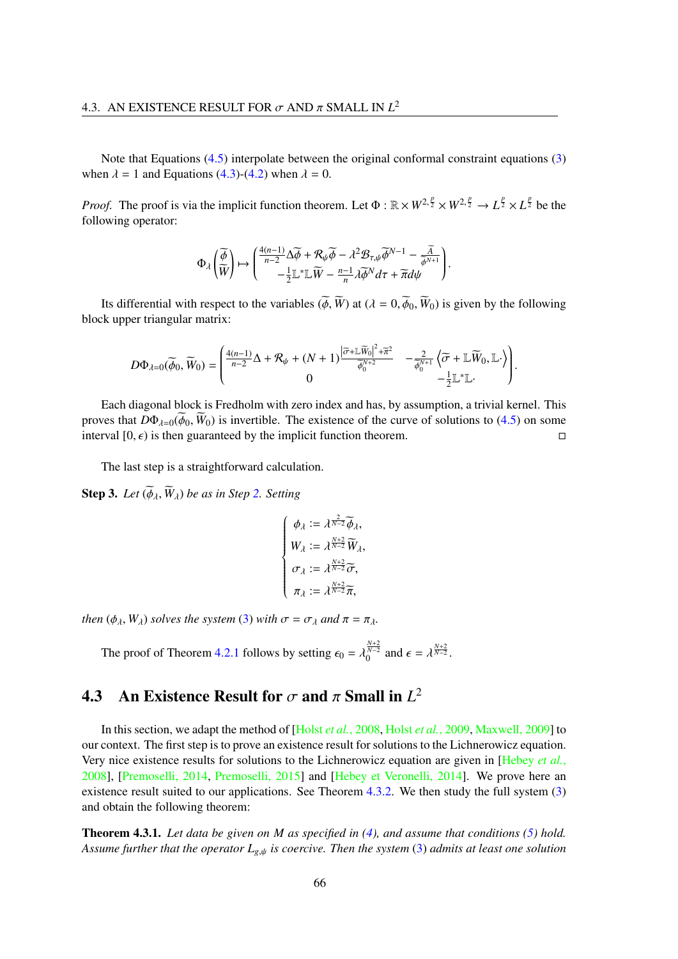Note that Equations [\(4.5\)](#page-64-0) interpolate between the original conformal constraint equations [\(3\)](#page-11-0) when  $\lambda = 1$  and Equations [\(4.3\)](#page-63-3)-[\(4.2\)](#page-63-6) when  $\lambda = 0$ .

*Proof.* The proof is via the implicit function theorem. Let  $\Phi : \mathbb{R} \times W^{2, \frac{p}{2}} \times W^{2, \frac{p}{2}} \to L^{\frac{p}{2}} \times L^{\frac{p}{2}}$  be the following operator:

$$
\Phi_{\lambda}\left(\frac{\widetilde{\phi}}{\widetilde{W}}\right)\mapsto\left(\frac{\frac{4(n-1)}{n-2}\Delta\widetilde{\phi}+\mathcal{R}_{\psi}\widetilde{\phi}-\lambda^{2}\mathcal{B}_{\tau,\psi}\widetilde{\phi}^{N-1}-\frac{\widetilde{A}}{\widetilde{\phi}^{N+1}}}{-\frac{1}{2}\mathbb{L}^{*}\mathbb{L}\widetilde{W}-\frac{n-1}{n}\lambda\widetilde{\phi}^{N}d\tau+\widetilde{\pi}d\psi}\right).
$$

Its differential with respect to the variables  $(\widetilde{\phi}, \widetilde{W})$  at  $(\lambda = 0, \widetilde{\phi}_0, \widetilde{W}_0)$  is given by the following block upper triangular matrix:

$$
D\Phi_{\lambda=0}(\widetilde{\phi}_0, \widetilde{W}_0) = \begin{pmatrix} \frac{4(n-1)}{n-2}\Delta + \mathcal{R}_{\psi} + (N+1)\frac{|\widetilde{\sigma}+{\mathbb{L}}\widetilde{W}_0|^2 + \widetilde{\pi}^2}{\widetilde{\phi}_0^{N+2}} & -\frac{2}{\widetilde{\phi}_0^{N+1}}\left\langle\widetilde{\sigma} + {\mathbb{L}}\widetilde{W}_0, {\mathbb{L}}\cdot\right\rangle\\ 0 & -\frac{1}{2}{\mathbb{L}}^*{\mathbb{L}}.\end{pmatrix}.
$$

Each diagonal block is Fredholm with zero index and has, by assumption, a trivial kernel. This proves that  $D\Phi_{\lambda=0}(\phi_0, \overline{W}_0)$  is invertible. The existence of the curve of solutions to [\(4.5\)](#page-64-0) on some interval [0,  $\epsilon$ ) is then guaranteed by the implicit function theorem. interval  $[0, \epsilon)$  is then guaranteed by the implicit function theorem.

The last step is a straightforward calculation.

**Step 3.** Let  $(\widetilde{\phi}_\lambda, \widetilde{W}_\lambda)$  *be as in Step [2.](#page-64-1) Setting* 

$$
\begin{cases}\n\phi_{\lambda} := \lambda^{\frac{2}{N-2}} \widetilde{\phi}_{\lambda}, \\
W_{\lambda} := \lambda^{\frac{N+2}{N-2}} \widetilde{W}_{\lambda}, \\
\sigma_{\lambda} := \lambda^{\frac{N+2}{N-2}} \widetilde{\sigma}, \\
\pi_{\lambda} := \lambda^{\frac{N+2}{N-2}} \widetilde{\pi},\n\end{cases}
$$

*then*  $(\phi_{\lambda}, W_{\lambda})$  *solves the system* [\(3\)](#page-11-0) *with*  $\sigma = \sigma_{\lambda}$  *and*  $\pi = \pi_{\lambda}$ *.* 

The proof of Theorem [4.2.1](#page-63-1) follows by setting  $\epsilon_0 = \lambda_0^{\frac{N+2}{N-2}}$  and  $\epsilon = \lambda_{\frac{N+2}{N-2}}$ .

# <span id="page-65-0"></span>**4.3** An Existence Result for  $\sigma$  and  $\pi$  Small in  $L^2$

In this section, we adapt the method of [Holst *et al.*[, 2008,](#page-102-3) Holst *et al.*[, 2009,](#page-102-0) [Maxwell, 2009\]](#page-103-0) to our context. The first step is to prove an existence result for solutions to the Lichnerowicz equation. Very nice existence results for solutions to the Lichnerowicz equation are given in [\[Hebey](#page-101-5) *et al.*, [2008\]](#page-101-5), [\[Premoselli, 2014,](#page-103-4) [Premoselli, 2015\]](#page-103-5) and [\[Hebey et Veronelli, 2014\]](#page-101-6). We prove here an existence result suited to our applications. See Theorem [4.3.2.](#page-66-0) We then study the full system [\(3\)](#page-11-0) and obtain the following theorem:

<span id="page-65-1"></span>Theorem 4.3.1. *Let data be given on M as specified in [\(4\)](#page-12-0), and assume that conditions [\(5\)](#page-12-1) hold. Assume further that the operator <sup>L</sup>g*,ψ *is coercive. Then the system* [\(3\)](#page-11-0) *admits at least one solution*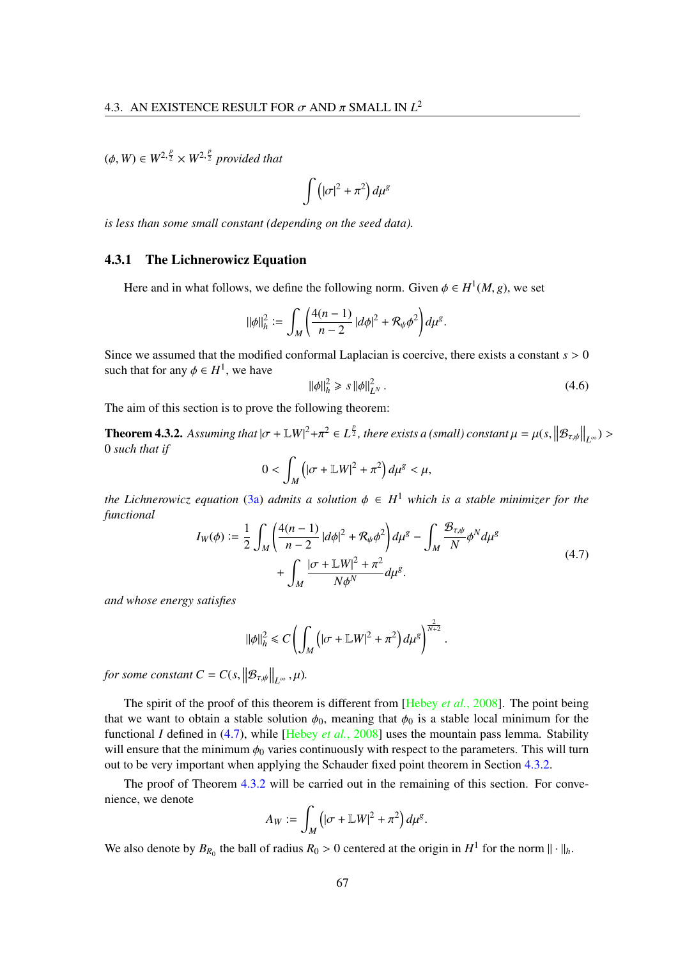$(\phi, W) \in W^{2, \frac{p}{2}} \times W^{2, \frac{p}{2}}$  provided that

$$
\int \left( |\sigma|^2 + \pi^2 \right) d\mu^g
$$

*is less than some small constant (depending on the seed data).*

### <span id="page-66-1"></span>4.3.1 The Lichnerowicz Equation

Here and in what follows, we define the following norm. Given  $\phi \in H^1(M, g)$ , we set

$$
\|\phi\|_{h}^{2} := \int_{M} \left( \frac{4(n-1)}{n-2} |d\phi|^{2} + \mathcal{R}_{\psi} \phi^{2} \right) d\mu^{g}.
$$

Since we assumed that the modified conformal Laplacian is coercive, there exists a constant *<sup>s</sup>* > <sup>0</sup> such that for any  $\phi \in H^1$ , we have

$$
\|\phi\|_{h}^{2} \geq s \|\phi\|_{L^{N}}^{2}.
$$
\n(4.6)

The aim of this section is to prove the following theorem:

<span id="page-66-0"></span>**Theorem 4.3.2.** Assuming that  $|\sigma + \mathbb{L}W|^2 + \pi^2 \in L^{\frac{p}{2}}$ , there exists a (small) constant  $\mu = \mu(s, \|\mathcal{B}_{\tau,\psi}\|_{L^{\infty}}) > 0$  such that if 0 *such that if*

$$
0<\int_M\big(|\sigma+\mathbb{L}W|^2+\pi^2\big)d\mu^g<\mu,
$$

*the Lichnerowicz equation* [\(3a\)](#page-11-1) *admits a solution* φ <sup>∈</sup> *<sup>H</sup>* <sup>1</sup> *which is a stable minimizer for the functional*

<span id="page-66-2"></span>
$$
I_W(\phi) := \frac{1}{2} \int_M \left( \frac{4(n-1)}{n-2} |d\phi|^2 + \mathcal{R}_{\psi} \phi^2 \right) d\mu^g - \int_M \frac{\mathcal{B}_{\tau,\psi}}{N} \phi^N d\mu^g
$$
  
+ 
$$
\int_M \frac{|\sigma + \mathbb{L}W|^2 + \pi^2}{N\phi^N} d\mu^g.
$$
 (4.7)

*and whose energy satisfies*

$$
\|\phi\|_h^2 \leq C \left( \int_M \left( |\sigma + \mathbb{L} W|^2 + \pi^2 \right) d\mu^g \right)^{\frac{2}{N+2}}.
$$

for some constant  $C = C(s, \left\|\mathcal{B}_{\tau,\psi}\right\|_{L^{\infty}}, \mu)$ .

The spirit of the proof of this theorem is different from [\[Hebey](#page-101-5) *et al.*, 2008]. The point being that we want to obtain a stable solution  $\phi_0$ , meaning that  $\phi_0$  is a stable local minimum for the functional *I* defined in [\(4.7\)](#page-66-2), while [\[Hebey](#page-101-5) *et al.*, 2008] uses the mountain pass lemma. Stability will ensure that the minimum  $\phi_0$  varies continuously with respect to the parameters. This will turn out to be very important when applying the Schauder fixed point theorem in Section [4.3.2.](#page-71-0)

The proof of Theorem [4.3.2](#page-66-0) will be carried out in the remaining of this section. For convenience, we denote

$$
A_W := \int_M \left( |\sigma + \mathbb{L}W|^2 + \pi^2 \right) d\mu^g.
$$

<span id="page-66-3"></span>We also denote by  $B_{R_0}$  the ball of radius  $R_0 > 0$  centered at the origin in  $H^1$  for the norm  $\|\cdot\|_h$ .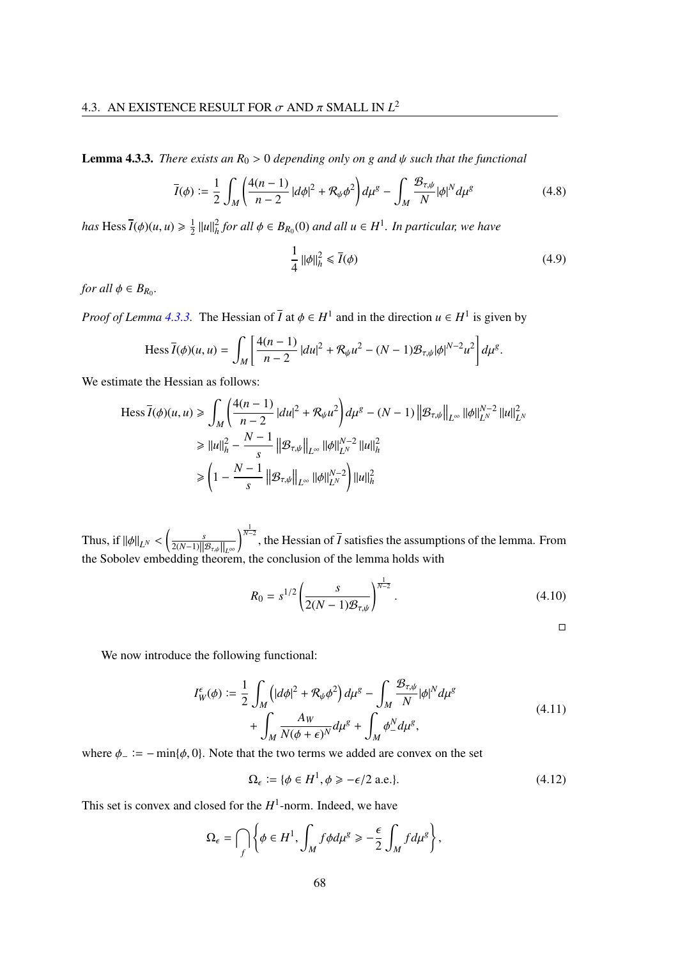**Lemma 4.3.3.** *There exists an*  $R_0 > 0$  *depending only on g and*  $\psi$  *such that the functional* 

$$
\overline{I}(\phi) := \frac{1}{2} \int_{M} \left( \frac{4(n-1)}{n-2} |d\phi|^2 + \mathcal{R}_{\psi} \phi^2 \right) d\mu^g - \int_{M} \frac{\mathcal{B}_{\tau,\psi}}{N} |\phi|^N d\mu^g \tag{4.8}
$$

*has* Hess  $\overline{I}(\phi)(u, u) \ge \frac{1}{2}$  $\frac{1}{2}$  ||u|| $^2$ <sub>*h*</sub> for all  $\phi \in B_{R_0}(0)$  and all  $u \in H^1$ . In particular, we have

<span id="page-67-0"></span>
$$
\frac{1}{4} \left\| \phi \right\|_{h}^{2} \le \overline{I}(\phi) \tag{4.9}
$$

*for all*  $\phi \in B_{R_0}$ *.* 

*Proof of Lemma [4.3.3.](#page-66-3)* The Hessian of  $\overline{I}$  at  $\phi \in H^1$  and in the direction  $u \in H^1$  is given by

Hess 
$$
\bar{I}(\phi)(u, u) = \int_M \left[ \frac{4(n-1)}{n-2} |du|^2 + R_{\psi} u^2 - (N-1) \mathcal{B}_{\tau, \psi} |\phi|^{N-2} u^2 \right] d\mu^g
$$
.

We estimate the Hessian as follows:

$$
\text{Hess}\,\overline{I}(\phi)(u,u) \ge \int_M \left( \frac{4(n-1)}{n-2} |du|^2 + \mathcal{R}_{\psi} u^2 \right) d\mu^g - (N-1) \left\| \mathcal{B}_{\tau,\psi} \right\|_{L^{\infty}} \|\phi\|_{L^N}^{N-2} \|u\|_{L^N}^2
$$
\n
$$
\ge \|u\|_h^2 - \frac{N-1}{s} \left\| \mathcal{B}_{\tau,\psi} \right\|_{L^{\infty}} \|\phi\|_{L^N}^{N-2} \|u\|_h^2
$$
\n
$$
\ge \left( 1 - \frac{N-1}{s} \left\| \mathcal{B}_{\tau,\psi} \right\|_{L^{\infty}} \|\phi\|_{L^N}^{N-2} \right) \|u\|_h^2
$$

Thus, if  $\|\phi\|_{L^N}$  <  $\left( \frac{s}{2(N-1) \|\mathcal{B}_{\tau,\psi}\|_{L^\infty}} \right)$  $\int_{\sqrt{1-x^2}}^{\sqrt{1-x^2}}$ , the Hessian of *I* satisfies the assumptions of the lemma. From the Sobolev embedding theorem, the conclusion of the lemma holds with

$$
R_0 = s^{1/2} \left( \frac{s}{2(N-1)\mathcal{B}_{\tau,\psi}} \right)^{\frac{1}{N-2}}.
$$
\n(4.10)

 $\Box$ 

We now introduce the following functional:

<span id="page-67-1"></span>
$$
I_W^{\epsilon}(\phi) := \frac{1}{2} \int_M \left( |d\phi|^2 + \mathcal{R}_{\psi}\phi^2 \right) d\mu^g - \int_M \frac{\mathcal{B}_{\tau,\psi}}{N} |\phi|^N d\mu^g
$$
  
+ 
$$
\int_M \frac{A_W}{N(\phi + \epsilon)^N} d\mu^g + \int_M \phi^N \, d\mu^g,
$$
\n(4.11)

where  $\phi_{-} := -\min{\lbrace \phi, 0 \rbrace}$ . Note that the two terms we added are convex on the set

$$
\Omega_{\epsilon} := \{ \phi \in H^1, \phi \ge -\epsilon/2 \text{ a.e.} \}. \tag{4.12}
$$

This set is convex and closed for the  $H^1$ -norm. Indeed, we have

$$
\Omega_{\epsilon} = \bigcap_{f} \left\{ \phi \in H^{1}, \int_{M} f \phi d\mu^{g} \geqslant -\frac{\epsilon}{2} \int_{M} f d\mu^{g} \right\},\,
$$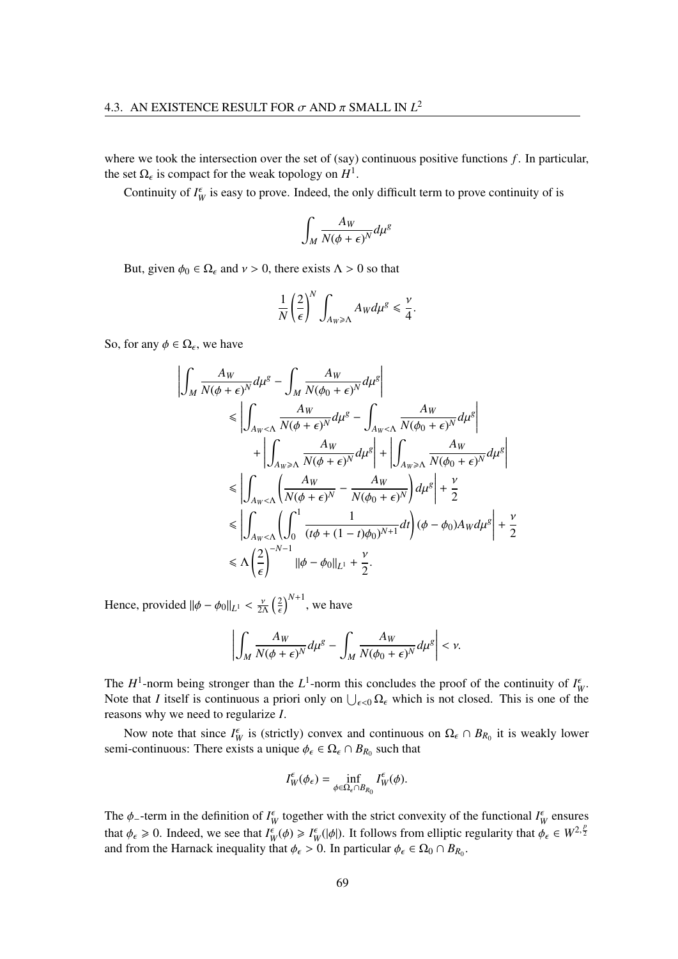where we took the intersection over the set of (say) continuous positive functions  $f$ . In particular, the set  $\Omega_{\epsilon}$  is compact for the weak topology on  $H^1$ .

Continuity of  $I_W^{\epsilon}$  is easy to prove. Indeed, the only difficult term to prove continuity of is

$$
\int_M \frac{A_W}{N(\phi + \epsilon)^N} d\mu^g
$$

But, given  $\phi_0 \in \Omega_\epsilon$  and  $\nu > 0$ , there exists  $\Lambda > 0$  so that

$$
\frac{1}{N} \left(\frac{2}{\epsilon}\right)^N \int_{A_W \ge \Lambda} A_W d\mu^g \le \frac{\nu}{4}.
$$

So, for any  $\phi \in \Omega_{\epsilon}$ , we have

$$
\begin{split}\n\left| \int_{M} \frac{A_{W}}{N(\phi + \epsilon)^{N}} d\mu^{g} - \int_{M} \frac{A_{W}}{N(\phi_{0} + \epsilon)^{N}} d\mu^{g} \right| \\
&\leq \left| \int_{A_{W}<\Lambda} \frac{A_{W}}{N(\phi + \epsilon)^{N}} d\mu^{g} - \int_{A_{W}<\Lambda} \frac{A_{W}}{N(\phi_{0} + \epsilon)^{N}} d\mu^{g} \right| \\
&+ \left| \int_{A_{W}\geq\Lambda} \frac{A_{W}}{N(\phi + \epsilon)^{N}} d\mu^{g} \right| + \left| \int_{A_{W}\geq\Lambda} \frac{A_{W}}{N(\phi_{0} + \epsilon)^{N}} d\mu^{g} \right| \\
&\leq \left| \int_{A_{W}<\Lambda} \left( \frac{A_{W}}{N(\phi + \epsilon)^{N}} - \frac{A_{W}}{N(\phi_{0} + \epsilon)^{N}} \right) d\mu^{g} \right| + \frac{\nu}{2} \\
&\leq \left| \int_{A_{W}<\Lambda} \left( \int_{0}^{1} \frac{1}{(t\phi + (1 - t)\phi_{0})^{N+1}} dt \right) (\phi - \phi_{0}) A_{W} d\mu^{g} \right| + \frac{\nu}{2} \\
&\leq \Lambda \left( \frac{2}{\epsilon} \right)^{-N-1} \|\phi - \phi_{0}\|_{L^{1}} + \frac{\nu}{2}.\n\end{split}
$$

Hence, provided  $\|\phi - \phi_0\|_{L^1} < \frac{\nu}{2\Lambda} \left(\frac{2}{\epsilon}\right)^{N+1}$ , we have

$$
\left| \int_M \frac{A_W}{N(\phi + \epsilon)^N} d\mu^g - \int_M \frac{A_W}{N(\phi_0 + \epsilon)^N} d\mu^g \right| < \nu.
$$

The  $H^1$ -norm being stronger than the  $L^1$ -norm this concludes the proof of the continuity of  $I_W^{\epsilon}$ . Note that *I* itself is continuous a priori only on  $\bigcup_{\epsilon < 0} \Omega_{\epsilon}$  which is not closed. This is one of the reasons why we need to requiring *I* reasons why we need to regularize *I*.

Now note that since  $I_{W}^{\epsilon}$  is (strictly) convex and continuous on  $\Omega_{\epsilon} \cap B_{R_0}$  it is weakly lower semi-continuous: There exists a unique  $\phi_{\epsilon} \in \Omega_{\epsilon} \cap B_{R_0}$  such that

$$
I_W^{\epsilon}(\phi_{\epsilon}) = \inf_{\phi \in \Omega_{\epsilon} \cap B_{R_0}} I_W^{\epsilon}(\phi).
$$

The φ–-term in the definition of  $I_W^{\epsilon}$  together with the strict convexity of the functional  $I_W^{\epsilon}$  ensures that  $\phi_{\epsilon} \ge 0$ . Indeed, we see that  $I_W^{\epsilon}(\phi) \ge I_W^{\epsilon}(|\phi|)$ . It follows from elliptic regularity that  $\phi_{\epsilon} \in W^{2, \frac{p}{2}}$ and from the Harnack inequality that  $\phi_{\epsilon} > 0$ . In particular  $\phi_{\epsilon} \in \Omega_0 \cap B_{R_0}$ .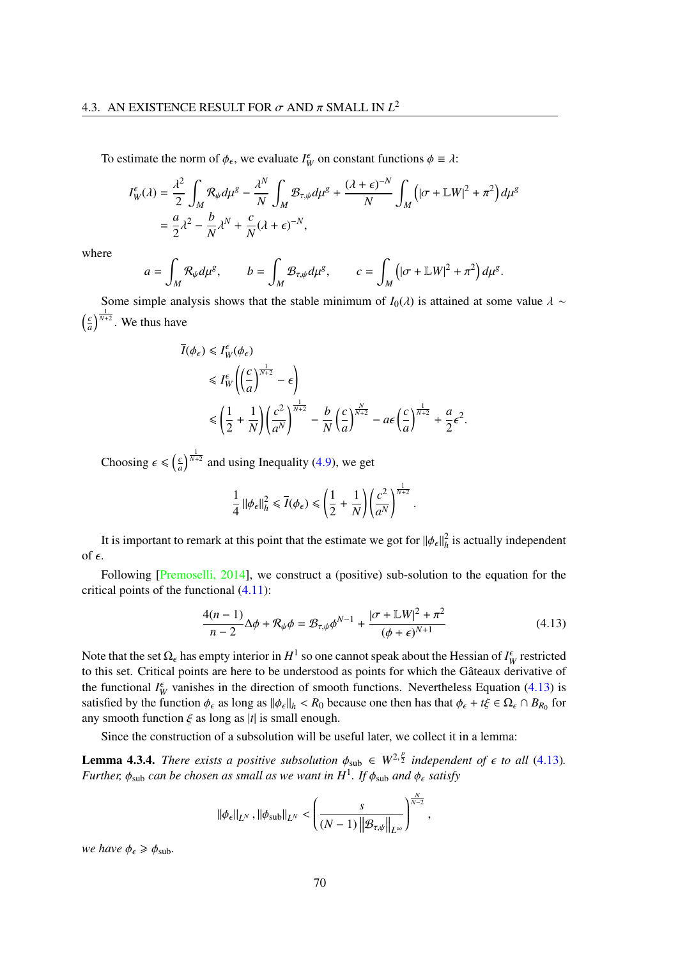To estimate the norm of  $\phi_{\epsilon}$ , we evaluate  $I_W^{\epsilon}$  on constant functions  $\phi \equiv \lambda$ :

$$
I_{W}^{\epsilon}(\lambda) = \frac{\lambda^{2}}{2} \int_{M} \mathcal{R}_{\psi} d\mu^{g} - \frac{\lambda^{N}}{N} \int_{M} \mathcal{B}_{\tau,\psi} d\mu^{g} + \frac{(\lambda + \epsilon)^{-N}}{N} \int_{M} \left( |\sigma + \mathbb{L}W|^{2} + \pi^{2} \right) d\mu^{g}
$$
  
=  $\frac{a}{2} \lambda^{2} - \frac{b}{N} \lambda^{N} + \frac{c}{N} (\lambda + \epsilon)^{-N},$ 

where

$$
a = \int_M \mathcal{R}_{\psi} d\mu^g, \qquad b = \int_M \mathcal{B}_{\tau,\psi} d\mu^g, \qquad c = \int_M \left( |\sigma + \mathbb{L} W|^2 + \pi^2 \right) d\mu^g.
$$

Some simple analysis shows that the stable minimum of  $I_0(\lambda)$  is attained at some value  $\lambda \sim$  *c*  $\left(\frac{c}{a}\right)^{\frac{1}{N+2}}$ . We thus have

$$
\begin{split} \overline{I}(\phi_{\epsilon}) &\leq I_{W}^{\epsilon}(\phi_{\epsilon}) \\ &\leq I_{W}^{\epsilon}\left(\left(\frac{c}{a}\right)^{\frac{1}{N+2}}-\epsilon\right) \\ &\leq \left(\frac{1}{2}+\frac{1}{N}\right)\left(\frac{c^{2}}{a^{N}}\right)^{\frac{1}{N+2}}-\frac{b}{N}\left(\frac{c}{a}\right)^{\frac{N}{N+2}}-a\epsilon\left(\frac{c}{a}\right)^{\frac{1}{N+2}}+\frac{a}{2}\epsilon^{2}. \end{split}
$$

Choosing  $\epsilon \leq \left(\frac{c}{a}\right)$  $\frac{c}{a}\sqrt{\frac{N+2}{N+2}}$  and using Inequality [\(4.9\)](#page-67-0), we get

$$
\frac{1}{4} \left\lVert \phi_\epsilon \right\rVert^2_h \leq \overline{I}(\phi_\epsilon) \leq \left(\frac{1}{2} + \frac{1}{N}\right)\left(\frac{c^2}{a^N}\right)^{\frac{1}{N+2}}
$$

It is important to remark at this point that the estimate we got for  $\|\phi_{\epsilon}\|_{h}^{2}$  is actually independent of  $\epsilon$ .

Following [\[Premoselli, 2014\]](#page-103-4), we construct a (positive) sub-solution to the equation for the critical points of the functional [\(4.11\)](#page-67-1):

<span id="page-69-0"></span>
$$
\frac{4(n-1)}{n-2}\Delta\phi + \mathcal{R}_{\psi}\phi = \mathcal{B}_{\tau,\psi}\phi^{N-1} + \frac{|\sigma + \mathbb{L}W|^2 + \pi^2}{(\phi + \epsilon)^{N+1}}
$$
(4.13)

,

Note that the set  $\Omega_{\epsilon}$  has empty interior in  $H^1$  so one cannot speak about the Hessian of  $I^{\epsilon}_{W}$  restricted to this set. Critical points are hanged to be understood as points for which the Cêteaux derivative of to this set. Critical points are here to be understood as points for which the Gâteaux derivative of the functional  $I_W^{\epsilon}$  vanishes in the direction of smooth functions. Nevertheless Equation [\(4.13\)](#page-69-0) is satisfied by the function  $\phi_{\epsilon}$  as long as  $\|\phi_{\epsilon}\|_h < R_0$  because one then has that  $\phi_{\epsilon} + t\xi \in \Omega_{\epsilon} \cap B_{R_0}$  for any smooth function  $\xi$  as long as  $|t|$  is small enough.

Since the construction of a subsolution will be useful later, we collect it in a lemma:

**Lemma 4.3.4.** *There exists a positive subsolution*  $\phi_{sub} \in W^{2, \frac{p}{2}}$  *independent of*  $\epsilon$  *to all* [\(4.13\)](#page-69-0)*. Eurther*  $\phi_{\lambda}$  *can be chosen as small as we want in*  $H^1$ , *H* $\phi_{\lambda}$  *cand*  $\phi_{\lambda}$  *satisfy Further,*  $\phi_{sub}$  *can be chosen as small as we want in*  $H^1$ *. If*  $\phi_{sub}$  *and*  $\phi_{\epsilon}$  *satisfy* 

$$
\left\Vert \phi_{\epsilon}\right\Vert_{L^{N}},\left\Vert \phi_{\mathrm{sub}}\right\Vert_{L^{N}}<\left(\frac{s}{\left(N-1\right)\left\Vert \mathcal{B}_{\tau,\psi}\right\Vert_{L^{\infty}}}\right)^{\frac{N}{N-2}}
$$

*we have*  $\phi_{\epsilon} \ge \phi_{\text{sub}}$ *.*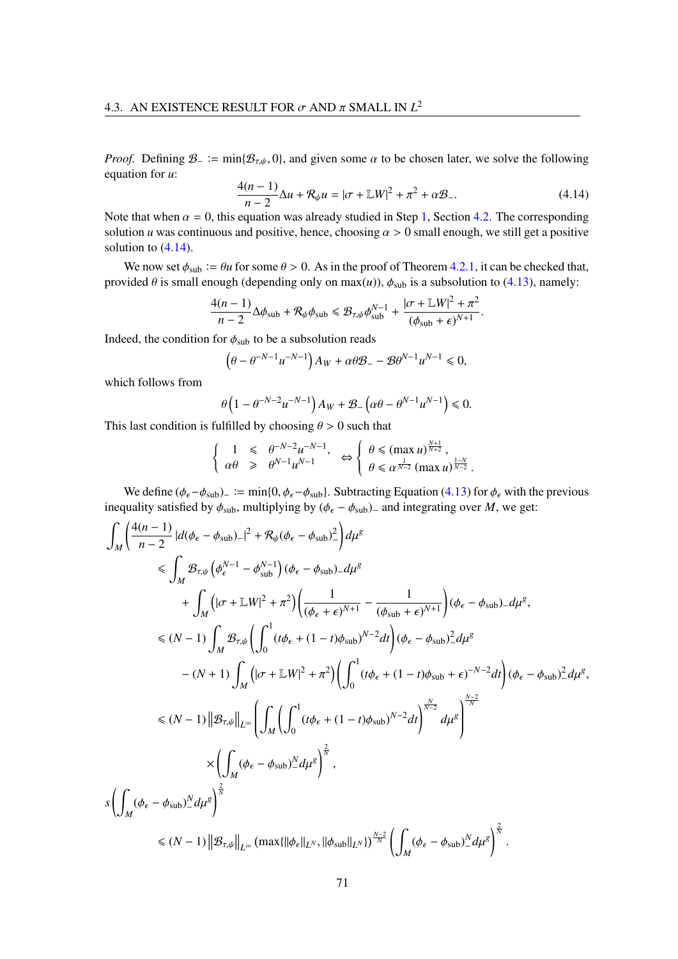*Proof.* Defining  $\mathcal{B}_- := \min\{\mathcal{B}_{\tau,\psi}, 0\}$ , and given some  $\alpha$  to be chosen later, we solve the following equation for *u*:

<span id="page-70-0"></span>
$$
\frac{4(n-1)}{n-2}\Delta u + \mathcal{R}_{\psi}u = |\sigma + \mathbb{L}W|^2 + \pi^2 + \alpha \mathcal{B}_{-}.
$$
 (4.14)

Note that when  $\alpha = 0$ , this equation was already studied in Step [1,](#page-63-5) Section [4.2.](#page-63-0) The corresponding solution *u* was continuous and positive, hence, choosing  $\alpha > 0$  small enough, we still get a positive solution to  $(4.14)$ .

We now set  $\phi_{sub} := \theta u$  for some  $\theta > 0$ . As in the proof of Theorem [4.2.1,](#page-63-1) it can be checked that, provided  $\theta$  is small enough (depending only on max(*u*)),  $\phi_{sub}$  is a subsolution to [\(4.13\)](#page-69-0), namely:

$$
\frac{4(n-1)}{n-2}\Delta\phi_{\text{sub}} + \mathcal{R}_{\psi}\phi_{\text{sub}} \leq \mathcal{B}_{\tau,\psi}\phi_{\text{sub}}^{N-1} + \frac{|\sigma + \mathbb{L}W|^2 + \pi^2}{(\phi_{\text{sub}} + \epsilon)^{N+1}}.
$$

Indeed, the condition for  $\phi_{sub}$  to be a subsolution reads

$$
\left(\theta - \theta^{-N-1}u^{-N-1}\right)A_W + \alpha\theta B - \theta^{-N-1}u^{N-1} \leq 0,
$$

which follows from

$$
\theta \left(1 - \theta^{-N-2} u^{-N-1}\right) A_W + \mathcal{B}_-\left(\alpha \theta - \theta^{N-1} u^{N-1}\right) \leq 0.
$$

This last condition is fulfilled by choosing  $\theta > 0$  such that

$$
\begin{cases} 1 \leq \theta^{-N-2} u^{-N-1}, \\ \alpha \theta \geq \theta^{N-1} u^{N-1} \end{cases} \Leftrightarrow \begin{cases} \theta \leq (\max u)^{\frac{N+1}{N+2}}, \\ \theta \leq \alpha^{\frac{1}{N-2}} (\max u)^{\frac{1-N}{N-2}}. \end{cases}
$$

We define  $(\phi_{\epsilon} - \phi_{sub})$  = := min{0,  $\phi_{\epsilon} - \phi_{sub}$ }. Subtracting Equation [\(4.13\)](#page-69-0) for  $\phi_{\epsilon}$  with the previous inequality satisfied by  $\phi_{sub}$ , multiplying by ( $\phi_{\epsilon} - \phi_{sub}$ )<sub>-</sub> and integrating over *M*, we get:

$$
\int_{M} \left( \frac{4(n-1)}{n-2} |d(\phi_{\epsilon} - \phi_{sub})_{-}|^{2} + \mathcal{R}_{\psi}(\phi_{\epsilon} - \phi_{sub})_{-}^{2} \right) d\mu^{g}
$$
\n
$$
\leq \int_{M} \mathcal{B}_{\tau,\psi} \left( \phi_{\epsilon}^{N-1} - \phi_{sub}^{N-1} \right) (\phi_{\epsilon} - \phi_{sub}) - d\mu^{g}
$$
\n
$$
+ \int_{M} \left( |\sigma + \mathbb{L}W|^{2} + \pi^{2} \right) \left( \frac{1}{(\phi_{\epsilon} + \epsilon)^{N+1}} - \frac{1}{(\phi_{sub} + \epsilon)^{N+1}} \right) (\phi_{\epsilon} - \phi_{sub}) - d\mu^{g},
$$
\n
$$
\leq (N-1) \int_{M} \mathcal{B}_{\tau,\psi} \left( \int_{0}^{1} (t\phi_{\epsilon} + (1-t)\phi_{sub})^{N-2} dt \right) (\phi_{\epsilon} - \phi_{sub})_{-}^{2} d\mu^{g}
$$
\n
$$
- (N+1) \int_{M} \left( |\sigma + \mathbb{L}W|^{2} + \pi^{2} \right) \left( \int_{0}^{1} (t\phi_{\epsilon} + (1-t)\phi_{sub} + \epsilon)^{-N-2} dt \right) (\phi_{\epsilon} - \phi_{sub})_{-}^{2} d\mu^{g},
$$
\n
$$
\leq (N-1) \left\| \mathcal{B}_{\tau,\psi} \right\|_{L^{\infty}} \left( \int_{M} \left( \int_{0}^{1} (t\phi_{\epsilon} + (1-t)\phi_{sub})^{N-2} dt \right)^{\frac{N}{N-2}} d\mu^{g} \right)^{\frac{N-2}{N}}
$$
\n
$$
\times \left( \int_{M} (\phi_{\epsilon} - \phi_{sub})_{-}^{N} d\mu^{g} \right)^{\frac{2}{N}},
$$
\n
$$
s \left( \int_{M} (\phi_{\epsilon} - \phi_{sub})_{-}^{N} d\mu^{g} \right)^{\frac{2}{N}} \leq (N-1) \left\| \mathcal{B}_{\tau,\psi} \right\|_{L^{\infty}} \left( \max\{ ||\phi_{\epsilon}||_{L^{N}}, ||\phi_{sub}||_{L^{N}} \} \right)^{\frac{N-2
$$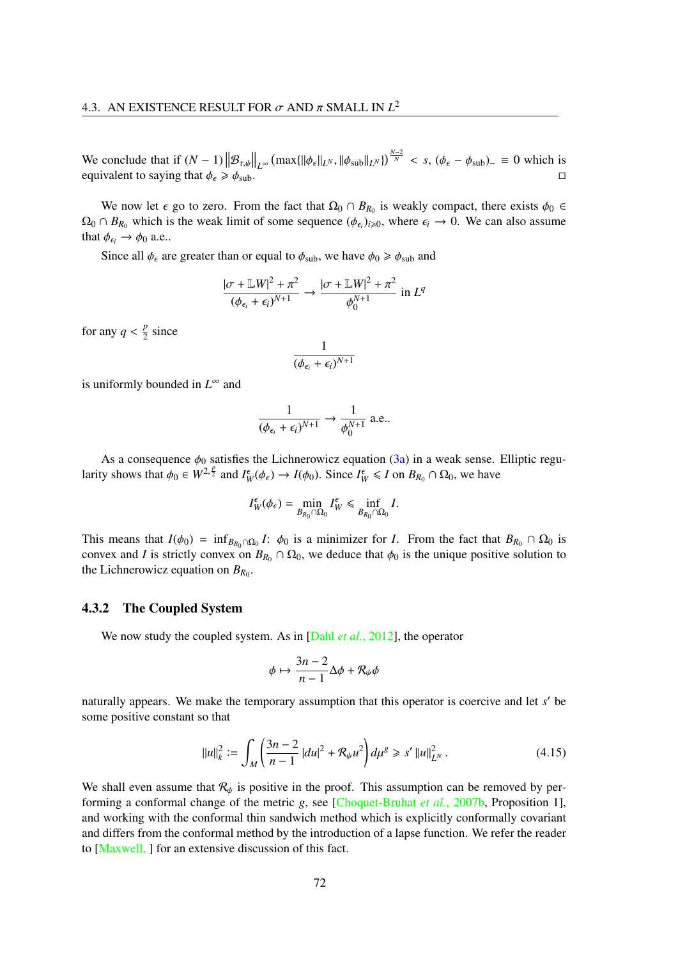We conclude that if  $(N - 1) \|\mathcal{B}_{\tau,\psi}\|_{L^{\infty}} (\max\{\|\phi_{\epsilon}\|_{L^N}, \|\phi_{sub}\|_{L^N}\})^{\frac{N-2}{N}} < s, (\phi_{\epsilon} - \phi_{sub})_{-} \equiv 0$  which is equivalent to saying that  $\phi_{\epsilon} \ge \phi_{\text{sub}}$ .

We now let  $\epsilon$  go to zero. From the fact that  $\Omega_0 \cap B_{R_0}$  is weakly compact, there exists  $\phi_0 \in \Omega$ <br> $\Omega_0$  which is the weak limit of some sequence  $(\phi_0)_{\lambda_0}$  where  $\epsilon_0 \to 0$ . We can also assume  $\Omega_0 \cap B_{R_0}$  which is the weak limit of some sequence  $(\phi_{\epsilon_i})_{i\geqslant 0}$ , where  $\epsilon_i \to 0$ . We can also assume that  $\phi \to \phi_0$  as that  $\phi_{\epsilon_i} \rightarrow \phi_0$  a.e..

Since all  $\phi_{\epsilon}$  are greater than or equal to  $\phi_{sub}$ , we have  $\phi_0 \ge \phi_{sub}$  and

$$
\frac{|\sigma + \mathbb{L}W|^2 + \pi^2}{(\phi_{\epsilon_i} + \epsilon_i)^{N+1}} \to \frac{|\sigma + \mathbb{L}W|^2 + \pi^2}{\phi_0^{N+1}} \text{ in } L^q
$$

for any  $q < \frac{p}{2}$  $\frac{p}{2}$  since

$$
\frac{1}{(\phi_{\epsilon_i} + \epsilon_i)^{N+1}}
$$

is uniformly bounded in *L* <sup>∞</sup> and

$$
\frac{1}{(\phi_{\epsilon_i} + \epsilon_i)^{N+1}} \to \frac{1}{\phi_0^{N+1}} \text{ a.e.}.
$$

As a consequence  $\phi_0$  satisfies the Lichnerowicz equation [\(3a\)](#page-11-1) in a weak sense. Elliptic regularity shows that  $\phi_0 \in W^{2, \frac{p}{2}}$  and  $I_W^{\epsilon}(\phi_{\epsilon}) \to I(\phi_0)$ . Since  $I_W^{\epsilon} \leq I$  on  $B_{R_0} \cap \Omega_0$ , we have

$$
I_W^{\epsilon}(\phi_{\epsilon}) = \min_{B_{R_0} \cap \Omega_0} I_W^{\epsilon} \le \inf_{B_{R_0} \cap \Omega_0} I.
$$

This means that  $I(\phi_0) = \inf_{B_{R_0} \cap \Omega_0} I: \phi_0$  is a minimizer for *I*. From the fact that  $B_{R_0} \cap \Omega_0$  is convex and *I* is strictly convex on  $B_R \cap \Omega_0$  we deduce that  $\phi_0$  is the unique positive solution to convex and *I* is strictly convex on  $B_{R_0} \cap \Omega_0$ , we deduce that  $\phi_0$  is the unique positive solution to the Lichnerowicz equation on  $B_{R_0}$ .

#### <span id="page-71-0"></span>4.3.2 The Coupled System

We now study the coupled system. As in [Dahl *et al.*[, 2012\]](#page-101-0), the operator

$$
\phi \mapsto \frac{3n-2}{n-1} \Delta \phi + \mathcal{R}_{\psi} \phi
$$

naturally appears. We make the temporary assumption that this operator is coercive and let *s'* be some positive constant so that

$$
||u||_{k}^{2} := \int_{M} \left( \frac{3n-2}{n-1} |du|^{2} + \mathcal{R}_{\psi} u^{2} \right) d\mu^{g} \geq s' ||u||_{L^{N}}^{2}.
$$
 (4.15)

We shall even assume that  $\mathcal{R}_{\psi}$  is positive in the proof. This assumption can be removed by performing a conformal change of the metric *g*, see [\[Choquet-Bruhat](#page-100-3) *et al.*, 2007b, Proposition 1], and working with the conformal thin sandwich method which is explicitly conformally covariant and differs from the conformal method by the introduction of a lapse function. We refer the reader to [\[Maxwell,](#page-102-4) ] for an extensive discussion of this fact.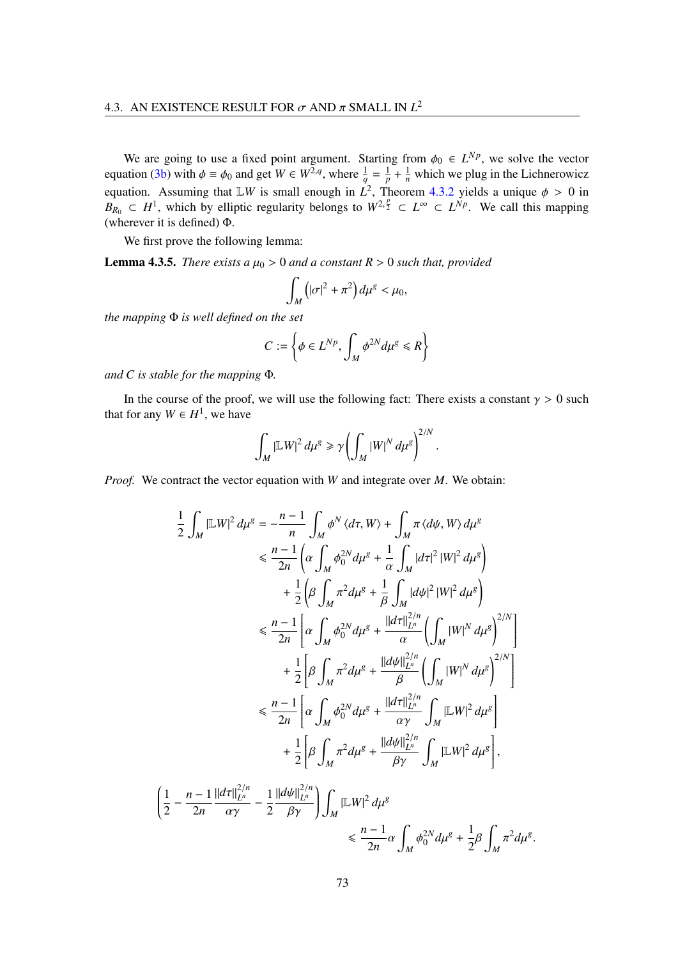We are going to use a fixed point argument. Starting from  $\phi_0 \in L^{N_p}$ , we solve the vector ation (3b) with  $\phi = \phi_0$  and get  $W \in W^{2,q}$  where  $\frac{1}{2} - \frac{1}{2} + \frac{1}{2}$  which we plug in the Lichnerowicz equation [\(3b\)](#page-11-0) with  $\phi \equiv \phi_0$  and get  $W \in W^{2,q}$ , where  $\frac{1}{q} = \frac{1}{p} + \frac{1}{n}$  which we plug in the Lichnerowicz equation. Assuming that  $\mathbb{L}W$  is small enough in  $\mathbb{L}^2$ , Theorem [4.3.2](#page-66-0) yields a unique  $\phi > 0$  in  $B_{R_0} \subset H^1$ , which by elliptic regularity belongs to  $W^{2,\frac{p}{2}} \subset \mathbb{L}^\infty \subset \mathbb{L}^{N_p}$ . We call this mapping (wherever it is defined) Φ.

We first prove the following lemma:

<span id="page-72-0"></span>**Lemma 4.3.5.** *There exists a*  $\mu_0 > 0$  *and a constant*  $R > 0$  *such that, provided* 

$$
\int_M \left(|\sigma|^2 + \pi^2\right) d\mu^g < \mu_0,
$$

*the mapping* Φ *is well defined on the set*

$$
C := \left\{ \phi \in L^{Np}, \int_M \phi^{2N} d\mu^g \le R \right\}
$$

*and C is stable for the mapping* Φ*.*

In the course of the proof, we will use the following fact: There exists a constant  $\gamma > 0$  such that for any  $W \in H^1$ , we have

$$
\int_M |\mathbb{L}W|^2 \, d\mu^g \ge \gamma \left(\int_M |W|^N \, d\mu^g\right)^{2/N}.
$$

*Proof.* We contract the vector equation with *W* and integrate over *M*. We obtain:

$$
\frac{1}{2} \int_{M} |\mathbb{L}W|^{2} d\mu^{g} = -\frac{n-1}{n} \int_{M} \phi^{N} \langle d\tau, W \rangle + \int_{M} \pi \langle d\psi, W \rangle d\mu^{g}
$$
\n
$$
\leq \frac{n-1}{2n} \left( \alpha \int_{M} \phi_{0}^{2N} d\mu^{g} + \frac{1}{\alpha} \int_{M} |d\tau|^{2} |W|^{2} d\mu^{g} \right)
$$
\n
$$
+ \frac{1}{2} \left( \beta \int_{M} \pi^{2} d\mu^{g} + \frac{1}{\beta} \int_{M} |d\psi|^{2} |W|^{2} d\mu^{g} \right)
$$
\n
$$
\leq \frac{n-1}{2n} \left[ \alpha \int_{M} \phi_{0}^{2N} d\mu^{g} + \frac{||d\tau||_{L^{n}}^{2/n}}{\alpha} \left( \int_{M} |W|^{N} d\mu^{g} \right)^{2/N} \right]
$$
\n
$$
+ \frac{1}{2} \left[ \beta \int_{M} \pi^{2} d\mu^{g} + \frac{||d\psi||_{L^{n}}^{2/n}}{\beta} \left( \int_{M} |W|^{N} d\mu^{g} \right)^{2/N} \right]
$$
\n
$$
\leq \frac{n-1}{2n} \left[ \alpha \int_{M} \phi_{0}^{2N} d\mu^{g} + \frac{||d\tau||_{L^{n}}^{2/n}}{\alpha \gamma} \int_{M} |\mathbb{L}W|^{2} d\mu^{g} \right]
$$
\n
$$
+ \frac{1}{2} \left[ \beta \int_{M} \pi^{2} d\mu^{g} + \frac{||d\psi||_{L^{n}}^{2/n}}{\beta \gamma} \int_{M} |\mathbb{L}W|^{2} d\mu^{g} \right],
$$
\n
$$
\approx 2/n \quad \text{where } \alpha \in \mathbb{R}^{2}
$$

$$
\left(\frac{1}{2} - \frac{n-1}{2n} \frac{\|d\tau\|_{L^n}^{2/n}}{\alpha \gamma} - \frac{1}{2} \frac{\|d\psi\|_{L^n}^{2/n}}{\beta \gamma}\right) \int_M |\mathbb{L}W|^2 d\mu^g
$$
  
\$\leqslant \frac{n-1}{2n} \alpha \int\_M \phi\_0^{2N} d\mu^g + \frac{1}{2} \beta \int\_M \pi^2 d\mu^g\$.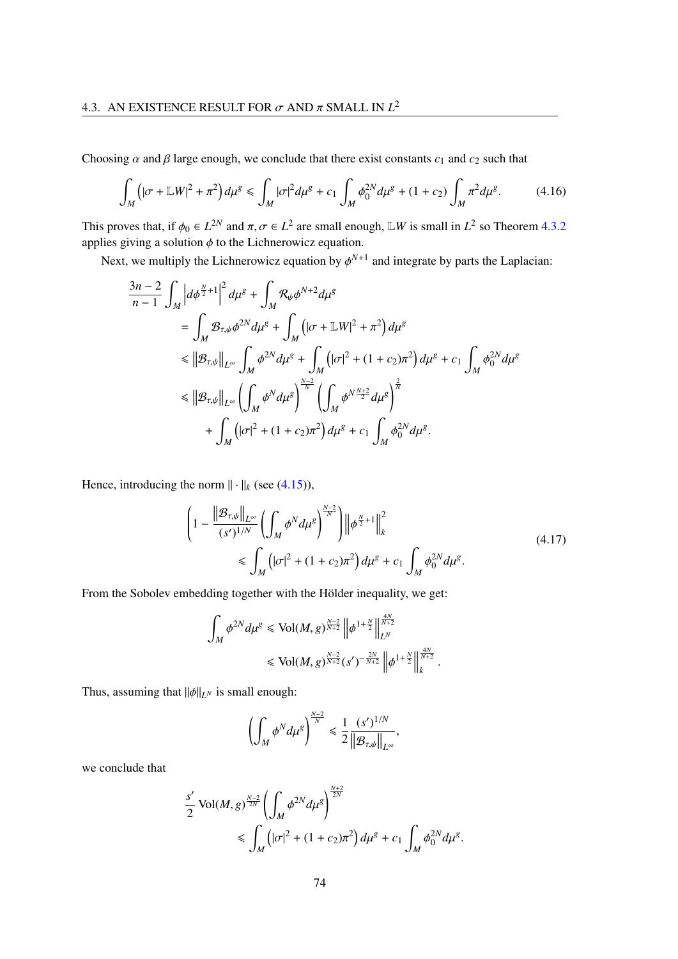Choosing  $\alpha$  and  $\beta$  large enough, we conclude that there exist constants  $c_1$  and  $c_2$  such that

$$
\int_{M} \left( |\sigma + \mathbb{L}W|^{2} + \pi^{2} \right) d\mu^{g} \le \int_{M} |\sigma|^{2} d\mu^{g} + c_{1} \int_{M} \phi_{0}^{2N} d\mu^{g} + (1 + c_{2}) \int_{M} \pi^{2} d\mu^{g}.
$$
 (4.16)

This proves that, if  $\phi_0 \in L^{2N}$  and  $\pi, \sigma \in L^2$  are small enough, L*W* is small in  $L^2$  so Theorem [4.3.2](#page-66-0) applies giving a solution  $\phi$  to the Lichnerowicz equation.

Next, we multiply the Lichnerowicz equation by  $\phi^{N+1}$  and integrate by parts the Laplacian:

$$
\frac{3n-2}{n-1} \int_{M} \left| d\phi^{\frac{N}{2}+1} \right|^{2} d\mu^{g} + \int_{M} \mathcal{R}_{\psi} \phi^{N+2} d\mu^{g}
$$
\n
$$
= \int_{M} \mathcal{B}_{\tau,\psi} \phi^{2N} d\mu^{g} + \int_{M} \left( |\sigma + \mathbb{L}W|^{2} + \pi^{2} \right) d\mu^{g}
$$
\n
$$
\leq \left\| \mathcal{B}_{\tau,\psi} \right\|_{L^{\infty}} \int_{M} \phi^{2N} d\mu^{g} + \int_{M} \left( |\sigma|^{2} + (1 + c_{2})\pi^{2} \right) d\mu^{g} + c_{1} \int_{M} \phi_{0}^{2N} d\mu^{g}
$$
\n
$$
\leq \left\| \mathcal{B}_{\tau,\psi} \right\|_{L^{\infty}} \left( \int_{M} \phi^{N} d\mu^{g} \right)^{\frac{N-2}{N}} \left( \int_{M} \phi^{N\frac{N+2}{2}} d\mu^{g} \right)^{\frac{2}{N}}
$$
\n
$$
+ \int_{M} \left( |\sigma|^{2} + (1 + c_{2})\pi^{2} \right) d\mu^{g} + c_{1} \int_{M} \phi_{0}^{2N} d\mu^{g}.
$$

Hence, introducing the norm  $\|\cdot\|_k$  (see [\(4.15\)](#page-71-0)),

<span id="page-73-0"></span>
$$
\left(1 - \frac{\left\|\mathcal{B}_{\tau,\psi}\right\|_{L^{\infty}}}{(s')^{1/N}} \left(\int_{M} \phi^{N} d\mu^{g}\right)^{\frac{N-2}{N}}\right) \left\|\phi^{\frac{N}{2}+1}\right\|_{k}^{2} \le \int_{M} \left(|\sigma|^{2} + (1+c_{2})\pi^{2}\right) d\mu^{g} + c_{1} \int_{M} \phi_{0}^{2N} d\mu^{g}.
$$
\n(4.17)

From the Sobolev embedding together with the Hölder inequality, we get:

$$
\int_{M} \phi^{2N} d\mu^{g} \le \text{Vol}(M, g)^{\frac{N-2}{N+2}} \left\| \phi^{1+\frac{N}{2}} \right\|_{L^{N}}^{\frac{4N}{N+2}}
$$
  

$$
\le \text{Vol}(M, g)^{\frac{N-2}{N+2}} (s')^{-\frac{2N}{N+2}} \left\| \phi^{1+\frac{N}{2}} \right\|_{k}^{\frac{4N}{N+2}}
$$

Thus, assuming that  $\|\phi\|_{L^N}$  is small enough:

$$
\left(\int_M \phi^N d\mu^g\right)^{\frac{N-2}{N}} \leq \frac{1}{2} \frac{(s')^{1/N}}{\left\|\mathcal{B}_{\tau,\psi}\right\|_{L^\infty}},
$$

we conclude that

$$
\frac{s'}{2} \text{Vol}(M, g) \frac{N-2}{2N} \left( \int_M \phi^{2N} d\mu^g \right)^{\frac{N+2}{2N}} \leq \int_M \left( |\sigma|^2 + (1 + c_2)\pi^2 \right) d\mu^g + c_1 \int_M \phi_0^{2N} d\mu^g.
$$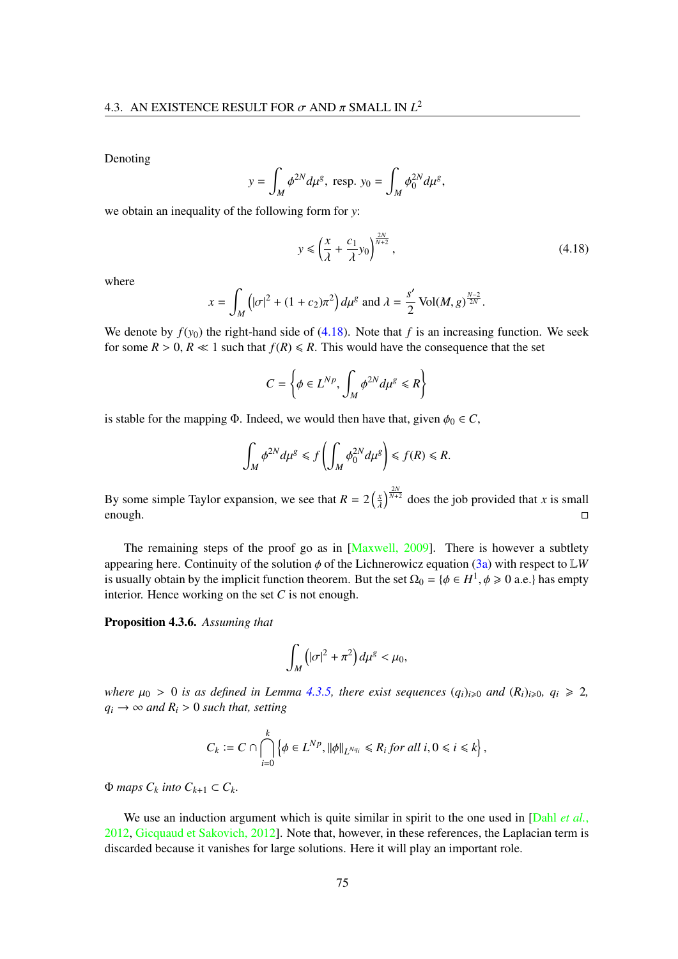<span id="page-74-2"></span>Denoting

$$
y = \int_M \phi^{2N} d\mu^g, \text{ resp. } y_0 = \int_M \phi_0^{2N} d\mu^g,
$$

we obtain an inequality of the following form for *y*:

<span id="page-74-0"></span>
$$
y \le \left(\frac{x}{\lambda} + \frac{c_1}{\lambda} y_0\right)^{\frac{2N}{N+2}},\tag{4.18}
$$

where

$$
x = \int_M \left( |\sigma|^2 + (1 + c_2)\pi^2 \right) d\mu^g \text{ and } \lambda = \frac{s'}{2} \text{ Vol}(M, g)^{\frac{N-2}{2N}}.
$$

We denote by  $f(y_0)$  the right-hand side of [\(4.18\)](#page-74-0). Note that f is an increasing function. We seek for some  $R > 0$ ,  $R \ll 1$  such that  $f(R) \le R$ . This would have the consequence that the set

$$
C = \left\{ \phi \in L^{Np}, \int_M \phi^{2N} d\mu^g \le R \right\}
$$

is stable for the mapping  $\Phi$ . Indeed, we would then have that, given  $\phi_0 \in C$ ,

$$
\int_M \phi^{2N} d\mu^g \le f\left(\int_M \phi_0^{2N} d\mu^g\right) \le f(R) \le R.
$$

By some simple Taylor expansion, we see that  $R = 2\left(\frac{x}{\lambda}\right)^{\frac{2N}{N+2}}$  does the job provided that *x* is small enough.  $\Box$ 

The remaining steps of the proof go as in [\[Maxwell, 2009\]](#page-103-0). There is however a subtlety appearing here. Continuity of the solution  $\phi$  of the Lichnerowicz equation [\(3a\)](#page-11-0) with respect to  $\mathbb{L}W$ is usually obtain by the implicit function theorem. But the set  $\Omega_0 = \{\phi \in H^1, \phi \ge 0 \text{ a.e.}\}\$  has empty interior. Hence working on the set *C* is not enough interior. Hence working on the set *C* is not enough.

<span id="page-74-1"></span>Proposition 4.3.6. *Assuming that*

$$
\int_M \left(|\sigma|^2+\pi^2\right)d\mu^g < \mu_0,
$$

*where*  $\mu_0 > 0$  *is as defined in Lemma [4.3.5,](#page-72-0) there exist sequences*  $(q_i)_{i\geqslant 0}$  *and*  $(R_i)_{i\geqslant 0}$ ,  $q_i \geqslant 2$ ,  $q_i \rightarrow \infty$  *and*  $R_i > 0$  *such that, setting* 

$$
C_k:=C\cap \bigcap_{i=0}^k\left\{\phi\in L^{Np}, \|\phi\|_{L^{Nq_i}}\leq R_i \, \text{for all } i, 0\leq i\leq k\right\},
$$

 $\Phi$  *maps*  $C_k$  *into*  $C_{k+1} \subset C_k$ *.* 

We use an induction argument which is quite similar in spirit to the one used in [\[Dahl](#page-101-0) *et al.*, [2012,](#page-101-0) [Gicquaud et Sakovich, 2012\]](#page-101-1). Note that, however, in these references, the Laplacian term is discarded because it vanishes for large solutions. Here it will play an important role.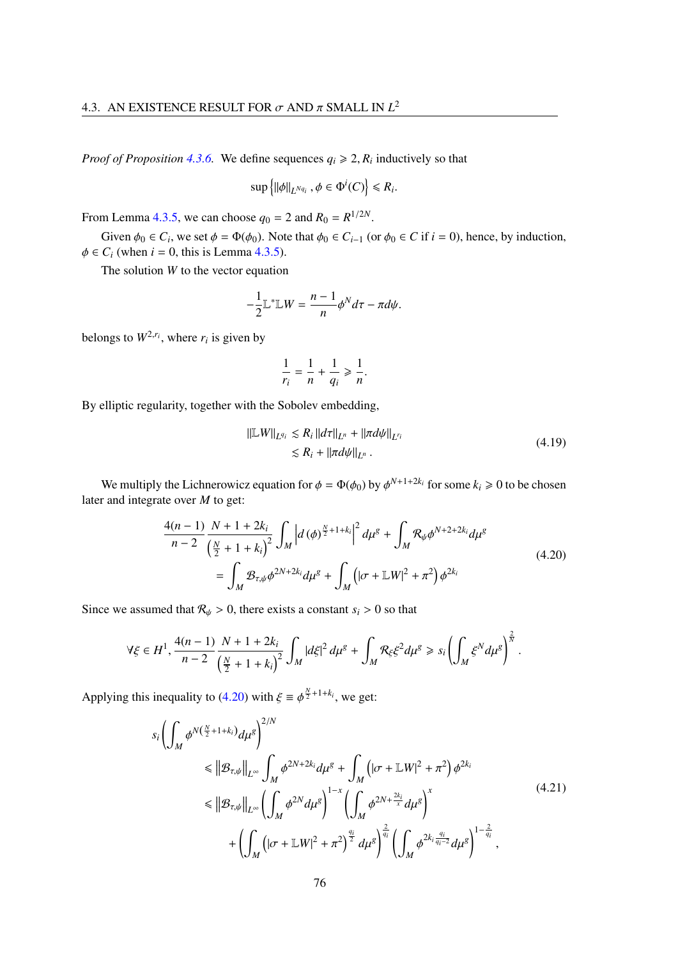*Proof of Proposition* [4.3.6.](#page-74-1) We define sequences  $q_i \ge 2$ ,  $R_i$  inductively so that

$$
\sup\left\{\|\phi\|_{L^{Nq_i}}, \phi \in \Phi^i(C)\right\} \le R_i.
$$

From Lemma [4.3.5,](#page-72-0) we can choose  $q_0 = 2$  and  $R_0 = R^{1/2N}$ .

Given  $\phi_0 \in C_i$ , we set  $\phi = \Phi(\phi_0)$ . Note that  $\phi_0 \in C_{i-1}$  (or  $\phi_0 \in C$  if  $i = 0$ ), hence, by induction,  $C_i$  (when  $i = 0$ , this is I emma  $A \leq 5$ )  $\phi \in C_i$  (when  $i = 0$ , this is Lemma [4.3.5\)](#page-72-0).

The solution *W* to the vector equation

$$
-\frac{1}{2}\mathbb{L}^*\mathbb{L}W=\frac{n-1}{n}\phi^N d\tau-\pi d\psi.
$$

belongs to  $W^{2,r_i}$ , where  $r_i$  is given by

$$
\frac{1}{r_i} = \frac{1}{n} + \frac{1}{q_i} \ge \frac{1}{n}.
$$

By elliptic regularity, together with the Sobolev embedding,

<span id="page-75-1"></span>
$$
\|\mathbb{L}W\|_{L^{q_i}} \lesssim R_i \|d\tau\|_{L^n} + \|\pi d\psi\|_{L^{r_i}} \lesssim R_i + \|\pi d\psi\|_{L^n}.
$$
\n(4.19)

We multiply the Lichnerowicz equation for  $\phi = \Phi(\phi_0)$  by  $\phi^{N+1+2k_i}$  for some  $k_i \ge 0$  to be chosen later and integrate over *M* to get:

<span id="page-75-0"></span>
$$
\frac{4(n-1)}{n-2} \frac{N+1+2k_i}{\left(\frac{N}{2}+1+k_i\right)^2} \int_M \left| d\left(\phi\right)^{\frac{N}{2}+1+k_i} \right|^2 d\mu^g + \int_M \mathcal{R}_{\psi} \phi^{N+2+2k_i} d\mu^g
$$
\n
$$
= \int_M \mathcal{B}_{\tau,\psi} \phi^{2N+2k_i} d\mu^g + \int_M \left( |\sigma + \mathbb{L}W|^2 + \pi^2 \right) \phi^{2k_i} \tag{4.20}
$$

Since we assumed that  $\mathcal{R}_{\psi} > 0$ , there exists a constant  $s_i > 0$  so that

$$
\forall \xi \in H^{1}, \frac{4(n-1)}{n-2} \frac{N+1+2k_{i}}{\left(\frac{N}{2}+1+k_{i}\right)^{2}} \int_{M} |d\xi|^{2} d\mu^{g} + \int_{M} \mathcal{R}_{\xi} \xi^{2} d\mu^{g} \geq s_{i} \left(\int_{M} \xi^{N} d\mu^{g}\right)^{\frac{2}{N}}.
$$

Applying this inequality to [\(4.20\)](#page-75-0) with  $\xi \equiv \phi^{\frac{N}{2} + 1 + k_i}$ , we get:

$$
s_{i} \left( \int_{M} \phi^{N(\frac{N}{2}+1+k_{i})} d\mu^{g} \right)^{2/N} \leq \left\| \mathcal{B}_{\tau,\psi} \right\|_{L^{\infty}} \int_{M} \phi^{2N+2k_{i}} d\mu^{g} + \int_{M} \left( |\sigma + \mathbb{L}W|^{2} + \pi^{2} \right) \phi^{2k_{i}} \leq \left\| \mathcal{B}_{\tau,\psi} \right\|_{L^{\infty}} \left( \int_{M} \phi^{2N} d\mu^{g} \right)^{1-x} \left( \int_{M} \phi^{2N+\frac{2k_{i}}{x}} d\mu^{g} \right)^{x} + \left( \int_{M} \left( |\sigma + \mathbb{L}W|^{2} + \pi^{2} \right)^{\frac{q_{i}}{2}} d\mu^{g} \right)^{\frac{2}{q_{i}}} \left( \int_{M} \phi^{2k_{i} \frac{q_{i}}{q_{i}-2}} d\mu^{g} \right)^{1-\frac{2}{q_{i}}}, \tag{4.21}
$$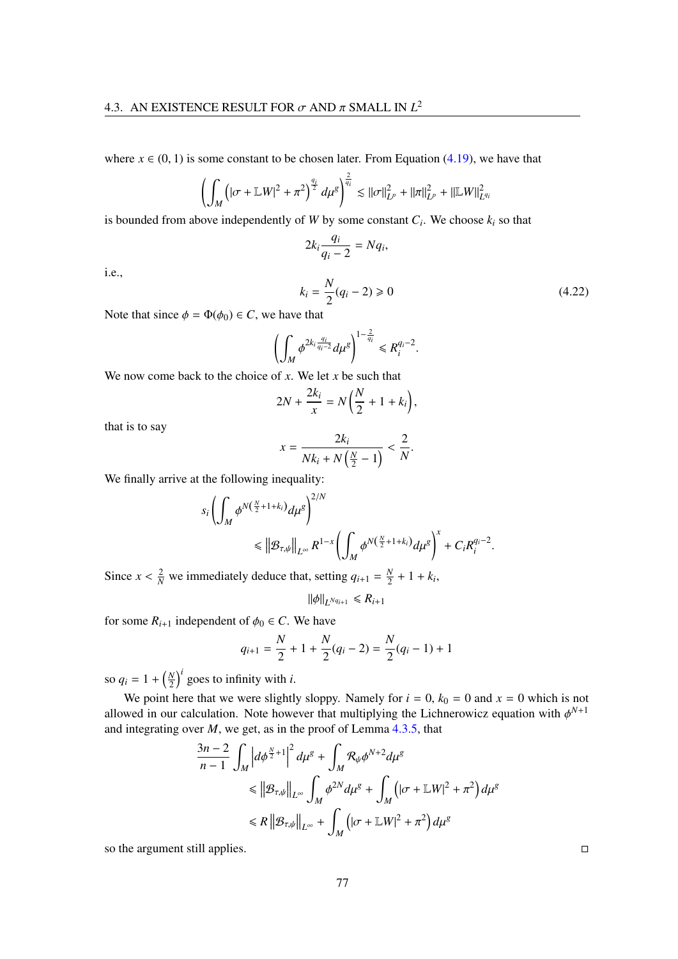where  $x \in (0, 1)$  is some constant to be chosen later. From Equation [\(4.19\)](#page-75-1), we have that

$$
\left(\int_M \left(|\sigma + \mathbb{L}W|^2 + \pi^2\right)^{\frac{q_i}{2}} d\mu^g\right)^{\frac{2}{q_i}} \lesssim ||\sigma||^2_{L^p} + ||\pi||^2_{L^p} + ||\mathbb{L}W||^2_{L^{q_i}}
$$

 $\frac{q_i}{q_i-2} = Nq_i,$ 

is bounded from above independently of *W* by some constant *C<sup>i</sup>* . We choose *k<sup>i</sup>* so that

 $2k_i \frac{q_i}{q_i}$ 

i.e.,

$$
k_i = \frac{N}{2}(q_i - 2) \ge 0
$$
\n(4.22)

Note that since  $\phi = \Phi(\phi_0) \in C$ , we have that

$$
\left(\int_M \phi^{2k_i\frac{q_i}{q_i-2}}d\mu^g\right)^{1-\frac{2}{q_i}} \leq R_i^{q_i-2}.
$$

We now come back to the choice of *x*. We let *x* be such that

$$
2N + \frac{2k_i}{x} = N\left(\frac{N}{2} + 1 + k_i\right),
$$

that is to say

$$
x = \frac{2k_i}{Nk_i + N\left(\frac{N}{2} - 1\right)} < \frac{2}{N}
$$

We finally arrive at the following inequality:

$$
s_i \left( \int_M \phi^{N\left(\frac{N}{2}+1+k_i\right)} d\mu^g \right)^{2/N}
$$
  
\$\leq \left\| \mathcal{B}\_{\tau,\psi} \right\|\_{L^\infty} R^{1-x} \left( \int\_M \phi^{N\left(\frac{N}{2}+1+k\_i\right)} d\mu^g \right)^x + C\_i R\_i^{q\_i-2}\$.

Since  $x < \frac{2}{N}$  we immediately deduce that, setting  $q_{i+1} = \frac{N}{2}$  $\frac{N}{2} + 1 + k_i,$ 

$$
||\phi||_{L^{Nq_{i+1}}}\le R_{i+1}
$$

for some  $R_{i+1}$  independent of  $\phi_0 \in C$ . We have

$$
q_{i+1} = \frac{N}{2} + 1 + \frac{N}{2}(q_i - 2) = \frac{N}{2}(q_i - 1) + 1
$$

so  $q_i = 1 + \left(\frac{N}{2}\right)$  $\left(\frac{N}{2}\right)^i$  goes to infinity with *i*.

We point here that we were slightly sloppy. Namely for  $i = 0$ ,  $k_0 = 0$  and  $x = 0$  which is not allowed in our calculation. Note however that multiplying the Lichnerowicz equation with  $\phi^{N+1}$ <br>and integrating over M, we get as in the proof of Lemma 4.3.5, that and integrating over *M*, we get, as in the proof of Lemma [4.3.5,](#page-72-0) that

$$
\frac{3n-2}{n-1} \int_M \left| d\phi^{\frac{N}{2}+1} \right|^2 d\mu^g + \int_M \mathcal{R}_{\psi} \phi^{N+2} d\mu^g
$$
  
\n
$$
\leq \left\| \mathcal{B}_{\tau,\psi} \right\|_{L^{\infty}} \int_M \phi^{2N} d\mu^g + \int_M \left( |\sigma + \mathbb{L} W|^2 + \pi^2 \right) d\mu^g
$$
  
\n
$$
\leq R \left\| \mathcal{B}_{\tau,\psi} \right\|_{L^{\infty}} + \int_M \left( |\sigma + \mathbb{L} W|^2 + \pi^2 \right) d\mu^g
$$

so the argument still applies.  $\Box$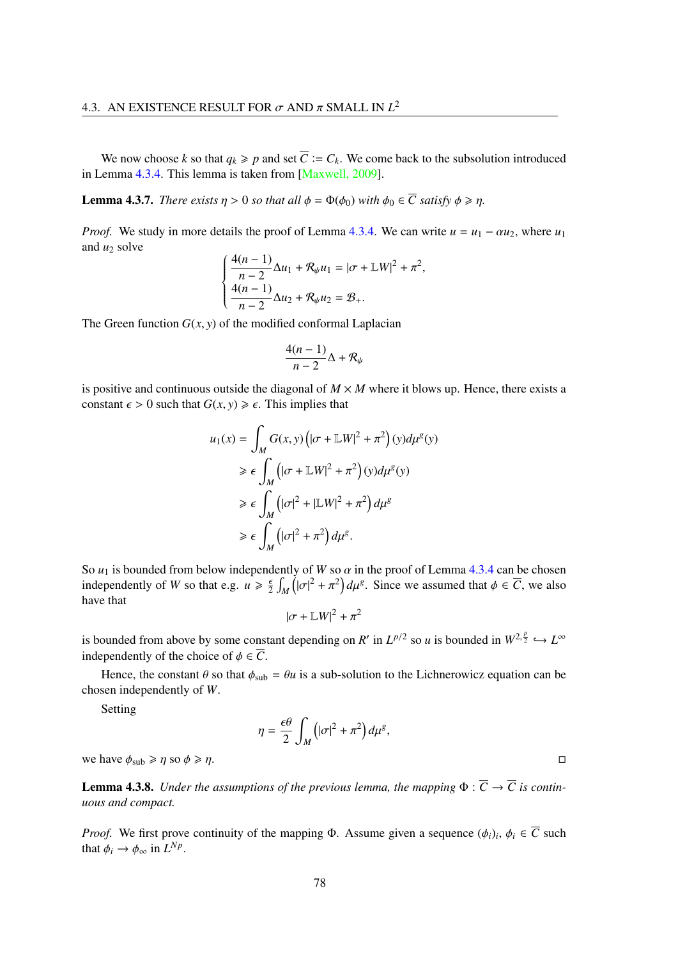<span id="page-77-1"></span>We now choose *k* so that  $q_k \geq p$  and set  $\overline{C} := C_k$ . We come back to the subsolution introduced in Lemma [4.3.4.](#page-69-0) This lemma is taken from [\[Maxwell, 2009\]](#page-103-0).

<span id="page-77-0"></span>**Lemma 4.3.7.** *There exists*  $\eta > 0$  *so that all*  $\phi = \Phi(\phi_0)$  *with*  $\phi_0 \in \overline{C}$  *satisfy*  $\phi \ge \eta$ *.* 

*Proof.* We study in more details the proof of Lemma [4.3.4.](#page-69-0) We can write  $u = u_1 - \alpha u_2$ , where  $u_1$ and  $u_2$  solve

$$
\begin{cases} \frac{4(n-1)}{n-2} \Delta u_1 + \mathcal{R}_{\psi} u_1 = |\sigma + \mathbb{L}W|^2 + \pi^2, \\ \frac{4(n-1)}{n-2} \Delta u_2 + \mathcal{R}_{\psi} u_2 = \mathcal{B}_+.\end{cases}
$$

The Green function  $G(x, y)$  of the modified conformal Laplacian

$$
\frac{4(n-1)}{n-2}\Delta+\mathcal{R}_{\psi}
$$

is positive and continuous outside the diagonal of  $M \times M$  where it blows up. Hence, there exists a constant  $\epsilon > 0$  such that  $G(x, y) \ge \epsilon$ . This implies that

$$
u_1(x) = \int_M G(x, y) (\vert \sigma + \vert \vert W \vert^2 + \pi^2) (y) d\mu^g(y)
$$
  
\n
$$
\ge \epsilon \int_M (\vert \sigma + \vert \vert W \vert^2 + \pi^2) (y) d\mu^g(y)
$$
  
\n
$$
\ge \epsilon \int_M (\vert \sigma \vert^2 + \vert \vert W \vert^2 + \pi^2) d\mu^g
$$
  
\n
$$
\ge \epsilon \int_M (\vert \sigma \vert^2 + \pi^2) d\mu^g.
$$

So  $u_1$  is bounded from below independently of *W* so  $\alpha$  in the proof of Lemma [4.3.4](#page-69-0) can be chosen independently of *W* so that e.g.  $u \ge \frac{\epsilon}{2} \int_M (|\sigma|^2 + \pi^2) d\mu^g$ . Since we assumed that  $\phi \in \overline{C}$ , we also have that

$$
|\sigma + \mathbb{L}W|^2 + \pi^2
$$

is bounded from above by some constant depending on *R'* in  $L^{p/2}$  so *u* is bounded in  $W^{2, \frac{p}{2}} \hookrightarrow L^{\infty}$ <br>independently of the choice of  $A \in \overline{C}$ independently of the choice of  $\phi \in \overline{C}$ .

Hence, the constant  $\theta$  so that  $\phi_{sub} = \theta u$  is a sub-solution to the Lichnerowicz equation can be chosen independently of *W*.

Setting

$$
\eta = \frac{\epsilon \theta}{2} \int_M \left( |\sigma|^2 + \pi^2 \right) d\mu^g
$$

,

we have  $\phi_{sub} \ge \eta$  so  $\phi \ge \eta$ .

**Lemma 4.3.8.** *Under the assumptions of the previous lemma, the mapping*  $\Phi : \overline{C} \to \overline{C}$  *is continuous and compact.*

*Proof.* We first prove continuity of the mapping  $\Phi$ . Assume given a sequence  $(\phi_i)_i$ ,  $\phi_i \in C$  such that  $\phi_i \to \phi$  in  $I^{Np}$ that  $\phi_i \to \phi_\infty$  in  $L^{Np}$ .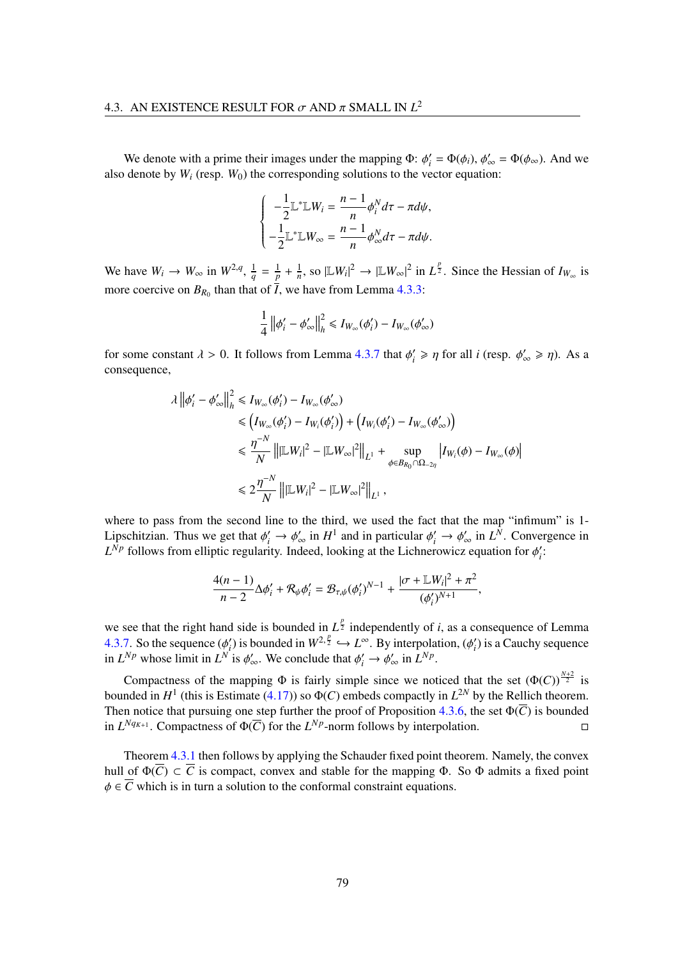We denote with a prime their images under the mapping  $\Phi$ :  $\phi_i'$ <br>denote by W. (resp. Wo) the corresponding solutions to the ve  $a'_i = \Phi(\phi_i), \phi'_{\infty} = \Phi(\phi_{\infty})$ . And we also denote by  $W_i$  (resp.  $W_0$ ) the corresponding solutions to the vector equation:

$$
\begin{cases}\n-\frac{1}{2}\mathbb{L}^*\mathbb{L}W_i = \frac{n-1}{n}\phi_i^N d\tau - \pi d\psi, \\
-\frac{1}{2}\mathbb{L}^*\mathbb{L}W_\infty = \frac{n-1}{n}\phi_\infty^N d\tau - \pi d\psi.\n\end{cases}
$$

We have  $W_i \to W_\infty$  in  $W^{2,q}$ ,  $\frac{1}{q} = \frac{1}{p} + \frac{1}{n}$ , so  $|\mathbb{L}W_i|^2 \to |\mathbb{L}W_\infty|^2$  in  $L^{\frac{p}{2}}$ . Since the Hessian of  $I_{W_\infty}$  is | more coercive on  $B_{R_0}$  than that of *I*, we have from Lemma [4.3.3:](#page-66-1)

$$
\frac{1}{4} \left\| \phi_i' - \phi_\infty' \right\|_h^2 \leq I_{W_\infty}(\phi_i') - I_{W_\infty}(\phi_\infty')
$$

for some constant  $\lambda > 0$ . It follows from Lemma [4.3.7](#page-77-0) that  $\phi_i'$  $\eta' \geq \eta$  for all *i* (resp.  $\phi'_{\infty} \geq \eta$ ). As a consequence,

$$
\lambda \left\| \phi'_{i} - \phi'_{\infty} \right\|_{h}^{2} \leq I_{W_{\infty}}(\phi'_{i}) - I_{W_{\infty}}(\phi'_{\infty})
$$
\n
$$
\leq \left( I_{W_{\infty}}(\phi'_{i}) - I_{W_{i}}(\phi'_{i}) \right) + \left( I_{W_{i}}(\phi'_{i}) - I_{W_{\infty}}(\phi'_{\infty}) \right)
$$
\n
$$
\leq \frac{\eta^{-N}}{N} \left\| |\mathbb{L}W_{i}|^{2} - |\mathbb{L}W_{\infty}|^{2} \right\|_{L^{1}} + \sup_{\phi \in B_{R_{0}} \cap \Omega_{-2\eta}} \left| I_{W_{i}}(\phi) - I_{W_{\infty}}(\phi) \right|
$$
\n
$$
\leq 2 \frac{\eta^{-N}}{N} \left\| |\mathbb{L}W_{i}|^{2} - |\mathbb{L}W_{\infty}|^{2} \right\|_{L^{1}},
$$

where to pass from the second line to the third, we used the fact that the map "infimum" is 1-Lipschitzian. Thus we get that  $\phi'_i \to \phi'_{\infty}$  in  $H^1$  and in particular  $\phi'_i \to \phi'_{\infty}$  in  $L^N$ . Convergence in  $L^N P$  follows from elliptic reqularity. Indeed, looking at the Lichnergy equation for  $\phi'_i$ .  $L^{Np}$  follows from elliptic regularity. Indeed, looking at the Lichnerowicz equation for  $\phi_i'$ *i* :

$$
\frac{4(n-1)}{n-2}\Delta\phi'_i + \mathcal{R}_{\psi}\phi'_i = \mathcal{B}_{\tau,\psi}(\phi'_i)^{N-1} + \frac{|\sigma + \mathbb{L}W_i|^2 + \pi^2}{(\phi'_i)^{N+1}},
$$

we see that the right hand side is bounded in  $L^{\frac{p}{2}}$  independently of *i*, as a consequence of Lemma [4.3.7.](#page-77-0) So the sequence  $(\phi'_i)$  is bounded in  $W^{2, \frac{p}{2}} \hookrightarrow L^{\infty}$ . By interpolation,  $(\phi'_i)$  in  $I^{Np}$  whose limit in  $I^N$  is  $\phi'$ . We conclude that  $\phi' \to \phi'$  in  $I^{Np}$ in *L<sup>N</sup>P* whose limit in *L<sup>N</sup>* is  $\phi'_\infty$ . We conclude that  $\phi'_i \to \phi'_\infty$  in *L<sup>NP</sup>*. *i* ) is a Cauchy sequence

Compactness of the mapping  $\Phi$  is fairly simple since we noticed that the set  $(\Phi(C))^{\frac{N+2}{2}}$  is bounded in  $H^1$  (this is Estimate [\(4.17\)](#page-73-0)) so  $\Phi(C)$  embeds compactly in  $L^{2N}$  by the Rellich theorem. Then notice that pursuing one step further the proof of Proposition [4.3.6,](#page-74-1) the set  $\Phi(\overline{C})$  is bounded in  $L^{Nq_{K+1}}$ . Compactness of  $\Phi(\overline{C})$  for the  $L^{Np}$ -norm follows by interpolation.

Theorem [4.3.1](#page-65-0) then follows by applying the Schauder fixed point theorem. Namely, the convex hull of  $\Phi(\overline{C}) \subset \overline{C}$  is compact, convex and stable for the mapping  $\Phi$ . So  $\Phi$  admits a fixed point  $\phi \in \overline{C}$  which is in turn a solution to the conformal constraint equations.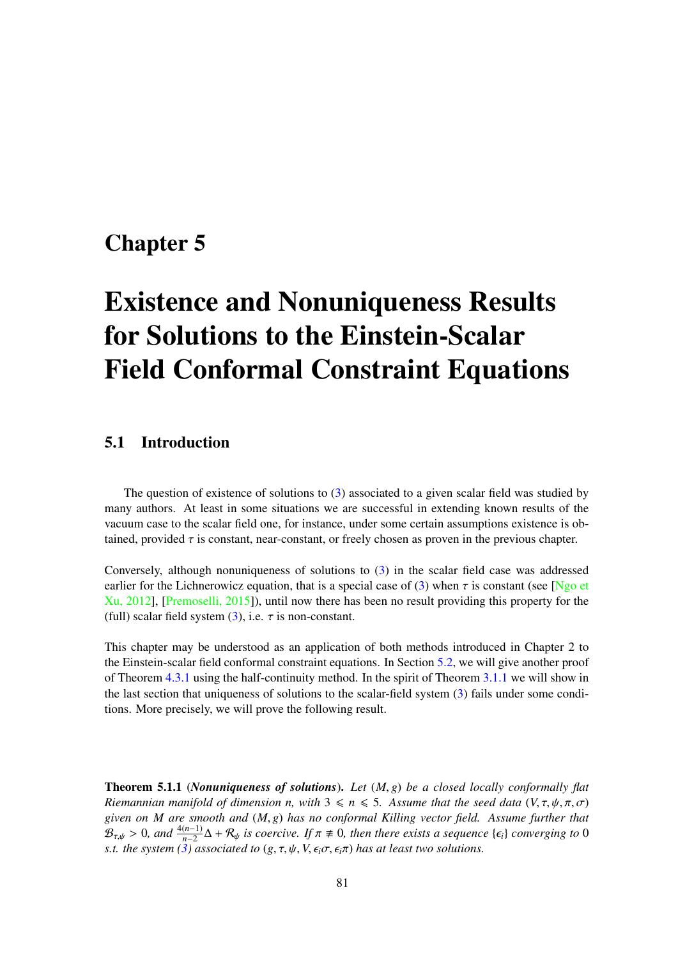## <span id="page-80-1"></span>Chapter 5

# Existence and Nonuniqueness Results for Solutions to the Einstein-Scalar Field Conformal Constraint Equations

### 5.1 Introduction

The question of existence of solutions to [\(3\)](#page-11-1) associated to a given scalar field was studied by many authors. At least in some situations we are successful in extending known results of the vacuum case to the scalar field one, for instance, under some certain assumptions existence is obtained, provided  $\tau$  is constant, near-constant, or freely chosen as proven in the previous chapter.

Conversely, although nonuniqueness of solutions to [\(3\)](#page-11-1) in the scalar field case was addressed earlier for the Lichnerowicz equation, that is a special case of [\(3\)](#page-11-1) when  $\tau$  is constant (see [\[Ngo et](#page-103-1) [Xu, 2012\]](#page-103-1), [\[Premoselli, 2015\]](#page-103-2)), until now there has been no result providing this property for the (full) scalar field system  $(3)$ , i.e.  $\tau$  is non-constant.

This chapter may be understood as an application of both methods introduced in Chapter 2 to the Einstein-scalar field conformal constraint equations. In Section [5.2,](#page-81-0) we will give another proof of Theorem [4.3.1](#page-65-0) using the half-continuity method. In the spirit of Theorem [3.1.1](#page-52-0) we will show in the last section that uniqueness of solutions to the scalar-field system [\(3\)](#page-11-1) fails under some conditions. More precisely, we will prove the following result.

<span id="page-80-0"></span>Theorem 5.1.1 (*Nonuniqueness of solutions*). *Let* (*M*, *<sup>g</sup>*) *be a closed locally conformally flat Riemannian manifold of dimension n, with*  $3 \le n \le 5$ *. Assume that the seed data*  $(V, \tau, \psi, \pi, \sigma)$  given on *M* are smooth and  $(M, g)$  has no conformal Killing vector field. Assume further that *given on M* are smooth and  $(M, g)$  has no conformal Killing vector field. Assume further that<br> $B \to 0$  and  $\frac{4(n-1)}{2} \Lambda + B$ , is coargive, If  $\pi \neq 0$ , then there exists a sequence [5] converging to 0  $\mathcal{B}_{\tau,\psi} > 0$ , and  $\frac{4(n-1)}{n-2}\Delta + \mathcal{R}_{\psi}$  is coercive. If  $\pi \neq 0$ , then there exists a sequence  $\{\epsilon_i\}$  converging to 0<br>s t, the system (3) associated to (a,  $\tau$ , k,  $V \in \mathcal{F}(\epsilon, \tau)$  has at least two solutions *s.t. the system* [\(3\)](#page-11-1) associated to  $(g, \tau, \psi, V, \epsilon_i \sigma, \epsilon_i \pi)$  has at least two solutions.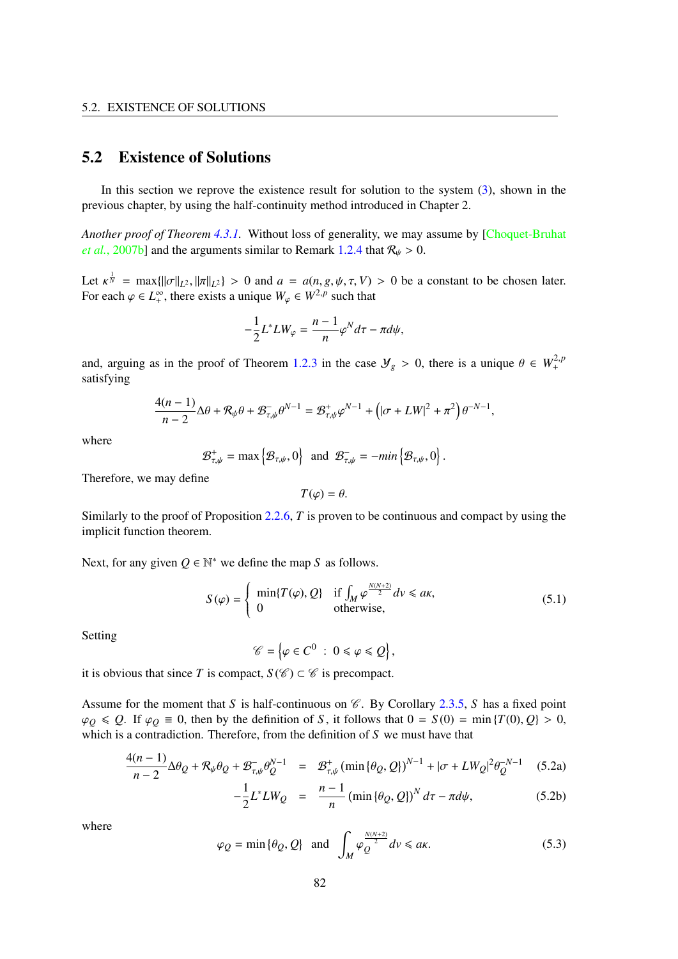#### <span id="page-81-2"></span><span id="page-81-0"></span>5.2 Existence of Solutions

In this section we reprove the existence result for solution to the system [\(3\)](#page-11-1), shown in the previous chapter, by using the half-continuity method introduced in Chapter 2.

*Another proof of Theorem [4.3.1.](#page-65-0)* Without loss of generality, we may assume by [\[Choquet-Bruhat](#page-100-0) *et al.*[, 2007b\]](#page-100-0) and the arguments similar to Remark [1.2.4](#page-24-0) that  $\mathcal{R}_{\psi} > 0$ .

Let  $\kappa^{\frac{1}{N}}$  = max{ $\|\sigma\|_{L^2}, \|\pi\|_{L^2}$ } > 0 and  $a = a(n, g, \psi, \tau, V) > 0$  be a constant to be chosen later. For each  $\varphi \in L_+^{\infty}$ , there exists a unique  $W_{\varphi} \in W^{2,p}$  such that

$$
-\frac{1}{2}L^*LW_{\varphi} = \frac{n-1}{n}\varphi^N d\tau - \pi d\psi,
$$

and, arguing as in the proof of Theorem [1.2.3](#page-21-0) in the case  $\mathcal{Y}_g > 0$ , there is a unique  $\theta \in W_+^{2,p}$ satisfying

$$
\frac{4(n-1)}{n-2}\Delta \theta+\mathcal{R}_{\psi}\theta+\mathcal{B}^-_{\tau,\psi}\theta^{N-1}=\mathcal{B}^+_{\tau,\psi}\varphi^{N-1}+\left(|\sigma+LW|^2+\pi^2\right)\theta^{-N-1},
$$

where

$$
\mathcal{B}^+_{\tau,\psi} = \max\left\{\mathcal{B}_{\tau,\psi}, 0\right\} \text{ and } \mathcal{B}^-_{\tau,\psi} = -\min\left\{\mathcal{B}_{\tau,\psi}, 0\right\}.
$$

Therefore, we may define

$$
T(\varphi)=\theta.
$$

Similarly to the proof of Proposition [2.2.6,](#page-37-0) *T* is proven to be continuous and compact by using the implicit function theorem.

Next, for any given  $Q \in \mathbb{N}^*$  we define the map *S* as follows.

$$
S(\varphi) = \begin{cases} \min\{T(\varphi), Q\} & \text{if } \int_M \varphi^{\frac{N(N+2)}{2}} dv \leq a\kappa, \\ 0 & \text{otherwise,} \end{cases}
$$
(5.1)

Setting

$$
\mathscr{C} = \left\{ \varphi \in C^0 \; : \; 0 \leq \varphi \leq Q \right\},\
$$

it is obvious that since *T* is compact,  $S(\mathcal{C}) \subset \mathcal{C}$  is precompact.

Assume for the moment that *S* is half-continuous on  $\mathcal{C}$ . By Corollary [2.3.5,](#page-40-0) *S* has a fixed point  $\varphi$ <sup>*Q*</sup>  $\leq$  *Q*. If  $\varphi$ <sup>*Q*</sup> ≡ 0, then by the definition of *S*, it follows that 0 = *S*(0) = min{*T*(0), *Q*} > 0, which is a contradiction. Therefore, from the definition of *S* we must have that

$$
\frac{4(n-1)}{n-2}\Delta\theta_{Q} + \mathcal{R}_{\psi}\theta_{Q} + \mathcal{B}_{\tau,\psi}^{-}\theta_{Q}^{N-1} = \mathcal{B}_{\tau,\psi}^{+}(\min{\{\theta_{Q}, Q\}})^{N-1} + |\sigma + LW_{Q}|^{2}\theta_{Q}^{-N-1}
$$
 (5.2a)

$$
-\frac{1}{2}L^*LW_Q = \frac{n-1}{n} (\min{\{\theta_Q, Q\}})^N d\tau - \pi d\psi,
$$
 (5.2b)

where

<span id="page-81-1"></span>
$$
\varphi_Q = \min{\{\theta_Q, Q\}}
$$
 and  $\int_M \varphi_Q^{\frac{N(N+2)}{2}} dv \leq a\kappa.$  (5.3)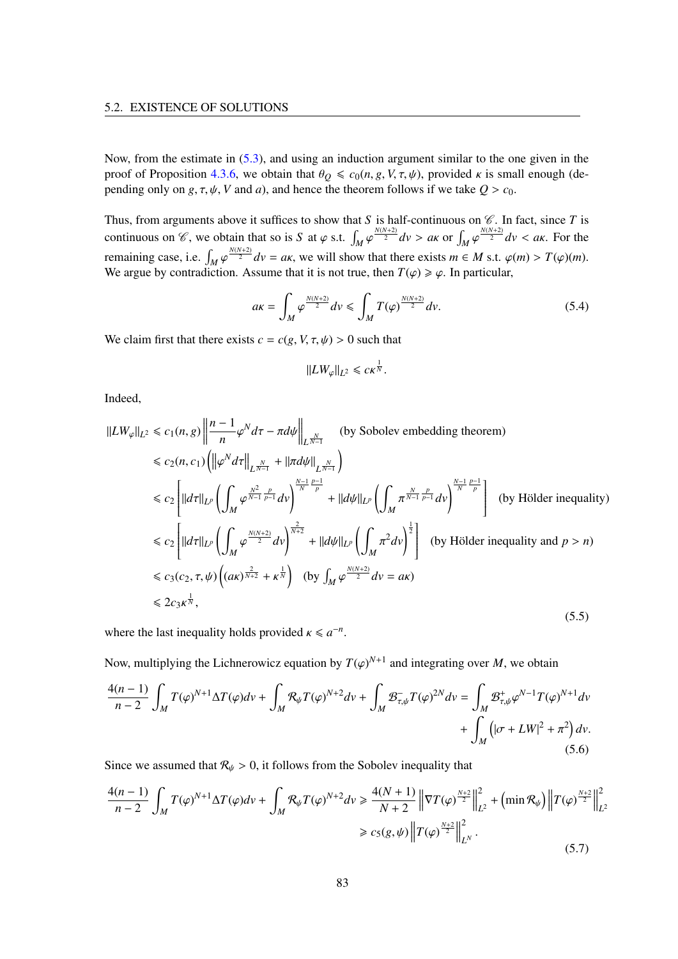Now, from the estimate in [\(5.3\)](#page-81-1), and using an induction argument similar to the one given in the proof of Proposition [4.3.6,](#page-74-1) we obtain that  $\theta$ <sup>*Q*</sup>  $\leq$  *c*<sub>0</sub>(*n*, *g*, *V*, *τ*,  $\psi$ ), provided *κ* is small enough (depending only on *g*,  $\tau$ ,  $\psi$ , *V* and *a*), and hence the theorem follows if we take  $Q > c_0$ .

Thus, from arguments above it suffices to show that *S* is half-continuous on  $\mathscr{C}$ . In fact, since *T* is continuous on  $\mathcal{C}$ , we obtain that so is *S* at  $\varphi$  s.t.  $\int_M \varphi$  $\int_{M}^{\frac{N(N+2)}{2}} dv > a\kappa$  or  $\int_{M} \varphi$  $\frac{N(N+2)}{2}$  *dv* < *ak*. For the remaining case, i.e.  $\int_M \varphi$ <br>We argue by contradiction  $\frac{N(N+2)}{2}$  *dv* = *ak*, we will show that there exists *m* ∈ *M* s.t.  $\varphi(m) > T(\varphi)(m)$ . We argue by contradiction. Assume that it is not true, then  $T(\varphi) \ge \varphi$ . In particular,

<span id="page-82-2"></span>
$$
a\kappa = \int_M \varphi^{\frac{N(N+2)}{2}} dv \leq \int_M T(\varphi)^{\frac{N(N+2)}{2}} dv.
$$
 (5.4)

We claim first that there exists  $c = c(g, V, \tau, \psi) > 0$  such that

$$
||LW_{\varphi}||_{L^2} \leqslant c\kappa^{\frac{1}{N}}.
$$

Indeed,

<span id="page-82-1"></span>
$$
||LW_{\varphi}||_{L^{2}} \le c_{1}(n, g) \left\| \frac{n-1}{n} \varphi^{N} d\tau - \pi d\psi \right\|_{L^{\frac{N}{N-1}}} \quad \text{(by Sobolev embedding theorem)}
$$
  
\n
$$
\le c_{2}(n, c_{1}) \left( \left\| \varphi^{N} d\tau \right\|_{L^{\frac{N}{N-1}}} + \left\| \pi d\psi \right\|_{L^{\frac{N}{N-1}}} \right)
$$
  
\n
$$
\le c_{2} \left[ \left\| d\tau \right\|_{L^{p}} \left( \int_{M} \varphi^{\frac{N^{2}}{N-1} \frac{p}{p-1}} d\nu \right)^{\frac{N-1}{N} \frac{p-1}{p}} + \left\| d\psi \right\|_{L^{p}} \left( \int_{M} \pi^{\frac{N}{N-1} \frac{p}{p-1}} d\nu \right)^{\frac{N-1}{N} \frac{p-1}{p}} \right] \quad \text{(by Hölder inequality)}
$$
  
\n
$$
\le c_{2} \left[ \left\| d\tau \right\|_{L^{p}} \left( \int_{M} \varphi^{\frac{N(N+2)}{2}} d\nu \right)^{\frac{2}{N+2}} + \left\| d\psi \right\|_{L^{p}} \left( \int_{M} \pi^{2} d\nu \right)^{\frac{1}{2}} \right] \quad \text{(by Hölder inequality and } p > n)
$$
  
\n
$$
\le c_{3}(c_{2}, \tau, \psi) \left( (a\kappa)^{\frac{2}{N+2}} + \kappa^{\frac{1}{N}} \right) \quad \text{(by } \int_{M} \varphi^{\frac{N(N+2)}{2}} d\nu = a\kappa)
$$
  
\n
$$
\le 2c_{3}\kappa^{\frac{1}{N}}, \qquad (5.5)
$$

where the last inequality holds provided  $\kappa \leq a^{-n}$ .

Now, multiplying the Lichnerowicz equation by  $T(\varphi)^{N+1}$  and integrating over *M*, we obtain

<span id="page-82-0"></span>
$$
\frac{4(n-1)}{n-2} \int_{M} T(\varphi)^{N+1} \Delta T(\varphi) d\mathbf{v} + \int_{M} \mathcal{R}_{\psi} T(\varphi)^{N+2} d\mathbf{v} + \int_{M} \mathcal{B}_{\tau,\psi}^{-} T(\varphi)^{2N} d\mathbf{v} = \int_{M} \mathcal{B}_{\tau,\psi}^{+} \varphi^{N-1} T(\varphi)^{N+1} d\mathbf{v} + \int_{M} \left( |\sigma + LW|^{2} + \pi^{2} \right) d\mathbf{v}.
$$
\n(5.6)

Since we assumed that  $\mathcal{R}_{\psi} > 0$ , it follows from the Sobolev inequality that

$$
\frac{4(n-1)}{n-2} \int_M T(\varphi)^{N+1} \Delta T(\varphi) d\nu + \int_M \mathcal{R}_{\psi} T(\varphi)^{N+2} d\nu \ge \frac{4(N+1)}{N+2} \left\| \nabla T(\varphi)^{\frac{N+2}{2}} \right\|_{L^2}^2 + \left(\min \mathcal{R}_{\psi}\right) \left\| T(\varphi)^{\frac{N+2}{2}} \right\|_{L^2}^2
$$
  

$$
\ge c_5(g, \psi) \left\| T(\varphi)^{\frac{N+2}{2}} \right\|_{L^N}^2.
$$
 (5.7)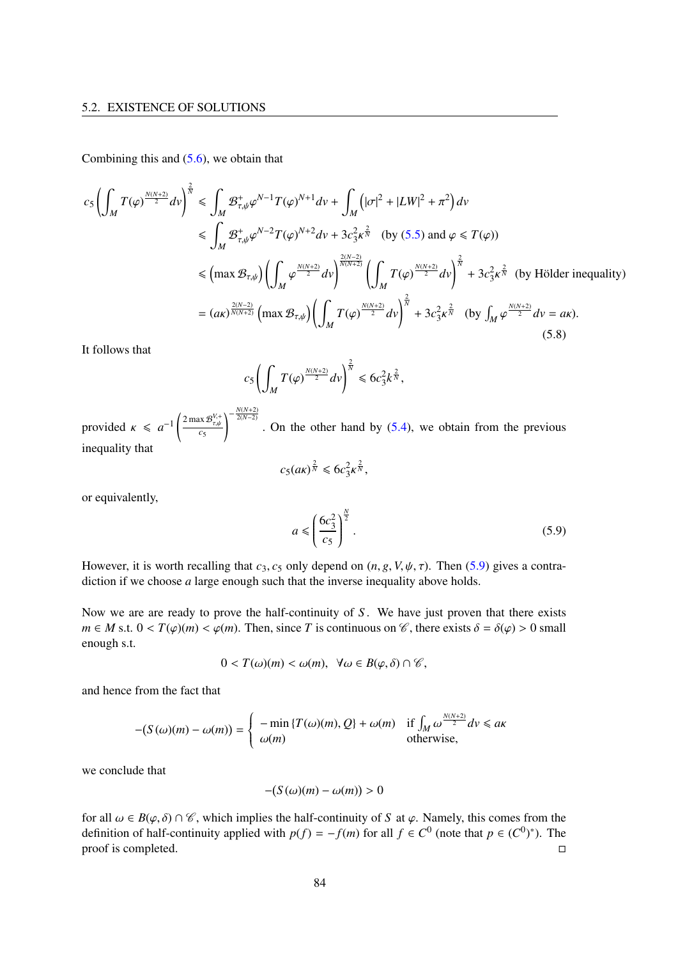Combining this and  $(5.6)$ , we obtain that

$$
c_5 \left( \int_M T(\varphi)^\frac{N(N+2)}{2} d\nu \right)^{\frac{2}{N}} \leq \int_M \mathcal{B}^+_{\tau,\psi} \varphi^{N-1} T(\varphi)^{N+1} d\nu + \int_M \left( |\sigma|^2 + |LW|^2 + \pi^2 \right) d\nu
$$
  
\n
$$
\leq \int_M \mathcal{B}^+_{\tau,\psi} \varphi^{N-2} T(\varphi)^{N+2} d\nu + 3c_3^2 \kappa^{\frac{2}{N}} \quad \text{(by (5.5) and } \varphi \leq T(\varphi))
$$
  
\n
$$
\leq \left( \max \mathcal{B}_{\tau,\psi} \right) \left( \int_M \varphi^\frac{N(N+2)}{N-2} d\nu \right)^{\frac{2(N-2)}{N(N+2)}} \left( \int_M T(\varphi)^\frac{N(N+2)}{2} d\nu \right)^{\frac{2}{N}} + 3c_3^2 \kappa^{\frac{2}{N}} \quad \text{(by Hölder inequality)}
$$
  
\n
$$
= (\alpha \kappa)^{\frac{2(N-2)}{N(N+2)}} \left( \max \mathcal{B}_{\tau,\psi} \right) \left( \int_M T(\varphi)^\frac{N(N+2)}{2} d\nu \right)^{\frac{2}{N}} + 3c_3^2 \kappa^{\frac{2}{N}} \quad \text{(by } \int_M \varphi^\frac{N(N+2)}{2} d\nu = \alpha \kappa).
$$
  
\n(5.8)

It follows that

$$
c_5 \left( \int_M T(\varphi)^{\frac{N(N+2)}{2}} dv \right)^{\frac{2}{N}} \leq 6c_3^2 k^{\frac{2}{N}},
$$

provided  $\kappa \leq a^{-1} \left( \frac{2 \max \mathcal{B}_{\tau,\psi}^{V,+}}{c_5} \right)$  $\int_{0}^{\frac{N(N+2)}{2(N-2)}}$ . On the other hand by [\(5.4\)](#page-82-2), we obtain from the previous inequality that

$$
c_5(a\kappa)^{\frac{2}{N}} \leqslant 6c_3^2\kappa^{\frac{2}{N}},
$$

or equivalently,

<span id="page-83-0"></span>
$$
a \le \left(\frac{6c_3^2}{c_5}\right)^{\frac{N}{2}}.\tag{5.9}
$$

However, it is worth recalling that  $c_3$ ,  $c_5$  only depend on  $(n, g, V, \psi, \tau)$ . Then [\(5.9\)](#page-83-0) gives a contradiction if we choose *a* large enough such that the inverse inequality above holds.

Now we are are ready to prove the half-continuity of *S* . We have just proven that there exists  $m \in M$  s.t.  $0 < T(\varphi)(m) < \varphi(m)$ . Then, since *T* is continuous on  $\mathscr{C}$ , there exists  $\delta = \delta(\varphi) > 0$  small enough s.t.

$$
0
$$

and hence from the fact that

$$
-(S(\omega)(m) - \omega(m)) = \begin{cases} -\min\left\{T(\omega)(m), Q\right\} + \omega(m) & \text{if } \int_M \omega^{\frac{N(N+2)}{2}} dv \leq a\kappa\\ \omega(m) & \text{otherwise,} \end{cases}
$$

we conclude that

$$
-(S(\omega)(m) - \omega(m)) > 0
$$

for all  $\omega \in B(\varphi, \delta) \cap \mathscr{C}$ , which implies the half-continuity of *S* at  $\varphi$ . Namely, this comes from the definition of half-continuity applied with  $p(f) = -f(m)$  for all  $f \in C^0$  (note that  $p \in (C^0)^*$ ). The proof is completed.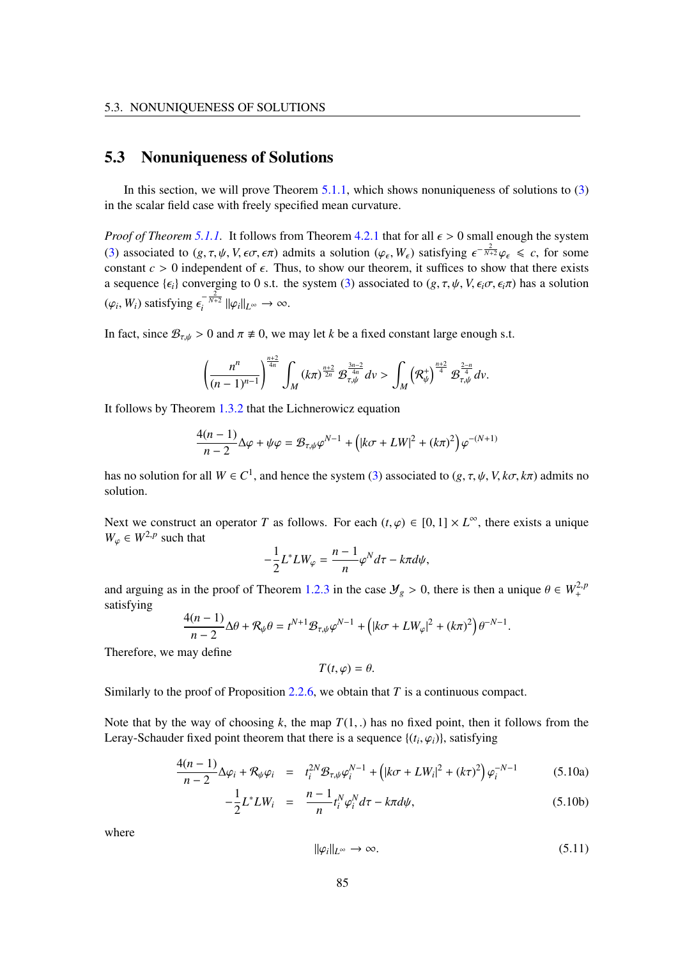#### 5.3 Nonuniqueness of Solutions

In this section, we will prove Theorem [5.1.1,](#page-80-0) which shows nonuniqueness of solutions to [\(3\)](#page-11-1) in the scalar field case with freely specified mean curvature.

*Proof of Theorem* [5.1.1.](#page-80-0) It follows from Theorem [4.2.1](#page-63-0) that for all  $\epsilon > 0$  small enough the system [\(3\)](#page-11-1) associated to  $(g, \tau, \psi, V, \epsilon \sigma, \epsilon \pi)$  admits a solution  $(\varphi_{\epsilon}, W_{\epsilon})$  satisfying  $\epsilon^{-\frac{2}{N+2}} \varphi_{\epsilon} \leq c$ , for some constant  $c > 0$  independent of  $\epsilon$ . Thus, to show our theorem, it suffices to show that there exist constant  $c > 0$  independent of  $\epsilon$ . Thus, to show our theorem, it suffices to show that there exists a sequence  $\{\epsilon_i\}$  converging to 0 s.t. the system [\(3\)](#page-11-1) associated to  $(g, \tau, \psi, V, \epsilon_i \sigma, \epsilon_i \pi)$  has a solution  $(\varphi_i, W_i)$  satisfying  $\epsilon_i^{-\frac{2}{N+2}} ||\varphi_i||_{L^{\infty}} \to \infty$ .

In fact, since  $\mathcal{B}_{\tau,\psi} > 0$  and  $\pi \neq 0$ , we may let *k* be a fixed constant large enough s.t.

$$
\left(\frac{n^n}{(n-1)^{n-1}}\right)^{\frac{n+2}{4n}}\int_M (k\pi)^{\frac{n+2}{2n}}\mathcal{B}_{\tau,\psi}^{\frac{3n-2}{4n}}d\nu>\int_M (\mathcal{R}_\psi^+)^{\frac{n+2}{4}}\mathcal{B}_{\tau,\psi}^{\frac{2-n}{4}}d\nu.
$$

It follows by Theorem [1.3.2](#page-25-0) that the Lichnerowicz equation

$$
\frac{4(n-1)}{n-2}\Delta\varphi + \psi\varphi = \mathcal{B}_{\tau,\psi}\varphi^{N-1} + \left(|k\sigma + LW|^2 + (k\pi)^2\right)\varphi^{-(N+1)}
$$

has no solution for all  $W \in C^1$ , and hence the system [\(3\)](#page-11-1) associated to  $(g, \tau, \psi, V, k\sigma, k\pi)$  admits no solution solution.

Next we construct an operator *T* as follows. For each  $(t, \varphi) \in [0, 1] \times L^{\infty}$ , there exists a unique  $W \in W^{2,p}$  such that  $W_{\varphi} \in W^{2,p}$  such that

$$
-\frac{1}{2}L^*LW_{\varphi} = \frac{n-1}{n}\varphi^N d\tau - k\pi d\psi,
$$

and arguing as in the proof of Theorem [1.2.3](#page-21-0) in the case  $\mathcal{Y}_g > 0$ , there is then a unique  $\theta \in W_+^{2,p}$ satisfying

$$
\frac{4(n-1)}{n-2}\Delta\theta + \mathcal{R}_{\psi}\theta = t^{N+1}\mathcal{B}_{\tau,\psi}\varphi^{N-1} + (|k\sigma + LW_{\varphi}|^2 + (k\pi)^2)\theta^{-N-1}
$$

Therefore, we may define

<span id="page-84-0"></span>
$$
T(t,\varphi)=\theta.
$$

Similarly to the proof of Proposition [2.2.6,](#page-37-0) we obtain that *T* is a continuous compact.

Note that by the way of choosing  $k$ , the map  $T(1, .)$  has no fixed point, then it follows from the Leray-Schauder fixed point theorem that there is a sequence  $\{(t_i, \varphi_i)\}\$ , satisfying

$$
\frac{4(n-1)}{n-2}\Delta\varphi_i + \mathcal{R}_{\psi}\varphi_i = t_i^{2N} \mathcal{B}_{\tau,\psi}\varphi_i^{N-1} + \left(|k\sigma + LW_i|^2 + (k\tau)^2\right)\varphi_i^{-N-1}
$$
(5.10a)

$$
-\frac{1}{2}L^*LW_i = \frac{n-1}{n}t_i^N \varphi_i^N d\tau - k\pi d\psi, \qquad (5.10b)
$$

where

<span id="page-84-1"></span>
$$
\|\varphi_i\|_{L^\infty} \to \infty. \tag{5.11}
$$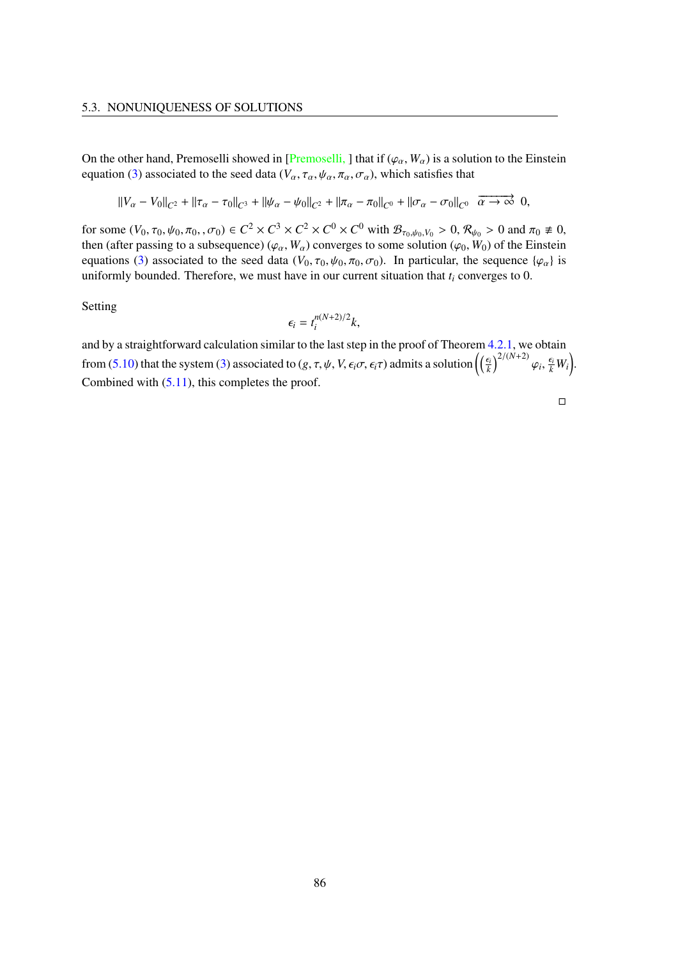<span id="page-85-0"></span>On the other hand, Premoselli showed in [\[Premoselli,](#page-103-3) ] that if  $(\varphi_{\alpha}, W_{\alpha})$  is a solution to the Einstein equation [\(3\)](#page-11-1) associated to the seed data ( $V_\alpha$ ,  $\tau_\alpha$ ,  $\psi_\alpha$ ,  $\pi_\alpha$ ,  $\sigma_\alpha$ ), which satisfies that

$$
||V_{\alpha} - V_0||_{C^2} + ||\tau_{\alpha} - \tau_0||_{C^3} + ||\psi_{\alpha} - \psi_0||_{C^2} + ||\pi_{\alpha} - \pi_0||_{C^0} + ||\sigma_{\alpha} - \sigma_0||_{C^0} \quad \overrightarrow{\alpha \to \infty} \quad 0,
$$

for some  $(V_0, \tau_0, \psi_0, \pi_0, \sigma_0) \in C^2 \times C^3 \times C^2 \times C^0 \times C^0$  with  $\mathcal{B}_{\tau_0, \psi_0, V_0} > 0$ ,  $\mathcal{R}_{\psi_0} > 0$  and  $\pi_0 \neq 0$ ,<br>then (after passing to a subsequence)  $(c_0, W_0)$  converges to some solution  $(c_0, W_0)$  of the then (after passing to a subsequence) ( $\varphi_{\alpha}$ ,  $W_{\alpha}$ ) converges to some solution ( $\varphi_0$ ,  $W_0$ ) of the Einstein equations [\(3\)](#page-11-1) associated to the seed data ( $V_0$ ,  $\tau_0$ ,  $\psi_0$ ,  $\pi_0$ ,  $\sigma_0$ ). In particular, the sequence { $\varphi_\alpha$ } is uniformly bounded. Therefore, we must have in our current situation that *t<sup>i</sup>* converges to 0.

Setting

$$
\epsilon_i = t_i^{n(N+2)/2} k,
$$

and by a straightforward calculation similar to the last step in the proof of Theorem [4.2.1,](#page-63-0) we obtain from [\(5.10\)](#page-84-0) that the system [\(3\)](#page-11-1) associated to  $(g, \tau, \psi, V, \epsilon_i \sigma, \epsilon_i \tau)$  admits a solution  $\left( \left( \frac{\epsilon_i}{k} \right)^{2/(N+2)} \right)$  $\varphi_i$ ,  $\frac{\epsilon_i}{k} W_i$ . Combined with  $(5.11)$ , this completes the proof.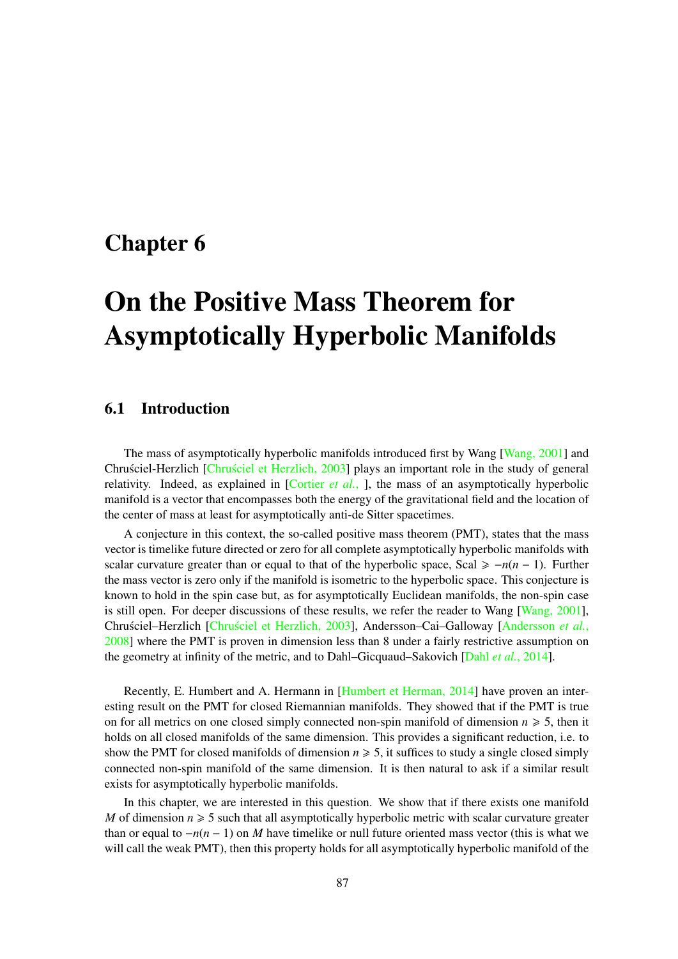## <span id="page-86-0"></span>Chapter 6

# On the Positive Mass Theorem for Asymptotically Hyperbolic Manifolds

#### 6.1 Introduction

The mass of asymptotically hyperbolic manifolds introduced first by Wang [\[Wang, 2001\]](#page-103-4) and Chrusciel-Herzlich [[Chrusciel et Herzlich, 2003](#page-100-1)] plays an important role in the study of general relativity. Indeed, as explained in [\[Cortier](#page-101-2) *et al.*, ], the mass of an asymptotically hyperbolic manifold is a vector that encompasses both the energy of the gravitational field and the location of the center of mass at least for asymptotically anti-de Sitter spacetimes.

A conjecture in this context, the so-called positive mass theorem (PMT), states that the mass vector is timelike future directed or zero for all complete asymptotically hyperbolic manifolds with scalar curvature greater than or equal to that of the hyperbolic space, Scal  $\geq -n(n-1)$ . Further the mass vector is zero only if the manifold is isometric to the hyperbolic space. This conjecture is known to hold in the spin case but, as for asymptotically Euclidean manifolds, the non-spin case is still open. For deeper discussions of these results, we refer the reader to Wang [\[Wang, 2001\]](#page-103-4), Chrusciel–Herzlich [[Chrusciel et Herzlich, 2003](#page-100-1)], Andersson–Cai–Galloway [\[Andersson](#page-100-2) *et al.*, [2008\]](#page-100-2) where the PMT is proven in dimension less than 8 under a fairly restrictive assumption on the geometry at infinity of the metric, and to Dahl–Gicquaud–Sakovich [Dahl *et al.*[, 2014\]](#page-101-3).

Recently, E. Humbert and A. Hermann in [\[Humbert et Herman, 2014\]](#page-102-0) have proven an interesting result on the PMT for closed Riemannian manifolds. They showed that if the PMT is true on for all metrics on one closed simply connected non-spin manifold of dimension  $n \geq 5$ , then it holds on all closed manifolds of the same dimension. This provides a significant reduction, i.e. to show the PMT for closed manifolds of dimension  $n \ge 5$ , it suffices to study a single closed simply connected non-spin manifold of the same dimension. It is then natural to ask if a similar result exists for asymptotically hyperbolic manifolds.

In this chapter, we are interested in this question. We show that if there exists one manifold *M* of dimension  $n \geq 5$  such that all asymptotically hyperbolic metric with scalar curvature greater than or equal to −*n*(*n* − 1) on *M* have timelike or null future oriented mass vector (this is what we will call the weak PMT), then this property holds for all asymptotically hyperbolic manifold of the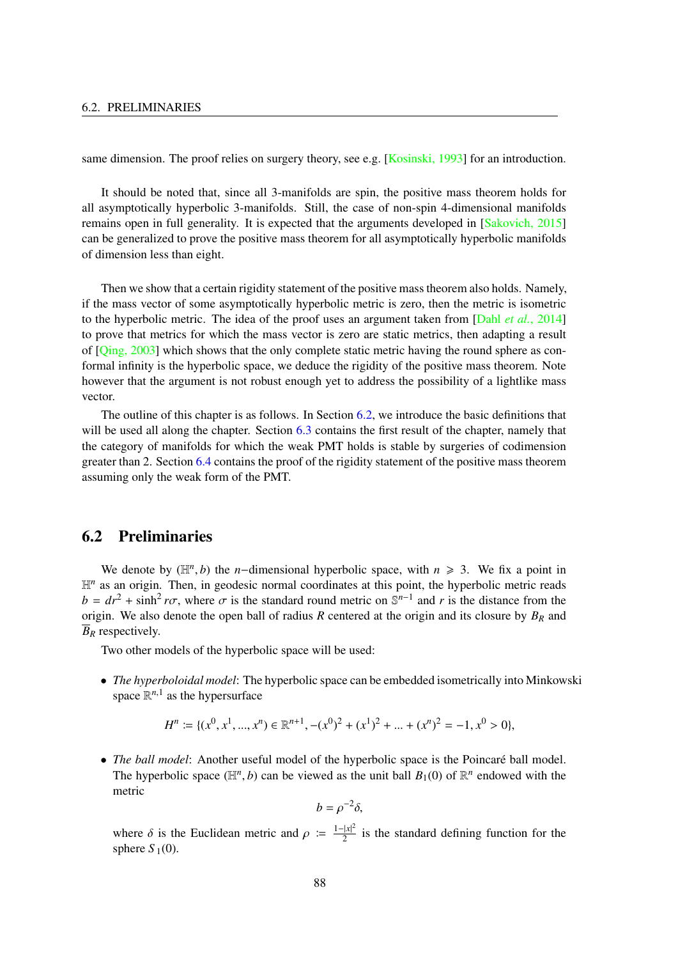<span id="page-87-1"></span>same dimension. The proof relies on surgery theory, see e.g. [\[Kosinski, 1993\]](#page-102-1) for an introduction.

It should be noted that, since all 3-manifolds are spin, the positive mass theorem holds for all asymptotically hyperbolic 3-manifolds. Still, the case of non-spin 4-dimensional manifolds remains open in full generality. It is expected that the arguments developed in [\[Sakovich, 2015\]](#page-103-5) can be generalized to prove the positive mass theorem for all asymptotically hyperbolic manifolds of dimension less than eight.

Then we show that a certain rigidity statement of the positive mass theorem also holds. Namely, if the mass vector of some asymptotically hyperbolic metric is zero, then the metric is isometric to the hyperbolic metric. The idea of the proof uses an argument taken from [Dahl *et al.*[, 2014\]](#page-101-3) to prove that metrics for which the mass vector is zero are static metrics, then adapting a result of [\[Qing, 2003\]](#page-103-6) which shows that the only complete static metric having the round sphere as conformal infinity is the hyperbolic space, we deduce the rigidity of the positive mass theorem. Note however that the argument is not robust enough yet to address the possibility of a lightlike mass vector.

The outline of this chapter is as follows. In Section [6.2,](#page-87-0) we introduce the basic definitions that will be used all along the chapter. Section [6.3](#page-89-0) contains the first result of the chapter, namely that the category of manifolds for which the weak PMT holds is stable by surgeries of codimension greater than 2. Section [6.4](#page-93-0) contains the proof of the rigidity statement of the positive mass theorem assuming only the weak form of the PMT.

### <span id="page-87-0"></span>6.2 Preliminaries

We denote by  $(\mathbb{H}^n, b)$  the *n*-dimensional hyperbolic space, with  $n \ge 3$ . We fix a point in<br>as an origin. Then in geodesic pormal coordinates at this point, the hyperbolic metric reads  $\mathbb{H}^n$  as an origin. Then, in geodesic normal coordinates at this point, the hyperbolic metric reads  $b = dr^2 + \sinh^2 r\sigma$ , where  $\sigma$  is the standard round metric on  $\mathbb{S}^{n-1}$  and *r* is the distance from the origin. We also denote the open ball of radius *R* centered at the origin and its closure by *R*<sub>n</sub> and origin. We also denote the open ball of radius *R* centered at the origin and its closure by *B<sup>R</sup>* and *B<sup>R</sup>* respectively.

Two other models of the hyperbolic space will be used:

• *The hyperboloidal model*: The hyperbolic space can be embedded isometrically into Minkowski space  $\mathbb{R}^{n,1}$  as the hypersurface

$$
H^n := \{ (x^0, x^1, ..., x^n) \in \mathbb{R}^{n+1}, -(x^0)^2 + (x^1)^2 + ... + (x^n)^2 = -1, x^0 > 0 \},
$$

• *The ball model*: Another useful model of the hyperbolic space is the Poincaré ball model. The hyperbolic space  $(\mathbb{H}^n, b)$  can be viewed as the unit ball  $B_1(0)$  of  $\mathbb{R}^n$  endowed with the metric metric

$$
b=\rho^{-2}\delta,
$$

where  $\delta$  is the Euclidean metric and  $\rho := \frac{1-|x|^2}{2}$  $\frac{|\mathcal{X}|}{2}$  is the standard defining function for the sphere  $S_1(0)$ .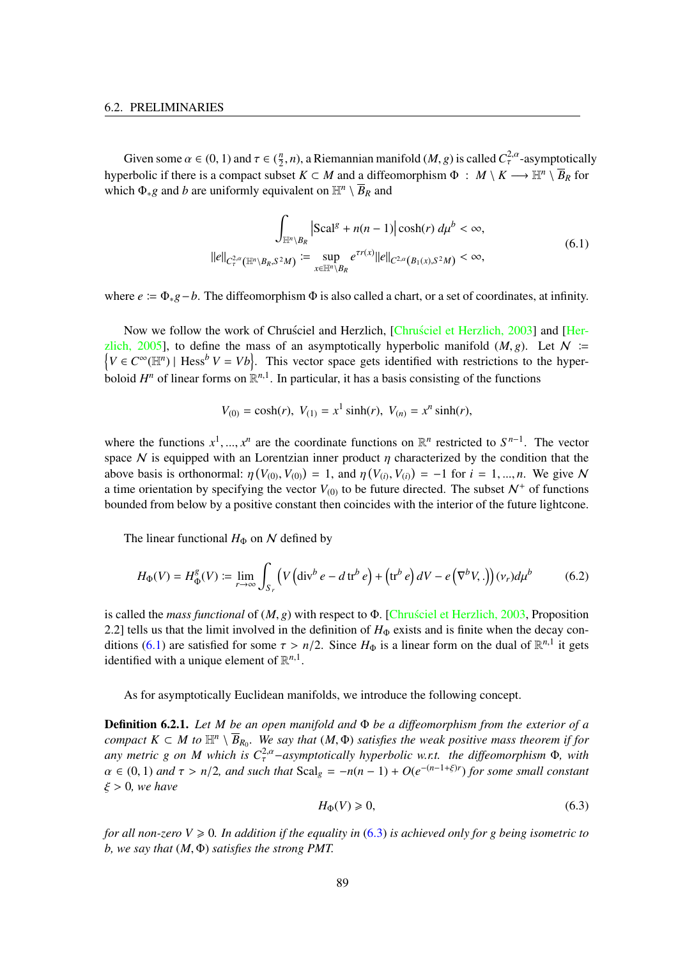<span id="page-88-2"></span>Given some  $\alpha \in (0, 1)$  and  $\tau \in (\frac{n}{2})$ <br>orbalic if there is a compact sub- $\frac{n}{2}$ , *n*), a Riemannian manifold  $(M, g)$  is called  $C_{\tau}^{2,\alpha}$ -asymptotically hyperbolic if there is a compact subset  $K \subset M$  and a diffeomorphism  $\Phi : M \setminus K \longrightarrow \mathbb{H}^n \setminus \overline{B}_R$  for which  $\Phi_* g$  and *b* are uniformly equivalent on  $\mathbb{H}^n \setminus \overline{B}_R$  and

<span id="page-88-0"></span>
$$
\int_{\mathbb{H}^n \setminus B_R} \left| \mathrm{Scal}^g + n(n-1) \right| \cosh(r) \, d\mu^b < \infty,
$$
\n
$$
\|e\|_{C^{2,\alpha}_\tau(\mathbb{H}^n \setminus B_R, S^2 M)} := \sup_{x \in \mathbb{H}^n \setminus B_R} e^{\tau r(x)} \|e\|_{C^{2,\alpha}(B_1(x), S^2 M)} < \infty,
$$
\n
$$
(6.1)
$$

where  $e := \Phi_* g - b$ . The diffeomorphism  $\Phi$  is also called a chart, or a set of coordinates, at infinity.

Now we follow the work of Chrusciel and Herzlich, [[Chrusciel et Herzlich, 2003](#page-100-1)] and [\[Her](#page-102-2)[zlich, 2005](#page-102-2)], to define the mass of an asymptotically hyperbolic manifold  $(M, g)$ . Let  $N :=$ <br> $\int V \in C^{\infty}(\mathbb{H}^n)$  | Hess<sup>b</sup>  $V = Vh$ <sup>1</sup>. This vector space gets identified with restrictions to the hyper- $\{V \in C^{\infty}(\mathbb{H}^n) \mid \text{Hess}^b V = Vb\}.$  This vector space gets identified with restrictions to the hyperboloid  $H^n$  of linear forms on  $\mathbb{R}^{n,1}$ . In particular, it has a basis consisting of the functions

$$
V_{(0)} = \cosh(r), V_{(1)} = x^1 \sinh(r), V_{(n)} = x^n \sinh(r),
$$

where the functions  $x^1, ..., x^n$  are the coordinate functions on  $\mathbb{R}^n$  restricted to  $S^{n-1}$ . The vector<br>space *N* is equipped with an I orgatzian inner product *n* characterized by the condition that the space N is equipped with an Lorentzian inner product  $\eta$  characterized by the condition that the above basis is orthonormal:  $\eta(V_{(0)}, V_{(0)}) = 1$ , and  $\eta(V_{(i)}, V_{(i)}) = -1$  for  $i = 1, ..., n$ . We give N a time orientation by specifying the vector  $V_{(0)}$  to be future directed. The subset  $\mathcal{N}^+$  of functions a time orientation by specifying the vector  $V_{(0)}$  to be future directed. The subset  $N^+$  of functions bounded from below by a positive constant then coincides with the interior of the future lightcone.

The linear functional  $H_{\Phi}$  on N defined by

$$
H_{\Phi}(V) = H_{\Phi}^{g}(V) := \lim_{r \to \infty} \int_{S_r} \left( V \left( \text{div}^{b} e - d \, \text{tr}^{b} e \right) + \left( \text{tr}^{b} e \right) dV - e \left( \nabla^{b} V, \cdot \right) \right) (v_r) d\mu^{b} \tag{6.2}
$$

is called the *mass functional* of  $(M, g)$  with respect to  $\Phi$ . [\[Chrusciel et Herzlich, 2003](#page-100-1), Proposition 2.2] tells us that the limit involved in the definition of  $H_{\Phi}$  exists and is finite when the decay con-ditions [\(6.1\)](#page-88-0) are satisfied for some  $\tau > n/2$ . Since  $H_{\Phi}$  is a linear form on the dual of  $\mathbb{R}^{n,1}$  it gets identified with a unique element of  $\mathbb{R}^{n,1}$ identified with a unique element of  $\mathbb{R}^{n,1}$ .

As for asymptotically Euclidean manifolds, we introduce the following concept.

Definition 6.2.1. *Let M be an open manifold and* Φ *be a diffeomorphism from the exterior of a compact*  $K \subset M$  *to*  $\mathbb{H}^n \setminus \overline{B}_{R_0}$ . We say that  $(M, \Phi)$  satisfies the weak positive mass theorem if for<br>any metric a on M which is  $C^{2,\alpha}$ -asymptotically hyperbolic w.r.t., the diffeomorphism  $\Phi$ , with *any metric g on M* which is  $C_{\tau}^{2,\alpha}$  –*asymptotically hyperbolic w.r.t. the diffeomorphism* Φ, with  $\alpha \in (0,1)$  and  $\tau > n/2$  and such that Sool  $-\frac{n(n-1)}{2} + O(\epsilon^{-(n-1+\xi)t})$  for some small constant  $\alpha \in (0, 1)$  and  $\tau > n/2$ , and such that  $Scal_g = -n(n-1) + O(e^{-(n-1+\xi)r})$  for some small constant  $\xi > 0$ , we have ξ > <sup>0</sup>*, we have*

<span id="page-88-1"></span>
$$
H_{\Phi}(V) \ge 0,\tag{6.3}
$$

*for all non-zero*  $V \ge 0$ *. In addition if the equality in* [\(6.3\)](#page-88-1) *is achieved only for g being isometric to b, we say that* (*M*, <sup>Φ</sup>) *satisfies the strong PMT.*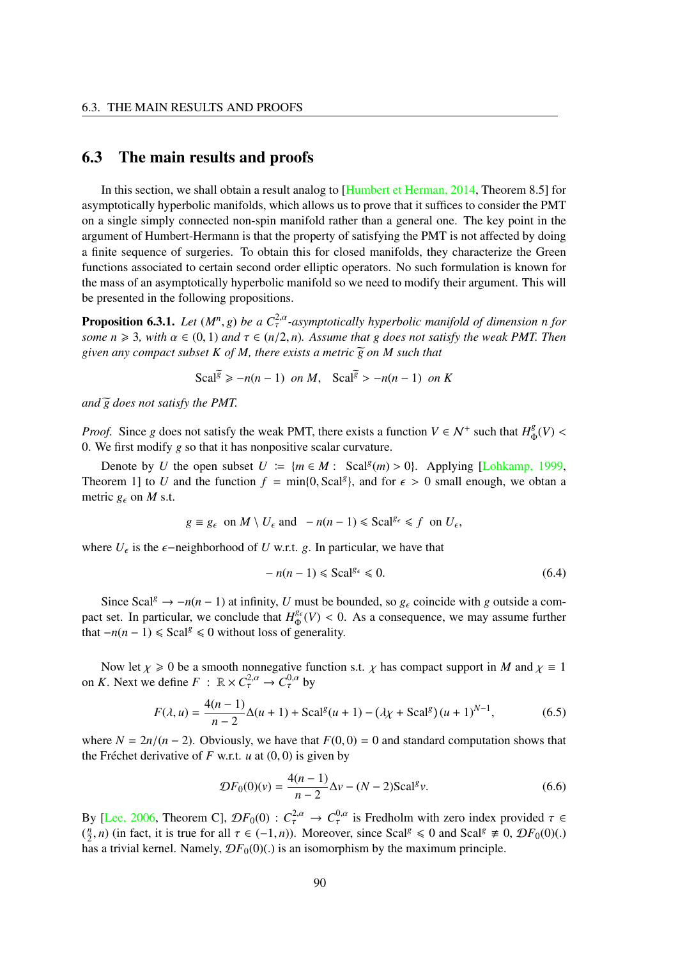#### <span id="page-89-2"></span><span id="page-89-0"></span>6.3 The main results and proofs

In this section, we shall obtain a result analog to [\[Humbert et Herman, 2014,](#page-102-0) Theorem 8.5] for asymptotically hyperbolic manifolds, which allows us to prove that it suffices to consider the PMT on a single simply connected non-spin manifold rather than a general one. The key point in the argument of Humbert-Hermann is that the property of satisfying the PMT is not affected by doing a finite sequence of surgeries. To obtain this for closed manifolds, they characterize the Green functions associated to certain second order elliptic operators. No such formulation is known for the mass of an asymptotically hyperbolic manifold so we need to modify their argument. This will be presented in the following propositions.

<span id="page-89-1"></span>**Proposition 6.3.1.** *Let*  $(M^n, g)$  *be a*  $C_{\tau}^{2,\alpha}$ -asymptotically hyperbolic manifold of dimension n for some  $n > 3$ , with  $\alpha \in (0, 1)$  and  $\tau \in (n/2, n)$ . Assume that a does not satisfy the weak PMT Then *some*  $n \ge 3$ *, with*  $\alpha \in (0, 1)$  *and*  $\tau \in (n/2, n)$ *. Assume that g does not satisfy the weak PMT. Then given any* compact subset *K* of *M* there exists a metric  $\tilde{a}$  on *M* such that *given any compact subset*  $K$  *of*  $M$ *, there exists a metric*  $\widetilde{g}$  *on*  $M$  *such that* 

$$
Scal^{\overline{g}} \ge -n(n-1) \text{ on } M, \quad Scal^{\overline{g}} > -n(n-1) \text{ on } K
$$

*and*  $\widetilde{g}$  *does not satisfy the PMT.* 

*Proof.* Since *g* does not satisfy the weak PMT, there exists a function  $V \in \mathcal{N}^+$  such that  $H_d^g$  $_{\Phi}^{8}(V)$  < 0. We first modify *g* so that it has nonpositive scalar curvature.

Denote by *U* the open subset  $U := \{m \in M : \text{Scal}^g(m) > 0\}$ . Applying [\[Lohkamp, 1999,](#page-102-3) orem 11 to *U* and the function  $f = min[0$  Scal<sup>g</sup>), and for  $\epsilon > 0$  small enough, we obtain a Theorem 1] to *U* and the function  $f = \min\{0, \text{Scal}^g\}$ , and for  $\epsilon > 0$  small enough, we obtan a metric *a*, on *M* s t metric  $g_{\epsilon}$  on *M* s.t.

$$
g \equiv g_{\epsilon} \text{ on } M \setminus U_{\epsilon} \text{ and } -n(n-1) \leqslant \text{Scal}^{g_{\epsilon}} \leqslant f \text{ on } U_{\epsilon},
$$

where  $U_{\epsilon}$  is the  $\epsilon$ -neighborhood of *U* w.r.t. *g*. In particular, we have that

$$
-n(n-1) \leqslant \text{Scal}^{g_{\epsilon}} \leqslant 0. \tag{6.4}
$$

Since Scal<sup>*g*</sup> → *−n*(*n* − 1) at infinity, *U* must be bounded, so  $g_{\epsilon}$  coincide with *g* outside a compact set. In particular, we conclude that  $H_{\Phi}^{g_{\epsilon}}(V) < 0$ . As a consequence, we may assume further that  $-n(n-1)$  ≤ Scal<sup>g</sup> ≤ 0 without loss of generality.

Now let  $\chi \ge 0$  be a smooth nonnegative function s.t.  $\chi$  has compact support in *M* and  $\chi \equiv 1$ on *K*. Next we define  $F : \mathbb{R} \times C_{\tau}^{2,\alpha} \to C_{\tau}^{0,\alpha}$  by

$$
F(\lambda, u) = \frac{4(n-1)}{n-2}\Delta(u+1) + \text{Scal}^{g}(u+1) - (\lambda \chi + \text{Scal}^{g})(u+1)^{N-1},
$$
(6.5)

where  $N = 2n/(n-2)$ . Obviously, we have that  $F(0, 0) = 0$  and standard computation shows that the Fréchet derivative of  $F$  w.r.t.  $u$  at  $(0, 0)$  is given by

$$
\mathcal{D}F_0(0)(v) = \frac{4(n-1)}{n-2}\Delta v - (N-2)\text{Scal}^g v.
$$
\n(6.6)

By [\[Lee, 2006,](#page-102-4) Theorem C],  $\mathcal{D}F_0(0)$ :  $C_\tau^{2,\alpha} \to C_\tau^{0,\alpha}$  is Fredholm with zero index provided  $\tau \in$ <br> $\left(\frac{n}{\tau}n\right)$  (in fact, it is true for all  $\tau \in (-1, n)$ ). Moreover, since Scal<sup>g</sup>  $\leq 0$  and Scal<sup>g</sup>  $\neq 0$ ,  $(\frac{n}{2}, n)$  (in fact, it is true for all  $\tau \in (-1, n)$ ). Moreov  $\frac{n}{2}$ , *n*) (in fact, it is true for all  $\tau \in (-1, n)$ ). Moreover, since Scal<sup>g</sup>  $\leq 0$  and Scal<sup>g</sup>  $\neq 0$ ,  $\mathcal{D}F_0(0)(.)$ <br>as a trivial kernel. Namely,  $\mathcal{D}F_0(0)(.)$  is an isomorphism by the maximum principle. has a trivial kernel. Namely,  $\mathcal{D}F_0(0)$ (.) is an isomorphism by the maximum principle.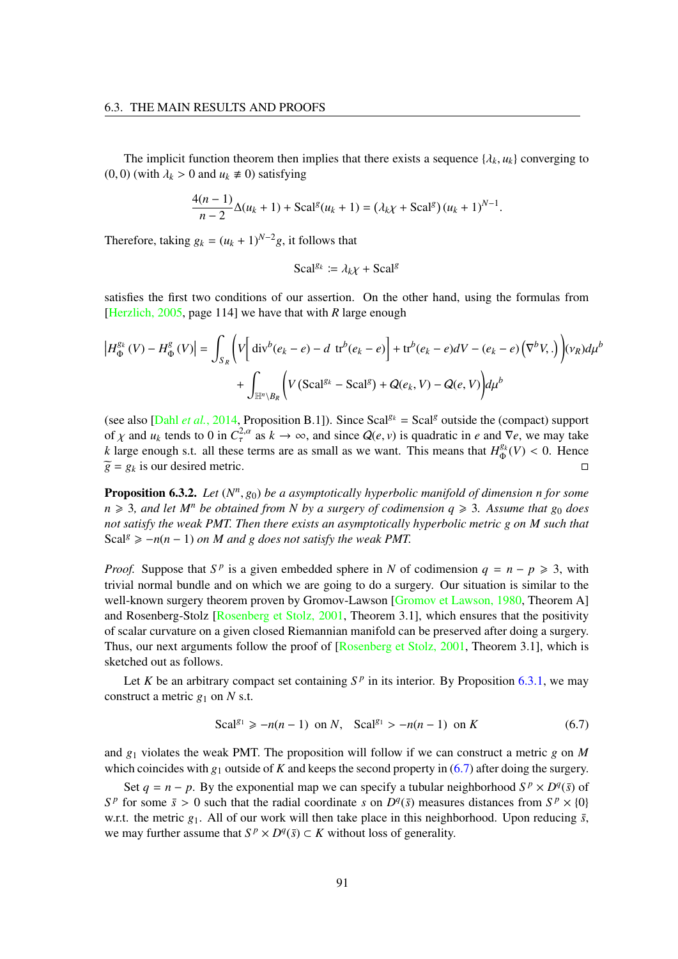<span id="page-90-2"></span>The implicit function theorem then implies that there exists a sequence  $\{\lambda_k, u_k\}$  converging to  $(0, 0)$  (with  $\lambda_k > 0$  and  $u_k \neq 0$ ) satisfying

$$
\frac{4(n-1)}{n-2}\Delta(u_k+1) + \text{Scal}^g(u_k+1) = (\lambda_k \chi + \text{Scal}^g)(u_k+1)^{N-1}.
$$

Therefore, taking  $g_k = (u_k + 1)^{N-2}g$ , it follows that

$$
\mathrm{Scal}^{g_k} \coloneqq \lambda_k \chi + \mathrm{Scal}^g
$$

satisfies the first two conditions of our assertion. On the other hand, using the formulas from [\[Herzlich, 2005,](#page-102-2) page 114] we have that with *R* large enough

$$
\left|H_{\Phi}^{g_k}(V) - H_{\Phi}^{g}(V)\right| = \int_{S_R} \left(V\left[\text{div}^{b}(e_k - e) - d \text{ tr}^{b}(e_k - e)\right] + \text{tr}^{b}(e_k - e)dV - (e_k - e)\left(\nabla^{b}V,.\right)\right)(\nu_R)d\mu^{b}
$$

$$
+ \int_{\mathbb{H}^n \setminus B_R} \left(V\left(\text{Scal}^{g_k} - \text{Scal}^{g_k}\right) + Q(e_k, V) - Q(e, V)\right)d\mu^{b}
$$

(see also [Dahl *et al.*[, 2014,](#page-101-3) Proposition B.1]). Since Scal<sup>g<sub>*k*</sub></sup> = Scal<sup>g</sup> outside the (compact) support of  $\chi$  and  $u_k$  tends to 0 in  $C^{2,\alpha}_{\tau}$  as  $k \to \infty$ , and since  $Q(e, v)$  is quadratic in *e* and  $\nabla e$ , we may take *k* large enough s.t. all these terms are as small as we want. This means that  $H_0^{g_k}$  $\frac{g_k}{\Phi}(V)$  < 0. Hence  $\widetilde{g} = g_k$  is our desired metric.

<span id="page-90-1"></span>**Proposition 6.3.2.** *Let*  $(N^n, g_0)$  *be a asymptotically hyperbolic manifold of dimension n for some*<br> $n > 3$  *and let*  $M^n$  be obtained from N by a surgery of codimension  $a > 3$ . Assume that as does  $n \geq 3$ , and let  $M^n$  be obtained from N by a surgery of codimension  $q \geq 3$ . Assume that  $g_0$  does *not satisfy the weak PMT. Then there exists an asymptotically hyperbolic metric g on M such that*  $Scal^g \ge -n(n-1)$  *on M and g does not satisfy the weak PMT.* 

*Proof.* Suppose that  $S^p$  is a given embedded sphere in *N* of codimension  $q = n - p \ge 3$ , with trivial normal bundle and on which we are going to do a surgery. Our situation is similar to the well-known surgery theorem proven by Gromov-Lawson [\[Gromov et Lawson, 1980,](#page-101-4) Theorem A] and Rosenberg-Stolz [\[Rosenberg et Stolz, 2001,](#page-103-7) Theorem 3.1], which ensures that the positivity of scalar curvature on a given closed Riemannian manifold can be preserved after doing a surgery. Thus, our next arguments follow the proof of [\[Rosenberg et Stolz, 2001,](#page-103-7) Theorem 3.1], which is sketched out as follows.

Let *K* be an arbitrary compact set containing  $S<sup>p</sup>$  in its interior. By Proposition [6.3.1,](#page-89-1) we may construct a metric *g*<sup>1</sup> on *N* s.t.

<span id="page-90-0"></span>Scal<sup>g<sub>1</sub></sup> 
$$
\ge -n(n-1)
$$
 on N, Scal<sup>g<sub>1</sub></sup>  $> -n(n-1)$  on K (6.7)

and *g*<sup>1</sup> violates the weak PMT. The proposition will follow if we can construct a metric *g* on *M* which coincides with  $g_1$  outside of  $K$  and keeps the second property in [\(6.7\)](#page-90-0) after doing the surgery.

Set  $q = n - p$ . By the exponential map we can specify a tubular neighborhood  $S^p \times D^q(\bar{s})$  of  $S^p$  for some  $\bar{s} > 0$  such that the radial coordinate *s* on  $D^q(\bar{s})$  measures distances from  $S^p \times \{0\}$ <br>we the metric  $g_k$ . All of our work will then take place in this neighborhood. Upon reducing  $\bar{s}$ w.r.t. the metric  $g_1$ . All of our work will then take place in this neighborhood. Upon reducing  $\bar{s}$ , we may further assume that  $S^p \times D^q(\bar{s}) \subset K$  without loss of generality.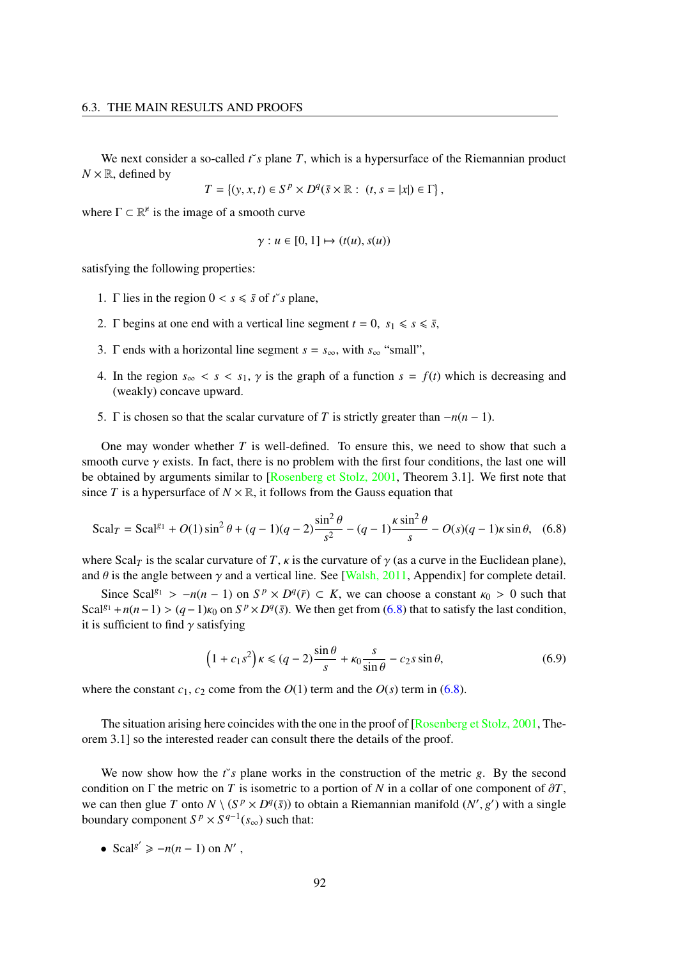<span id="page-91-1"></span>We next consider a so-called *t*<sup>*'s*</sup> plane *T*, which is a hypersurface of the Riemannian product  $N \times \mathbb{R}$ , defined by

$$
T = \{(y, x, t) \in S^p \times D^q(\bar{s} \times \mathbb{R} : (t, s = |x|) \in \Gamma\},\
$$

where  $\Gamma \subset \mathbb{R}^k$  is the image of a smooth curve

$$
\gamma: u \in [0,1] \mapsto (t(u), s(u))
$$

satisfying the following properties:

- 1. Γ lies in the region  $0 < s \leq \bar{s}$  of *t*<sup> $\checkmark$ </sup> s plane,
- 2. Γ begins at one end with a vertical line segment  $t = 0$ ,  $s_1 \le s \le \bar{s}$ ,
- 3. Γ ends with a horizontal line segment  $s = s_{\infty}$ , with  $s_{\infty}$  "small",
- 4. In the region  $s_{\infty} < s < s_1$ ,  $\gamma$  is the graph of a function  $s = f(t)$  which is decreasing and (weakly) concave upward.
- 5.  $\Gamma$  is chosen so that the scalar curvature of *T* is strictly greater than  $-n(n-1)$ .

One may wonder whether *T* is well-defined. To ensure this, we need to show that such a smooth curve  $\gamma$  exists. In fact, there is no problem with the first four conditions, the last one will be obtained by arguments similar to [\[Rosenberg et Stolz, 2001,](#page-103-7) Theorem 3.1]. We first note that since *T* is a hypersurface of  $N \times \mathbb{R}$ , it follows from the Gauss equation that

<span id="page-91-0"></span>
$$
\text{Scal}_{T} = \text{Scal}^{g_{1}} + O(1)\sin^{2}\theta + (q-1)(q-2)\frac{\sin^{2}\theta}{s^{2}} - (q-1)\frac{\kappa\sin^{2}\theta}{s} - O(s)(q-1)\kappa\sin\theta, \quad (6.8)
$$

where Scal<sub>*T*</sub> is the scalar curvature of *T*,  $\kappa$  is the curvature of  $\gamma$  (as a curve in the Euclidean plane), and  $\theta$  is the angle between  $\gamma$  and a vertical line. See [\[Walsh, 2011,](#page-103-8) Appendix] for complete detail.

Since  $Scal^{g_1} > -n(n-1)$  on  $S^p \times D^q(\bar{r}) \subset K$ , we can choose a constant  $\kappa_0 > 0$  such that  $|S^1 + n(n-1) \rangle \langle (q-1)\kappa_0$  on  $S^p \times D^q(\bar{r})$ . We then get from  $(G, g)$  that to satisfy the last condition Scal<sup>g<sub>1</sub></sup> +  $n(n-1)$  >  $(q-1)\kappa_0$  on  $S^p \times D^q(\bar{s})$ . We then get from [\(6.8\)](#page-91-0) that to satisfy the last condition, it is sufficient to find  $\gamma$  satisfying

$$
(1 + c_1 s^2) \kappa \leq (q - 2) \frac{\sin \theta}{s} + \kappa_0 \frac{s}{\sin \theta} - c_2 s \sin \theta,
$$
 (6.9)

where the constant  $c_1$ ,  $c_2$  come from the  $O(1)$  term and the  $O(s)$  term in [\(6.8\)](#page-91-0).

The situation arising here coincides with the one in the proof of [\[Rosenberg et Stolz, 2001,](#page-103-7) Theorem 3.1] so the interested reader can consult there the details of the proof.

We now show how the *t*<sup>*s*</sup> plane works in the construction of the metric *g*. By the second condition on  $\Gamma$  the metric on *T* is isometric to a portion of *N* in a collar of one component of  $\partial T$ , we can then glue *T* onto  $N \setminus (S^p \times D^q(\bar{s}))$  to obtain a Riemannian manifold  $(N', g')$  with a single<br>boundary component  $S^p \times S^{q-1}(s)$  such that: boundary component  $S^p \times S^{q-1}(s_{\infty})$  such that:

• 
$$
\text{Scal}^{g'} \ge -n(n-1) \text{ on } N',
$$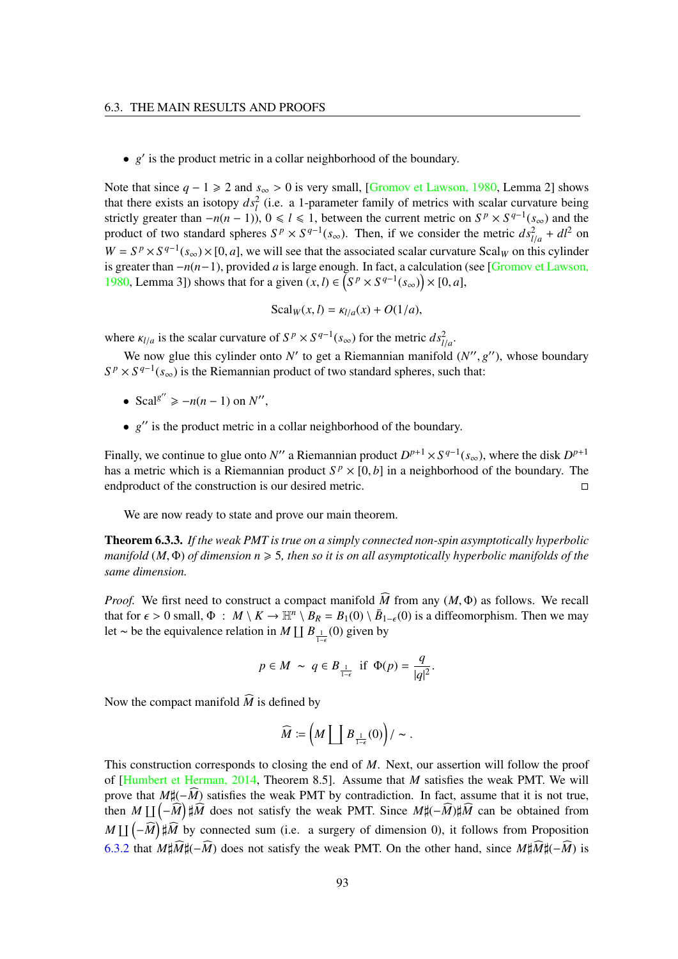<span id="page-92-1"></span> $\bullet$  g' is the product metric in a collar neighborhood of the boundary.

Note that since  $q - 1 \ge 2$  and  $s_{\infty} > 0$  is very small, [\[Gromov et Lawson, 1980,](#page-101-4) Lemma 2] shows that there exists an isotopy  $ds_l^2$  (i.e. a 1-parameter family of metrics with scalar curvature being strictly greater than  $-n(n-1)$ ,  $0 \le l \le 1$ , between the current metric on  $S^p \times S^{q-1}(s_{\infty})$  and the product of two standard spheres  $S^p \times S^{q-1}(s_{\infty})$ . Then, if we consider the metric  $ds_{t/a}^2 + dl^2$  on *W* =  $S^p \times S^{q-1}(s_\infty) \times [0, a]$ , we will see that the associated scalar curvature Scal<sub>W</sub> on this cylinder is greater than  $p(n-1)$  provided a is large enough. In fact, a calculation (see [Gromov et Lawson] is greater than −*n*(*n*−1), provided *a* is large enough. In fact, a calculation (see [\[Gromov et Lawson,](#page-101-4) [1980,](#page-101-4) Lemma 3]) shows that for a given  $(x, l) \in (S^p \times S^{q-1}(s_\infty)) \times [0, a]$ ,

$$
Scal_W(x, l) = \kappa_{l/a}(x) + O(1/a),
$$

where  $\kappa_{l/a}$  is the scalar curvature of  $S^p \times S^{q-1}(s_\infty)$  for the metric  $ds^2_{l/a}$ .

We now glue this cylinder onto *N'* to get a Riemannian manifold  $(N'', g'')$ , whose boundary<br>  $\leq S^{q-1}(s)$  is the Riemannian product of two standard spheres, such that:  $S^p \times S^{q-1}(s_{\infty})$  is the Riemannian product of two standard spheres, such that:

- Scal<sup>g"</sup>  $\ge -n(n-1)$  on N",
- $\bullet$  g" is the product metric in a collar neighborhood of the boundary.

Finally, we continue to glue onto *N*" a Riemannian product  $D^{p+1} \times S^{q-1}(s_{\infty})$ , where the disk  $D^{p+1}$ has a metric which is a Riemannian product  $S^p \times [0, b]$  in a neighborhood of the boundary. The endproduct of the construction is our desired metric. endproduct of the construction is our desired metric.

We are now ready to state and prove our main theorem.

<span id="page-92-0"></span>Theorem 6.3.3. *If the weak PMT is true on a simply connected non-spin asymptotically hyperbolic manifold* ( $M$ ,  $\Phi$ ) *of dimension*  $n \geq 5$ , then so it is on all asymptotically hyperbolic manifolds of the *same dimension.*

*Proof.* We first need to construct a compact manifold  $\widehat{M}$  from any  $(M, \Phi)$  as follows. We recall that for  $\epsilon > 0$  small,  $\Phi : M \setminus K \to \mathbb{H}^n \setminus B_R = B_1(0) \setminus \overline{B}_{1-\epsilon}(0)$  is a diffeomorphism. Then we may let  $\infty$  be the equivalence relation in MII  $R_+$  (0) given by let ~ be the equivalence relation in *M*  $\prod B_{\perp}$  $1-\epsilon$ (0) given by

$$
p\in M \ \sim \ q\in B_{\frac{1}{1-\epsilon}} \ \ \textrm{if} \ \ \Phi(p)=\frac{q}{|q|^2}.
$$

Now the compact manifold  $\widehat{M}$  is defined by

$$
\widehat{M} := \left(M \coprod B_{\frac{1}{1-\epsilon}}(0)\right) / \sim.
$$

This construction corresponds to closing the end of *M*. Next, our assertion will follow the proof of [\[Humbert et Herman, 2014,](#page-102-0) Theorem 8.5]. Assume that *M* satisfies the weak PMT. We will prove that  $M\sharp(-M)$  satisfies the weak PMT by contradiction. In fact, assume that it is not true, then *M*  $\coprod$   $\left(-\widehat{M}\right)\sharp\widehat{M}$  does not satisfy the weak PMT. Since  $M\sharp\left(-\widehat{M}\right)\sharp\widehat{M}$  can be obtained from  $M \coprod (-\widehat{M}) \sharp \widehat{M}$  by connected sum (i.e. a surgery of dimension 0), it follows from Proposition [6.3.2](#page-90-1) that *M* $\sharp \widehat{M}\sharp(-\widehat{M})$  does not satisfy the weak PMT. On the other hand, since *M* $\sharp \widehat{M}\sharp(-\widehat{M})$  is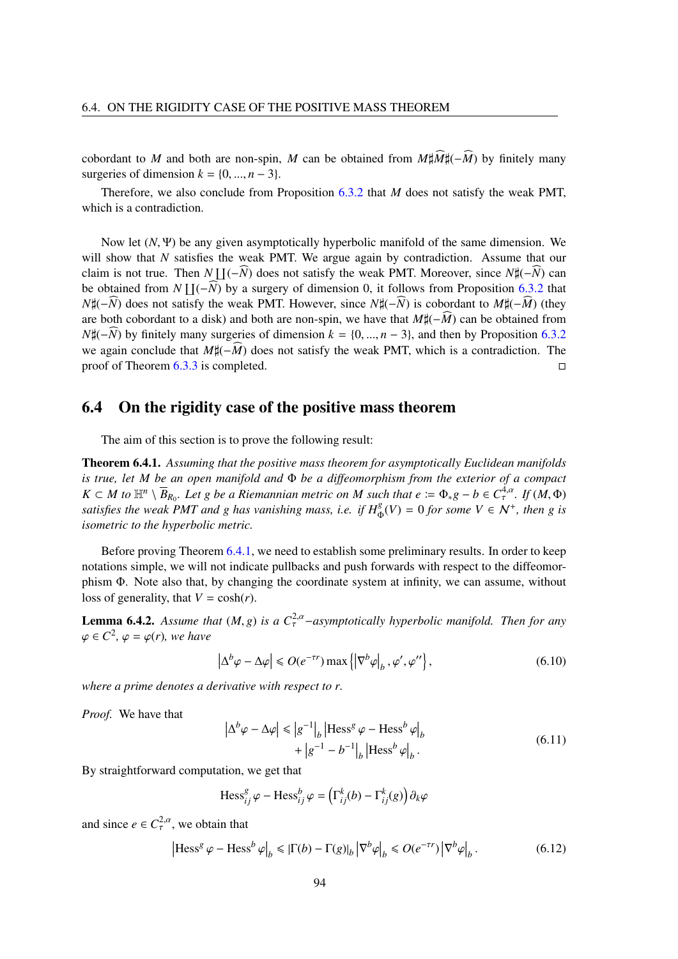cobordant to *M* and both are non-spin, *M* can be obtained from  $M\sharp \widehat{M}\sharp (-\widehat{M})$  by finitely many surgeries of dimension  $k = \{0, ..., n-3\}$ .

Therefore, we also conclude from Proposition [6.3.2](#page-90-1) that *M* does not satisfy the weak PMT, which is a contradiction.

Now let (*N*, <sup>Ψ</sup>) be any given asymptotically hyperbolic manifold of the same dimension. We will show that *N* satisfies the weak PMT. We argue again by contradiction. Assume that our claim is not true. Then *N*  $\coprod (-N)$  does not satisfy the weak PMT. Moreover, since *N* $\sharp(-N)$  can<br>be obtained from *N*  $\coprod (-\widehat{N})$  by a surgery of dimension 0, it follows from Proposition 6.3.2 that be obtained from *N*  $\coprod (-N)$  by a surgery of dimension 0, it follows from Proposition [6.3.2](#page-90-1) that *N*<sup> $#(-N)$  does not satisfy the weak PMT. However, since *N* $#(-N)$  is cobordant to *M* $#(-M)$  (they</sup> are both cobordant to a disk) and both are non-spin, we have that *<sup>M</sup>*](−*M*b) can be obtained from  $N\sharp(-N)$  by finitely many surgeries of dimension  $k = \{0, ..., n-3\}$ , and then by Proposition [6.3.2](#page-90-1) we again conclude that  $M\sharp(-\overline{M})$  does not satisfy the weak PMT, which is a contradiction. The proof of Theorem 6.3.3 is completed proof of Theorem [6.3.3](#page-92-0) is completed.

#### <span id="page-93-0"></span>6.4 On the rigidity case of the positive mass theorem

The aim of this section is to prove the following result:

<span id="page-93-1"></span>Theorem 6.4.1. *Assuming that the positive mass theorem for asymptotically Euclidean manifolds is true, let M be an open manifold and* Φ *be a diffeomorphism from the exterior of a compact K* ⊂ *M to*  $\mathbb{H}^n \setminus \overline{B}_{R_0}$ *. Let g be a Riemannian metric on M such that*  $e := \Phi_* g - b \in C_{\tau}^{4,\alpha}$ *. If*  $(M, \Phi)$  satisfies the weak PMT and a has vanishing mass *i.e.* if  $H^8(V) - 0$  for some  $V \in \mathbb{N}^$ *satisfies the weak PMT and g has vanishing mass, i.e. if*  $H_0^g(V) = 0$  for some  $V \in \mathcal{N}$  ${}_{\Phi}^{g}(V) = 0$  *for some*  $V \in \mathcal{N}^{+}$ *, then g is isometric to the hyperbolic metric.*

Before proving Theorem [6.4.1,](#page-93-1) we need to establish some preliminary results. In order to keep notations simple, we will not indicate pullbacks and push forwards with respect to the diffeomorphism Φ. Note also that, by changing the coordinate system at infinity, we can assume, without loss of generality, that  $V = \cosh(r)$ .

<span id="page-93-4"></span>**Lemma 6.4.2.** *Assume that*  $(M, g)$  *is a*  $C_{\tau}^{2,\alpha}$  –asymptotically hyperbolic manifold. Then for any<br> $\alpha \in C_{\tau}^{2}$   $(\alpha - \alpha(\tau))$  we have  $\varphi \in C^2$ ,  $\varphi = \varphi(r)$ , we have

<span id="page-93-3"></span>
$$
\left|\Delta^{b}\varphi - \Delta\varphi\right| \le O(e^{-\tau r}) \max\left\{\left|\nabla^{b}\varphi\right|_{b}, \varphi', \varphi''\right\},\tag{6.10}
$$

*where a prime denotes a derivative with respect to r.*

<span id="page-93-2"></span> $\overline{\phantom{a}}$  $\overline{\phantom{a}}$ 

*Proof.* We have that

$$
\left|\Delta^{b}\varphi - \Delta\varphi\right| \leq \left|g^{-1}\right|_{b} \left|\text{Hess}^{g}\varphi - \text{Hess}^{b}\varphi\right|_{b} + \left|g^{-1} - b^{-1}\right|_{b} \left|\text{Hess}^{b}\varphi\right|_{b}.
$$
 (6.11)

By straightforward computation, we get that

$$
\operatorname{Hess}_{ij}^g \varphi - \operatorname{Hess}_{ij}^b \varphi = \left(\Gamma_{ij}^k(b) - \Gamma_{ij}^k(g)\right) \partial_k \varphi
$$

and since  $e \in C^{2,\alpha}_{\tau}$ , we obtain that

$$
\left| \text{Hess}^g \, \varphi - \text{Hess}^b \, \varphi \right|_b \leq \left| \Gamma(b) - \Gamma(g) \right|_b \left| \nabla^b \varphi \right|_b \leq O(e^{-\tau r}) \left| \nabla^b \varphi \right|_b. \tag{6.12}
$$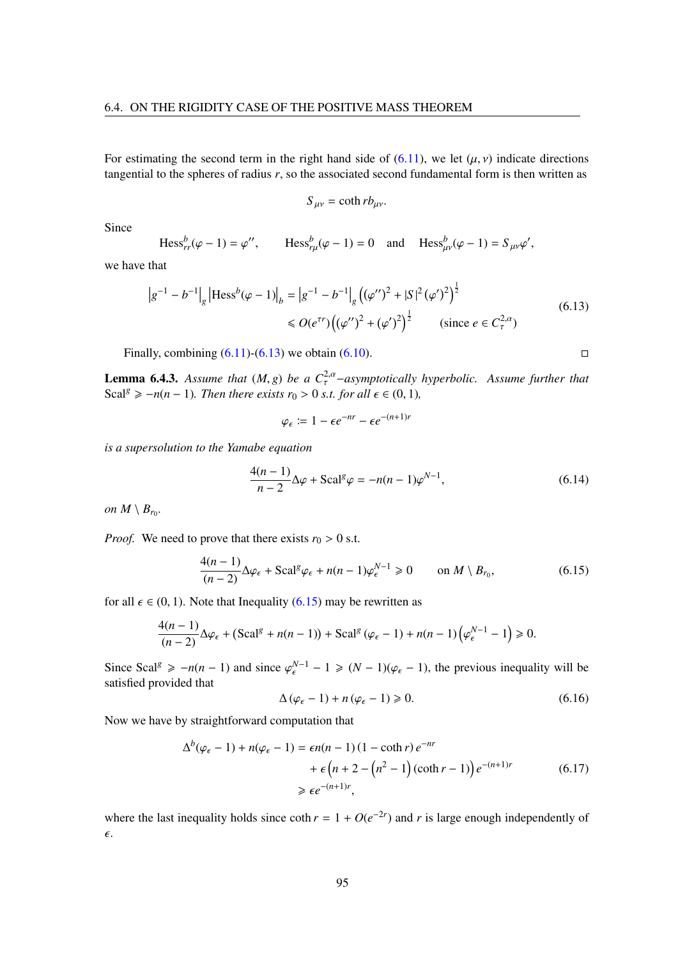For estimating the second term in the right hand side of  $(6.11)$ , we let  $(\mu, \nu)$  indicate directions tangential to the spheres of radius *r*, so the associated second fundamental form is then written as

$$
S_{\mu\nu}=\coth rb_{\mu\nu}.
$$

Since

$$
\text{Hess}_{rr}^b(\varphi - 1) = \varphi'', \qquad \text{Hess}_{r\mu}^b(\varphi - 1) = 0 \quad \text{and} \quad \text{Hess}_{\mu\nu}^b(\varphi - 1) = S_{\mu\nu}\varphi',
$$

we have that

<span id="page-94-0"></span>
$$
\left|g^{-1} - b^{-1}\right|_{g} \left| \text{Hess}^{b}(\varphi - 1) \right|_{b} = \left|g^{-1} - b^{-1}\right|_{g} \left( (\varphi'')^{2} + |S|^{2} (\varphi')^{2} \right)^{\frac{1}{2}}
$$
\n
$$
\leq O(e^{\tau r}) \left( (\varphi'')^{2} + (\varphi')^{2} \right)^{\frac{1}{2}} \qquad (\text{since } e \in C_{\tau}^{2,\alpha})
$$
\n(6.13)

Finally, combining  $(6.11)-(6.13)$  $(6.11)-(6.13)$  $(6.11)-(6.13)$  we obtain  $(6.10)$ .

<span id="page-94-4"></span>**Lemma 6.4.3.** *Assume that*  $(M, g)$  *be a*  $C_{\tau}^{2,\alpha}$  –asymptotically hyperbolic. Assume further that<br>Scal<sup>g</sup> >  $-m(n-1)$ . Then there exists  $r_0 > 0$  s t, for all  $\epsilon \in (0, 1)$ . Scal<sup>*g*</sup>  $\geq -n(n-1)$ *. Then there exists*  $r_0 > 0$  *s.t. for all*  $\epsilon \in (0, 1)$ *,* 

$$
\varphi_{\epsilon} := 1 - \epsilon e^{-nr} - \epsilon e^{-(n+1)r}
$$

*is a supersolution to the Yamabe equation*

$$
\frac{4(n-1)}{n-2}\Delta\varphi + \text{Scal}^g \varphi = -n(n-1)\varphi^{N-1},\tag{6.14}
$$

*on*  $M \setminus B_{r_0}$ .

*Proof.* We need to prove that there exists  $r_0 > 0$  s.t.

<span id="page-94-1"></span>
$$
\frac{4(n-1)}{(n-2)}\Delta\varphi_{\epsilon} + \text{Scal}^{g}\varphi_{\epsilon} + n(n-1)\varphi_{\epsilon}^{N-1} \ge 0 \qquad \text{on } M \setminus B_{r_0},\tag{6.15}
$$

for all  $\epsilon \in (0, 1)$ . Note that Inequality [\(6.15\)](#page-94-1) may be rewritten as

$$
\frac{4(n-1)}{(n-2)}\Delta\varphi_{\epsilon} + (\text{Scal}^g + n(n-1)) + \text{Scal}^g(\varphi_{\epsilon} - 1) + n(n-1)\left(\varphi_{\epsilon}^{N-1} - 1\right) \ge 0.
$$

Since Scal<sup>*g*</sup>  $\ge -n(n-1)$  and since  $\varphi_{\epsilon}^{N-1} - 1 \ge (N-1)(\varphi_{\epsilon} - 1)$ , the previous inequality will be satisfied provided that satisfied provided that

<span id="page-94-3"></span>
$$
\Delta(\varphi_{\epsilon} - 1) + n(\varphi_{\epsilon} - 1) \ge 0. \tag{6.16}
$$

Now we have by straightforward computation that

<span id="page-94-2"></span>
$$
\Delta^{b}(\varphi_{\epsilon}-1) + n(\varphi_{\epsilon}-1) = \epsilon n(n-1)(1 - \coth r) e^{-nr}
$$
  
+  $\epsilon (n+2 - (n^{2} - 1)) (\coth r - 1) e^{-(n+1)r}$   
 $\geq \epsilon e^{-(n+1)r},$  (6.17)

where the last inequality holds since coth  $r = 1 + O(e^{-2r})$  and *r* is large enough independently of  $\epsilon$ .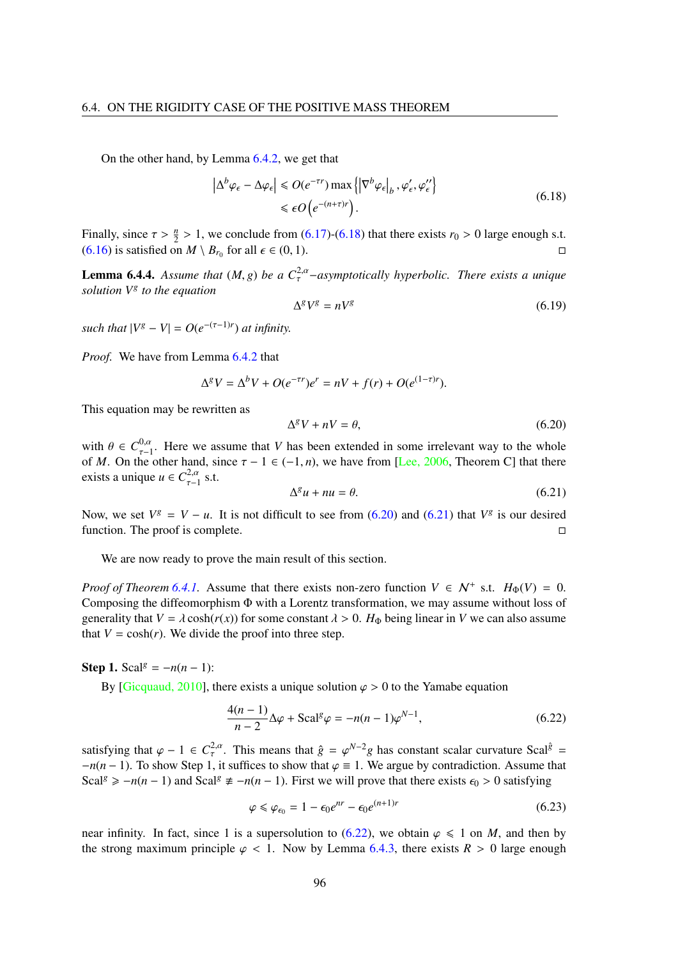<span id="page-95-5"></span>On the other hand, by Lemma [6.4.2,](#page-93-4) we get that

<span id="page-95-0"></span>
$$
\left|\Delta^{b}\varphi_{\epsilon} - \Delta\varphi_{\epsilon}\right| \leqslant O(e^{-\tau r}) \max\left\{\left|\nabla^{b}\varphi_{\epsilon}\right|_{b}, \varphi_{\epsilon}', \varphi_{\epsilon}''\right\} \leqslant \epsilon O\left(e^{-(n+\tau)r}\right).
$$
\n(6.18)

Finally, since  $\tau > \frac{n}{2} > 1$ , we conclude from [\(6.17\)](#page-94-2)-[\(6.18\)](#page-95-0) that there exists  $r_0 > 0$  large enough s.t.<br>(6.16) is satisfied on  $M \setminus B$ , for all  $\epsilon \in (0, 1)$ [\(6.16\)](#page-94-3) is satisfied on  $M \setminus B_{r_0}$  for all  $\epsilon \in (0, 1)$ .

<span id="page-95-4"></span>**Lemma 6.4.4.** *Assume that*  $(M, g)$  *be a*  $C_{\tau}^{2,\alpha}$ -asymptotically hyperbolic. There exists a unique<br>solution  $V_0^g$  to the equation *solution V g to the equation*

$$
\Delta^g V^g = nV^g \tag{6.19}
$$

*such that*  $|V^g - V| = O(e^{-(\tau - 1)r})$  *at infinity.* 

*Proof.* We have from Lemma [6.4.2](#page-93-4) that

$$
\Delta^g V = \Delta^b V + O(e^{-\tau r})e^r = nV + f(r) + O(e^{(1-\tau)r}).
$$

This equation may be rewritten as

<span id="page-95-1"></span>
$$
\Delta^g V + nV = \theta,\tag{6.20}
$$

with  $\theta \in C_{\tau-1}^{0,\alpha}$ . Here we assume that *V* has been extended in some irrelevant way to the whole of *M*. On the other hand, since  $\tau - 1 \in (-1, n)$ , we have from [\[Lee, 2006,](#page-102-4) Theorem C] that there exists a unique  $u \in C^{2,\alpha}$  s t. exists a unique  $u \in C_{\tau-1}^{2,\alpha}$  $\frac{z,\alpha}{\tau-1}$  s.t.

<span id="page-95-2"></span>
$$
\Delta^g u + nu = \theta. \tag{6.21}
$$

Now, we set  $V^g = V - u$ . It is not difficult to see from [\(6.20\)](#page-95-1) and [\(6.21\)](#page-95-2) that  $V^g$  is our desired function. The proof is complete.

We are now ready to prove the main result of this section.

*Proof of Theorem [6.4.1.](#page-93-1)* Assume that there exists non-zero function  $V \in \mathcal{N}^+$  s.t.  $H_{\Phi}(V) = 0$ . Composing the diffeomorphism Φ with a Lorentz transformation, we may assume without loss of generality that  $V = \lambda \cosh(r(x))$  for some constant  $\lambda > 0$ .  $H_{\Phi}$  being linear in *V* we can also assume that  $V = \cosh(r)$ . We divide the proof into three step.

#### **Step 1.** Scal<sup>*g*</sup> =  $-n(n-1)$ :

By [\[Gicquaud, 2010\]](#page-101-5), there exists a unique solution  $\varphi > 0$  to the Yamabe equation

<span id="page-95-3"></span>
$$
\frac{4(n-1)}{n-2}\Delta\varphi + \text{Scal}^g \varphi = -n(n-1)\varphi^{N-1},\tag{6.22}
$$

satisfying that  $\varphi - 1 \in C_{\tau}^{2,\alpha}$ . This means that  $\hat{g} = \varphi^{N-2}g$  has constant scalar curvature Scal<sup> $\hat{g} = -n(n-1)$ . To show Step 1, it suffices to show that  $\varphi = 1$ . We argue by contradiction. Assume that</sup>  $-n(n-1)$ . To show Step 1, it suffices to show that  $\varphi \equiv 1$ . We argue by contradiction. Assume that  $S_{\text{C2}} = n(n-1)$  and  $S_{\text{C2}} = n(n-1)$ . First we will prove that there exists  $\epsilon_0 > 0$  satisfying Scal<sup>g</sup>  $\geq -n(n-1)$  and Scal<sup>g</sup>  $\neq -n(n-1)$ . First we will prove that there exists  $\epsilon_0 > 0$  satisfying

$$
\varphi \leq \varphi_{\epsilon_0} = 1 - \epsilon_0 e^{nr} - \epsilon_0 e^{(n+1)r} \tag{6.23}
$$

near infinity. In fact, since 1 is a supersolution to [\(6.22\)](#page-95-3), we obtain  $\varphi \le 1$  on *M*, and then by the strong maximum principle  $\varphi$  < 1. Now by Lemma [6.4.3,](#page-94-4) there exists  $R > 0$  large enough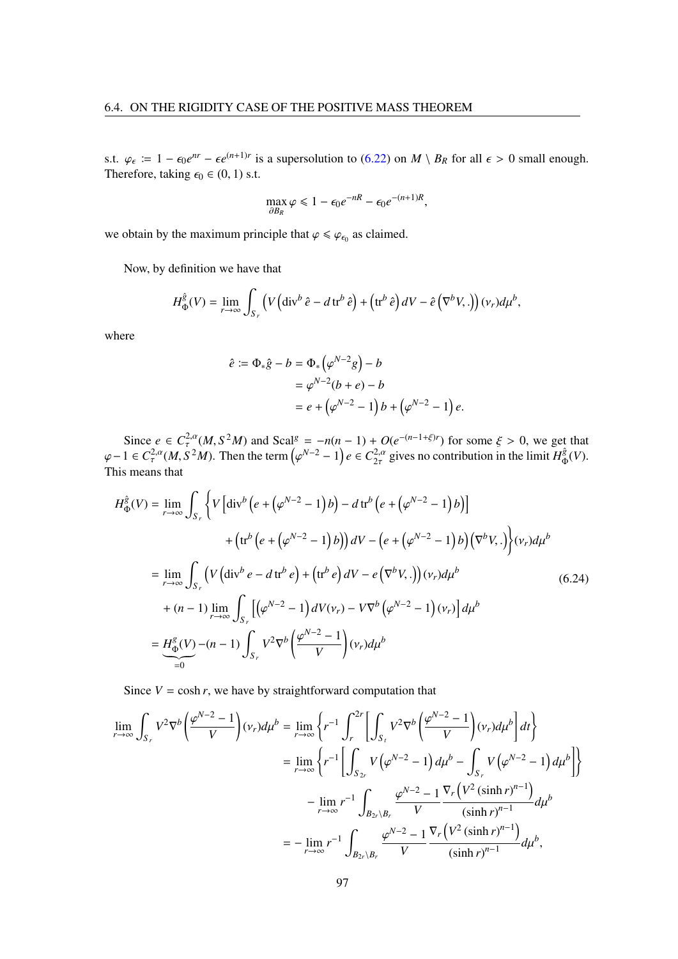s.t.  $\varphi_{\epsilon} := 1 - \epsilon_0 e^{nr} - \epsilon e^{(n+1)r}$  is a supersolution to [\(6.22\)](#page-95-3) on *M* \ *B<sub>R</sub>* for all  $\epsilon > 0$  small enough.<br>Therefore taking  $\epsilon_0 \in (0, 1)$  s t Therefore, taking  $\epsilon_0 \in (0, 1)$  s.t.

$$
\max_{\partial B_R} \varphi \leq 1 - \epsilon_0 e^{-nR} - \epsilon_0 e^{-(n+1)R},
$$

we obtain by the maximum principle that  $\varphi \le \varphi_{\epsilon_0}$  as claimed.

Now, by definition we have that

$$
H_{\Phi}^{\hat{g}}(V) = \lim_{r \to \infty} \int_{S_r} \left( V \left( \mathrm{div}^b \,\hat{e} - d \,\mathrm{tr}^b \,\hat{e} \right) + \left( \mathrm{tr}^b \,\hat{e} \right) dV - \hat{e} \left( \nabla^b V, . \right) \right) (v_r) d\mu^b,
$$

where

$$
\hat{e} := \Phi_* \hat{g} - b = \Phi_* \left( \varphi^{N-2} g \right) - b \n= \varphi^{N-2} (b + e) - b \n= e + \left( \varphi^{N-2} - 1 \right) b + \left( \varphi^{N-2} - 1 \right) e.
$$

Since  $e \in C_{\tau}^{2,\alpha}(M, S^2M)$  and Scal<sup>g</sup> =  $-n(n-1) + O(e^{-(n-1+\xi)r})$  for some  $\xi > 0$ , we get that  $1 \in C^{2,\alpha}(M, S^2M)$ . Then the term  $(e^{N-2}-1) e \in C^{2,\alpha}$  gives no contribution in the limit  $H^{\hat{g}}(V)$ .  $\varphi - 1 \in C^{2,\alpha}_{\tau}(M, S^2M)$ . Then the term  $\left(\frac{1}{\pi}\right)$ τ This means that  $\overline{a}$ *N*−2 − 1)  $e \in C^{2,\alpha}_{2\tau}$  $^{2,\alpha}_{2\tau}$  gives no contribution in the limit  $H_{\alpha}^{\hat{g}}$  $\frac{8}{\Phi}(V)$ .

$$
H_{\Phi}^{\hat{g}}(V) = \lim_{r \to \infty} \int_{S_r} \left\{ V \left[ \text{div}^{b} \left( e + \left( \varphi^{N-2} - 1 \right) b \right) - d \, \text{tr}^{b} \left( e + \left( \varphi^{N-2} - 1 \right) b \right) \right] \right\} + \left( \text{tr}^{b} \left( e + \left( \varphi^{N-2} - 1 \right) b \right) \right) dV - \left( e + \left( \varphi^{N-2} - 1 \right) b \right) \left( \nabla^{b} V, . \right) \right\} (v_r) d\mu^{b} = \lim_{r \to \infty} \int_{S_r} \left( V \left( \text{div}^{b} e - d \, \text{tr}^{b} e \right) + \left( \text{tr}^{b} e \right) dV - e \left( \nabla^{b} V, . \right) \right) (v_r) d\mu^{b} + (n - 1) \lim_{r \to \infty} \int_{S_r} \left[ \left( \varphi^{N-2} - 1 \right) dV(v_r) - V \nabla^{b} \left( \varphi^{N-2} - 1 \right) (v_r) \right] d\mu^{b} = \underbrace{H_{\Phi}^{g}(V)}_{=0} - (n - 1) \int_{S_r} V^{2} \nabla^{b} \left( \frac{\varphi^{N-2} - 1}{V} \right) (v_r) d\mu^{b}
$$
(6.24)

Since  $V = \cosh r$ , we have by straightforward computation that

$$
\lim_{r \to \infty} \int_{S_r} V^2 \nabla^b \left( \frac{\varphi^{N-2} - 1}{V} \right) (\nu_r) d\mu^b = \lim_{r \to \infty} \left\{ r^{-1} \int_r^{2r} \left[ \int_{S_t} V^2 \nabla^b \left( \frac{\varphi^{N-2} - 1}{V} \right) (\nu_r) d\mu^b \right] dt \right\}
$$
\n
$$
= \lim_{r \to \infty} \left\{ r^{-1} \left[ \int_{S_{2r}} V \left( \varphi^{N-2} - 1 \right) d\mu^b - \int_{S_r} V \left( \varphi^{N-2} - 1 \right) d\mu^b \right] \right\}
$$
\n
$$
- \lim_{r \to \infty} r^{-1} \int_{B_{2r} \setminus B_r} \frac{\varphi^{N-2} - 1}{V} \frac{\nabla_r \left( V^2 \left( \sinh r \right)^{n-1} \right)}{\left( \sinh r \right)^{n-1}} d\mu^b
$$
\n
$$
= - \lim_{r \to \infty} r^{-1} \int_{B_{2r} \setminus B_r} \frac{\varphi^{N-2} - 1}{V} \frac{\nabla_r \left( V^2 \left( \sinh r \right)^{n-1} \right)}{\left( \sinh r \right)^{n-1}} d\mu^b,
$$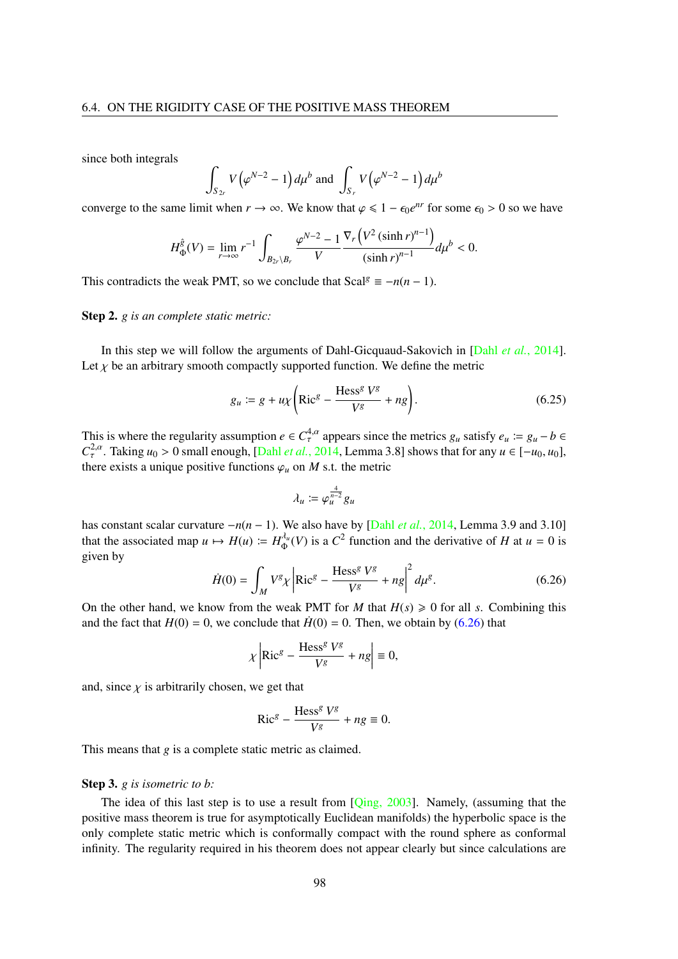<span id="page-97-1"></span>since both integrals

$$
\int_{S_{2r}} V\left(\varphi^{N-2} - 1\right) d\mu^b \text{ and } \int_{S_r} V\left(\varphi^{N-2} - 1\right) d\mu^b
$$

converge to the same limit when  $r \to \infty$ . We know that  $\varphi \leq 1 - \epsilon_0 e^{nr}$  for some  $\epsilon_0 > 0$  so we have

$$
H_{\Phi}^{\hat{g}}(V) = \lim_{r \to \infty} r^{-1} \int_{B_{2r} \setminus B_r} \frac{\varphi^{N-2} - 1}{V} \frac{\nabla_r \left( V^2 (\sinh r)^{n-1} \right)}{(\sinh r)^{n-1}} d\mu^b < 0.
$$

This contradicts the weak PMT, so we conclude that  $Scal^g \equiv -n(n-1)$ .

#### Step 2. *g is an complete static metric:*

In this step we will follow the arguments of Dahl-Gicquaud-Sakovich in [Dahl *et al.*[, 2014\]](#page-101-3). Let  $\chi$  be an arbitrary smooth compactly supported function. We define the metric

$$
g_u \coloneqq g + u\chi \left( \text{Ric}^g - \frac{\text{Hess}^g V^g}{V^g} + ng \right). \tag{6.25}
$$

This is where the regularity assumption  $e \in C_{\tau}^{4,\alpha}$  appears since the metrics  $g_u$  satisfy  $e_u := g_u - b \in C_{\tau}^{2,\alpha}$ . Taking  $u_v > 0$  small appears  $\Box$  and  $d_u > 2014$ . I appears  $\Omega$  shows that for any  $u \in L$ ,  $u_u$ ,  $u_v$  $C_{\tau}^{2,\alpha}$ . Taking *u*<sub>0</sub> > 0 small enough, [Dahl *et al.*[, 2014,](#page-101-3) Lemma 3.8] shows that for any *u* ∈ [−*u*<sub>0</sub>, *u*<sub>0</sub>], there exists a unique positive functions  $\alpha$ , on *M* s t, the metric there exists a unique positive functions  $\varphi_u$  on *M* s.t. the metric

$$
\lambda_u \coloneqq \varphi_u^{\frac{4}{n-2}} g_u
$$

has constant scalar curvature −*n*(*n* − 1). We also have by [Dahl *et al.*[, 2014,](#page-101-3) Lemma 3.9 and 3.10] that the associated map  $u \mapsto H(u) := H_{\Phi}^{\lambda_u}(V)$  is a  $C^2$  function and the derivative of *H* at  $u = 0$  is given by

<span id="page-97-0"></span>
$$
\dot{H}(0) = \int_M V^g \chi \left| \text{Ric}^g - \frac{\text{Hess}^g V^g}{V^g} + ng \right|^2 d\mu^g. \tag{6.26}
$$

On the other hand, we know from the weak PMT for *M* that  $H(s) \ge 0$  for all *s*. Combining this and the fact that  $H(0) = 0$ , we conclude that  $H(0) = 0$ . Then, we obtain by [\(6.26\)](#page-97-0) that

$$
\chi \left| \text{Ric}^g - \frac{\text{Hess}^g V^g}{V^g} + ng \right| \equiv 0,
$$

and, since  $\chi$  is arbitrarily chosen, we get that

$$
Ric^g - \frac{\text{Hess}^g V^g}{V^g} + ng \equiv 0.
$$

This means that *g* is a complete static metric as claimed.

#### Step 3. *g is isometric to b:*

The idea of this last step is to use a result from [\[Qing, 2003\]](#page-103-6). Namely, (assuming that the positive mass theorem is true for asymptotically Euclidean manifolds) the hyperbolic space is the only complete static metric which is conformally compact with the round sphere as conformal infinity. The regularity required in his theorem does not appear clearly but since calculations are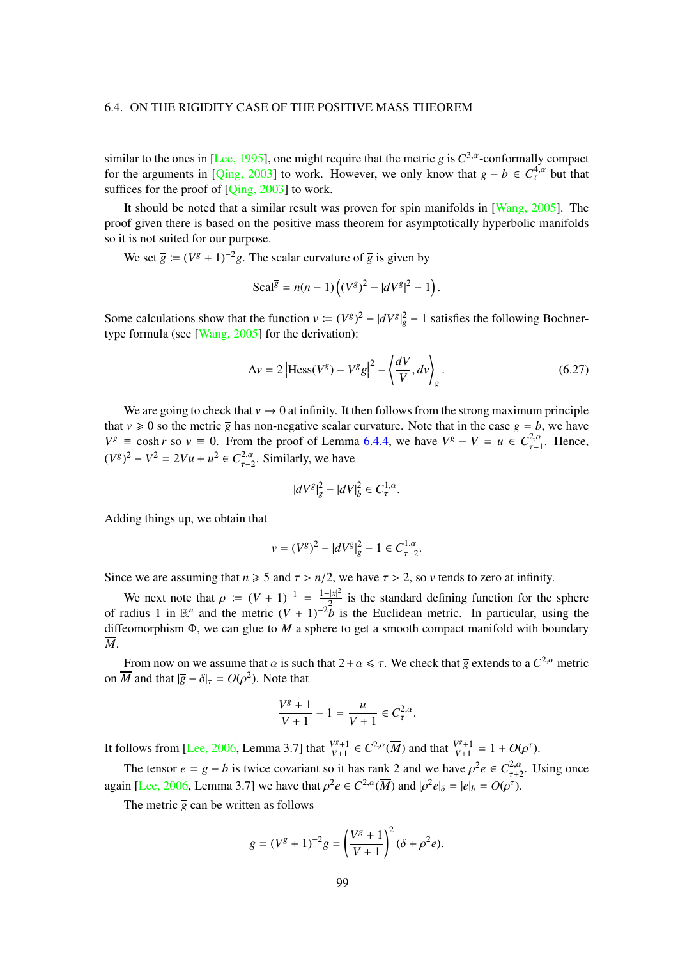<span id="page-98-0"></span>similar to the ones in [\[Lee, 1995\]](#page-102-5), one might require that the metric *g* is *C* <sup>3</sup>,α-conformally compact for the arguments in [\[Qing, 2003\]](#page-103-6) to work. However, we only know that  $g - b \in C_{\tau}^{4,\alpha}$  but that enfines for the proof of [Qing, 2003] to work. suffices for the proof of  $[Qing, 2003]$  to work.

It should be noted that a similar result was proven for spin manifolds in [\[Wang, 2005\]](#page-103-9). The proof given there is based on the positive mass theorem for asymptotically hyperbolic manifolds so it is not suited for our purpose.

We set  $\overline{g}$  :=  $(V^g + 1)^{-2}g$ . The scalar curvature of  $\overline{g}$  is given by

Scal<sup>$$
\bar{g}
$$</sup> = n(n-1) ((V<sup>g</sup>)<sup>2</sup> - |dV<sup>g</sup>|<sup>2</sup> - 1).

Some calculations show that the function  $v := (V^g)^2 - |dV^g|_g^2 - 1$  satisfies the following Bochner-| type formula (see [\[Wang, 2005\]](#page-103-9) for the derivation):

$$
\Delta v = 2 \left| \text{Hess}(V^g) - V^g g \right|^2 - \left\langle \frac{dV}{V}, dv \right\rangle_g. \tag{6.27}
$$

We are going to check that  $v \to 0$  at infinity. It then follows from the strong maximum principle that  $v \ge 0$  so the metric  $\overline{g}$  has non-negative scalar curvature. Note that in the case  $g = b$ , we have  $V^g$  = cosh *r* so  $v = 0$ . From the proof of Lemma [6.4.4,](#page-95-4) we have  $V^g - V = u \in C_{\tau-1}^{2,\alpha}$  $\frac{a}{\tau-1}$ . Hence,  $(V^{g})^2 - V^2 = 2Vu + u^2 \in C^{2,\alpha}_{\tau-2}$  $\frac{1}{τ-2}$ . Similarly, we have

$$
|dV^g|_g^2-|dV|_b^2\in C^{1,\alpha}_\tau
$$

Adding things up, we obtain that

$$
v = (V^g)^2 - |dV^g|_g^2 - 1 \in C_{\tau - 2}^{1, \alpha}.
$$

Since we are assuming that  $n \ge 5$  and  $\tau > n/2$ , we have  $\tau > 2$ , so *v* tends to zero at infinity.

We next note that  $\rho := (V + 1)^{-1} = \frac{1-|x|^2}{2}$ <br>adjus 1 in  $\mathbb{R}^n$  and the metric  $(V + 1)^{-2}h$  $\frac{|\mathcal{X}|^2}{2}$  is the standard defining function for the sphere of radius 1 in  $\mathbb{R}^n$  and the metric  $(V + 1)^{-2} \tilde{b}$  is the Euclidean metric. In particular, using the diffeomorphism Φ, we can glue to *M* a sphere to get a smooth compact manifold with boundary *M*.

From now on we assume that  $\alpha$  is such that  $2 + \alpha \leq \tau$ . We check that  $\overline{g}$  extends to a  $C^{2,\alpha}$  metric  $\overline{M}$  and that  $|\overline{g} - \delta| = O(\alpha^2)$ . Note that on  $\overline{M}$  and that  $|\overline{g} - \delta|_{\tau} = O(\rho^2)$ . Note that

$$
\frac{V^g + 1}{V + 1} - 1 = \frac{u}{V + 1} \in C^{2, \alpha}_{\tau}.
$$

It follows from [\[Lee, 2006,](#page-102-4) Lemma 3.7] that  $\frac{V^g+1}{V+1}$  $\frac{V^{g}+1}{V+1} \in C^{2,\alpha}(\overline{M})$  and that  $\frac{V^{g}+1}{V+1}$  $\frac{V^{s}+1}{V+1} = 1 + O(\rho^{\tau}).$ 

The tensor  $e = g - b$  is twice covariant so it has rank 2 and we have  $\rho^2 e \in C_{\tau+2}^{2,\alpha}$  $\frac{f^{2,\alpha}}{f^{2+2}}$ . Using once again [\[Lee, 2006,](#page-102-4) Lemma 3.7] we have that  $\rho^2 e \in C^{2,\alpha}(\overline{M})$  and  $|\rho^2 e|_{\delta} = |e|_{b} = O(\rho^{\tau}).$ 

The metric  $\bar{g}$  can be written as follows

$$
\overline{g} = (V^g + 1)^{-2} g = \left(\frac{V^g + 1}{V + 1}\right)^2 (\delta + \rho^2 e).
$$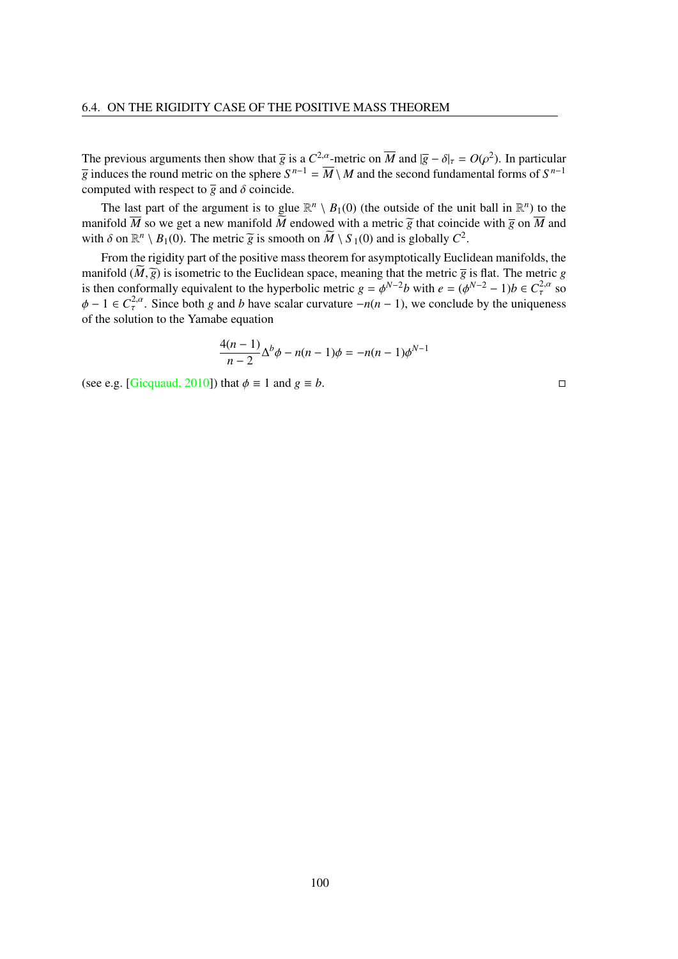<span id="page-99-0"></span>The previous arguments then show that  $\overline{g}$  is a  $C^{2,\alpha}$ -metric on  $\overline{M}$  and  $|\overline{g} - \delta|_{\tau} = O(\rho^2)$ . In particular  $\overline{g}$  induces the round metric on the sphere  $S^{n-1} - \overline{M} \setminus M$  and the second fundamental for *g* induces the round metric on the sphere  $S^{n-1} = \overline{M} \setminus M$  and the second fundamental forms of  $S^{n-1}$ computed with respect to  $\overline{g}$  and  $\delta$  coincide.

The last part of the argument is to glue  $\mathbb{R}^n \setminus B_1(0)$  (the outside of the unit ball in  $\mathbb{R}^n$ ) to the manifold  $\overline{M}$  so we get a new manifold  $\overline{M}$  endowed with a metric  $\overline{g}$  that coincide with  $\overline{g}$  on  $\overline{M}$  and with  $\delta$  on  $\mathbb{R}^n \setminus B_1(0)$ . The metric  $\widetilde{g}$  is smooth on  $\widetilde{M} \setminus S_1(0)$  and is globally  $C^2$ .

From the rigidity part of the positive mass theorem for asymptotically Euclidean manifolds, the manifold  $(M,\overline{g})$  is isometric to the Euclidean space, meaning that the metric  $\overline{g}$  is flat. The metric *g* is then conformally equivalent to the hyperbolic metric  $g = d^{N-2}h$  with  $g = (d^{N-2} - 1)h \in C^{2,\alpha}$  so is then conformally equivalent to the hyperbolic metric  $g = \phi^{N-2}b$  with  $e = (\phi^{N-2} - 1)b \in C_{\tau}^{2,\alpha}$  so  $\phi = 1 \in C_{\tau}^{2,\alpha}$ . Since both *a* and *b* have scalar curvature  $-n(n-1)$ , we conclude by the uniqueness  $\phi - 1 \in C_{\tau}^{2,\alpha}$ . Since both *g* and *b* have scalar curvature  $-n(n-1)$ , we conclude by the uniqueness of the solution to the Yamabe equation of the solution to the Yamabe equation

$$
\frac{4(n-1)}{n-2}\Delta^{b}\phi - n(n-1)\phi = -n(n-1)\phi^{N-1}
$$

(see e.g. [\[Gicquaud, 2010\]](#page-101-5)) that  $\phi \equiv 1$  and  $g \equiv b$ .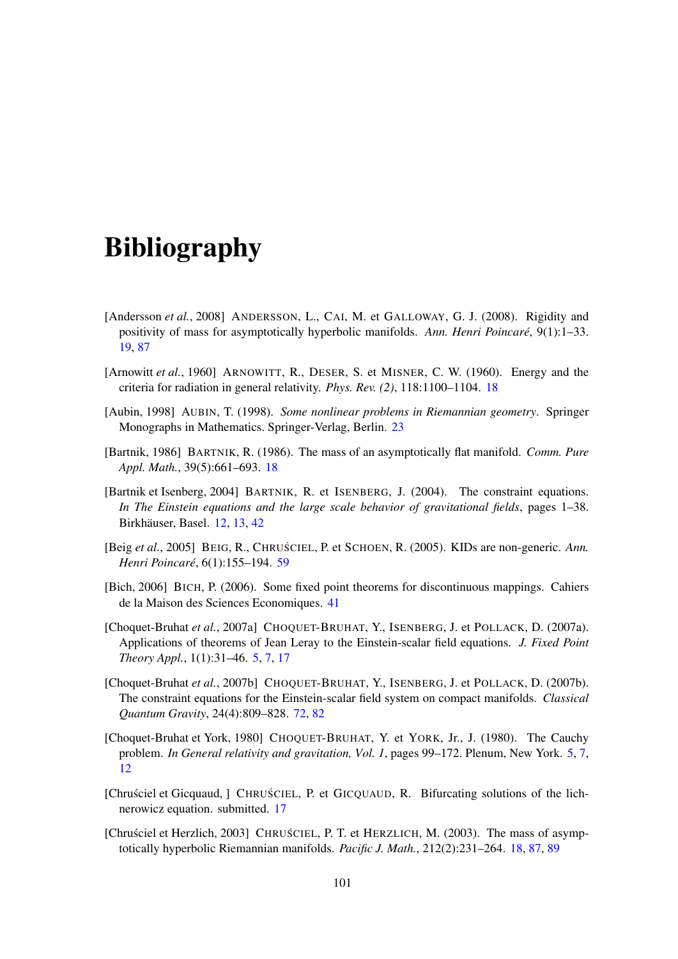## **Bibliography**

- <span id="page-100-2"></span>[Andersson *et al.*, 2008] ANDERSSON, L., CAI, M. et GALLOWAY, G. J. (2008). Rigidity and positivity of mass for asymptotically hyperbolic manifolds. *Ann. Henri Poincaré*, 9(1):1–33. [19,](#page-18-0) [87](#page-86-0)
- [Arnowitt *et al.*, 1960] ARNOWITT, R., DESER, S. et MISNER, C. W. (1960). Energy and the criteria for radiation in general relativity. *Phys. Rev. (2)*, 118:1100–1104. [18](#page-17-0)
- [Aubin, 1998] AUBIN, T. (1998). *Some nonlinear problems in Riemannian geometry*. Springer Monographs in Mathematics. Springer-Verlag, Berlin. [23](#page-22-0)
- [Bartnik, 1986] BARTNIK, R. (1986). The mass of an asymptotically flat manifold. *Comm. Pure Appl. Math.*, 39(5):661–693. [18](#page-17-0)
- [Bartnik et Isenberg, 2004] BARTNIK, R. et ISENBERG, J. (2004). The constraint equations. *In The Einstein equations and the large scale behavior of gravitational fields*, pages 1–38. Birkhäuser, Basel. [12,](#page-11-2) [13,](#page-12-0) [42](#page-41-0)
- [Beig *et al.*, 2005] BEIG, R., CHRUSCIEL, P. et SCHOEN, R. (2005). KIDs are non-generic. *Ann. Henri Poincaré*, 6(1):155–194. [59](#page-58-0)
- [Bich, 2006] BICH, P. (2006). Some fixed point theorems for discontinuous mappings. Cahiers de la Maison des Sciences Economiques. [41](#page-40-1)
- [Choquet-Bruhat *et al.*, 2007a] CHOQUET-BRUHAT, Y., ISENBERG, J. et POLLACK, D. (2007a). Applications of theorems of Jean Leray to the Einstein-scalar field equations. *J. Fixed Point Theory Appl.*, 1(1):31–46. [5,](#page-4-0) [7,](#page-6-0) [17](#page-16-0)
- <span id="page-100-0"></span>[Choquet-Bruhat *et al.*, 2007b] CHOQUET-BRUHAT, Y., ISENBERG, J. et POLLACK, D. (2007b). The constraint equations for the Einstein-scalar field system on compact manifolds. *Classical Quantum Gravity*, 24(4):809–828. [72,](#page-71-1) [82](#page-81-2)
- [Choquet-Bruhat et York, 1980] CHOQUET-BRUHAT, Y. et YORK, Jr., J. (1980). The Cauchy problem. *In General relativity and gravitation, Vol. 1*, pages 99–172. Plenum, New York. [5,](#page-4-0) [7,](#page-6-0) [12](#page-11-2)
- [Chrusciel et Gicquaud, ] CHRUSCIEL, P. et GICQUAUD, R. Bifurcating solutions of the lichnerowicz equation. submitted. [17](#page-16-0)
- <span id="page-100-1"></span>[Chruściel et Herzlich, 2003] CHRUŚCIEL, P. T. et HERZLICH, M. (2003). The mass of asymptotically hyperbolic Riemannian manifolds. *Pacific J. Math.*, 212(2):231–264. [18,](#page-17-0) [87,](#page-86-0) [89](#page-88-2)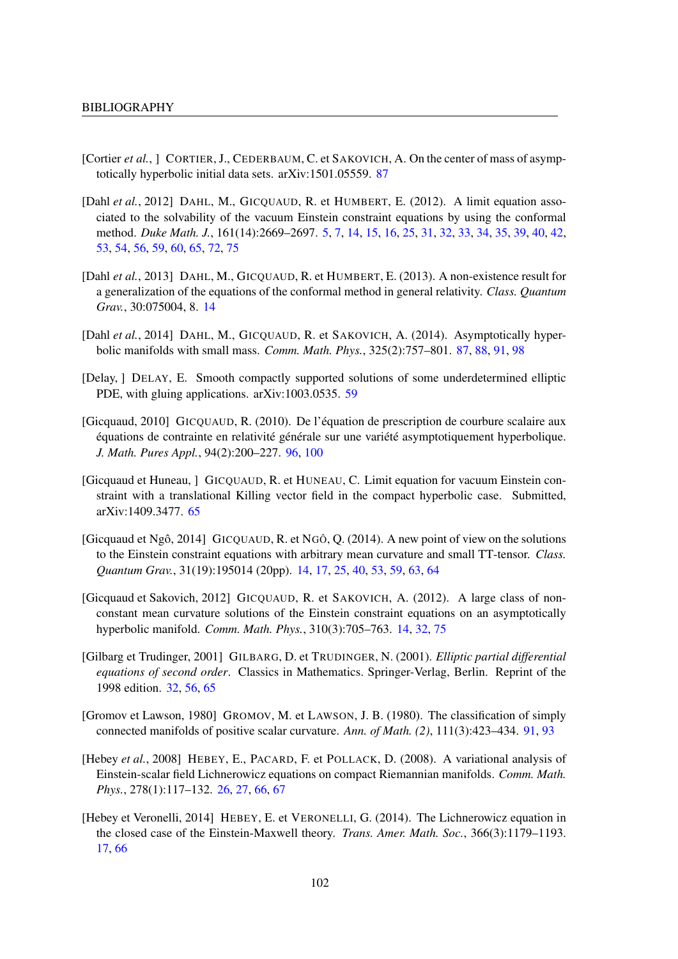- <span id="page-101-2"></span>[Cortier *et al.*, ] CORTIER, J., CEDERBAUM, C. et SAKOVICH, A. On the center of mass of asymptotically hyperbolic initial data sets. arXiv:1501.05559. [87](#page-86-0)
- <span id="page-101-0"></span>[Dahl *et al.*, 2012] DAHL, M., GICQUAUD, R. et HUMBERT, E. (2012). A limit equation associated to the solvability of the vacuum Einstein constraint equations by using the conformal method. *Duke Math. J.*, 161(14):2669–2697. [5,](#page-4-0) [7,](#page-6-0) [14,](#page-13-0) [15,](#page-14-0) [16,](#page-15-0) [25,](#page-24-1) [31,](#page-30-0) [32,](#page-31-0) [33,](#page-32-0) [34,](#page-33-0) [35,](#page-34-0) [39,](#page-38-0) [40,](#page-39-0) [42,](#page-41-0) [53,](#page-52-1) [54,](#page-53-0) [56,](#page-55-0) [59,](#page-58-0) [60,](#page-59-0) [65,](#page-64-0) [72,](#page-71-1) [75](#page-74-2)
- [Dahl *et al.*, 2013] DAHL, M., GICQUAUD, R. et HUMBERT, E. (2013). A non-existence result for a generalization of the equations of the conformal method in general relativity. *Class. Quantum Grav.*, 30:075004, 8. [14](#page-13-0)
- <span id="page-101-3"></span>[Dahl *et al.*, 2014] DAHL, M., GICQUAUD, R. et SAKOVICH, A. (2014). Asymptotically hyperbolic manifolds with small mass. *Comm. Math. Phys.*, 325(2):757–801. [87,](#page-86-0) [88,](#page-87-1) [91,](#page-90-2) [98](#page-97-1)
- [Delay, ] DELAY, E. Smooth compactly supported solutions of some underdetermined elliptic PDE, with gluing applications. arXiv:1003.0535. [59](#page-58-0)
- <span id="page-101-5"></span>[Gicquaud, 2010] GICQUAUD, R. (2010). De l'équation de prescription de courbure scalaire aux équations de contrainte en relativité générale sur une variété asymptotiquement hyperbolique. *J. Math. Pures Appl.*, 94(2):200–227. [96,](#page-95-5) [100](#page-99-0)
- [Gicquaud et Huneau, ] GICQUAUD, R. et HUNEAU, C. Limit equation for vacuum Einstein constraint with a translational Killing vector field in the compact hyperbolic case. Submitted, arXiv:1409.3477. [65](#page-64-0)
- [Gicquaud et Ngô, 2014] GICQUAUD, R. et NGÔ, Q. (2014). A new point of view on the solutions to the Einstein constraint equations with arbitrary mean curvature and small TT-tensor. *Class. Quantum Grav.*, 31(19):195014 (20pp). [14,](#page-13-0) [17,](#page-16-0) [25,](#page-24-1) [40,](#page-39-0) [53,](#page-52-1) [59,](#page-58-0) [63,](#page-62-0) [64](#page-63-1)
- <span id="page-101-1"></span>[Gicquaud et Sakovich, 2012] GICQUAUD, R. et SAKOVICH, A. (2012). A large class of nonconstant mean curvature solutions of the Einstein constraint equations on an asymptotically hyperbolic manifold. *Comm. Math. Phys.*, 310(3):705–763. [14,](#page-13-0) [32,](#page-31-0) [75](#page-74-2)
- [Gilbarg et Trudinger, 2001] GILBARG, D. et TRUDINGER, N. (2001). *Elliptic partial differential equations of second order*. Classics in Mathematics. Springer-Verlag, Berlin. Reprint of the 1998 edition. [32,](#page-31-0) [56,](#page-55-0) [65](#page-64-0)
- <span id="page-101-4"></span>[Gromov et Lawson, 1980] GROMOV, M. et LAWSON, J. B. (1980). The classification of simply connected manifolds of positive scalar curvature. *Ann. of Math. (2)*, 111(3):423–434. [91,](#page-90-2) [93](#page-92-1)
- [Hebey *et al.*, 2008] HEBEY, E., PACARD, F. et POLLACK, D. (2008). A variational analysis of Einstein-scalar field Lichnerowicz equations on compact Riemannian manifolds. *Comm. Math. Phys.*, 278(1):117–132. [26,](#page-25-1) [27,](#page-26-0) [66,](#page-65-1) [67](#page-66-2)
- [Hebey et Veronelli, 2014] HEBEY, E. et VERONELLI, G. (2014). The Lichnerowicz equation in the closed case of the Einstein-Maxwell theory. *Trans. Amer. Math. Soc.*, 366(3):1179–1193. [17,](#page-16-0) [66](#page-65-1)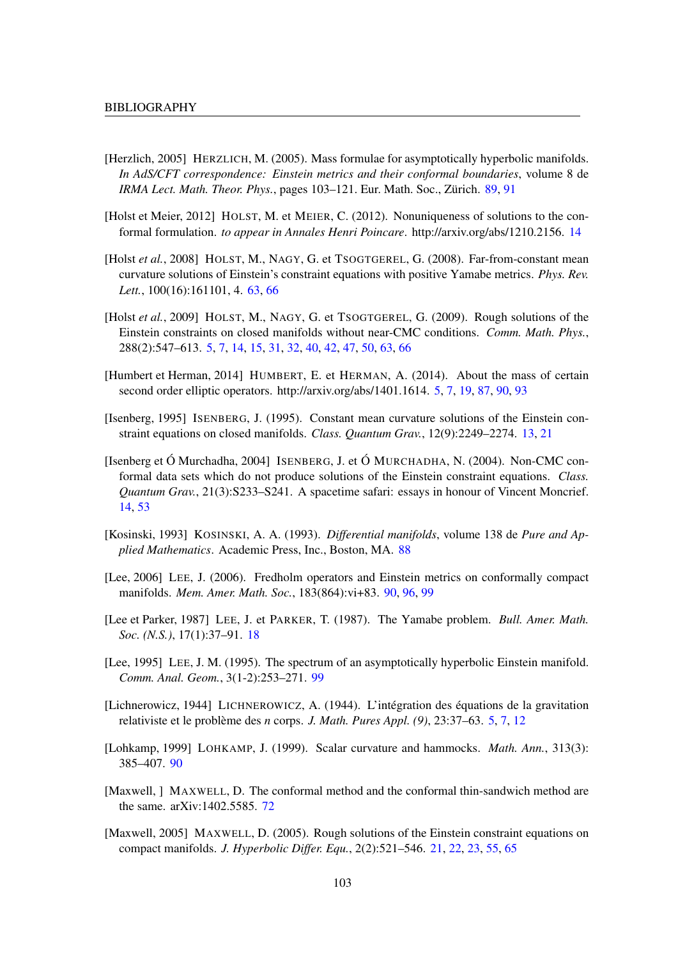- <span id="page-102-2"></span>[Herzlich, 2005] HERZLICH, M. (2005). Mass formulae for asymptotically hyperbolic manifolds. *In AdS/CFT correspondence: Einstein metrics and their conformal boundaries*, volume 8 de *IRMA Lect. Math. Theor. Phys.*, pages 103–121. Eur. Math. Soc., Zürich. [89,](#page-88-2) [91](#page-90-2)
- [Holst et Meier, 2012] HOLST, M. et MEIER, C. (2012). Nonuniqueness of solutions to the conformal formulation. *to appear in Annales Henri Poincare*. http://arxiv.org/abs/1210.2156. [14](#page-13-0)
- [Holst *et al.*, 2008] HOLST, M., NAGY, G. et TSOGTGEREL, G. (2008). Far-from-constant mean curvature solutions of Einstein's constraint equations with positive Yamabe metrics. *Phys. Rev. Lett.*, 100(16):161101, 4. [63,](#page-62-0) [66](#page-65-1)
- [Holst *et al.*, 2009] HOLST, M., NAGY, G. et TSOGTGEREL, G. (2009). Rough solutions of the Einstein constraints on closed manifolds without near-CMC conditions. *Comm. Math. Phys.*, 288(2):547–613. [5,](#page-4-0) [7,](#page-6-0) [14,](#page-13-0) [15,](#page-14-0) [31,](#page-30-0) [32,](#page-31-0) [40,](#page-39-0) [42,](#page-41-0) [47,](#page-46-0) [50,](#page-49-0) [63,](#page-62-0) [66](#page-65-1)
- <span id="page-102-0"></span>[Humbert et Herman, 2014] HUMBERT, E. et HERMAN, A. (2014). About the mass of certain second order elliptic operators. http://arxiv.org/abs/1401.1614. [5,](#page-4-0) [7,](#page-6-0) [19,](#page-18-0) [87,](#page-86-0) [90,](#page-89-2) [93](#page-92-1)
- [Isenberg, 1995] ISENBERG, J. (1995). Constant mean curvature solutions of the Einstein constraint equations on closed manifolds. *Class. Quantum Grav.*, 12(9):2249–2274. [13,](#page-12-0) [21](#page-20-0)
- [Isenberg et Ó Murchadha, 2004] ISENBERG, J. et Ó MURCHADHA, N. (2004). Non-CMC conformal data sets which do not produce solutions of the Einstein constraint equations. *Class. Quantum Grav.*, 21(3):S233–S241. A spacetime safari: essays in honour of Vincent Moncrief. [14,](#page-13-0) [53](#page-52-1)
- <span id="page-102-1"></span>[Kosinski, 1993] KOSINSKI, A. A. (1993). *Differential manifolds*, volume 138 de *Pure and Applied Mathematics*. Academic Press, Inc., Boston, MA. [88](#page-87-1)
- <span id="page-102-4"></span>[Lee, 2006] LEE, J. (2006). Fredholm operators and Einstein metrics on conformally compact manifolds. *Mem. Amer. Math. Soc.*, 183(864):vi+83. [90,](#page-89-2) [96,](#page-95-5) [99](#page-98-0)
- [Lee et Parker, 1987] LEE, J. et PARKER, T. (1987). The Yamabe problem. *Bull. Amer. Math. Soc. (N.S.)*, 17(1):37–91. [18](#page-17-0)
- <span id="page-102-5"></span>[Lee, 1995] LEE, J. M. (1995). The spectrum of an asymptotically hyperbolic Einstein manifold. *Comm. Anal. Geom.*, 3(1-2):253–271. [99](#page-98-0)
- [Lichnerowicz, 1944] LICHNEROWICZ, A. (1944). L'intégration des équations de la gravitation relativiste et le problème des *n* corps. *J. Math. Pures Appl. (9)*, 23:37–63. [5,](#page-4-0) [7,](#page-6-0) [12](#page-11-2)
- <span id="page-102-3"></span>[Lohkamp, 1999] LOHKAMP, J. (1999). Scalar curvature and hammocks. *Math. Ann.*, 313(3): 385–407. [90](#page-89-2)
- [Maxwell, ] MAXWELL, D. The conformal method and the conformal thin-sandwich method are the same. arXiv:1402.5585. [72](#page-71-1)
- [Maxwell, 2005] MAXWELL, D. (2005). Rough solutions of the Einstein constraint equations on compact manifolds. *J. Hyperbolic Differ. Equ.*, 2(2):521–546. [21,](#page-20-0) [22,](#page-21-1) [23,](#page-22-0) [55,](#page-54-0) [65](#page-64-0)